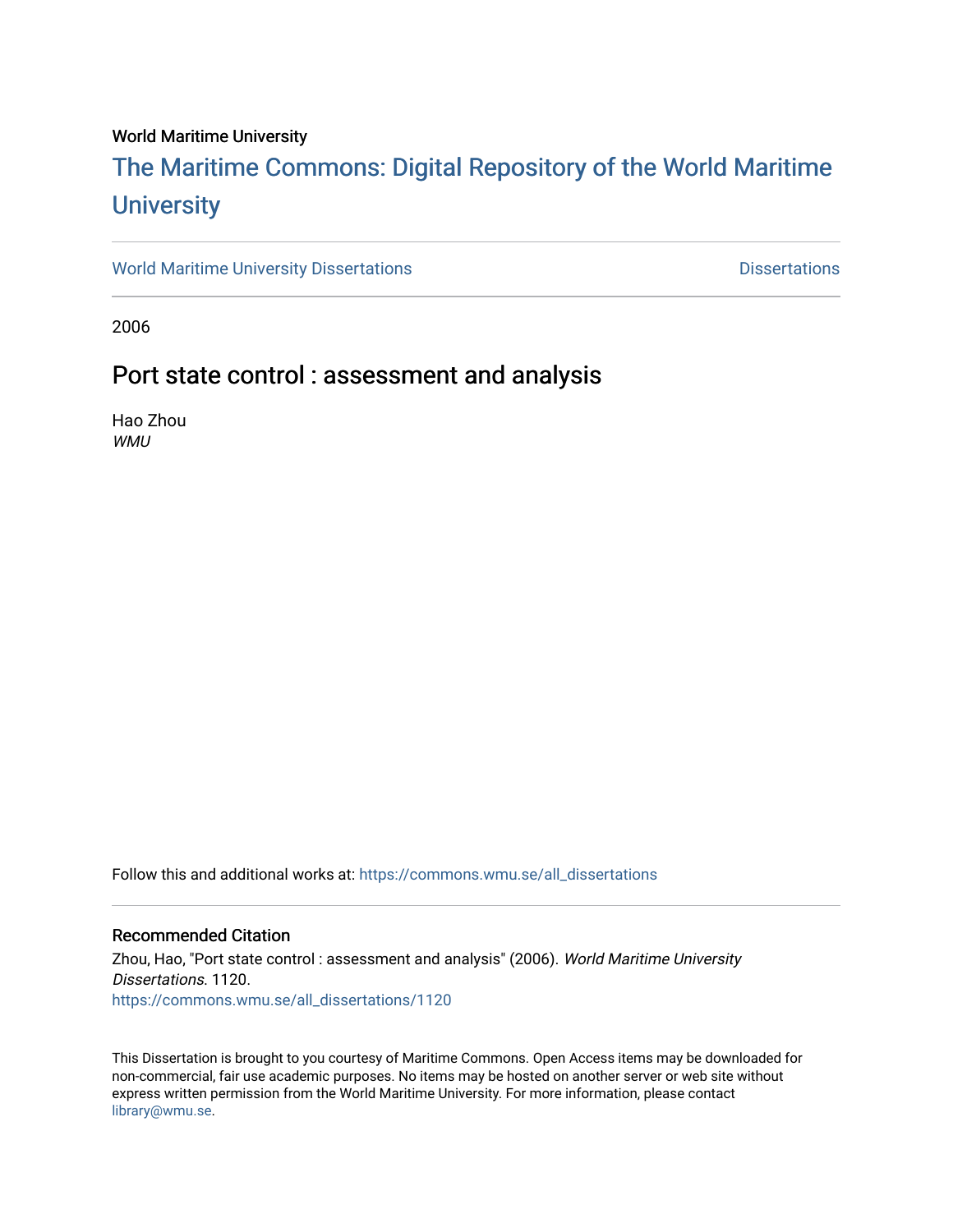#### World Maritime University

# [The Maritime Commons: Digital Repository of the World Maritime](https://commons.wmu.se/)  **University**

[World Maritime University Dissertations](https://commons.wmu.se/all_dissertations) **Example 20 and Taylor 10 and Taylor** Dissertations

2006

### Port state control : assessment and analysis

Hao Zhou WMU

Follow this and additional works at: [https://commons.wmu.se/all\\_dissertations](https://commons.wmu.se/all_dissertations?utm_source=commons.wmu.se%2Fall_dissertations%2F1120&utm_medium=PDF&utm_campaign=PDFCoverPages) 

#### Recommended Citation

Zhou, Hao, "Port state control : assessment and analysis" (2006). World Maritime University Dissertations. 1120. [https://commons.wmu.se/all\\_dissertations/1120](https://commons.wmu.se/all_dissertations/1120?utm_source=commons.wmu.se%2Fall_dissertations%2F1120&utm_medium=PDF&utm_campaign=PDFCoverPages)

This Dissertation is brought to you courtesy of Maritime Commons. Open Access items may be downloaded for non-commercial, fair use academic purposes. No items may be hosted on another server or web site without express written permission from the World Maritime University. For more information, please contact [library@wmu.se](mailto:library@wmu.edu).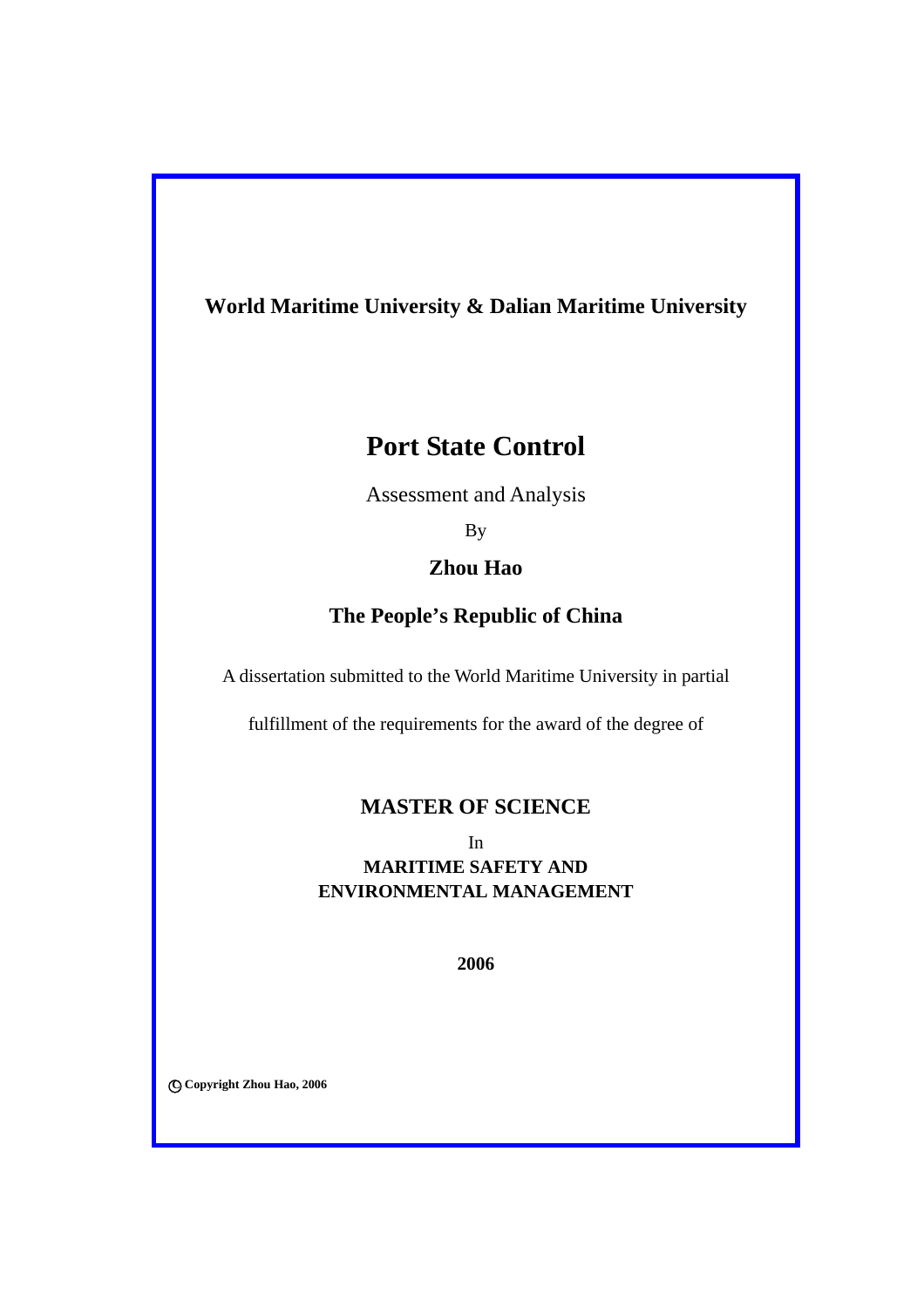# **World Maritime University & Dalian Maritime University World Maritime University & Dalian Maritime University**

# **Port State Control**

Assessment and Analysis

By

#### $\sum_{i=1}^n a_i$ **Zhou Hao**

### **The People's Republic of China**

 $f_{\text{in}}$  fulfillment of the requirements of the degree of the degree of the degree of the degree of the degree of the degree of the degree of the degree of the degree of the degree of the degree of the degree of the degr A dissertation submitted to the World Maritime University in partial

fulfillment of the requirements for the award of the degree of

### In **MASTER OF SCIENCE**

**MARITIME SAFETY AND MARITIME SAFETY AND** In **ENVIRONMENTAL MANAGEMENT** 

**2006** 

○**<sup>C</sup> Copyright Zhou Hao, 2006**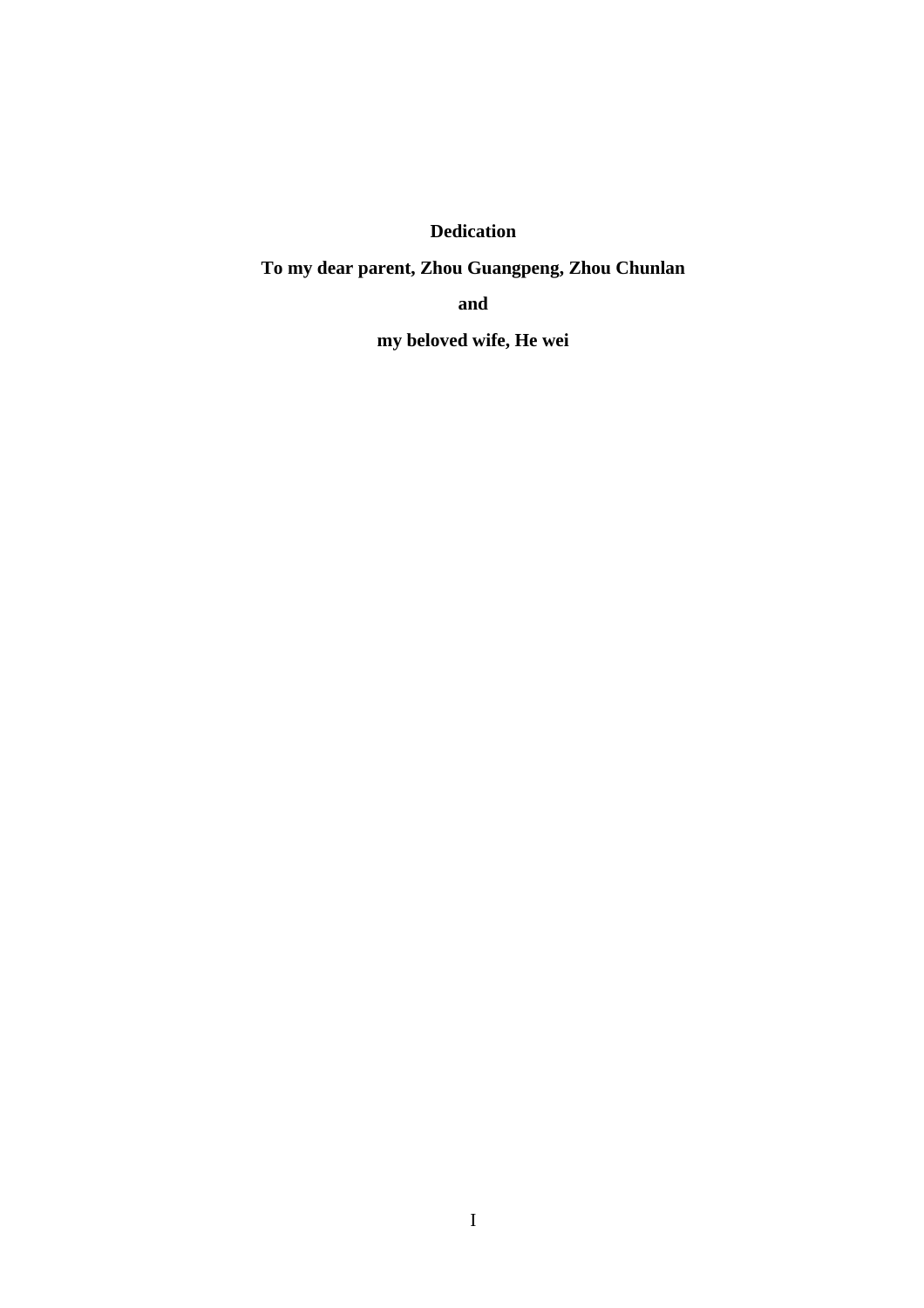**Dedication** 

**To my dear parent, Zhou Guangpeng, Zhou Chunlan** 

**and** 

**my beloved wife, He wei**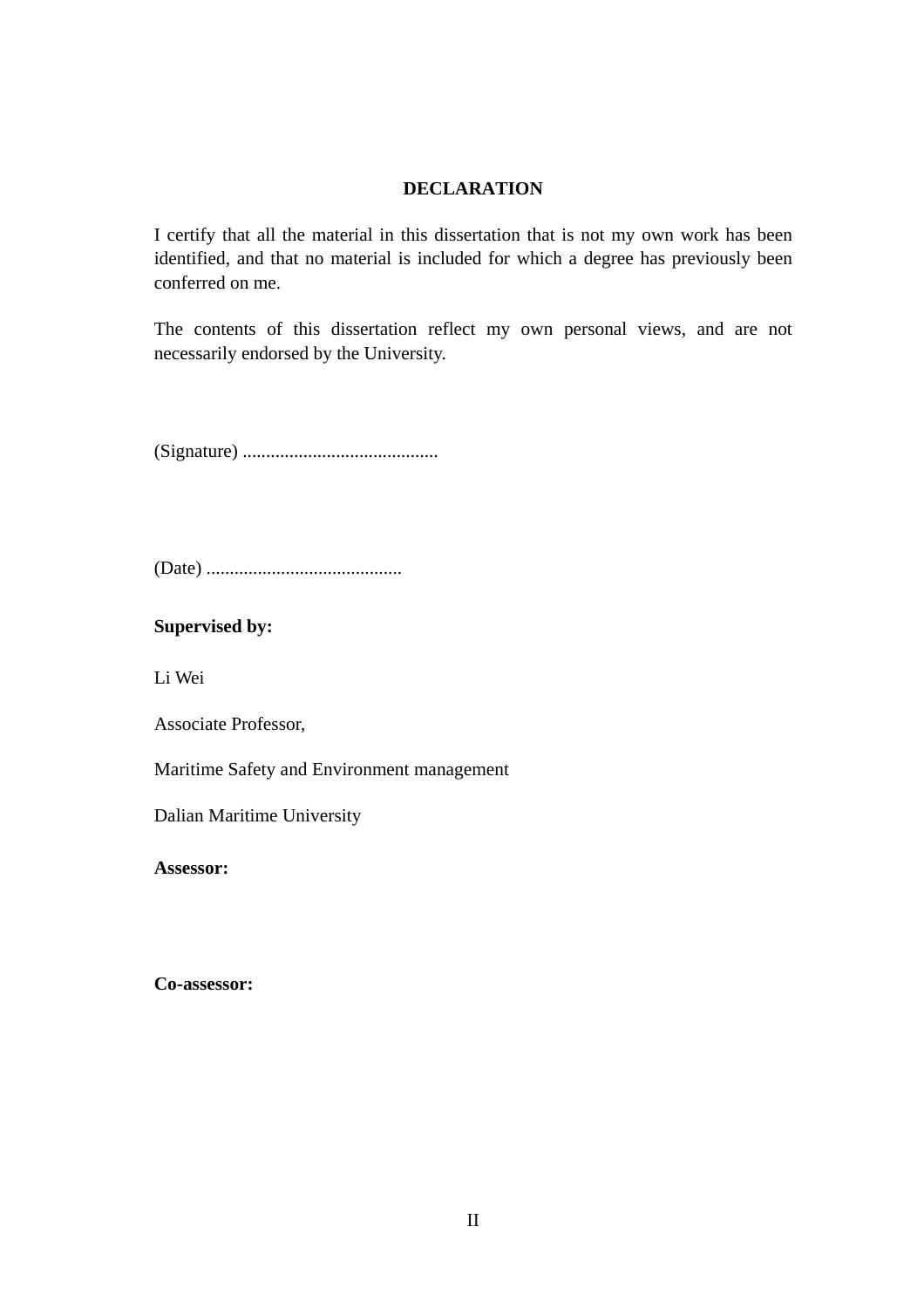#### **DECLARATION**

I certify that all the material in this dissertation that is not my own work has been identified, and that no material is included for which a degree has previously been conferred on me.

The contents of this dissertation reflect my own personal views, and are not necessarily endorsed by the University.

(Signature) ..........................................

(Date) ..........................................

**Supervised by:** 

Li Wei

Associate Professor,

Maritime Safety and Environment management

Dalian Maritime University

**Assessor:** 

**Co-assessor:**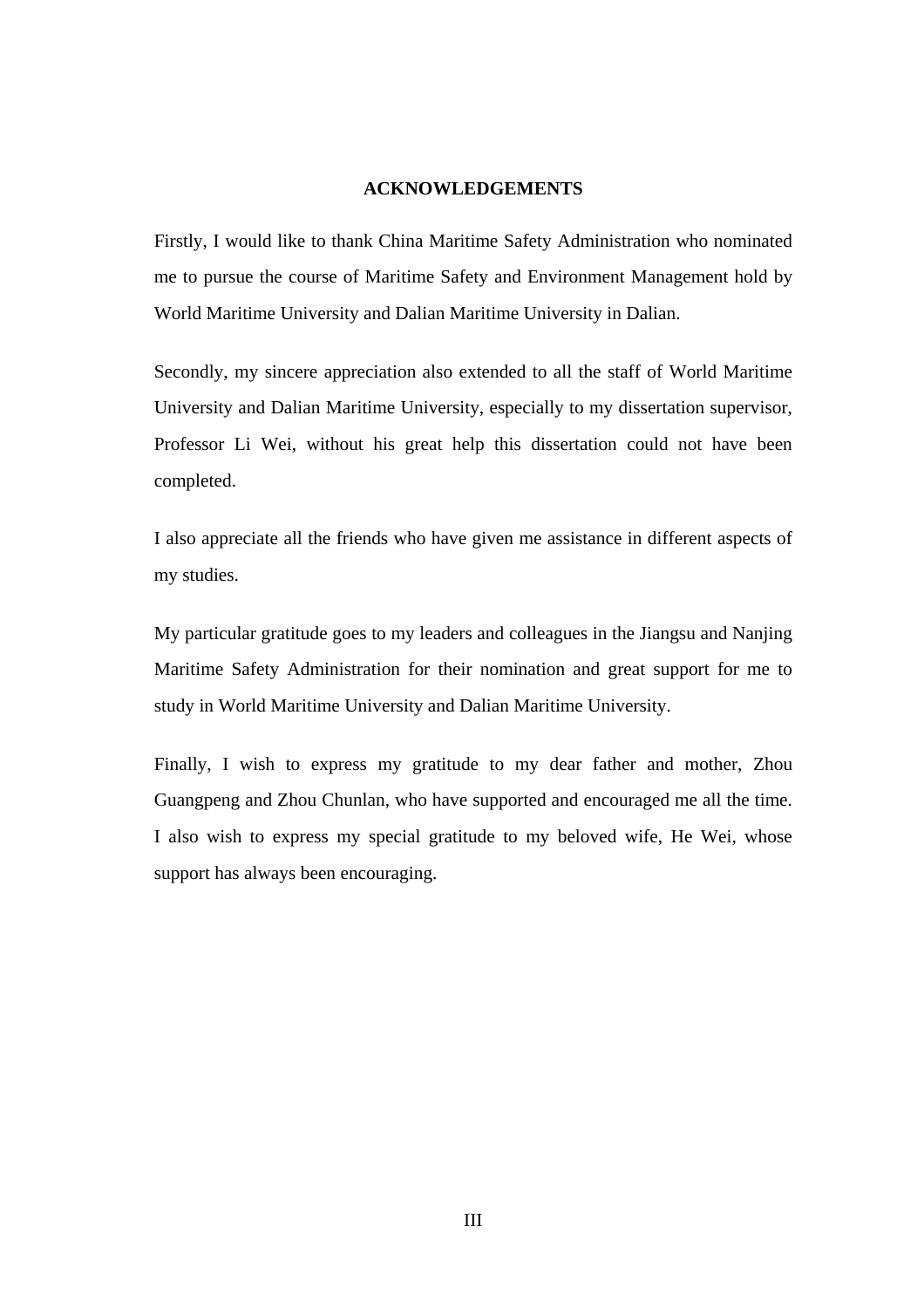#### **ACKNOWLEDGEMENTS**

Firstly, I would like to thank China Maritime Safety Administration who nominated me to pursue the course of Maritime Safety and Environment Management hold by World Maritime University and Dalian Maritime University in Dalian.

Secondly, my sincere appreciation also extended to all the staff of World Maritime University and Dalian Maritime University, especially to my dissertation supervisor, Professor Li Wei, without his great help this dissertation could not have been completed.

I also appreciate all the friends who have given me assistance in different aspects of my studies.

My particular gratitude goes to my leaders and colleagues in the Jiangsu and Nanjing Maritime Safety Administration for their nomination and great support for me to study in World Maritime University and Dalian Maritime University.

Finally, I wish to express my gratitude to my dear father and mother, Zhou Guangpeng and Zhou Chunlan, who have supported and encouraged me all the time. I also wish to express my special gratitude to my beloved wife, He Wei, whose support has always been encouraging.

III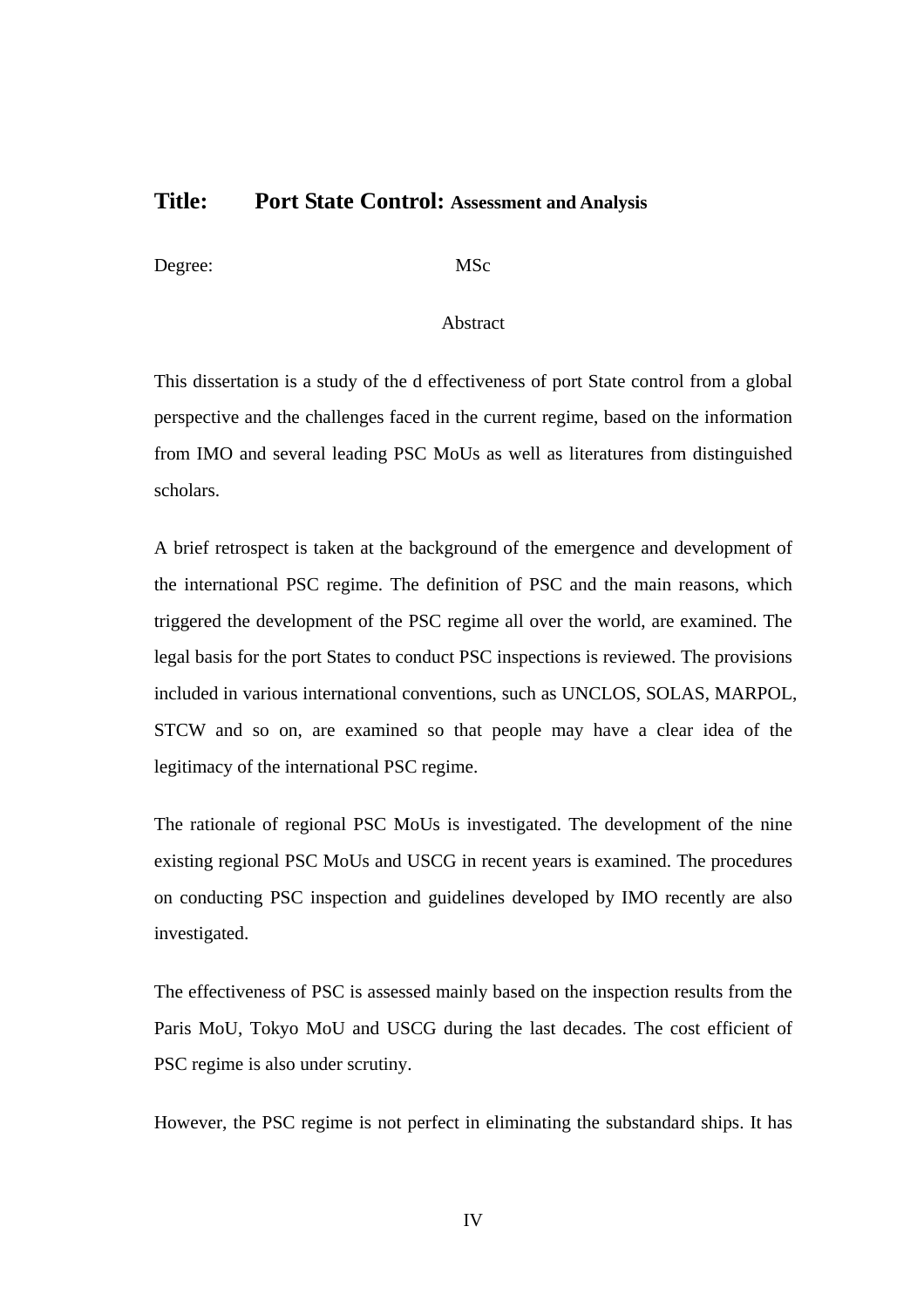### **Title: Port State Control: Assessment and Analysis**

Degree: MSc

#### Abstract

This dissertation is a study of the d effectiveness of port State control from a global perspective and the challenges faced in the current regime, based on the information from IMO and several leading PSC MoUs as well as literatures from distinguished scholars.

A brief retrospect is taken at the background of the emergence and development of the international PSC regime. The definition of PSC and the main reasons, which triggered the development of the PSC regime all over the world, are examined. The legal basis for the port States to conduct PSC inspections is reviewed. The provisions included in various international conventions, such as UNCLOS, SOLAS, MARPOL, STCW and so on, are examined so that people may have a clear idea of the legitimacy of the international PSC regime.

The rationale of regional PSC MoUs is investigated. The development of the nine existing regional PSC MoUs and USCG in recent years is examined. The procedures on conducting PSC inspection and guidelines developed by IMO recently are also investigated.

The effectiveness of PSC is assessed mainly based on the inspection results from the Paris MoU, Tokyo MoU and USCG during the last decades. The cost efficient of PSC regime is also under scrutiny.

However, the PSC regime is not perfect in eliminating the substandard ships. It has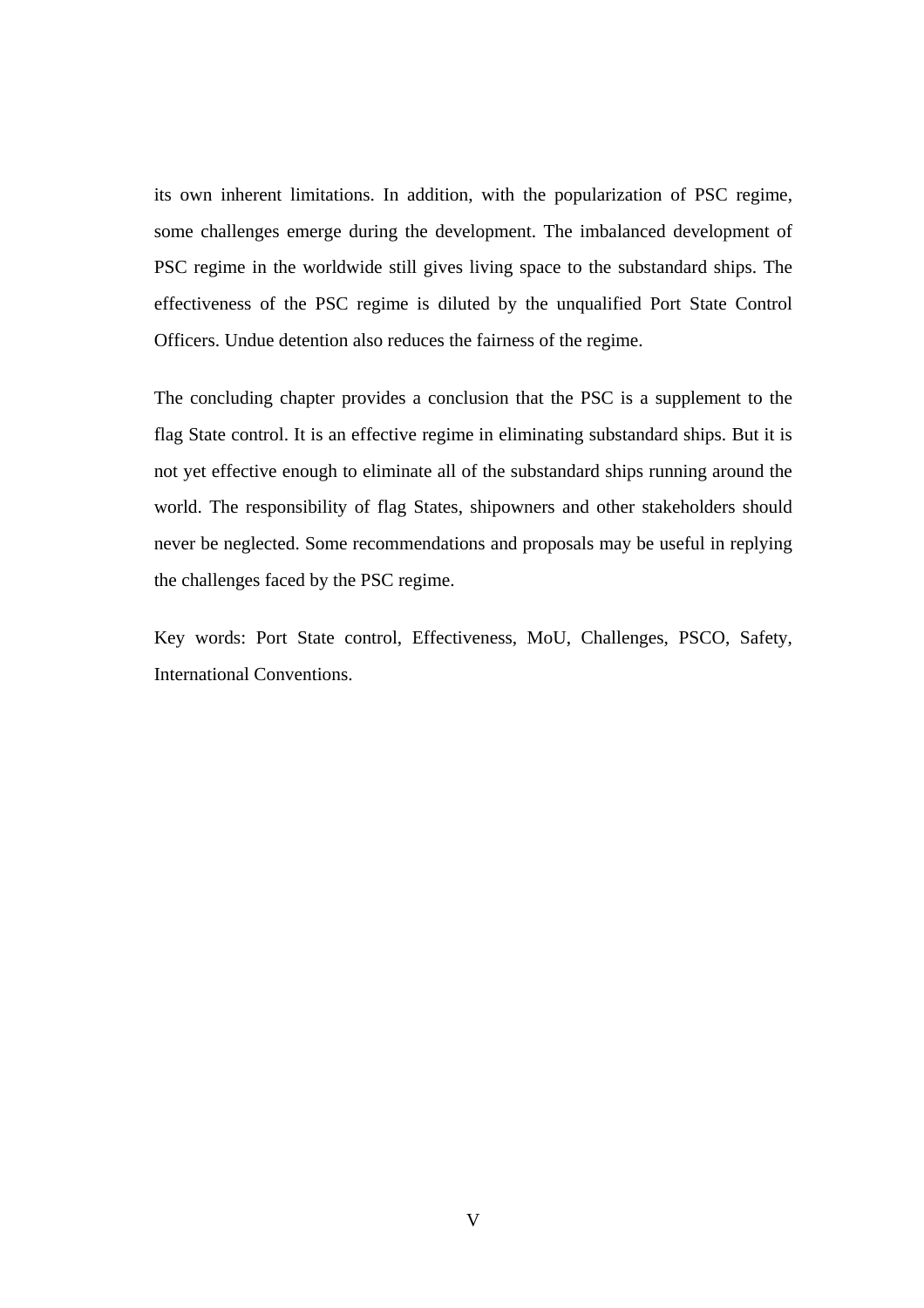its own inherent limitations. In addition, with the popularization of PSC regime, some challenges emerge during the development. The imbalanced development of PSC regime in the worldwide still gives living space to the substandard ships. The effectiveness of the PSC regime is diluted by the unqualified Port State Control Officers. Undue detention also reduces the fairness of the regime.

The concluding chapter provides a conclusion that the PSC is a supplement to the flag State control. It is an effective regime in eliminating substandard ships. But it is not yet effective enough to eliminate all of the substandard ships running around the world. The responsibility of flag States, shipowners and other stakeholders should never be neglected. Some recommendations and proposals may be useful in replying the challenges faced by the PSC regime.

Key words: Port State control, Effectiveness, MoU, Challenges, PSCO, Safety, International Conventions.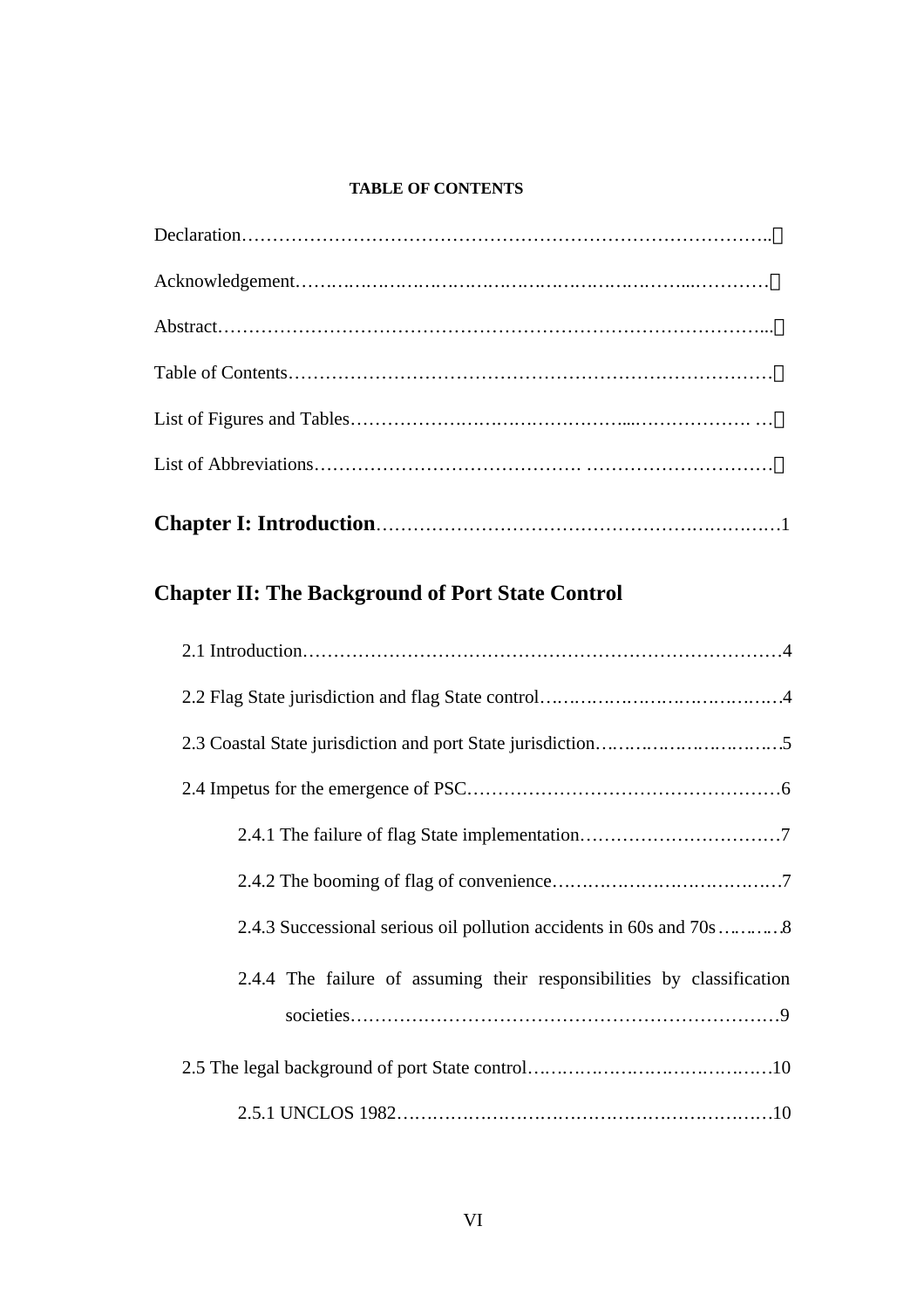### **TABLE OF CONTENTS**

**Chapter I: Introduction**…………………………………………………………1

# **Chapter II: The Background of Port State Control**

| 2.4.4 The failure of assuming their responsibilities by classification |
|------------------------------------------------------------------------|
|                                                                        |
|                                                                        |
|                                                                        |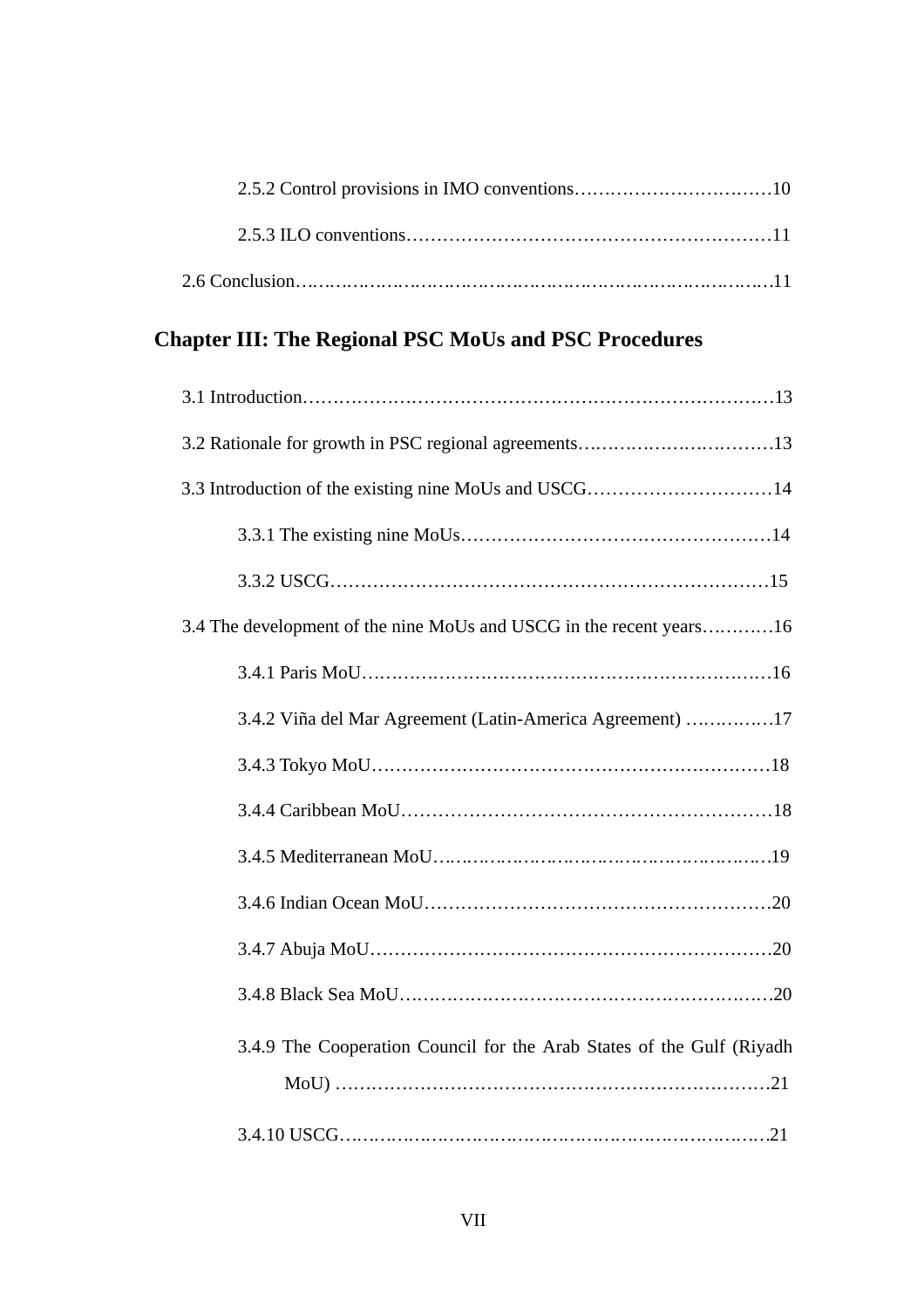# **Chapter III: The Regional PSC MoUs and PSC Procedures**

| 3.3 Introduction of the existing nine MoUs and USCG14                 |
|-----------------------------------------------------------------------|
|                                                                       |
|                                                                       |
| 3.4 The development of the nine MoUs and USCG in the recent years16   |
|                                                                       |
| 3.4.2 Viña del Mar Agreement (Latin-America Agreement) 17             |
|                                                                       |
|                                                                       |
|                                                                       |
|                                                                       |
|                                                                       |
|                                                                       |
| 3.4.9 The Cooperation Council for the Arab States of the Gulf (Riyadh |
|                                                                       |
|                                                                       |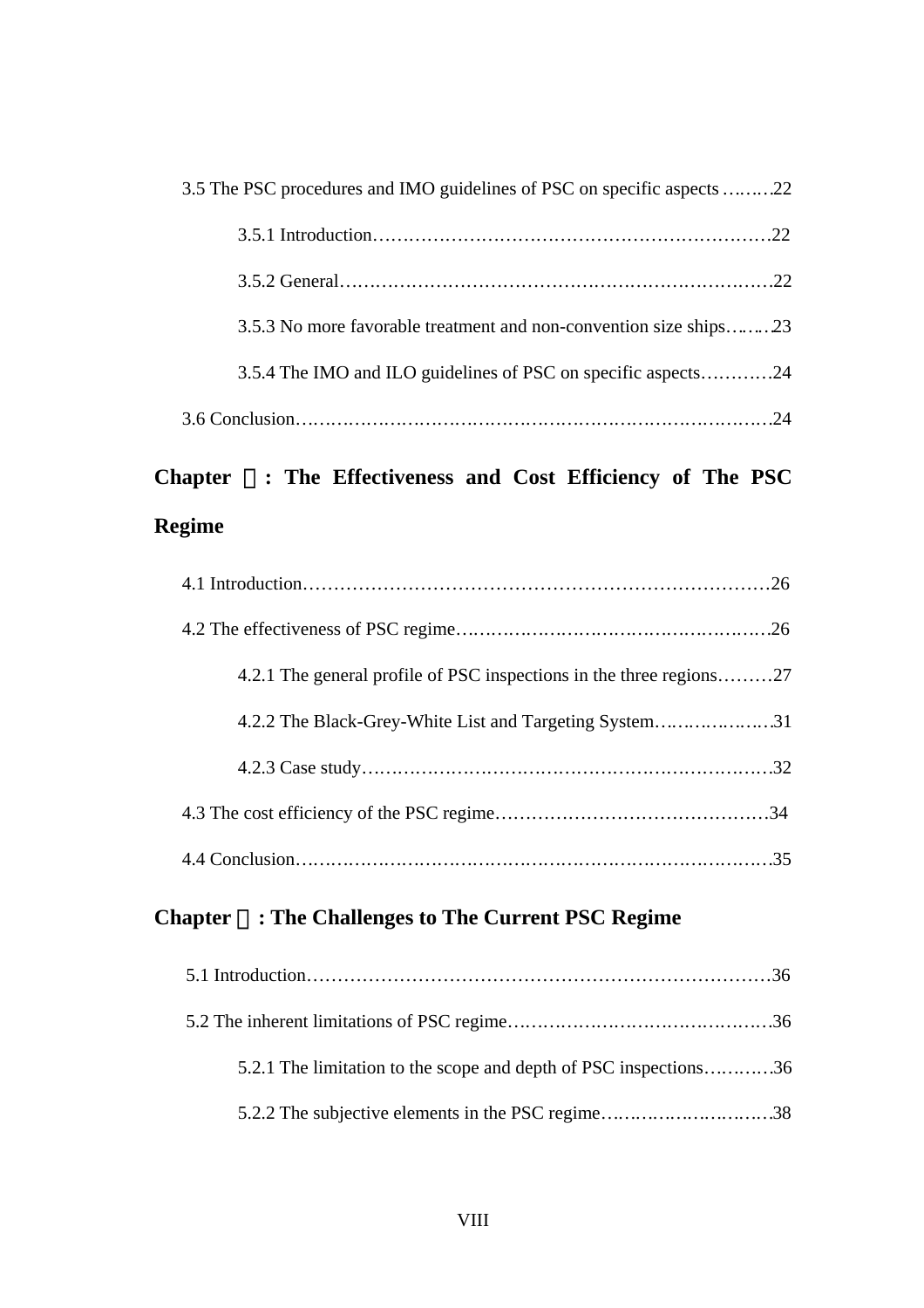| 3.5 The PSC procedures and IMO guidelines of PSC on specific aspects 22 |  |
|-------------------------------------------------------------------------|--|
|                                                                         |  |
|                                                                         |  |
| 3.5.3 No more favorable treatment and non-convention size ships23       |  |
| 3.5.4 The IMO and ILO guidelines of PSC on specific aspects24           |  |
|                                                                         |  |

# **Chapter** : The Effectiveness and Cost Efficiency of The PSC **Regime**

| 4.2.1 The general profile of PSC inspections in the three regions27 |
|---------------------------------------------------------------------|
| 4.2.2 The Black-Grey-White List and Targeting System31              |
|                                                                     |
|                                                                     |
|                                                                     |

# **Chapter** Ⅴ**: The Challenges to The Current PSC Regime**

| 5.2.1 The limitation to the scope and depth of PSC inspections36 |
|------------------------------------------------------------------|
| 5.2.2 The subjective elements in the PSC regime38                |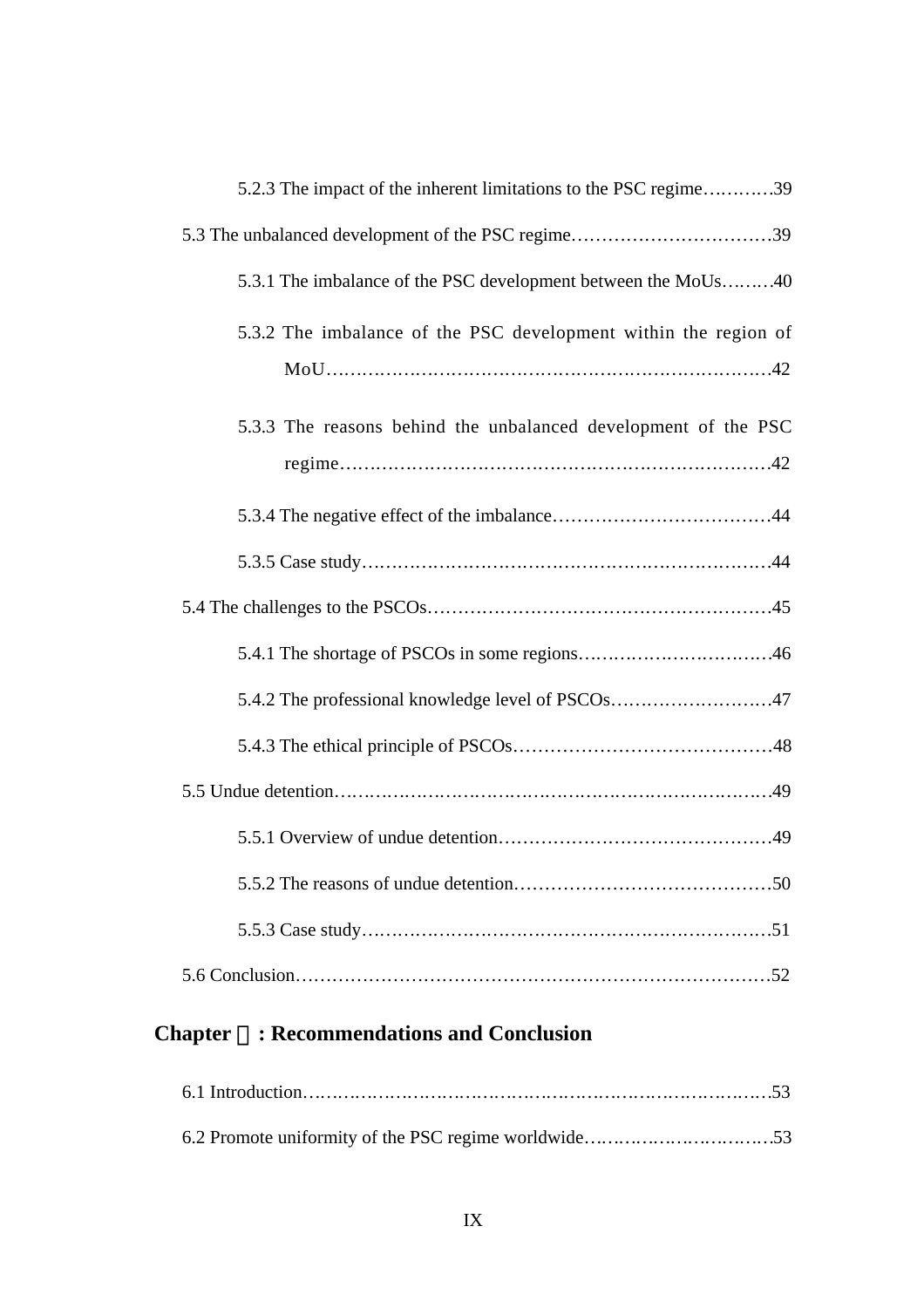| 5.2.3 The impact of the inherent limitations to the PSC regime39 |
|------------------------------------------------------------------|
| 5.3 The unbalanced development of the PSC regime39               |
| 5.3.1 The imbalance of the PSC development between the MoUs40    |
| 5.3.2 The imbalance of the PSC development within the region of  |
| 5.3.3 The reasons behind the unbalanced development of the PSC   |
|                                                                  |
|                                                                  |
|                                                                  |
|                                                                  |
|                                                                  |
| 5.4.2 The professional knowledge level of PSCOs47                |
|                                                                  |
|                                                                  |
|                                                                  |
|                                                                  |
|                                                                  |
|                                                                  |

# **Chapter** : Recommendations and Conclusion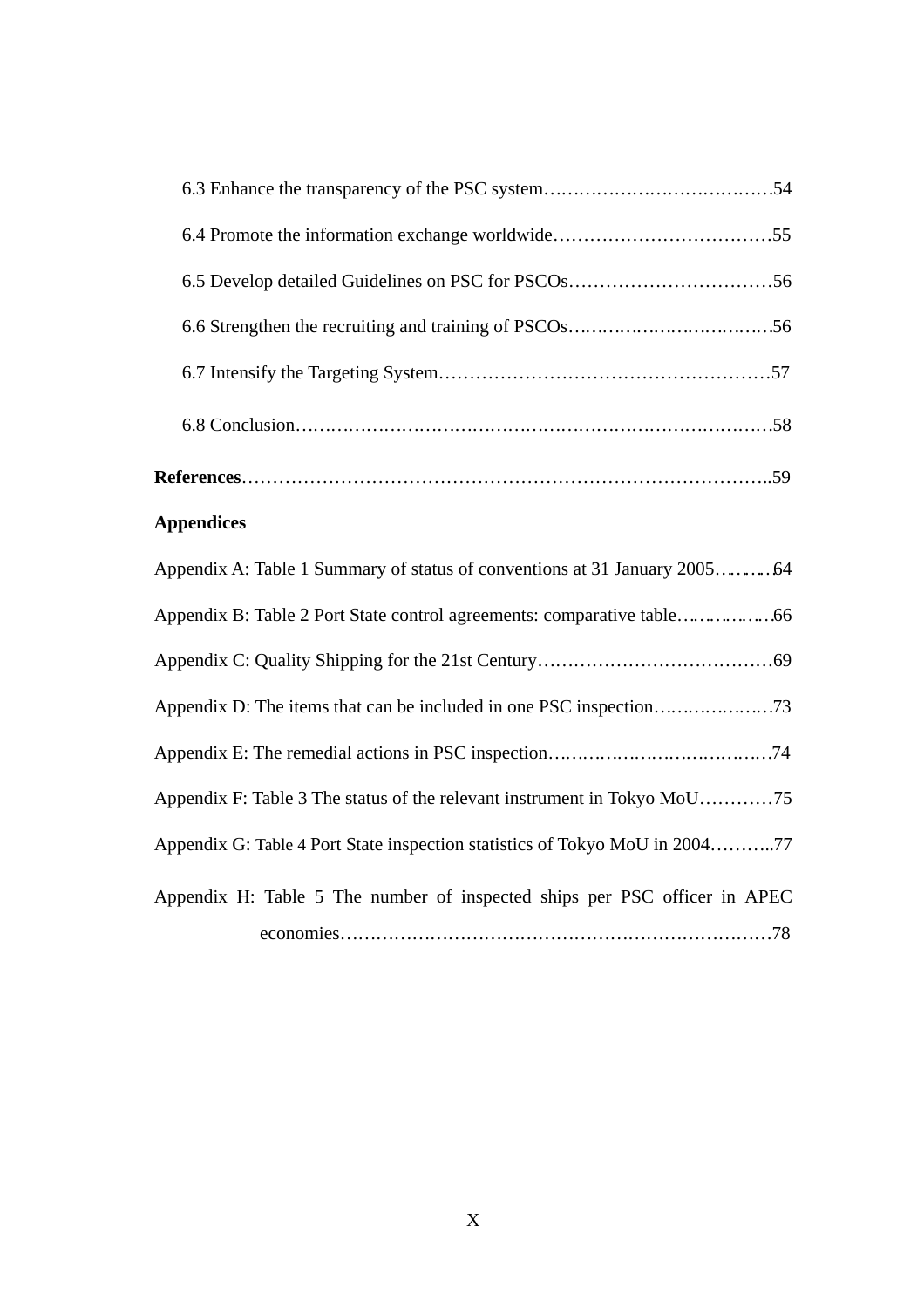## **Appendices**

| Appendix F: Table 3 The status of the relevant instrument in Tokyo MoU75    |
|-----------------------------------------------------------------------------|
| Appendix G: Table 4 Port State inspection statistics of Tokyo MoU in 200477 |
| Appendix H: Table 5 The number of inspected ships per PSC officer in APEC   |
|                                                                             |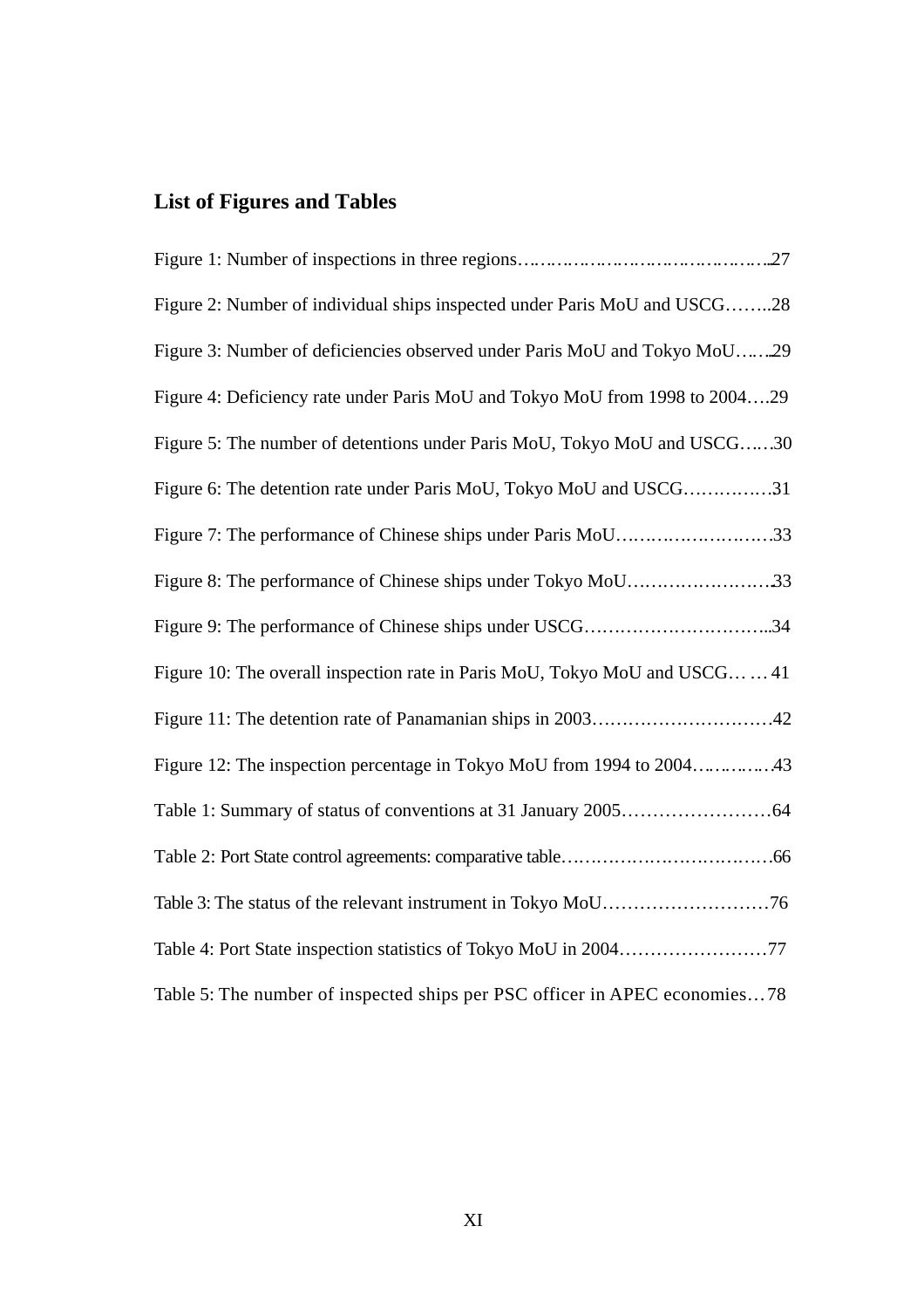# **List of Figures and Tables**

| Figure 2: Number of individual ships inspected under Paris MoU and USCG28   |
|-----------------------------------------------------------------------------|
| Figure 3: Number of deficiencies observed under Paris MoU and Tokyo MoU29   |
| Figure 4: Deficiency rate under Paris MoU and Tokyo MoU from 1998 to 200429 |
| Figure 5: The number of detentions under Paris MoU, Tokyo MoU and USCG30    |
| Figure 6: The detention rate under Paris MoU, Tokyo MoU and USCG31          |
| Figure 7: The performance of Chinese ships under Paris MoU33                |
| Figure 8: The performance of Chinese ships under Tokyo MoU33                |
|                                                                             |
| Figure 10: The overall inspection rate in Paris MoU, Tokyo MoU and USCG 41  |
|                                                                             |
|                                                                             |
|                                                                             |
|                                                                             |
|                                                                             |
|                                                                             |
| Table 5: The number of inspected ships per PSC officer in APEC economies78  |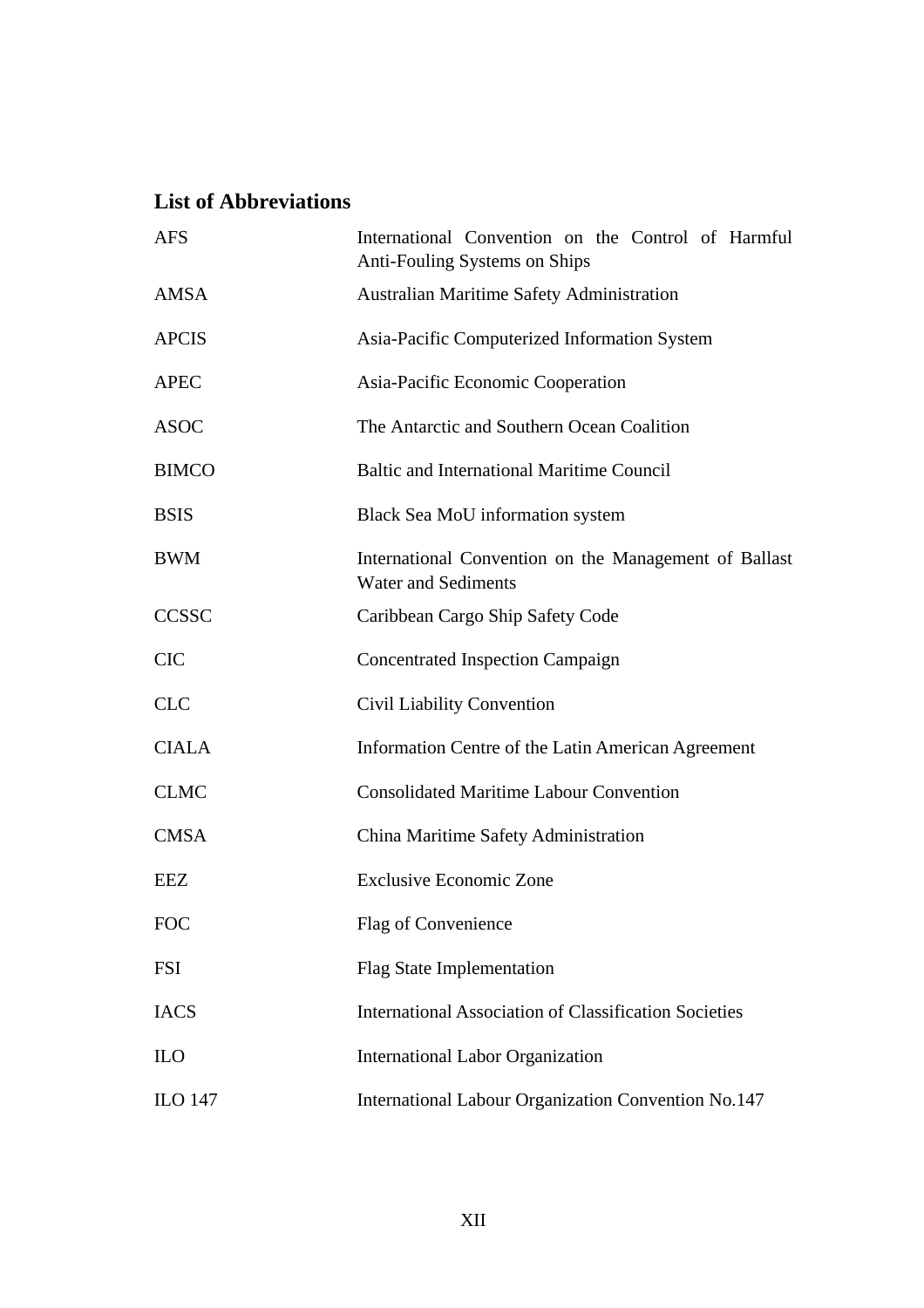## **List of Abbreviations**

| <b>AFS</b>     | International Convention on the Control of Harmful<br>Anti-Fouling Systems on Ships |
|----------------|-------------------------------------------------------------------------------------|
| <b>AMSA</b>    | <b>Australian Maritime Safety Administration</b>                                    |
| <b>APCIS</b>   | Asia-Pacific Computerized Information System                                        |
| <b>APEC</b>    | Asia-Pacific Economic Cooperation                                                   |
| <b>ASOC</b>    | The Antarctic and Southern Ocean Coalition                                          |
| <b>BIMCO</b>   | <b>Baltic and International Maritime Council</b>                                    |
| <b>BSIS</b>    | Black Sea MoU information system                                                    |
| <b>BWM</b>     | International Convention on the Management of Ballast<br><b>Water and Sediments</b> |
| <b>CCSSC</b>   | Caribbean Cargo Ship Safety Code                                                    |
| <b>CIC</b>     | <b>Concentrated Inspection Campaign</b>                                             |
| <b>CLC</b>     | Civil Liability Convention                                                          |
| <b>CIALA</b>   | Information Centre of the Latin American Agreement                                  |
| <b>CLMC</b>    | <b>Consolidated Maritime Labour Convention</b>                                      |
| <b>CMSA</b>    | China Maritime Safety Administration                                                |
| <b>EEZ</b>     | <b>Exclusive Economic Zone</b>                                                      |
| <b>FOC</b>     | Flag of Convenience                                                                 |
| <b>FSI</b>     | <b>Flag State Implementation</b>                                                    |
| <b>IACS</b>    | <b>International Association of Classification Societies</b>                        |
| <b>ILO</b>     | <b>International Labor Organization</b>                                             |
| <b>ILO 147</b> | International Labour Organization Convention No.147                                 |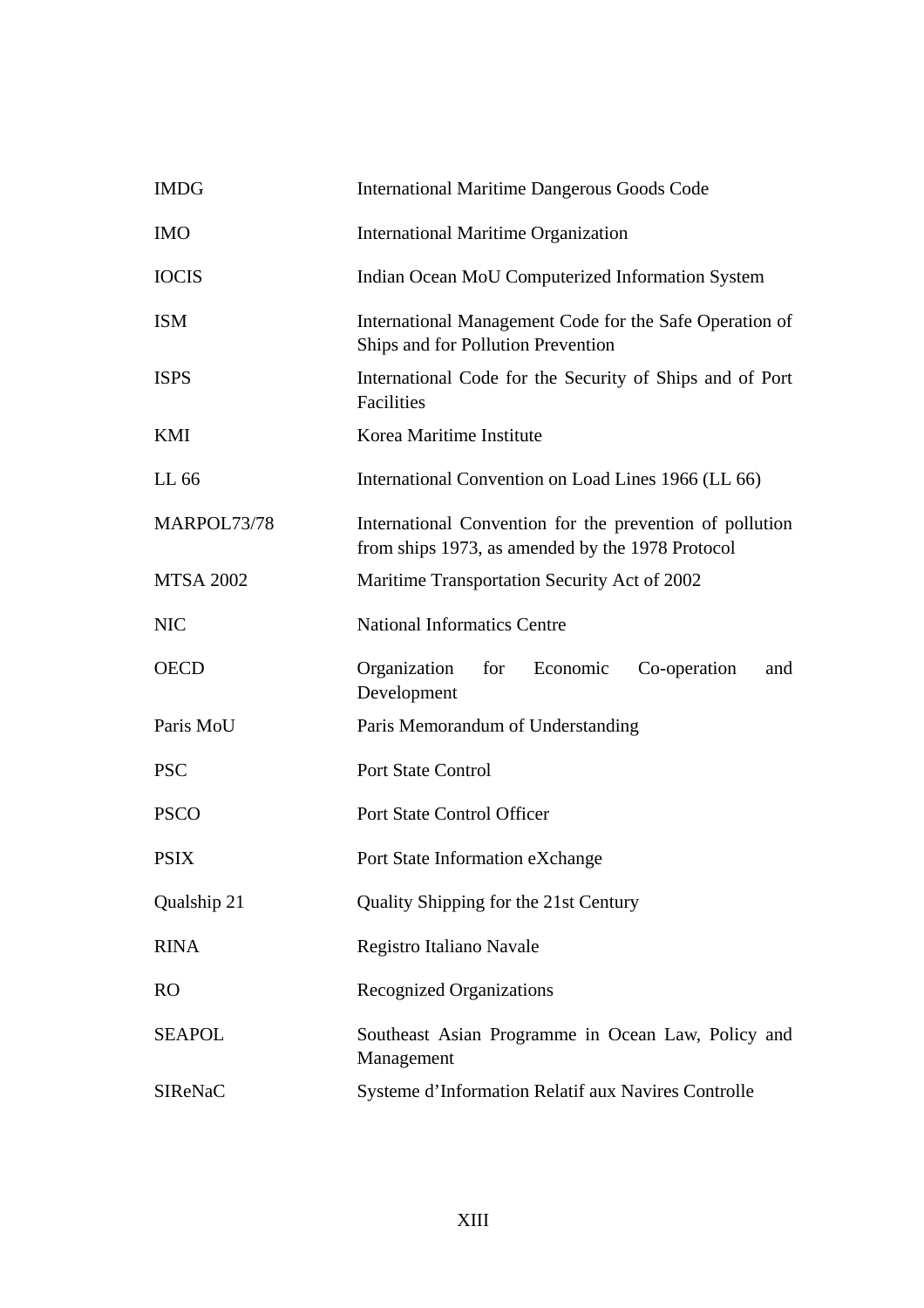| <b>IMDG</b>      | <b>International Maritime Dangerous Goods Code</b>                                                           |
|------------------|--------------------------------------------------------------------------------------------------------------|
| <b>IMO</b>       | <b>International Maritime Organization</b>                                                                   |
| <b>IOCIS</b>     | Indian Ocean MoU Computerized Information System                                                             |
| <b>ISM</b>       | International Management Code for the Safe Operation of<br>Ships and for Pollution Prevention                |
| <b>ISPS</b>      | International Code for the Security of Ships and of Port<br>Facilities                                       |
| KMI              | Korea Maritime Institute                                                                                     |
| LL 66            | International Convention on Load Lines 1966 (LL 66)                                                          |
| MARPOL73/78      | International Convention for the prevention of pollution<br>from ships 1973, as amended by the 1978 Protocol |
| <b>MTSA 2002</b> | Maritime Transportation Security Act of 2002                                                                 |
| <b>NIC</b>       | <b>National Informatics Centre</b>                                                                           |
| <b>OECD</b>      | Organization<br>Economic<br>Co-operation<br>for<br>and<br>Development                                        |
| Paris MoU        | Paris Memorandum of Understanding                                                                            |
| <b>PSC</b>       | <b>Port State Control</b>                                                                                    |
| <b>PSCO</b>      | Port State Control Officer                                                                                   |
| <b>PSIX</b>      | Port State Information eXchange                                                                              |
| Qualship 21      | Quality Shipping for the 21st Century                                                                        |
| <b>RINA</b>      | Registro Italiano Navale                                                                                     |
| RO               | <b>Recognized Organizations</b>                                                                              |
| <b>SEAPOL</b>    | Southeast Asian Programme in Ocean Law, Policy and<br>Management                                             |
| <b>SIReNaC</b>   | Systeme d'Information Relatif aux Navires Controlle                                                          |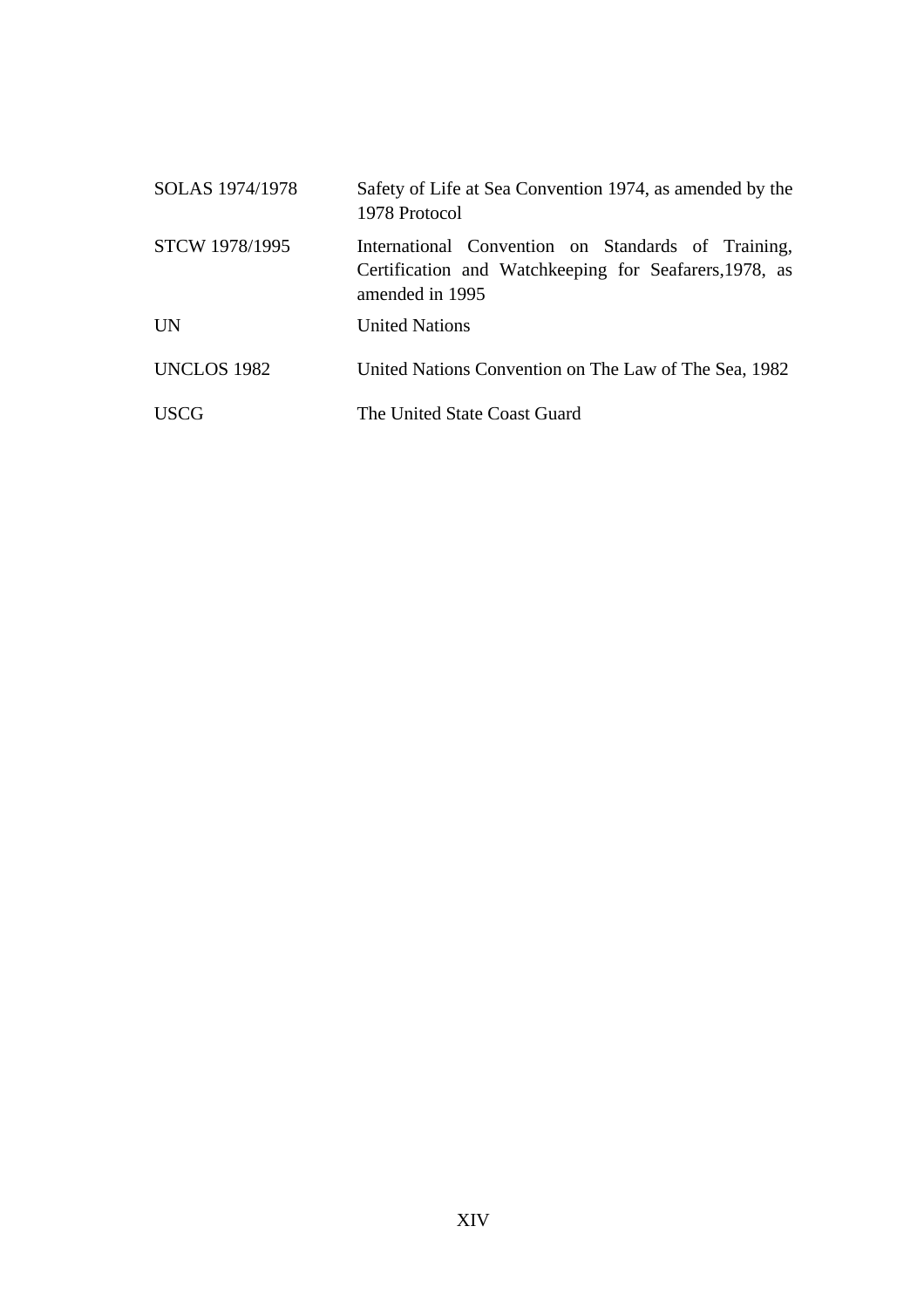| SOLAS 1974/1978 | Safety of Life at Sea Convention 1974, as amended by the<br>1978 Protocol                                                       |
|-----------------|---------------------------------------------------------------------------------------------------------------------------------|
| STCW 1978/1995  | International Convention on Standards of Training,<br>Certification and Watchkeeping for Seafarers, 1978, as<br>amended in 1995 |
| <b>UN</b>       | <b>United Nations</b>                                                                                                           |
| UNCLOS 1982     | United Nations Convention on The Law of The Sea, 1982                                                                           |
| <b>USCG</b>     | The United State Coast Guard                                                                                                    |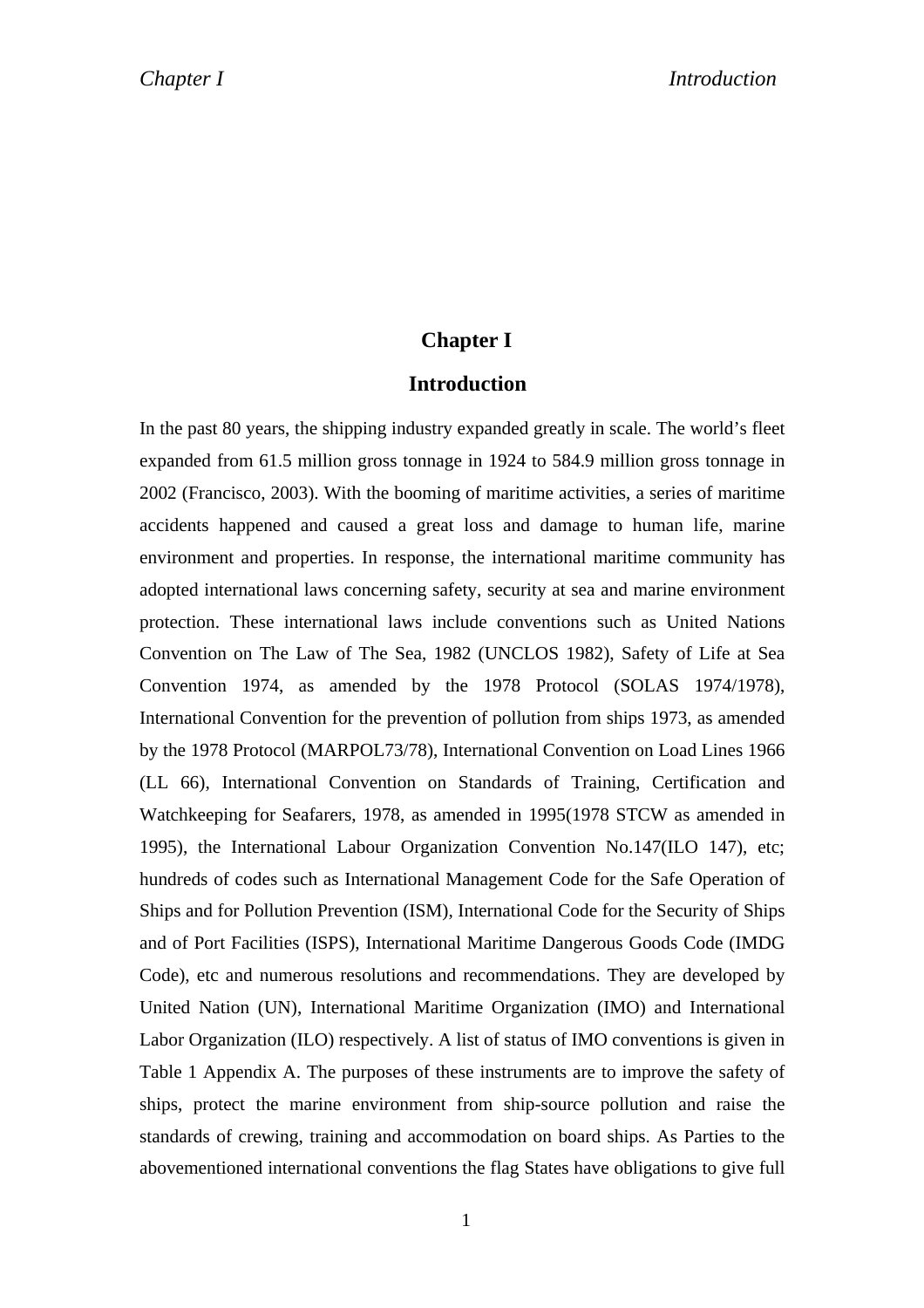### **Chapter I**

### **Introduction**

In the past 80 years, the shipping industry expanded greatly in scale. The world's fleet expanded from 61.5 million gross tonnage in 1924 to 584.9 million gross tonnage in 2002 (Francisco, 2003). With the booming of maritime activities, a series of maritime accidents happened and caused a great loss and damage to human life, marine environment and properties. In response, the international maritime community has adopted international laws concerning safety, security at sea and marine environment protection. These international laws include conventions such as United Nations Convention on The Law of The Sea, 1982 (UNCLOS 1982), Safety of Life at Sea Convention 1974, as amended by the 1978 Protocol (SOLAS 1974/1978), International Convention for the prevention of pollution from ships 1973, as amended by the 1978 Protocol (MARPOL73/78), International Convention on Load Lines 1966 (LL 66), International Convention on Standards of Training, Certification and Watchkeeping for Seafarers, 1978, as amended in 1995(1978 STCW as amended in 1995), the International Labour Organization Convention No.147(ILO 147), etc; hundreds of codes such as International Management Code for the Safe Operation of Ships and for Pollution Prevention (ISM), International Code for the Security of Ships and of Port Facilities (ISPS), International Maritime Dangerous Goods Code (IMDG Code), etc and numerous resolutions and recommendations. They are developed by United Nation (UN), International Maritime Organization (IMO) and International Labor Organization (ILO) respectively. A list of status of IMO conventions is given in Table 1 Appendix A. The purposes of these instruments are to improve the safety of ships, protect the marine environment from ship-source pollution and raise the standards of crewing, training and accommodation on board ships. As Parties to the abovementioned international conventions the flag States have obligations to give full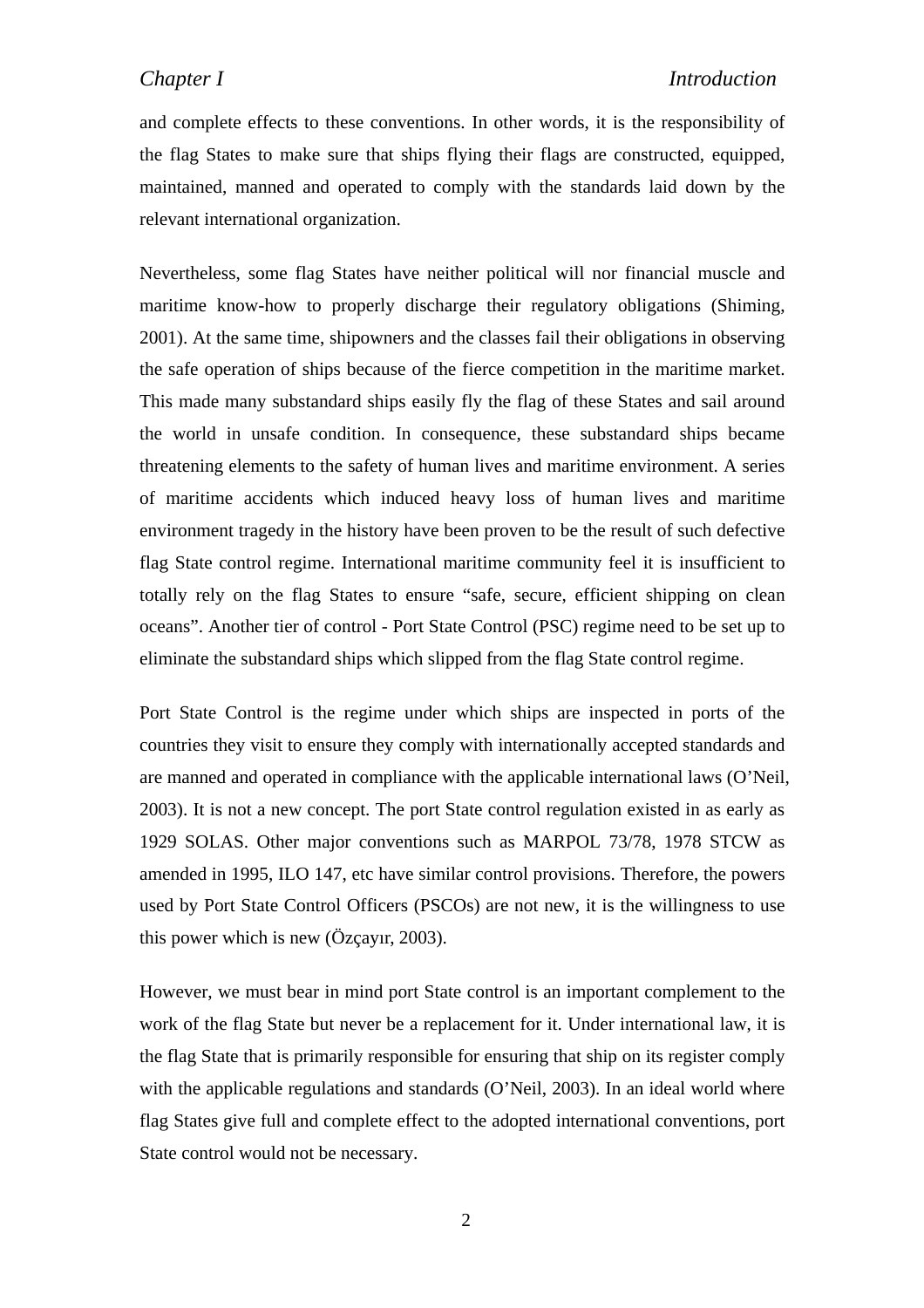and complete effects to these conventions. In other words, it is the responsibility of the flag States to make sure that ships flying their flags are constructed, equipped, maintained, manned and operated to comply with the standards laid down by the relevant international organization.

Nevertheless, some flag States have neither political will nor financial muscle and maritime know-how to properly discharge their regulatory obligations (Shiming, 2001). At the same time, shipowners and the classes fail their obligations in observing the safe operation of ships because of the fierce competition in the maritime market. This made many substandard ships easily fly the flag of these States and sail around the world in unsafe condition. In consequence, these substandard ships became threatening elements to the safety of human lives and maritime environment. A series of maritime accidents which induced heavy loss of human lives and maritime environment tragedy in the history have been proven to be the result of such defective flag State control regime. International maritime community feel it is insufficient to totally rely on the flag States to ensure "safe, secure, efficient shipping on clean oceans". Another tier of control - Port State Control (PSC) regime need to be set up to eliminate the substandard ships which slipped from the flag State control regime.

Port State Control is the regime under which ships are inspected in ports of the countries they visit to ensure they comply with internationally accepted standards and are manned and operated in compliance with the applicable international laws (O'Neil, 2003). It is not a new concept. The port State control regulation existed in as early as 1929 SOLAS. Other major conventions such as MARPOL 73/78, 1978 STCW as amended in 1995, ILO 147, etc have similar control provisions. Therefore, the powers used by Port State Control Officers (PSCOs) are not new, it is the willingness to use this power which is new (Özçayır, 2003).

However, we must bear in mind port State control is an important complement to the work of the flag State but never be a replacement for it. Under international law, it is the flag State that is primarily responsible for ensuring that ship on its register comply with the applicable regulations and standards (O'Neil, 2003). In an ideal world where flag States give full and complete effect to the adopted international conventions, port State control would not be necessary.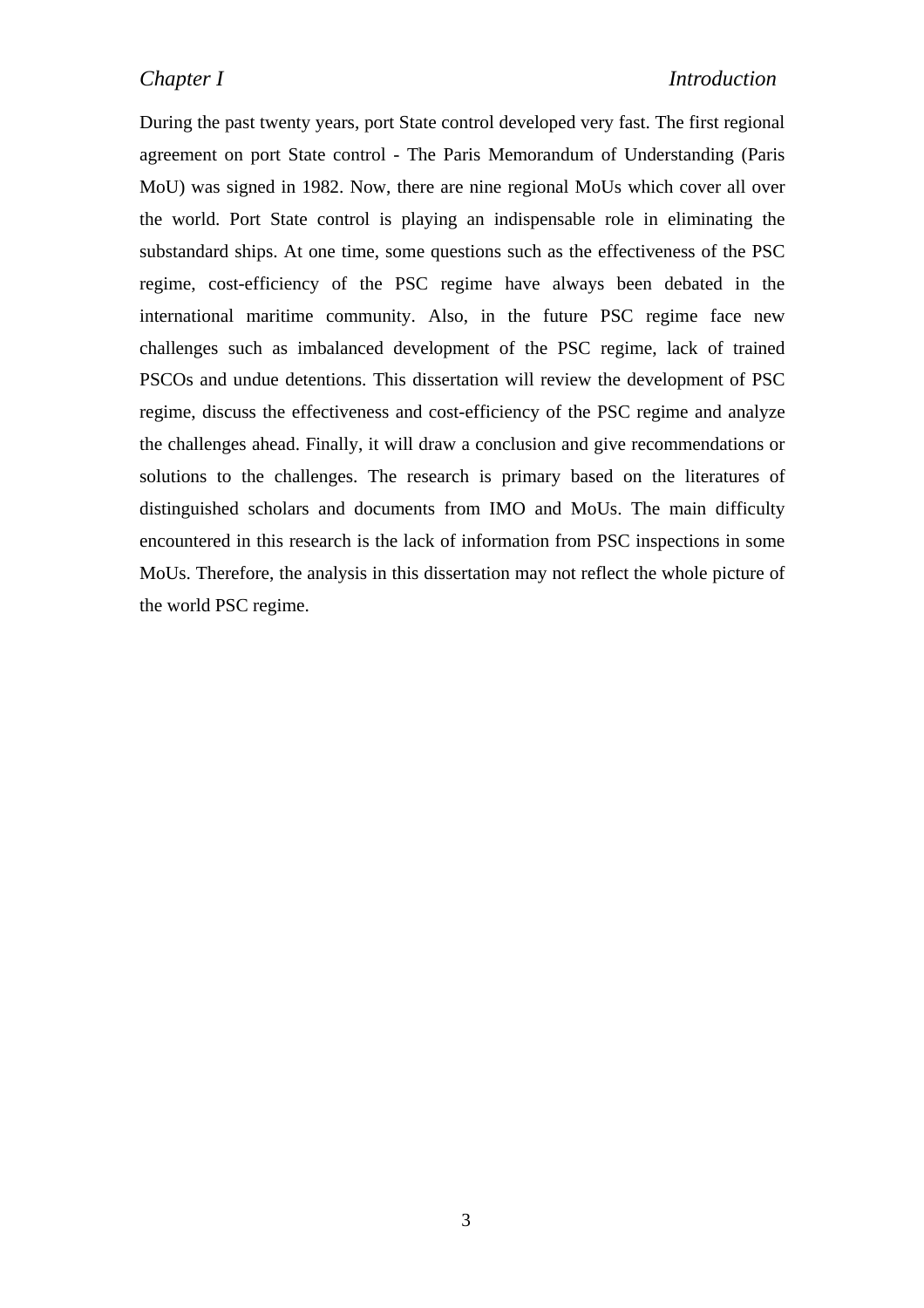During the past twenty years, port State control developed very fast. The first regional agreement on port State control - The Paris Memorandum of Understanding (Paris MoU) was signed in 1982. Now, there are nine regional MoUs which cover all over the world. Port State control is playing an indispensable role in eliminating the substandard ships. At one time, some questions such as the effectiveness of the PSC regime, cost-efficiency of the PSC regime have always been debated in the international maritime community. Also, in the future PSC regime face new challenges such as imbalanced development of the PSC regime, lack of trained PSCOs and undue detentions. This dissertation will review the development of PSC regime, discuss the effectiveness and cost-efficiency of the PSC regime and analyze the challenges ahead. Finally, it will draw a conclusion and give recommendations or solutions to the challenges. The research is primary based on the literatures of distinguished scholars and documents from IMO and MoUs. The main difficulty encountered in this research is the lack of information from PSC inspections in some MoUs. Therefore, the analysis in this dissertation may not reflect the whole picture of the world PSC regime.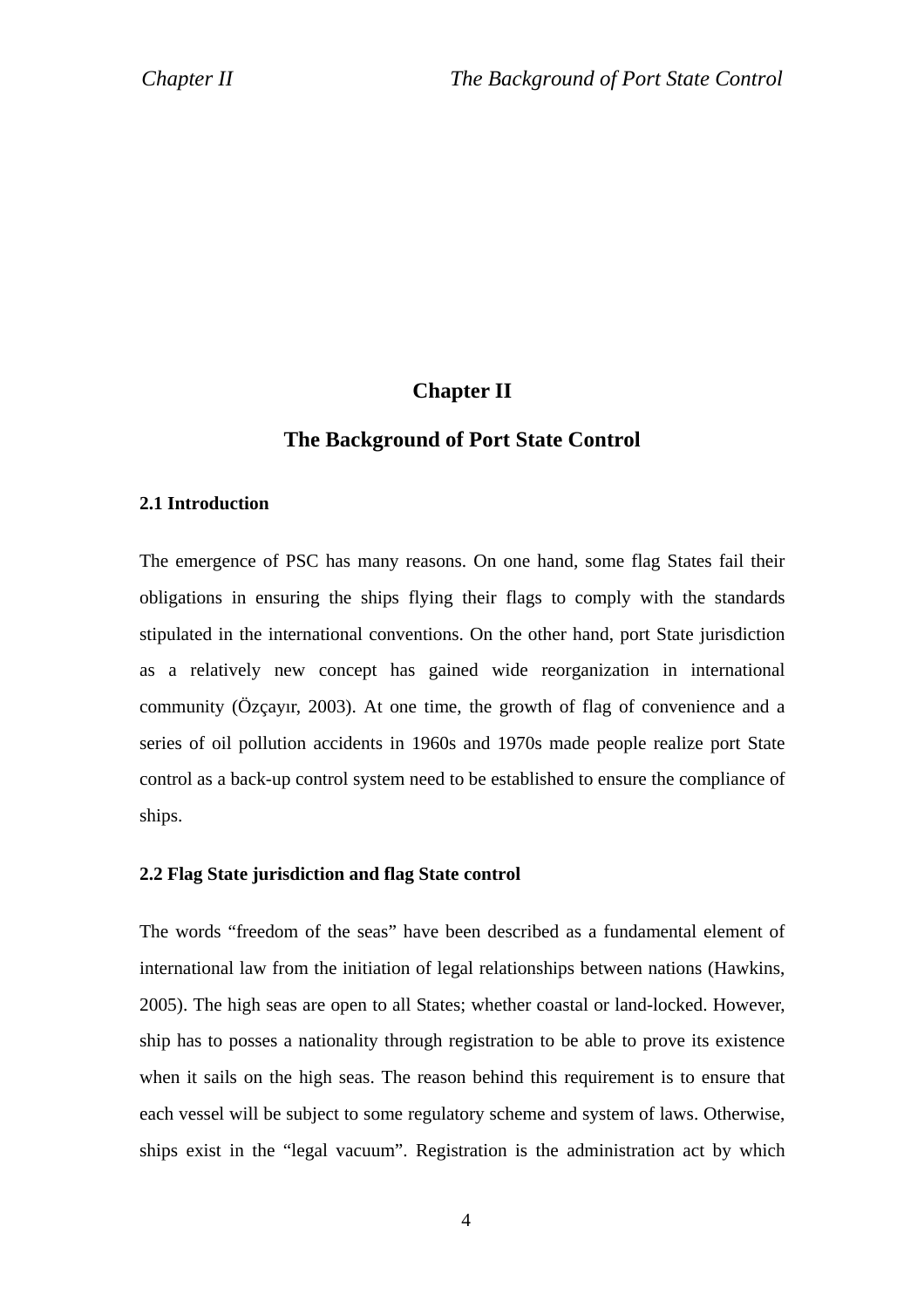### **Chapter II**

#### **The Background of Port State Control**

#### **2.1 Introduction**

The emergence of PSC has many reasons. On one hand, some flag States fail their obligations in ensuring the ships flying their flags to comply with the standards stipulated in the international conventions. On the other hand, port State jurisdiction as a relatively new concept has gained wide reorganization in international community (Özçayır, 2003). At one time, the growth of flag of convenience and a series of oil pollution accidents in 1960s and 1970s made people realize port State control as a back-up control system need to be established to ensure the compliance of ships.

#### **2.2 Flag State jurisdiction and flag State control**

The words "freedom of the seas" have been described as a fundamental element of international law from the initiation of legal relationships between nations (Hawkins, 2005). The high seas are open to all States; whether coastal or land-locked. However, ship has to posses a nationality through registration to be able to prove its existence when it sails on the high seas. The reason behind this requirement is to ensure that each vessel will be subject to some regulatory scheme and system of laws. Otherwise, ships exist in the "legal vacuum". Registration is the administration act by which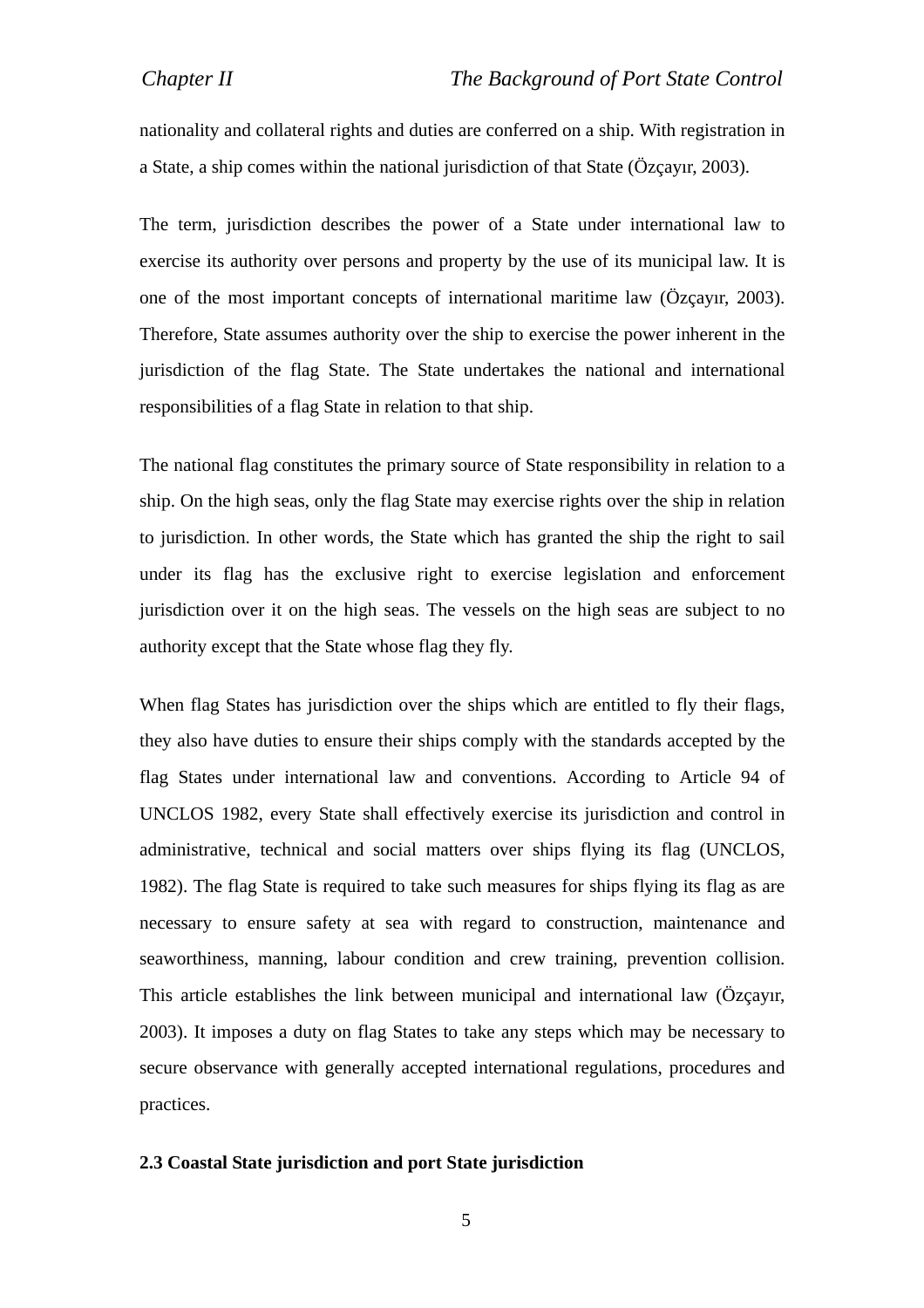nationality and collateral rights and duties are conferred on a ship. With registration in a State, a ship comes within the national jurisdiction of that State (Özçayır, 2003).

The term, jurisdiction describes the power of a State under international law to exercise its authority over persons and property by the use of its municipal law. It is one of the most important concepts of international maritime law (Özçayır, 2003). Therefore, State assumes authority over the ship to exercise the power inherent in the jurisdiction of the flag State. The State undertakes the national and international responsibilities of a flag State in relation to that ship.

The national flag constitutes the primary source of State responsibility in relation to a ship. On the high seas, only the flag State may exercise rights over the ship in relation to jurisdiction. In other words, the State which has granted the ship the right to sail under its flag has the exclusive right to exercise legislation and enforcement jurisdiction over it on the high seas. The vessels on the high seas are subject to no authority except that the State whose flag they fly.

When flag States has jurisdiction over the ships which are entitled to fly their flags, they also have duties to ensure their ships comply with the standards accepted by the flag States under international law and conventions. According to Article 94 of UNCLOS 1982, every State shall effectively exercise its jurisdiction and control in administrative, technical and social matters over ships flying its flag (UNCLOS, 1982). The flag State is required to take such measures for ships flying its flag as are necessary to ensure safety at sea with regard to construction, maintenance and seaworthiness, manning, labour condition and crew training, prevention collision. This article establishes the link between municipal and international law (Özçayır, 2003). It imposes a duty on flag States to take any steps which may be necessary to secure observance with generally accepted international regulations, procedures and practices.

#### **2.3 Coastal State jurisdiction and port State jurisdiction**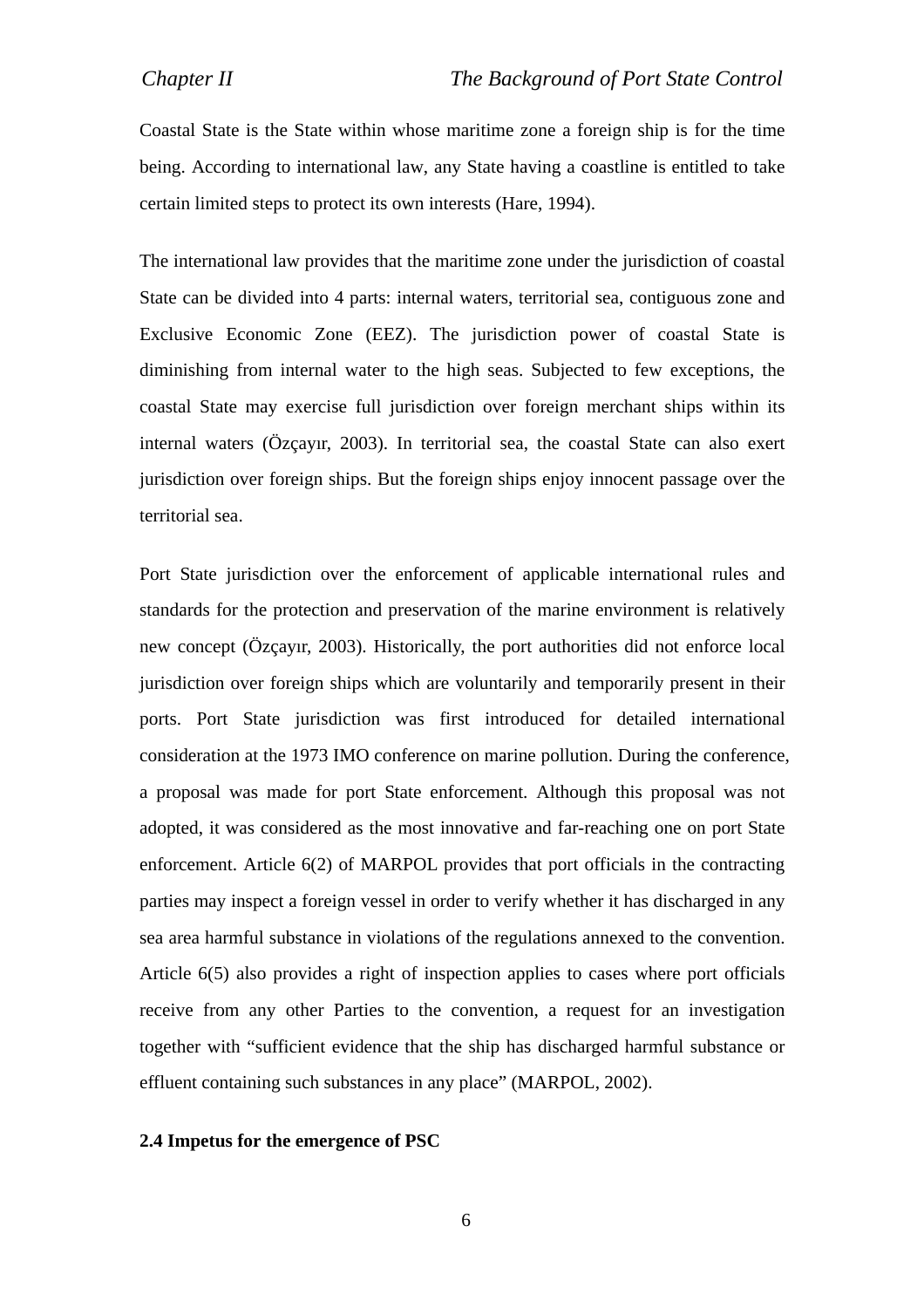Coastal State is the State within whose maritime zone a foreign ship is for the time being. According to international law, any State having a coastline is entitled to take certain limited steps to protect its own interests (Hare, 1994).

The international law provides that the maritime zone under the jurisdiction of coastal State can be divided into 4 parts: internal waters, territorial sea, contiguous zone and Exclusive Economic Zone (EEZ). The jurisdiction power of coastal State is diminishing from internal water to the high seas. Subjected to few exceptions, the coastal State may exercise full jurisdiction over foreign merchant ships within its internal waters (Özçayır, 2003). In territorial sea, the coastal State can also exert jurisdiction over foreign ships. But the foreign ships enjoy innocent passage over the territorial sea.

Port State jurisdiction over the enforcement of applicable international rules and standards for the protection and preservation of the marine environment is relatively new concept (Özçayır, 2003). Historically, the port authorities did not enforce local jurisdiction over foreign ships which are voluntarily and temporarily present in their ports. Port State jurisdiction was first introduced for detailed international consideration at the 1973 IMO conference on marine pollution. During the conference, a proposal was made for port State enforcement. Although this proposal was not adopted, it was considered as the most innovative and far-reaching one on port State enforcement. Article 6(2) of MARPOL provides that port officials in the contracting parties may inspect a foreign vessel in order to verify whether it has discharged in any sea area harmful substance in violations of the regulations annexed to the convention. Article 6(5) also provides a right of inspection applies to cases where port officials receive from any other Parties to the convention, a request for an investigation together with "sufficient evidence that the ship has discharged harmful substance or effluent containing such substances in any place" (MARPOL, 2002).

#### **2.4 Impetus for the emergence of PSC**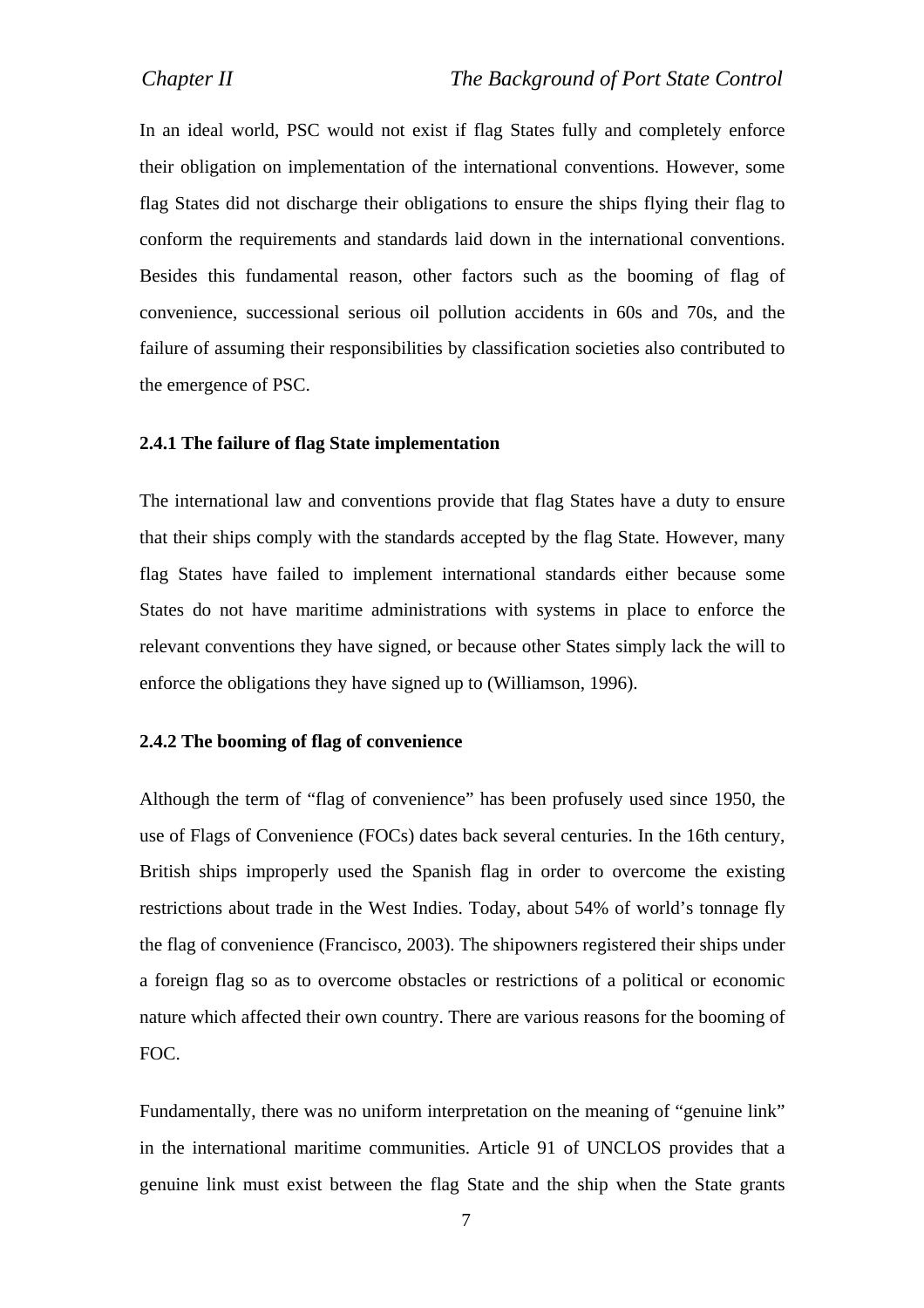In an ideal world, PSC would not exist if flag States fully and completely enforce their obligation on implementation of the international conventions. However, some flag States did not discharge their obligations to ensure the ships flying their flag to conform the requirements and standards laid down in the international conventions. Besides this fundamental reason, other factors such as the booming of flag of convenience, successional serious oil pollution accidents in 60s and 70s, and the failure of assuming their responsibilities by classification societies also contributed to the emergence of PSC.

#### **2.4.1 The failure of flag State implementation**

The international law and conventions provide that flag States have a duty to ensure that their ships comply with the standards accepted by the flag State. However, many flag States have failed to implement international standards either because some States do not have maritime administrations with systems in place to enforce the relevant conventions they have signed, or because other States simply lack the will to enforce the obligations they have signed up to (Williamson, 1996).

#### **2.4.2 The booming of flag of convenience**

Although the term of "flag of convenience" has been profusely used since 1950, the use of Flags of Convenience (FOCs) dates back several centuries. In the 16th century, British ships improperly used the Spanish flag in order to overcome the existing restrictions about trade in the West Indies. Today, about 54% of world's tonnage fly the flag of convenience (Francisco, 2003). The shipowners registered their ships under a foreign flag so as to overcome obstacles or restrictions of a political or economic nature which affected their own country. There are various reasons for the booming of FOC.

Fundamentally, there was no uniform interpretation on the meaning of "genuine link" in the international maritime communities. Article 91 of UNCLOS provides that a genuine link must exist between the flag State and the ship when the State grants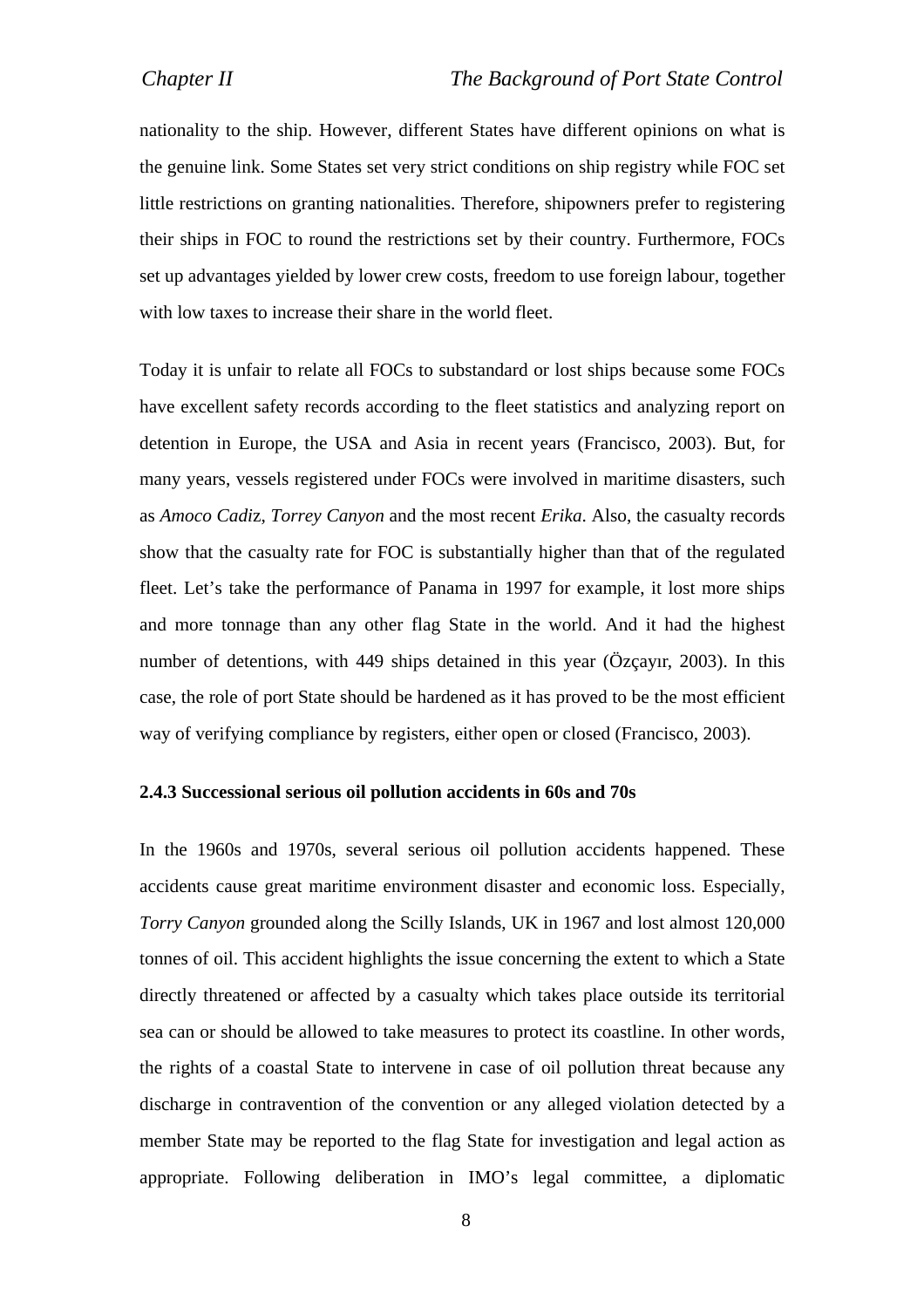nationality to the ship. However, different States have different opinions on what is the genuine link. Some States set very strict conditions on ship registry while FOC set little restrictions on granting nationalities. Therefore, shipowners prefer to registering their ships in FOC to round the restrictions set by their country. Furthermore, FOCs set up advantages yielded by lower crew costs, freedom to use foreign labour, together with low taxes to increase their share in the world fleet.

Today it is unfair to relate all FOCs to substandard or lost ships because some FOCs have excellent safety records according to the fleet statistics and analyzing report on detention in Europe, the USA and Asia in recent years (Francisco, 2003). But, for many years, vessels registered under FOCs were involved in maritime disasters, such as *Amoco Cadi*z, *Torrey Canyon* and the most recent *Erika*. Also, the casualty records show that the casualty rate for FOC is substantially higher than that of the regulated fleet. Let's take the performance of Panama in 1997 for example, it lost more ships and more tonnage than any other flag State in the world. And it had the highest number of detentions, with 449 ships detained in this year (Özçayır, 2003). In this case, the role of port State should be hardened as it has proved to be the most efficient way of verifying compliance by registers, either open or closed (Francisco, 2003).

#### **2.4.3 Successional serious oil pollution accidents in 60s and 70s**

In the 1960s and 1970s, several serious oil pollution accidents happened. These accidents cause great maritime environment disaster and economic loss. Especially, *Torry Canyon* grounded along the Scilly Islands, UK in 1967 and lost almost 120,000 tonnes of oil. This accident highlights the issue concerning the extent to which a State directly threatened or affected by a casualty which takes place outside its territorial sea can or should be allowed to take measures to protect its coastline. In other words, the rights of a coastal State to intervene in case of oil pollution threat because any discharge in contravention of the convention or any alleged violation detected by a member State may be reported to the flag State for investigation and legal action as appropriate. Following deliberation in IMO's legal committee, a diplomatic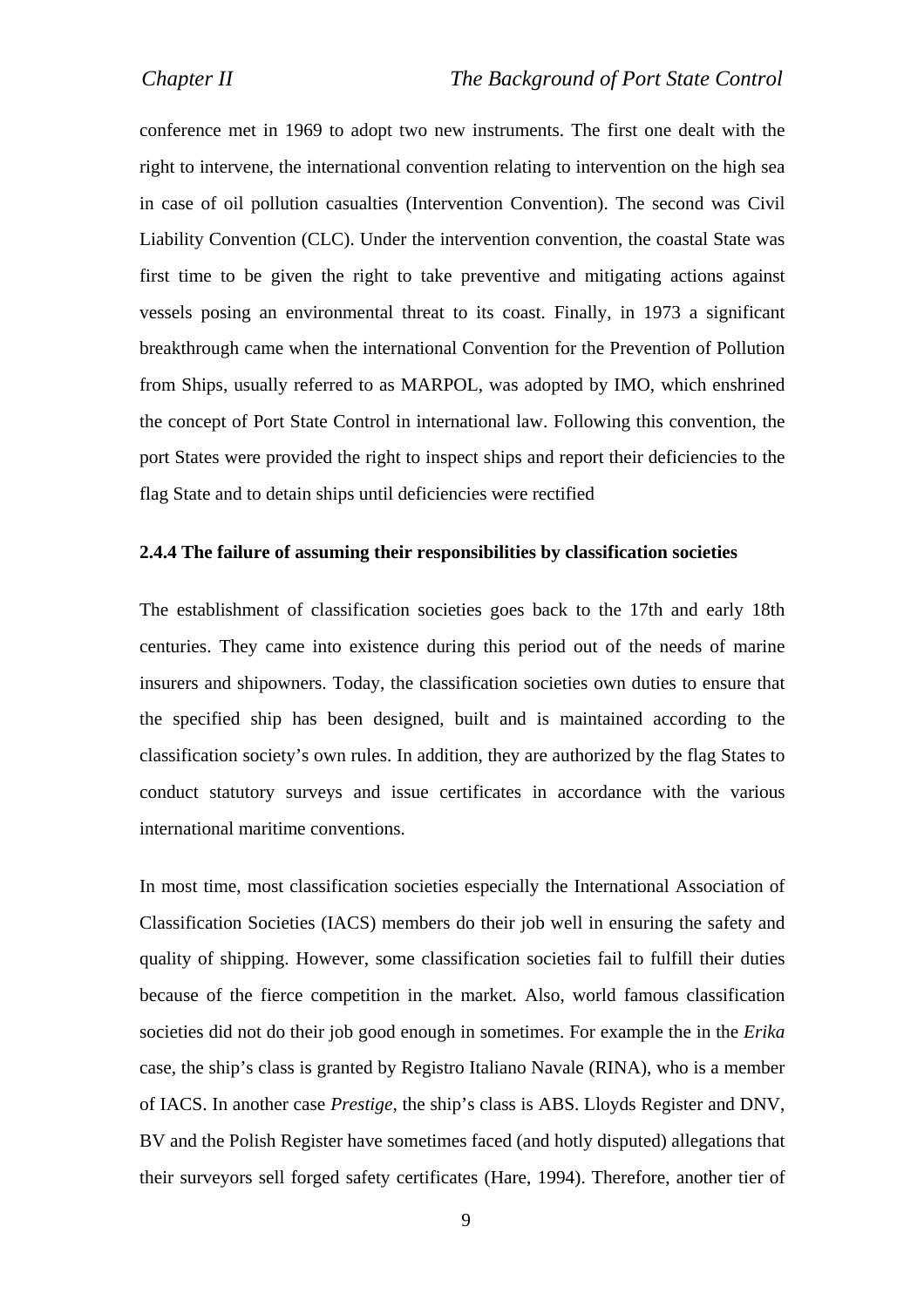conference met in 1969 to adopt two new instruments. The first one dealt with the right to intervene, the international convention relating to intervention on the high sea in case of oil pollution casualties (Intervention Convention). The second was Civil Liability Convention (CLC). Under the intervention convention, the coastal State was first time to be given the right to take preventive and mitigating actions against vessels posing an environmental threat to its coast. Finally, in 1973 a significant breakthrough came when the international Convention for the Prevention of Pollution from Ships, usually referred to as MARPOL, was adopted by IMO, which enshrined the concept of Port State Control in international law. Following this convention, the port States were provided the right to inspect ships and report their deficiencies to the flag State and to detain ships until deficiencies were rectified

#### **2.4.4 The failure of assuming their responsibilities by classification societies**

The establishment of classification societies goes back to the 17th and early 18th centuries. They came into existence during this period out of the needs of marine insurers and shipowners. Today, the classification societies own duties to ensure that the specified ship has been designed, built and is maintained according to the classification society's own rules. In addition, they are authorized by the flag States to conduct statutory surveys and issue certificates in accordance with the various international maritime conventions.

In most time, most classification societies especially the International Association of Classification Societies (IACS) members do their job well in ensuring the safety and quality of shipping. However, some classification societies fail to fulfill their duties because of the fierce competition in the market. Also, world famous classification societies did not do their job good enough in sometimes. For example the in the *Erika* case, the ship's class is granted by Registro Italiano Navale (RINA), who is a member of IACS. In another case *Prestige*, the ship's class is ABS. Lloyds Register and DNV, BV and the Polish Register have sometimes faced (and hotly disputed) allegations that their surveyors sell forged safety certificates (Hare, 1994). Therefore, another tier of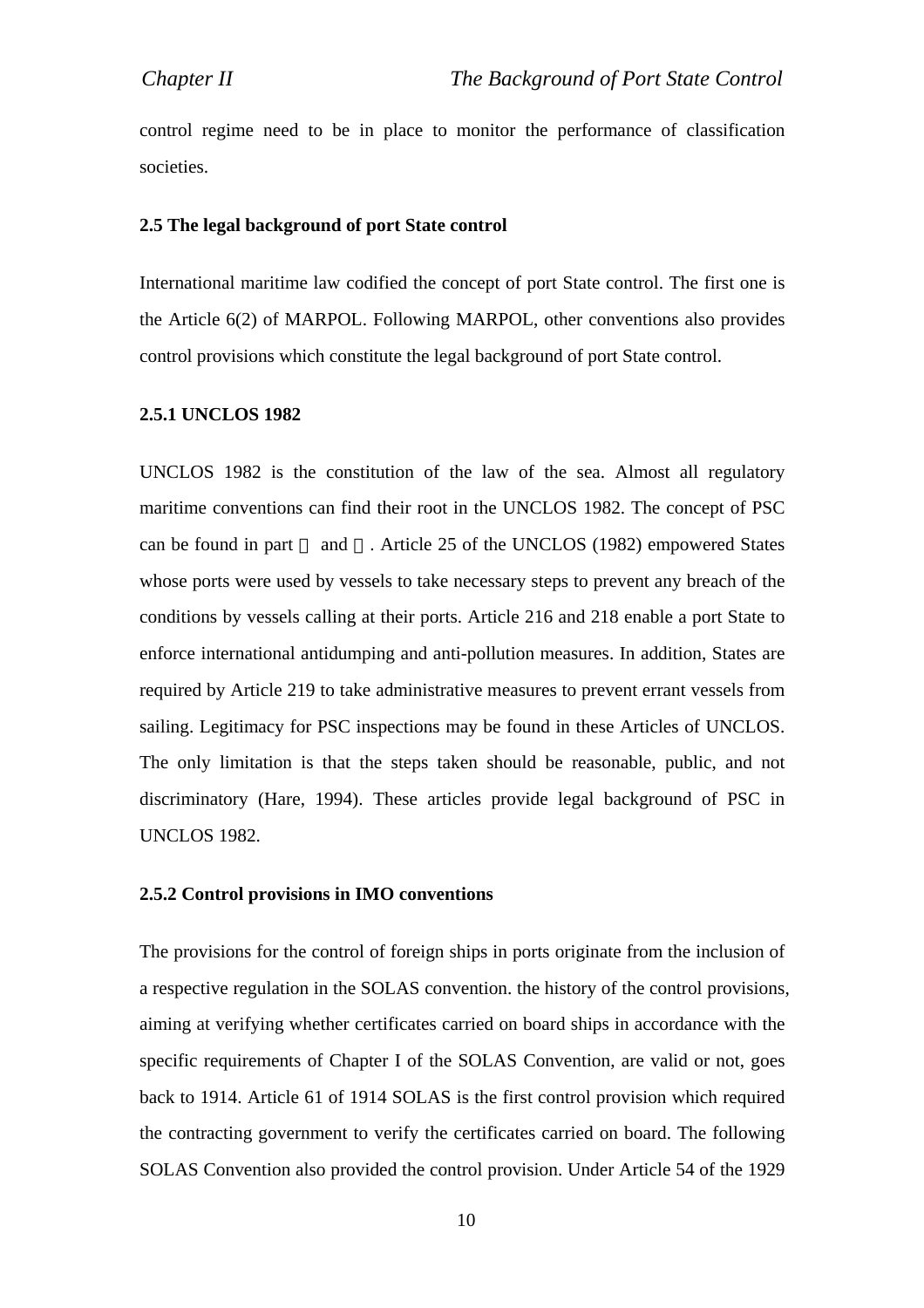control regime need to be in place to monitor the performance of classification societies.

#### **2.5 The legal background of port State control**

International maritime law codified the concept of port State control. The first one is the Article 6(2) of MARPOL. Following MARPOL, other conventions also provides control provisions which constitute the legal background of port State control.

#### **2.5.1 UNCLOS 1982**

UNCLOS 1982 is the constitution of the law of the sea. Almost all regulatory maritime conventions can find their root in the UNCLOS 1982. The concept of PSC can be found in part and . Article 25 of the UNCLOS (1982) empowered States whose ports were used by vessels to take necessary steps to prevent any breach of the conditions by vessels calling at their ports. Article 216 and 218 enable a port State to enforce international antidumping and anti-pollution measures. In addition, States are required by Article 219 to take administrative measures to prevent errant vessels from sailing. Legitimacy for PSC inspections may be found in these Articles of UNCLOS. The only limitation is that the steps taken should be reasonable, public, and not discriminatory (Hare, 1994). These articles provide legal background of PSC in UNCLOS 1982.

#### **2.5.2 Control provisions in IMO conventions**

The provisions for the control of foreign ships in ports originate from the inclusion of a respective regulation in the SOLAS convention. the history of the control provisions, aiming at verifying whether certificates carried on board ships in accordance with the specific requirements of Chapter I of the SOLAS Convention, are valid or not, goes back to 1914. Article 61 of 1914 SOLAS is the first control provision which required the contracting government to verify the certificates carried on board. The following SOLAS Convention also provided the control provision. Under Article 54 of the 1929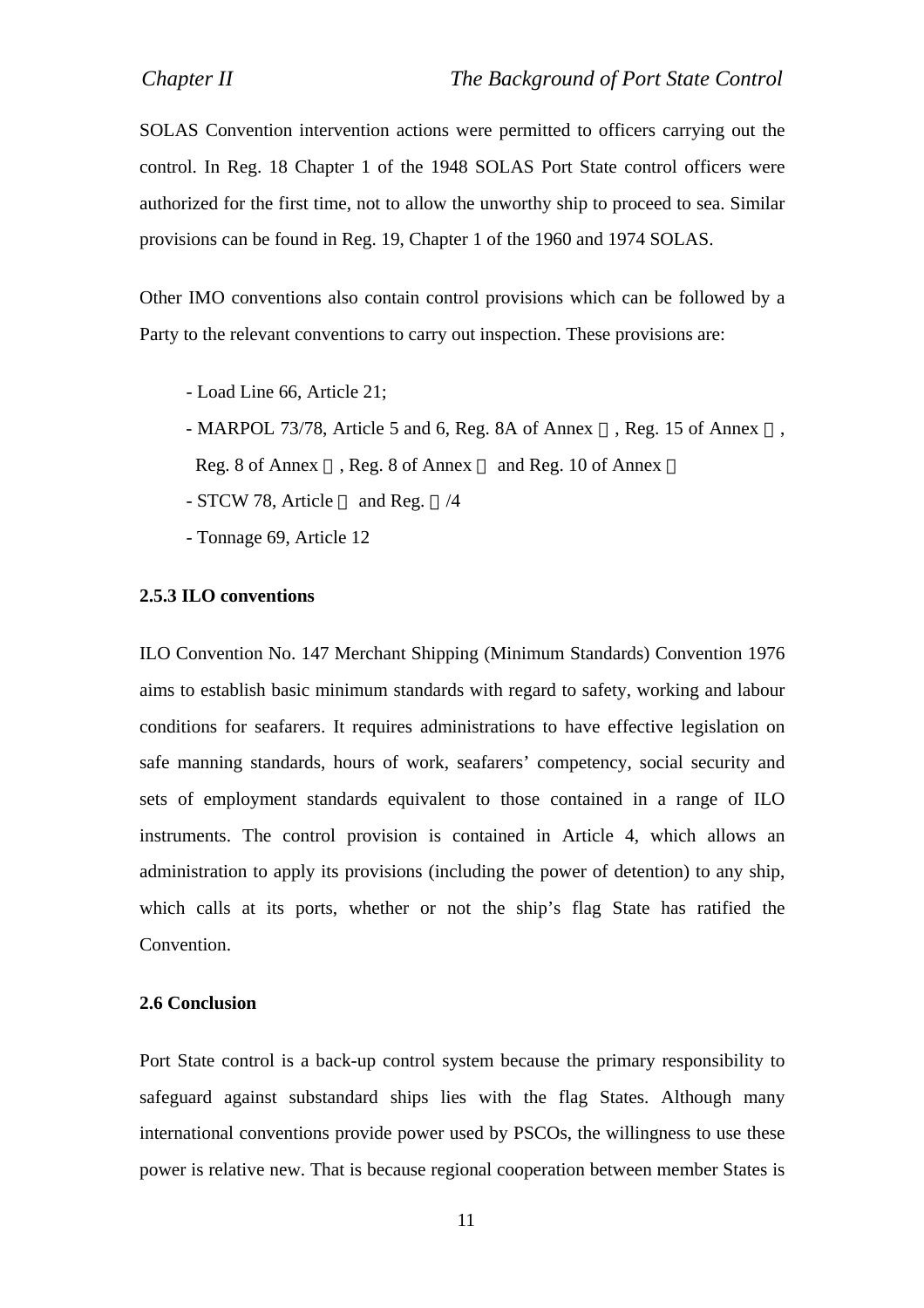SOLAS Convention intervention actions were permitted to officers carrying out the control. In Reg. 18 Chapter 1 of the 1948 SOLAS Port State control officers were authorized for the first time, not to allow the unworthy ship to proceed to sea. Similar provisions can be found in Reg. 19, Chapter 1 of the 1960 and 1974 SOLAS.

Other IMO conventions also contain control provisions which can be followed by a Party to the relevant conventions to carry out inspection. These provisions are:

- Load Line 66, Article 21;
- MARPOL 73/78, Article 5 and 6, Reg. 8A of Annex, Reg. 15 of Annex,
	- Reg. 8 of Annex , Reg. 8 of Annex and Reg. 10 of Annex
- STCW 78, Article and Reg. /4
- Tonnage 69, Article 12

#### **2.5.3 ILO conventions**

ILO Convention No. 147 Merchant Shipping (Minimum Standards) Convention 1976 aims to establish basic minimum standards with regard to safety, working and labour conditions for seafarers. It requires administrations to have effective legislation on safe manning standards, hours of work, seafarers' competency, social security and sets of employment standards equivalent to those contained in a range of ILO instruments. The control provision is contained in Article 4, which allows an administration to apply its provisions (including the power of detention) to any ship, which calls at its ports, whether or not the ship's flag State has ratified the Convention.

#### **2.6 Conclusion**

Port State control is a back-up control system because the primary responsibility to safeguard against substandard ships lies with the flag States. Although many international conventions provide power used by PSCOs, the willingness to use these power is relative new. That is because regional cooperation between member States is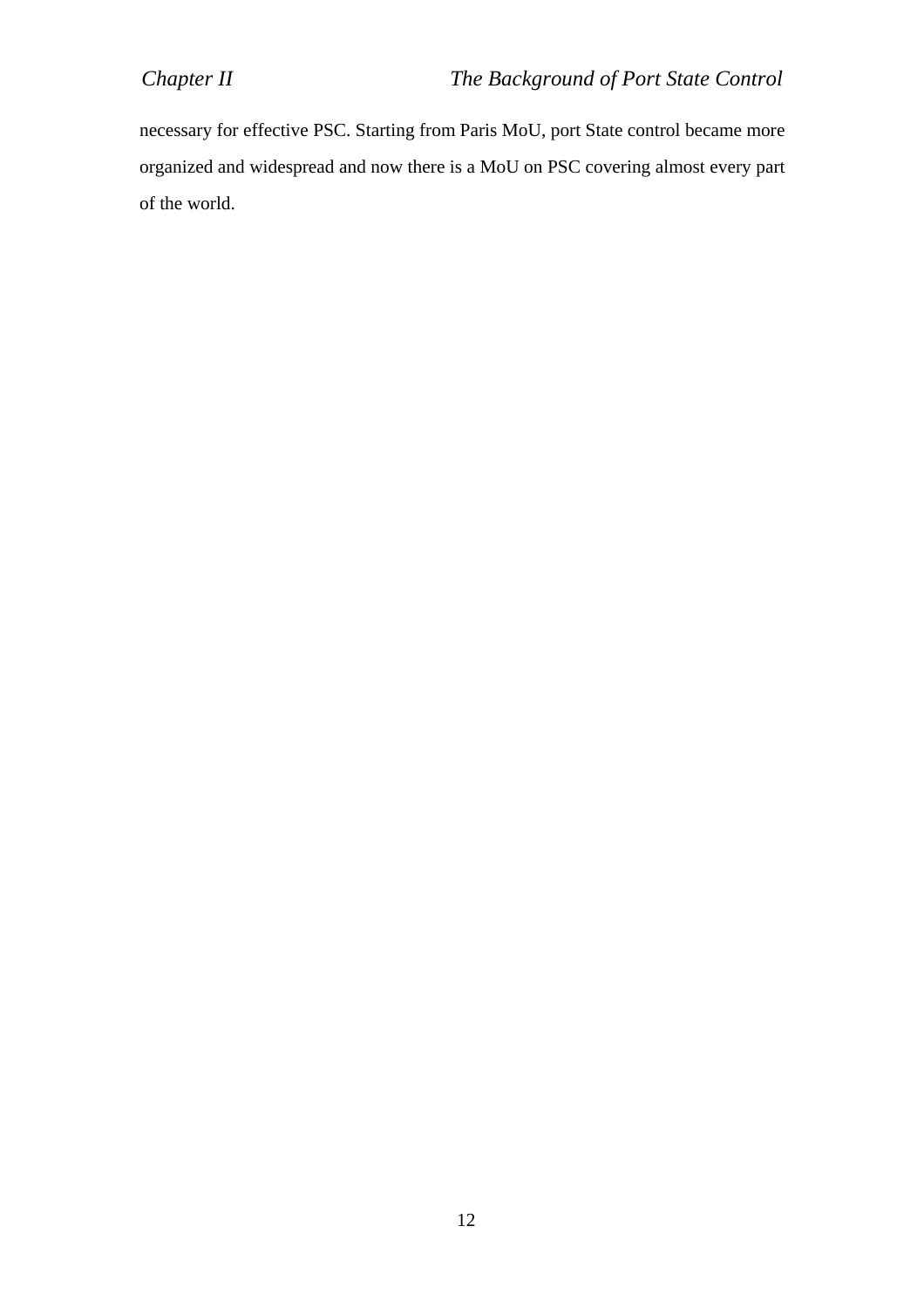necessary for effective PSC. Starting from Paris MoU, port State control became more organized and widespread and now there is a MoU on PSC covering almost every part of the world.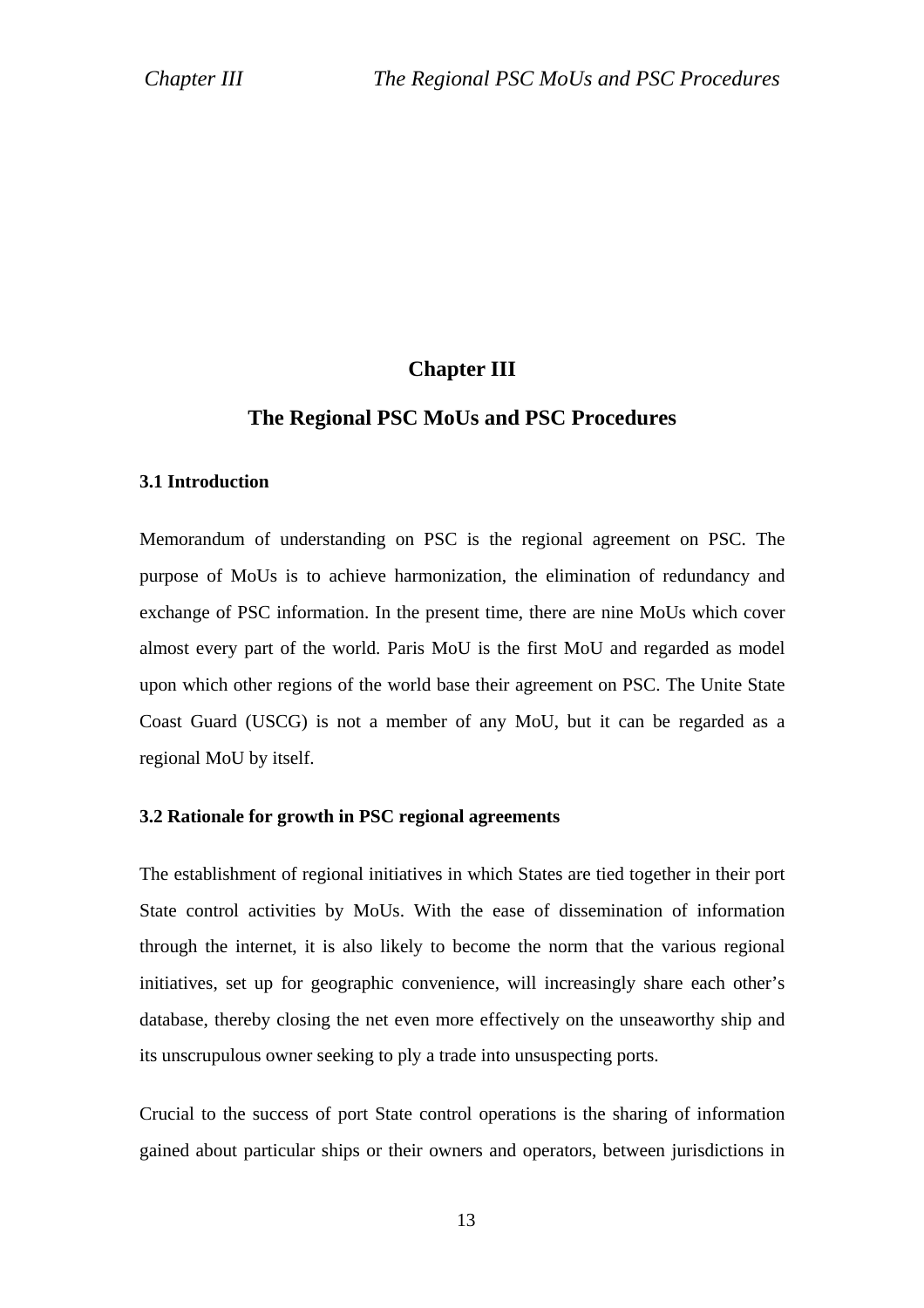### **Chapter III**

### **The Regional PSC MoUs and PSC Procedures**

#### **3.1 Introduction**

Memorandum of understanding on PSC is the regional agreement on PSC. The purpose of MoUs is to achieve harmonization, the elimination of redundancy and exchange of PSC information. In the present time, there are nine MoUs which cover almost every part of the world. Paris MoU is the first MoU and regarded as model upon which other regions of the world base their agreement on PSC. The Unite State Coast Guard (USCG) is not a member of any MoU, but it can be regarded as a regional MoU by itself.

#### **3.2 Rationale for growth in PSC regional agreements**

The establishment of regional initiatives in which States are tied together in their port State control activities by MoUs. With the ease of dissemination of information through the internet, it is also likely to become the norm that the various regional initiatives, set up for geographic convenience, will increasingly share each other's database, thereby closing the net even more effectively on the unseaworthy ship and its unscrupulous owner seeking to ply a trade into unsuspecting ports.

Crucial to the success of port State control operations is the sharing of information gained about particular ships or their owners and operators, between jurisdictions in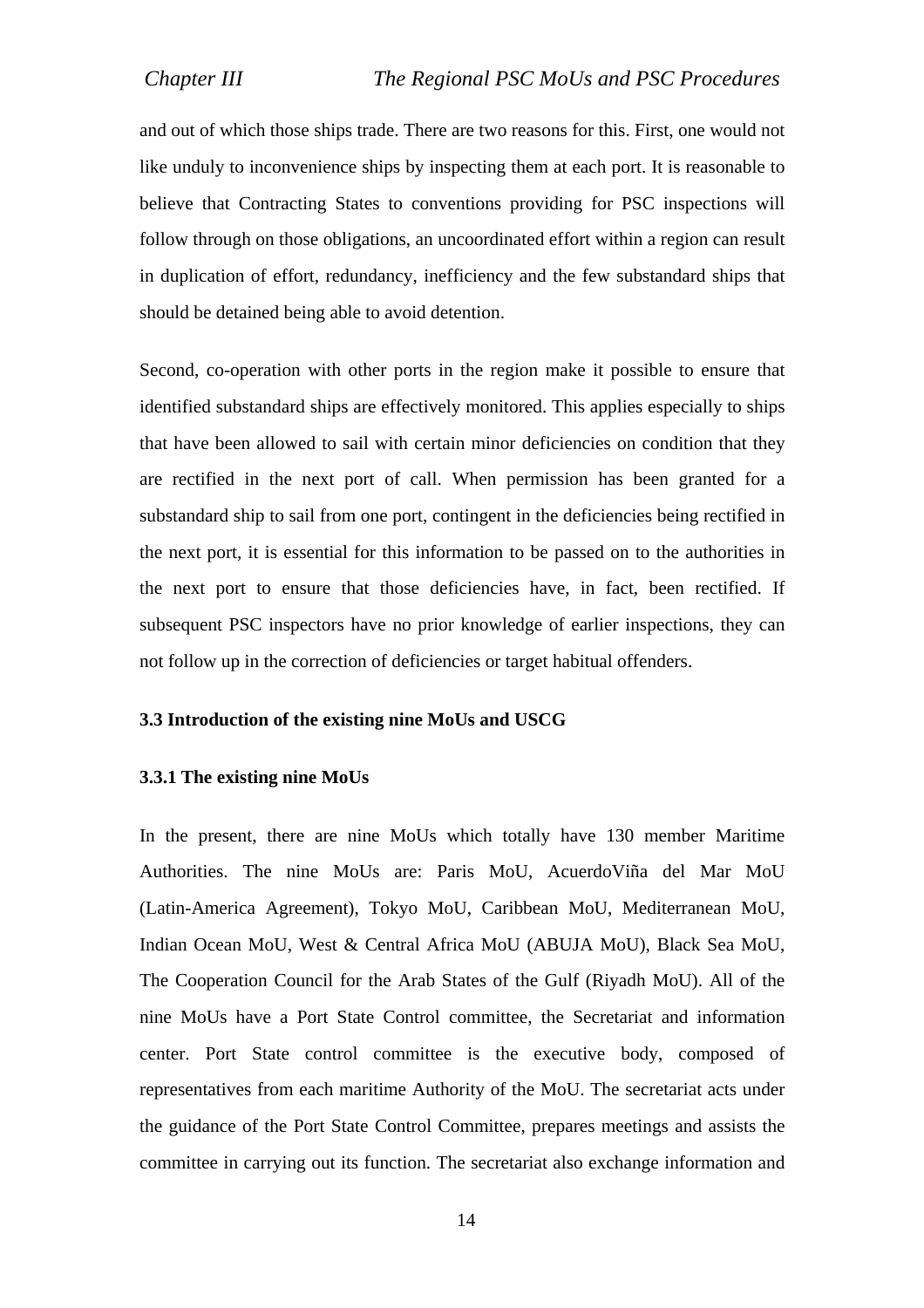and out of which those ships trade. There are two reasons for this. First, one would not like unduly to inconvenience ships by inspecting them at each port. It is reasonable to believe that Contracting States to conventions providing for PSC inspections will follow through on those obligations, an uncoordinated effort within a region can result in duplication of effort, redundancy, inefficiency and the few substandard ships that should be detained being able to avoid detention.

Second, co-operation with other ports in the region make it possible to ensure that identified substandard ships are effectively monitored. This applies especially to ships that have been allowed to sail with certain minor deficiencies on condition that they are rectified in the next port of call. When permission has been granted for a substandard ship to sail from one port, contingent in the deficiencies being rectified in the next port, it is essential for this information to be passed on to the authorities in the next port to ensure that those deficiencies have, in fact, been rectified. If subsequent PSC inspectors have no prior knowledge of earlier inspections, they can not follow up in the correction of deficiencies or target habitual offenders.

#### **3.3 Introduction of the existing nine MoUs and USCG**

#### **3.3.1 The existing nine MoUs**

In the present, there are nine MoUs which totally have 130 member Maritime Authorities. The nine MoUs are: Paris MoU, AcuerdoViña del Mar MoU (Latin-America Agreement), Tokyo MoU, Caribbean MoU, Mediterranean MoU, Indian Ocean MoU, West & Central Africa MoU (ABUJA MoU), Black Sea MoU, The Cooperation Council for the Arab States of the Gulf (Riyadh MoU). All of the nine MoUs have a Port State Control committee, the Secretariat and information center. Port State control committee is the executive body, composed of representatives from each maritime Authority of the MoU. The secretariat acts under the guidance of the Port State Control Committee, prepares meetings and assists the committee in carrying out its function. The secretariat also exchange information and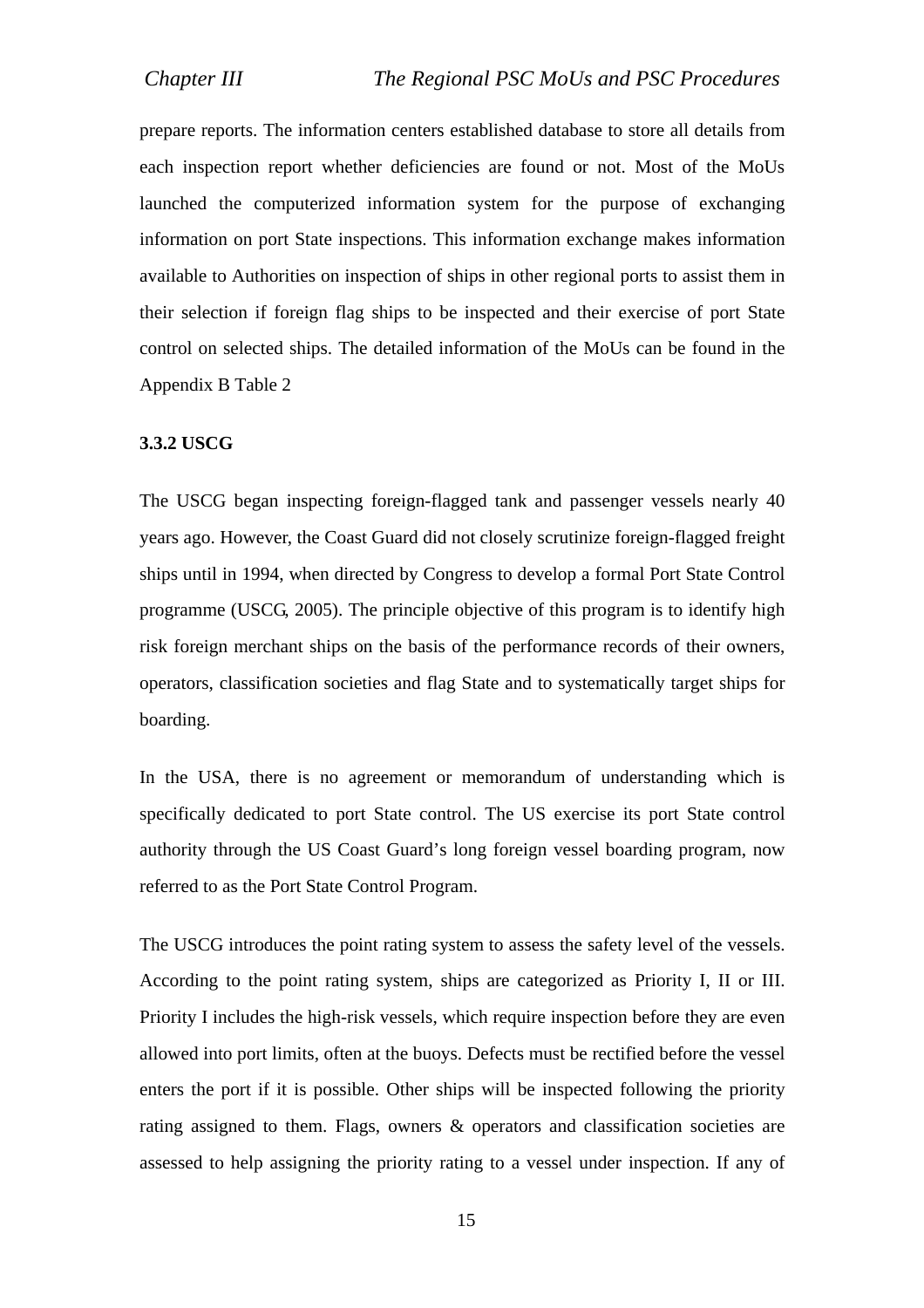prepare reports. The information centers established database to store all details from each inspection report whether deficiencies are found or not. Most of the MoUs launched the computerized information system for the purpose of exchanging information on port State inspections. This information exchange makes information available to Authorities on inspection of ships in other regional ports to assist them in their selection if foreign flag ships to be inspected and their exercise of port State control on selected ships. The detailed information of the MoUs can be found in the Appendix B Table 2

#### **3.3.2 USCG**

The USCG began inspecting foreign-flagged tank and passenger vessels nearly 40 years ago. However, the Coast Guard did not closely scrutinize foreign-flagged freight ships until in 1994, when directed by Congress to develop a formal Port State Control programme (USCG, 2005). The principle objective of this program is to identify high risk foreign merchant ships on the basis of the performance records of their owners, operators, classification societies and flag State and to systematically target ships for boarding.

In the USA, there is no agreement or memorandum of understanding which is specifically dedicated to port State control. The US exercise its port State control authority through the US Coast Guard's long foreign vessel boarding program, now referred to as the Port State Control Program.

The USCG introduces the point rating system to assess the safety level of the vessels. According to the point rating system, ships are categorized as Priority I, II or III. Priority I includes the high-risk vessels, which require inspection before they are even allowed into port limits, often at the buoys. Defects must be rectified before the vessel enters the port if it is possible. Other ships will be inspected following the priority rating assigned to them. Flags, owners & operators and classification societies are assessed to help assigning the priority rating to a vessel under inspection. If any of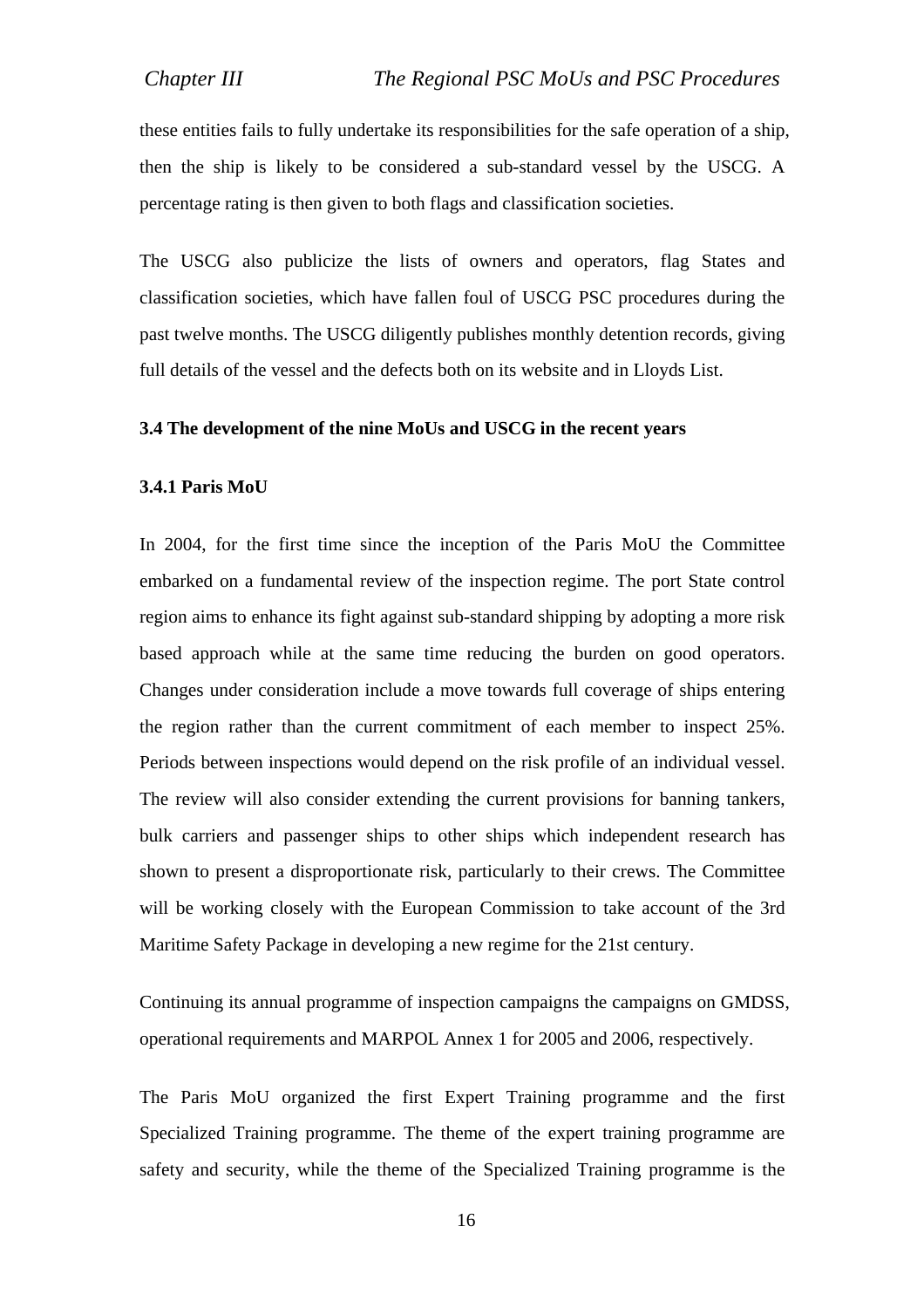these entities fails to fully undertake its responsibilities for the safe operation of a ship, then the ship is likely to be considered a sub-standard vessel by the USCG. A percentage rating is then given to both flags and classification societies.

The USCG also publicize the lists of owners and operators, flag States and classification societies, which have fallen foul of USCG PSC procedures during the past twelve months. The USCG diligently publishes monthly detention records, giving full details of the vessel and the defects both on its website and in Lloyds List.

#### **3.4 The development of the nine MoUs and USCG in the recent years**

#### **3.4.1 Paris MoU**

In 2004, for the first time since the inception of the Paris MoU the Committee embarked on a fundamental review of the inspection regime. The port State control region aims to enhance its fight against sub-standard shipping by adopting a more risk based approach while at the same time reducing the burden on good operators. Changes under consideration include a move towards full coverage of ships entering the region rather than the current commitment of each member to inspect 25%. Periods between inspections would depend on the risk profile of an individual vessel. The review will also consider extending the current provisions for banning tankers, bulk carriers and passenger ships to other ships which independent research has shown to present a disproportionate risk, particularly to their crews. The Committee will be working closely with the European Commission to take account of the 3rd Maritime Safety Package in developing a new regime for the 21st century.

Continuing its annual programme of inspection campaigns the campaigns on GMDSS, operational requirements and MARPOL Annex 1 for 2005 and 2006, respectively.

The Paris MoU organized the first Expert Training programme and the first Specialized Training programme. The theme of the expert training programme are safety and security, while the theme of the Specialized Training programme is the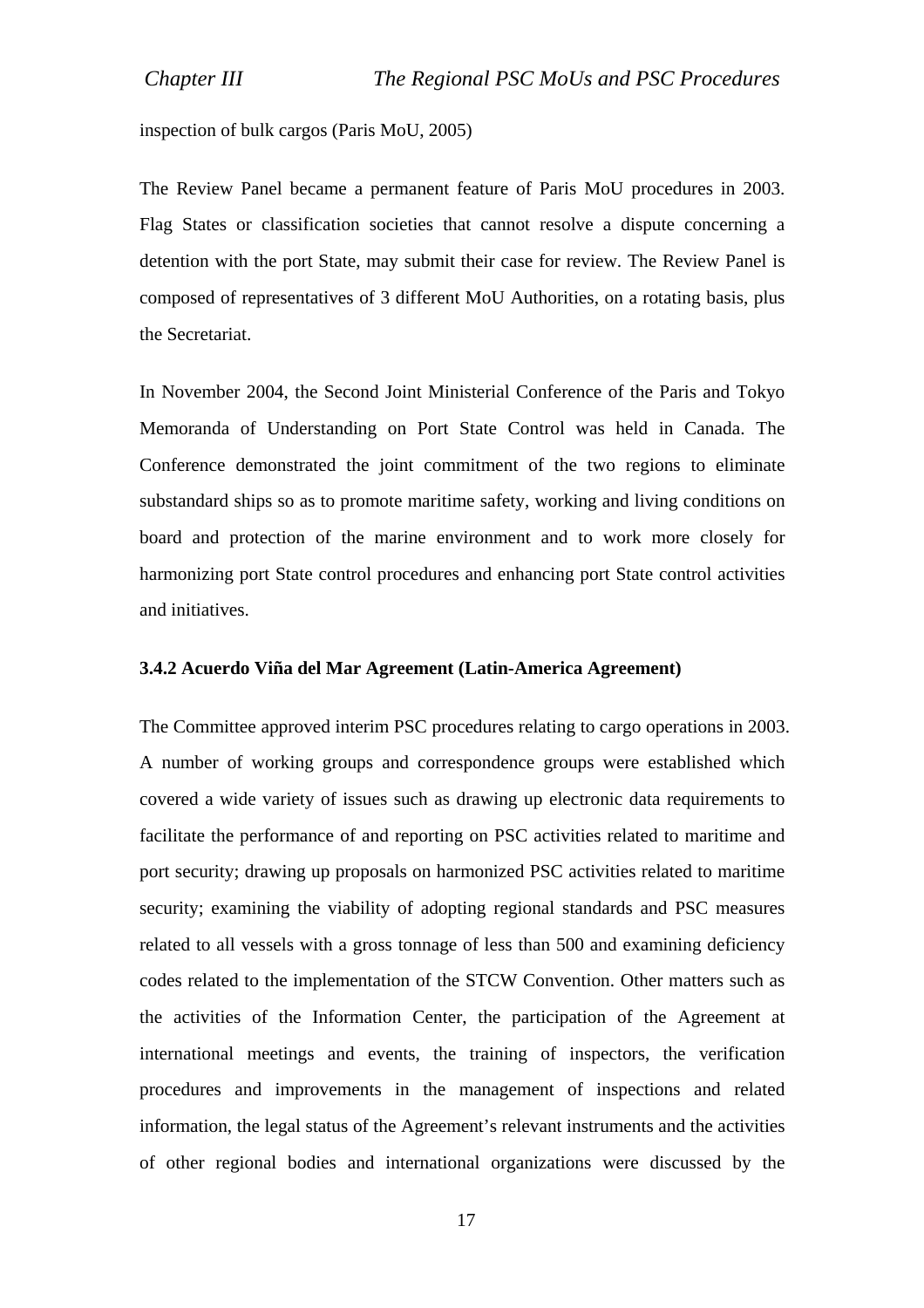inspection of bulk cargos (Paris MoU, 2005)

The Review Panel became a permanent feature of Paris MoU procedures in 2003. Flag States or classification societies that cannot resolve a dispute concerning a detention with the port State, may submit their case for review. The Review Panel is composed of representatives of 3 different MoU Authorities, on a rotating basis, plus the Secretariat.

In November 2004, the Second Joint Ministerial Conference of the Paris and Tokyo Memoranda of Understanding on Port State Control was held in Canada. The Conference demonstrated the joint commitment of the two regions to eliminate substandard ships so as to promote maritime safety, working and living conditions on board and protection of the marine environment and to work more closely for harmonizing port State control procedures and enhancing port State control activities and initiatives.

#### **3.4.2 Acuerdo Viña del Mar Agreement (Latin-America Agreement)**

The Committee approved interim PSC procedures relating to cargo operations in 2003. A number of working groups and correspondence groups were established which covered a wide variety of issues such as drawing up electronic data requirements to facilitate the performance of and reporting on PSC activities related to maritime and port security; drawing up proposals on harmonized PSC activities related to maritime security; examining the viability of adopting regional standards and PSC measures related to all vessels with a gross tonnage of less than 500 and examining deficiency codes related to the implementation of the STCW Convention. Other matters such as the activities of the Information Center, the participation of the Agreement at international meetings and events, the training of inspectors, the verification procedures and improvements in the management of inspections and related information, the legal status of the Agreement's relevant instruments and the activities of other regional bodies and international organizations were discussed by the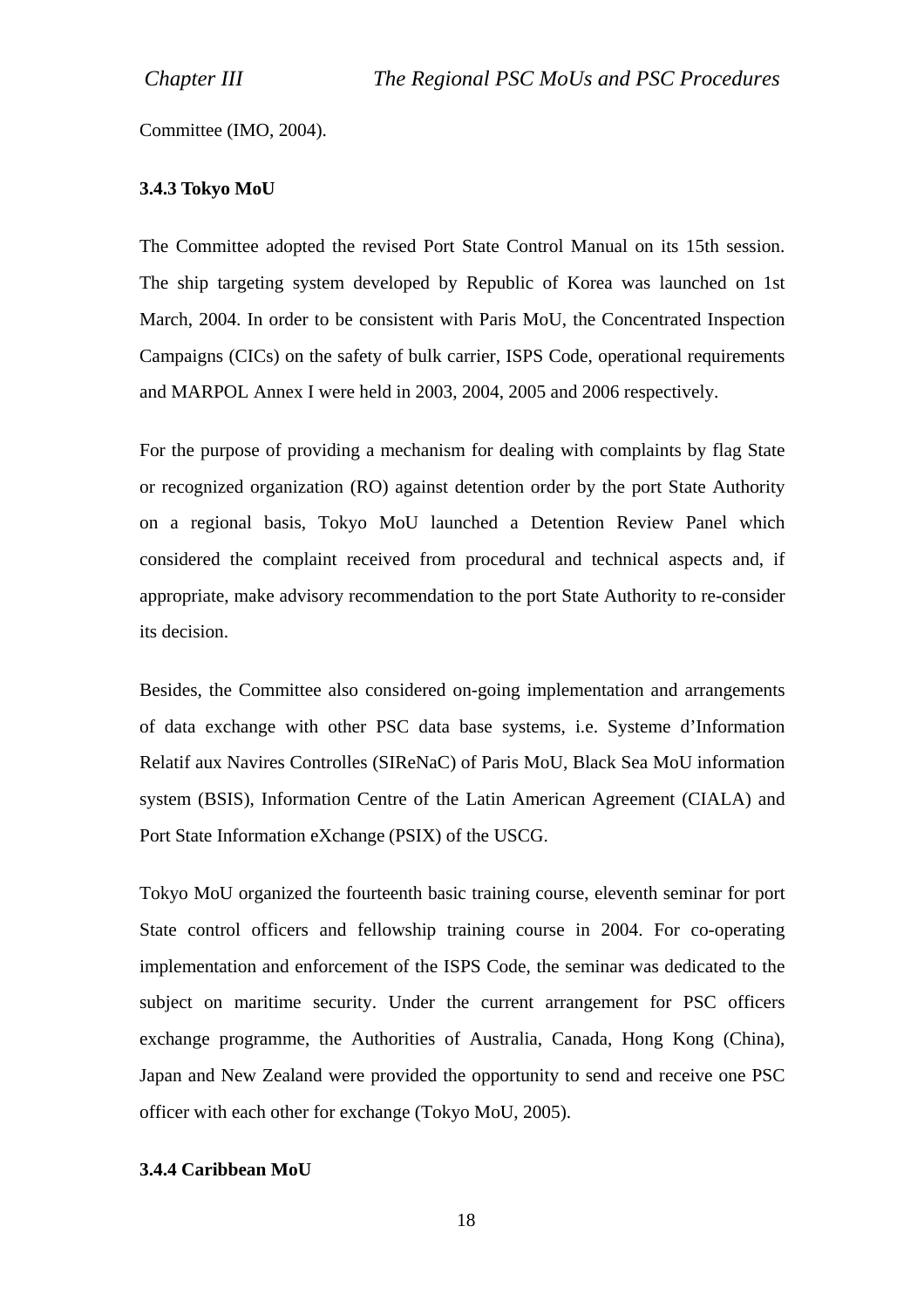Committee (IMO, 2004).

#### **3.4.3 Tokyo MoU**

The Committee adopted the revised Port State Control Manual on its 15th session. The ship targeting system developed by Republic of Korea was launched on 1st March, 2004. In order to be consistent with Paris MoU, the Concentrated Inspection Campaigns (CICs) on the safety of bulk carrier, ISPS Code, operational requirements and MARPOL Annex I were held in 2003, 2004, 2005 and 2006 respectively.

For the purpose of providing a mechanism for dealing with complaints by flag State or recognized organization (RO) against detention order by the port State Authority on a regional basis, Tokyo MoU launched a Detention Review Panel which considered the complaint received from procedural and technical aspects and, if appropriate, make advisory recommendation to the port State Authority to re-consider its decision.

Besides, the Committee also considered on-going implementation and arrangements of data exchange with other PSC data base systems, i.e. Systeme d'Information Relatif aux Navires Controlles (SIReNaC) of Paris MoU, Black Sea MoU information system (BSIS), Information Centre of the Latin American Agreement (CIALA) and Port State Information eXchange (PSIX) of the USCG.

Tokyo MoU organized the fourteenth basic training course, eleventh seminar for port State control officers and fellowship training course in 2004. For co-operating implementation and enforcement of the ISPS Code, the seminar was dedicated to the subject on maritime security. Under the current arrangement for PSC officers exchange programme, the Authorities of Australia, Canada, Hong Kong (China), Japan and New Zealand were provided the opportunity to send and receive one PSC officer with each other for exchange (Tokyo MoU, 2005).

#### **3.4.4 Caribbean MoU**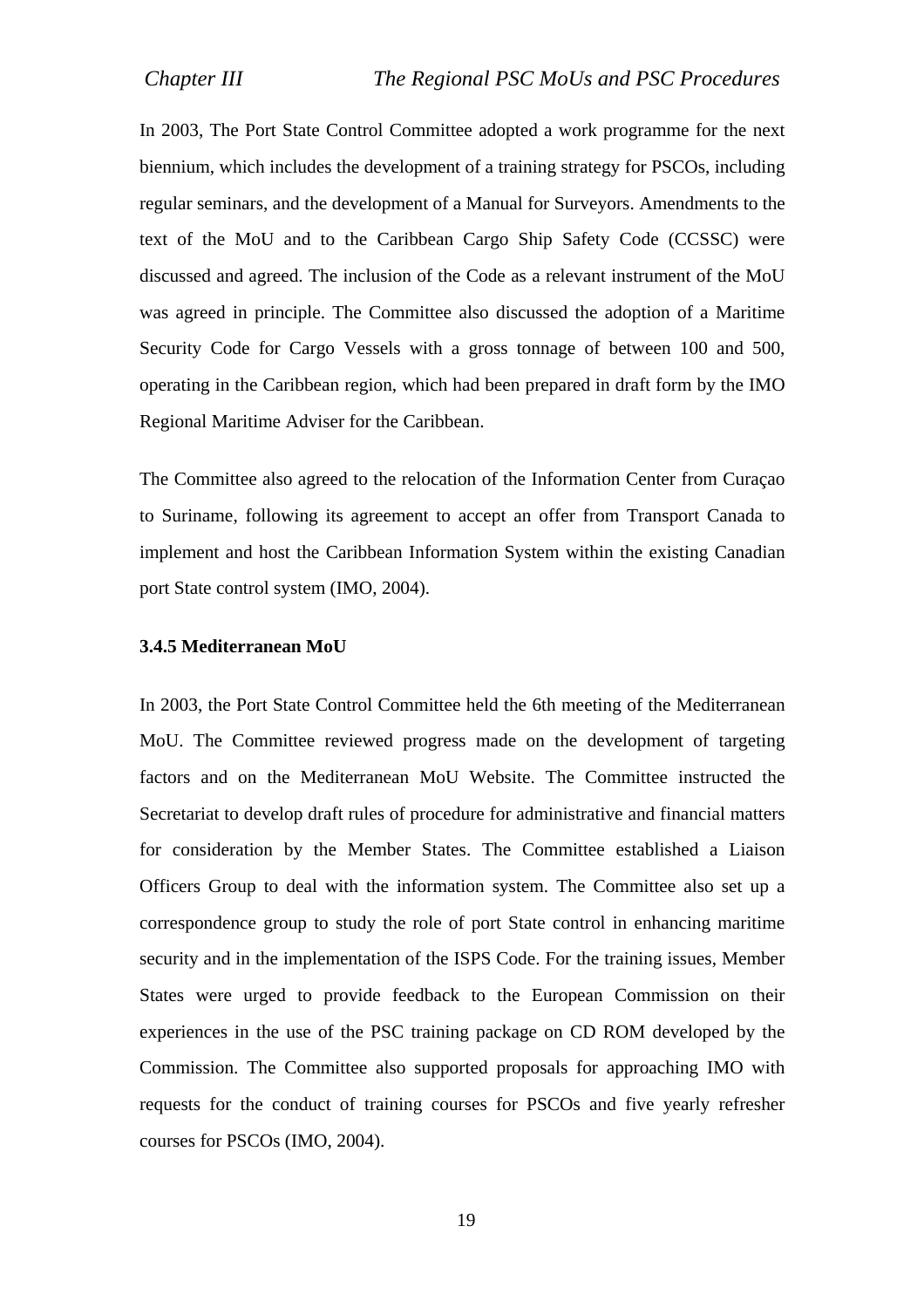In 2003, The Port State Control Committee adopted a work programme for the next biennium, which includes the development of a training strategy for PSCOs, including regular seminars, and the development of a Manual for Surveyors. Amendments to the text of the MoU and to the Caribbean Cargo Ship Safety Code (CCSSC) were discussed and agreed. The inclusion of the Code as a relevant instrument of the MoU was agreed in principle. The Committee also discussed the adoption of a Maritime Security Code for Cargo Vessels with a gross tonnage of between 100 and 500, operating in the Caribbean region, which had been prepared in draft form by the IMO Regional Maritime Adviser for the Caribbean.

The Committee also agreed to the relocation of the Information Center from Curaçao to Suriname, following its agreement to accept an offer from Transport Canada to implement and host the Caribbean Information System within the existing Canadian port State control system (IMO, 2004).

#### **3.4.5 Mediterranean MoU**

In 2003, the Port State Control Committee held the 6th meeting of the Mediterranean MoU. The Committee reviewed progress made on the development of targeting factors and on the Mediterranean MoU Website. The Committee instructed the Secretariat to develop draft rules of procedure for administrative and financial matters for consideration by the Member States. The Committee established a Liaison Officers Group to deal with the information system. The Committee also set up a correspondence group to study the role of port State control in enhancing maritime security and in the implementation of the ISPS Code. For the training issues, Member States were urged to provide feedback to the European Commission on their experiences in the use of the PSC training package on CD ROM developed by the Commission. The Committee also supported proposals for approaching IMO with requests for the conduct of training courses for PSCOs and five yearly refresher courses for PSCOs (IMO, 2004).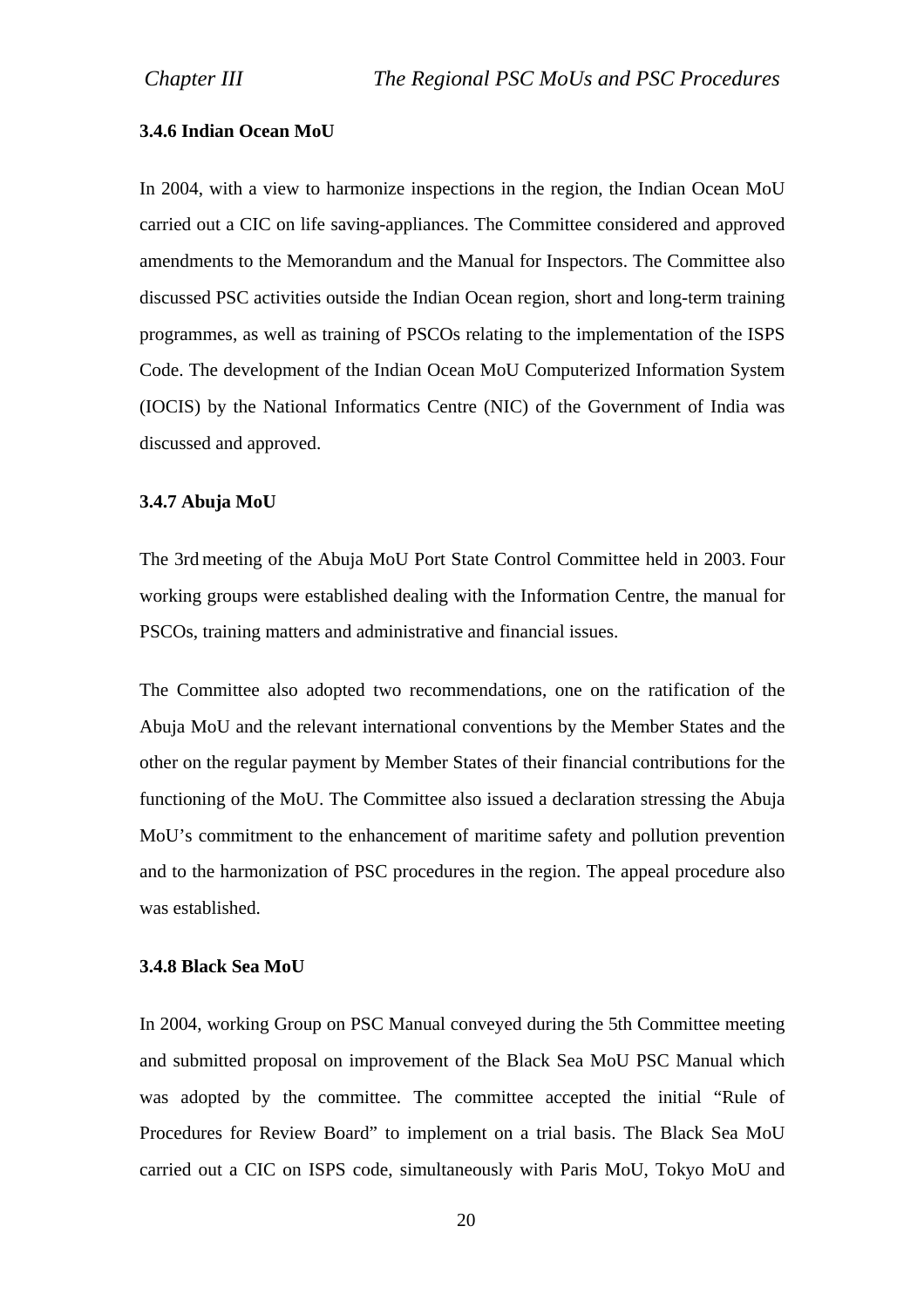#### **3.4.6 Indian Ocean MoU**

In 2004, with a view to harmonize inspections in the region, the Indian Ocean MoU carried out a CIC on life saving-appliances. The Committee considered and approved amendments to the Memorandum and the Manual for Inspectors. The Committee also discussed PSC activities outside the Indian Ocean region, short and long-term training programmes, as well as training of PSCOs relating to the implementation of the ISPS Code. The development of the Indian Ocean MoU Computerized Information System (IOCIS) by the National Informatics Centre (NIC) of the Government of India was discussed and approved.

#### **3.4.7 Abuja MoU**

The 3rd meeting of the Abuja MoU Port State Control Committee held in 2003. Four working groups were established dealing with the Information Centre, the manual for PSCOs, training matters and administrative and financial issues.

The Committee also adopted two recommendations, one on the ratification of the Abuja MoU and the relevant international conventions by the Member States and the other on the regular payment by Member States of their financial contributions for the functioning of the MoU. The Committee also issued a declaration stressing the Abuja MoU's commitment to the enhancement of maritime safety and pollution prevention and to the harmonization of PSC procedures in the region. The appeal procedure also was established.

#### **3.4.8 Black Sea MoU**

In 2004, working Group on PSC Manual conveyed during the 5th Committee meeting and submitted proposal on improvement of the Black Sea MoU PSC Manual which was adopted by the committee. The committee accepted the initial "Rule of Procedures for Review Board" to implement on a trial basis. The Black Sea MoU carried out a CIC on ISPS code, simultaneously with Paris MoU, Tokyo MoU and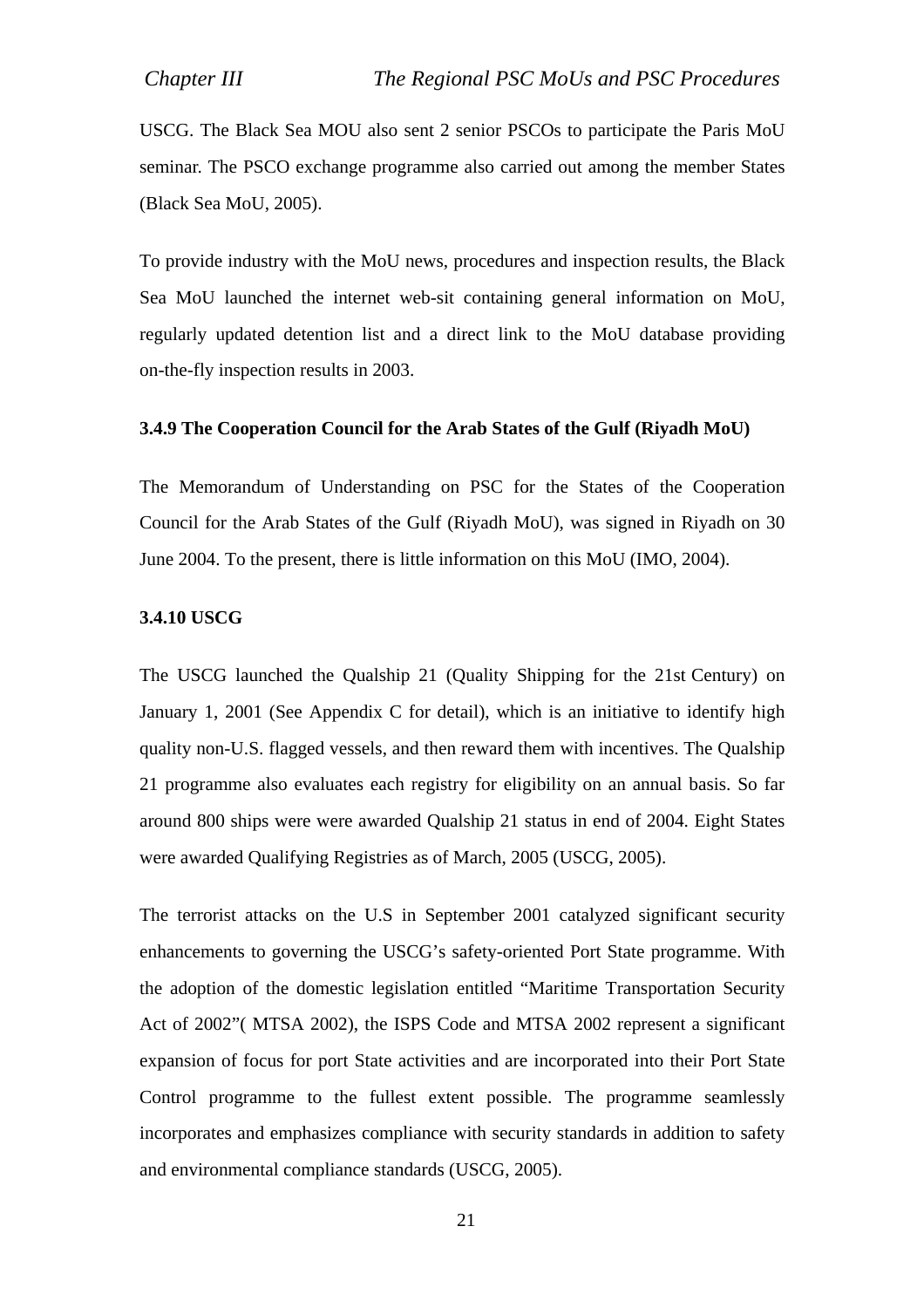USCG. The Black Sea MOU also sent 2 senior PSCOs to participate the Paris MoU seminar. The PSCO exchange programme also carried out among the member States (Black Sea MoU, 2005).

To provide industry with the MoU news, procedures and inspection results, the Black Sea MoU launched the internet web-sit containing general information on MoU, regularly updated detention list and a direct link to the MoU database providing on-the-fly inspection results in 2003.

#### **3.4.9 The Cooperation Council for the Arab States of the Gulf (Riyadh MoU)**

The Memorandum of Understanding on PSC for the States of the Cooperation Council for the Arab States of the Gulf (Riyadh MoU), was signed in Riyadh on 30 June 2004. To the present, there is little information on this MoU (IMO, 2004).

#### **3.4.10 USCG**

The USCG launched the Qualship 21 (Quality Shipping for the 21st Century) on January 1, 2001 (See Appendix C for detail), which is an initiative to identify high quality non-U.S. flagged vessels, and then reward them with incentives. The Qualship 21 programme also evaluates each registry for eligibility on an annual basis. So far around 800 ships were were awarded Qualship 21 status in end of 2004. Eight States were awarded Qualifying Registries as of March, 2005 (USCG, 2005).

The terrorist attacks on the U.S in September 2001 catalyzed significant security enhancements to governing the USCG's safety-oriented Port State programme. With the adoption of the domestic legislation entitled "Maritime Transportation Security Act of 2002"( MTSA 2002), the ISPS Code and MTSA 2002 represent a significant expansion of focus for port State activities and are incorporated into their Port State Control programme to the fullest extent possible. The programme seamlessly incorporates and emphasizes compliance with security standards in addition to safety and environmental compliance standards (USCG, 2005).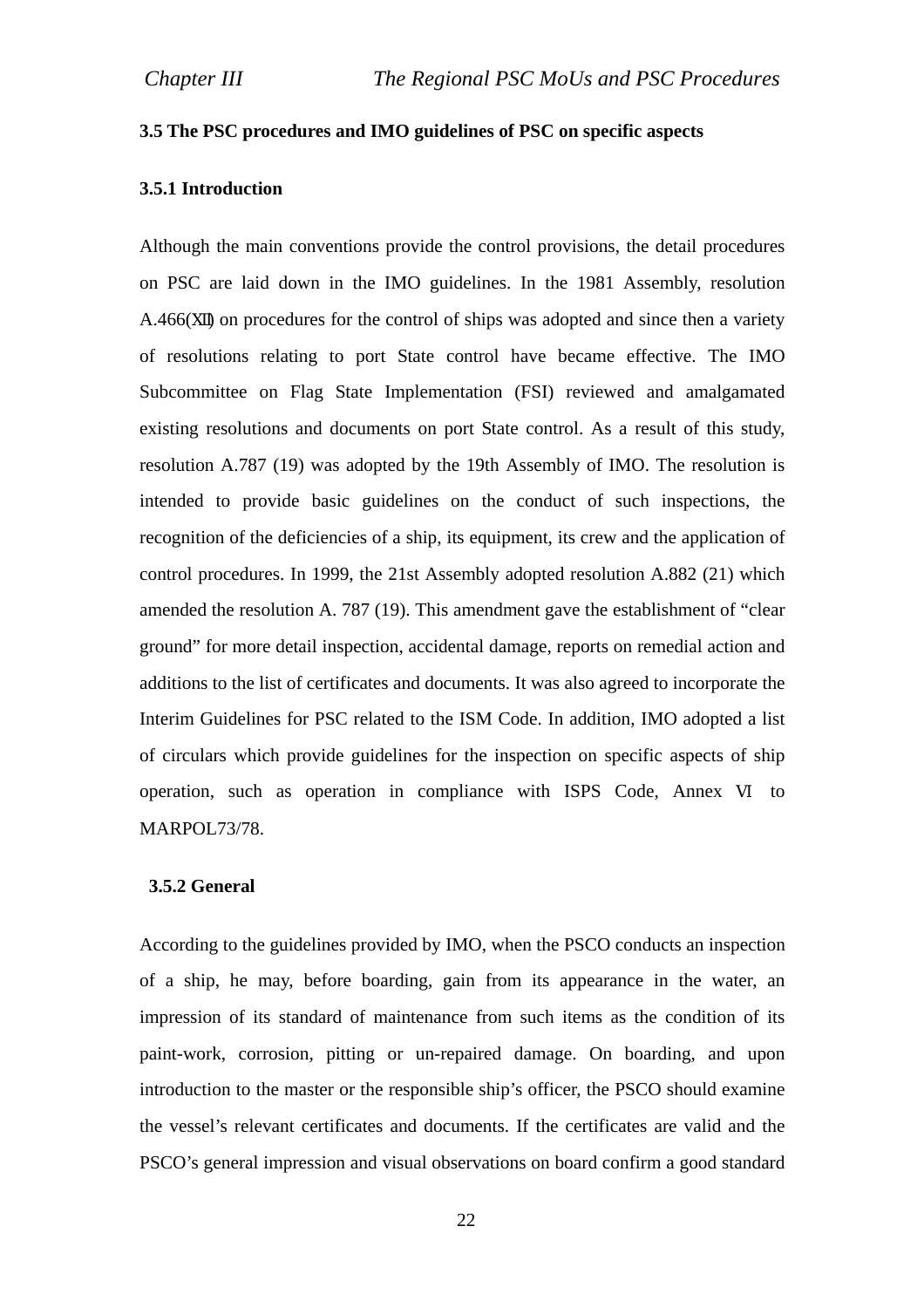## **3.5 The PSC procedures and IMO guidelines of PSC on specific aspects**

## **3.5.1 Introduction**

Although the main conventions provide the control provisions, the detail procedures on PSC are laid down in the IMO guidelines. In the 1981 Assembly, resolution A.466( ) on procedures for the control of ships was adopted and since then a variety of resolutions relating to port State control have became effective. The IMO Subcommittee on Flag State Implementation (FSI) reviewed and amalgamated existing resolutions and documents on port State control. As a result of this study, resolution A.787 (19) was adopted by the 19th Assembly of IMO. The resolution is intended to provide basic guidelines on the conduct of such inspections, the recognition of the deficiencies of a ship, its equipment, its crew and the application of control procedures. In 1999, the 21st Assembly adopted resolution A.882 (21) which amended the resolution A. 787 (19). This amendment gave the establishment of "clear ground" for more detail inspection, accidental damage, reports on remedial action and additions to the list of certificates and documents. It was also agreed to incorporate the Interim Guidelines for PSC related to the ISM Code. In addition, IMO adopted a list of circulars which provide guidelines for the inspection on specific aspects of ship operation, such as operation in compliance with ISPS Code, Annex to MARPOL73/78.

#### **3.5.2 General**

According to the guidelines provided by IMO, when the PSCO conducts an inspection of a ship, he may, before boarding, gain from its appearance in the water, an impression of its standard of maintenance from such items as the condition of its paint-work, corrosion, pitting or un-repaired damage. On boarding, and upon introduction to the master or the responsible ship's officer, the PSCO should examine the vessel's relevant certificates and documents. If the certificates are valid and the PSCO's general impression and visual observations on board confirm a good standard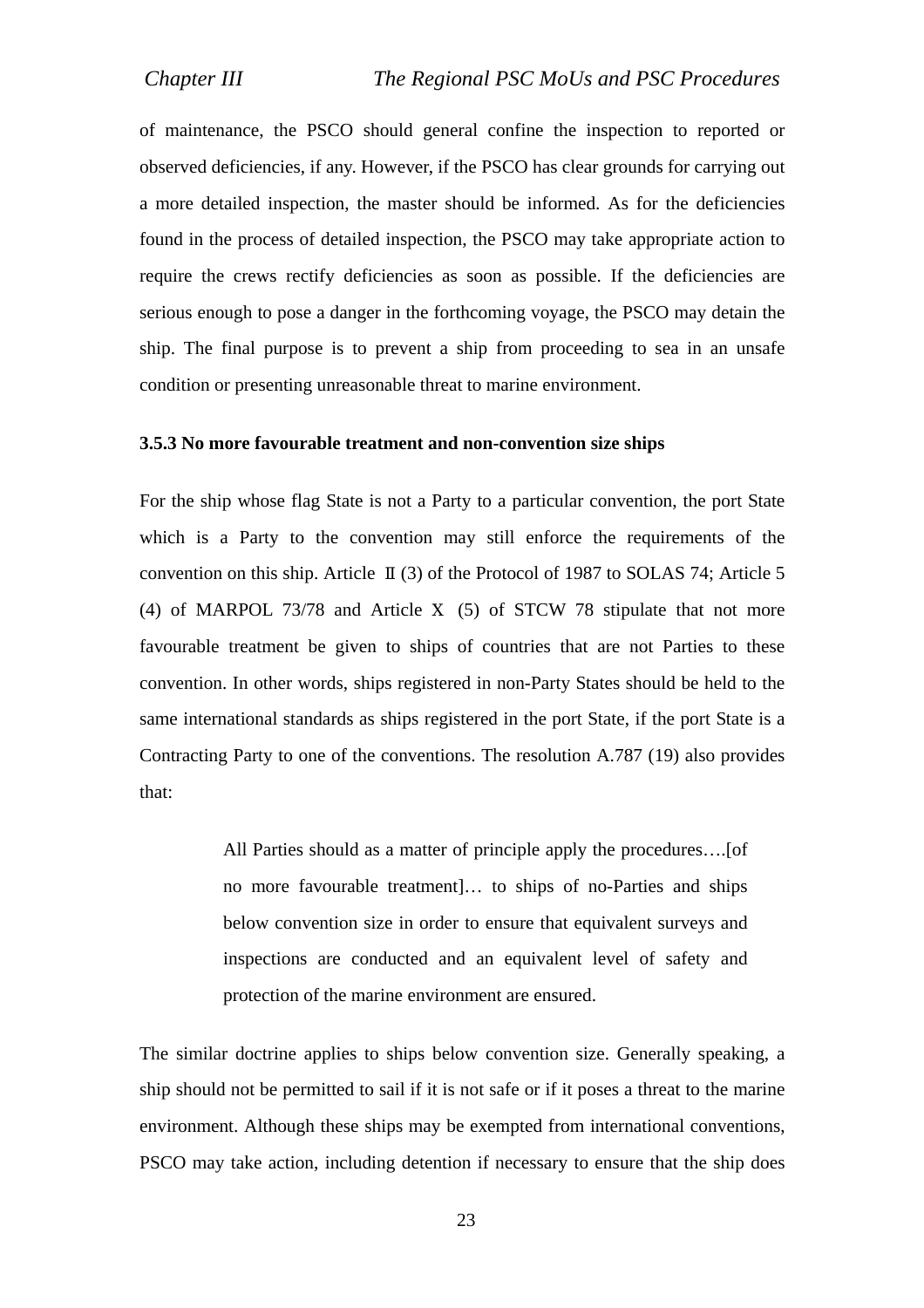of maintenance, the PSCO should general confine the inspection to reported or observed deficiencies, if any. However, if the PSCO has clear grounds for carrying out a more detailed inspection, the master should be informed. As for the deficiencies found in the process of detailed inspection, the PSCO may take appropriate action to require the crews rectify deficiencies as soon as possible. If the deficiencies are serious enough to pose a danger in the forthcoming voyage, the PSCO may detain the ship. The final purpose is to prevent a ship from proceeding to sea in an unsafe condition or presenting unreasonable threat to marine environment.

#### **3.5.3 No more favourable treatment and non-convention size ships**

For the ship whose flag State is not a Party to a particular convention, the port State which is a Party to the convention may still enforce the requirements of the convention on this ship. Article (3) of the Protocol of 1987 to SOLAS 74; Article 5 (4) of MARPOL 73/78 and Article (5) of STCW 78 stipulate that not more favourable treatment be given to ships of countries that are not Parties to these convention. In other words, ships registered in non-Party States should be held to the same international standards as ships registered in the port State, if the port State is a Contracting Party to one of the conventions. The resolution A.787 (19) also provides that:

> All Parties should as a matter of principle apply the procedures….[of no more favourable treatment]… to ships of no-Parties and ships below convention size in order to ensure that equivalent surveys and inspections are conducted and an equivalent level of safety and protection of the marine environment are ensured.

The similar doctrine applies to ships below convention size. Generally speaking, a ship should not be permitted to sail if it is not safe or if it poses a threat to the marine environment. Although these ships may be exempted from international conventions, PSCO may take action, including detention if necessary to ensure that the ship does

23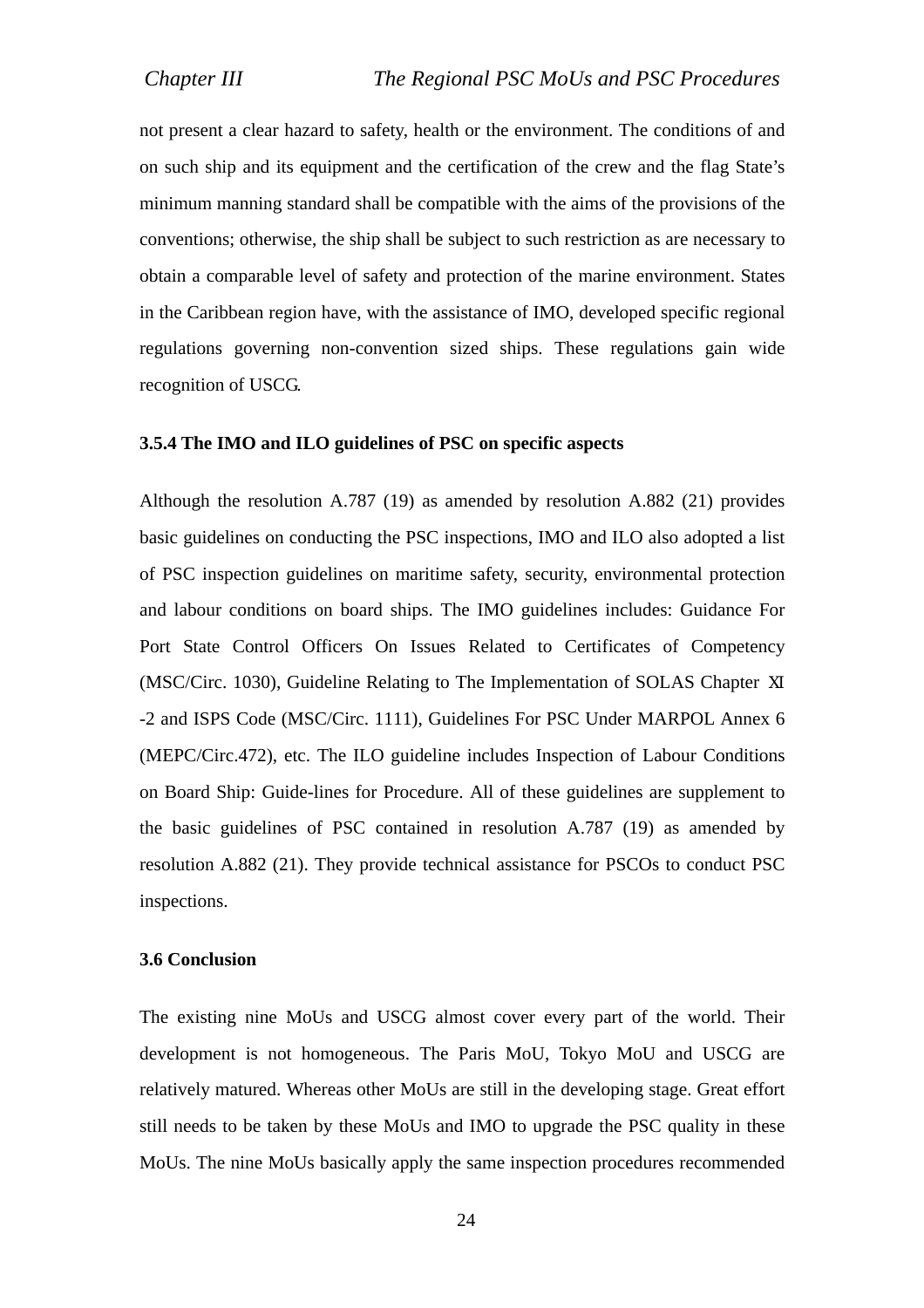not present a clear hazard to safety, health or the environment. The conditions of and on such ship and its equipment and the certification of the crew and the flag State's minimum manning standard shall be compatible with the aims of the provisions of the conventions; otherwise, the ship shall be subject to such restriction as are necessary to obtain a comparable level of safety and protection of the marine environment. States in the Caribbean region have, with the assistance of IMO, developed specific regional regulations governing non-convention sized ships. These regulations gain wide recognition of USCG.

#### **3.5.4 The IMO and ILO guidelines of PSC on specific aspects**

Although the resolution A.787 (19) as amended by resolution A.882 (21) provides basic guidelines on conducting the PSC inspections, IMO and ILO also adopted a list of PSC inspection guidelines on maritime safety, security, environmental protection and labour conditions on board ships. The IMO guidelines includes: Guidance For Port State Control Officers On Issues Related to Certificates of Competency (MSC/Circ. 1030), Guideline Relating to The Implementation of SOLAS Chapter -2 and ISPS Code (MSC/Circ. 1111), Guidelines For PSC Under MARPOL Annex 6 (MEPC/Circ.472), etc. The ILO guideline includes Inspection of Labour Conditions on Board Ship: Guide-lines for Procedure. All of these guidelines are supplement to the basic guidelines of PSC contained in resolution A.787 (19) as amended by resolution A.882 (21). They provide technical assistance for PSCOs to conduct PSC inspections.

#### **3.6 Conclusion**

The existing nine MoUs and USCG almost cover every part of the world. Their development is not homogeneous. The Paris MoU, Tokyo MoU and USCG are relatively matured. Whereas other MoUs are still in the developing stage. Great effort still needs to be taken by these MoUs and IMO to upgrade the PSC quality in these MoUs. The nine MoUs basically apply the same inspection procedures recommended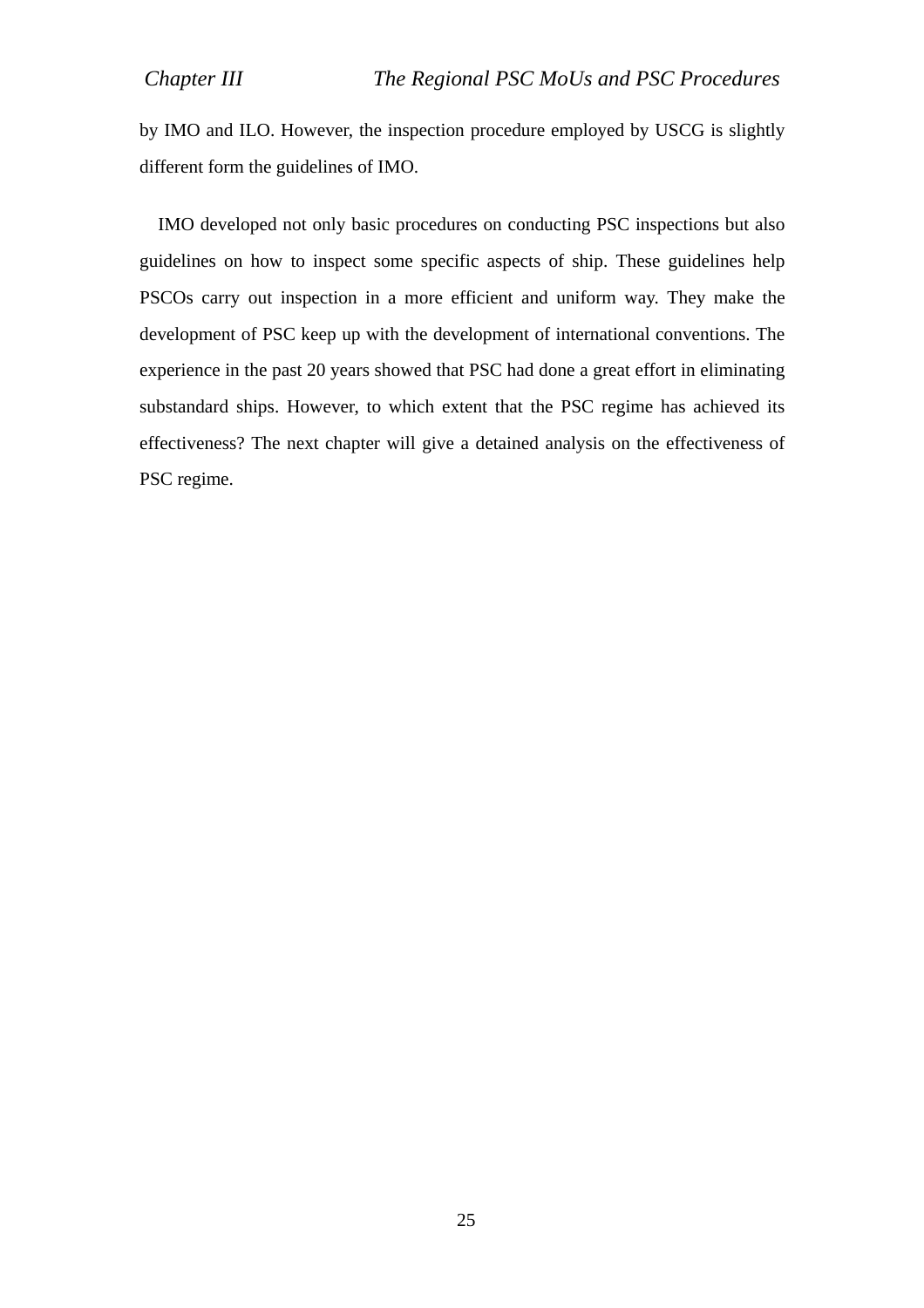by IMO and ILO. However, the inspection procedure employed by USCG is slightly different form the guidelines of IMO.

IMO developed not only basic procedures on conducting PSC inspections but also guidelines on how to inspect some specific aspects of ship. These guidelines help PSCOs carry out inspection in a more efficient and uniform way. They make the development of PSC keep up with the development of international conventions. The experience in the past 20 years showed that PSC had done a great effort in eliminating substandard ships. However, to which extent that the PSC regime has achieved its effectiveness? The next chapter will give a detained analysis on the effectiveness of PSC regime.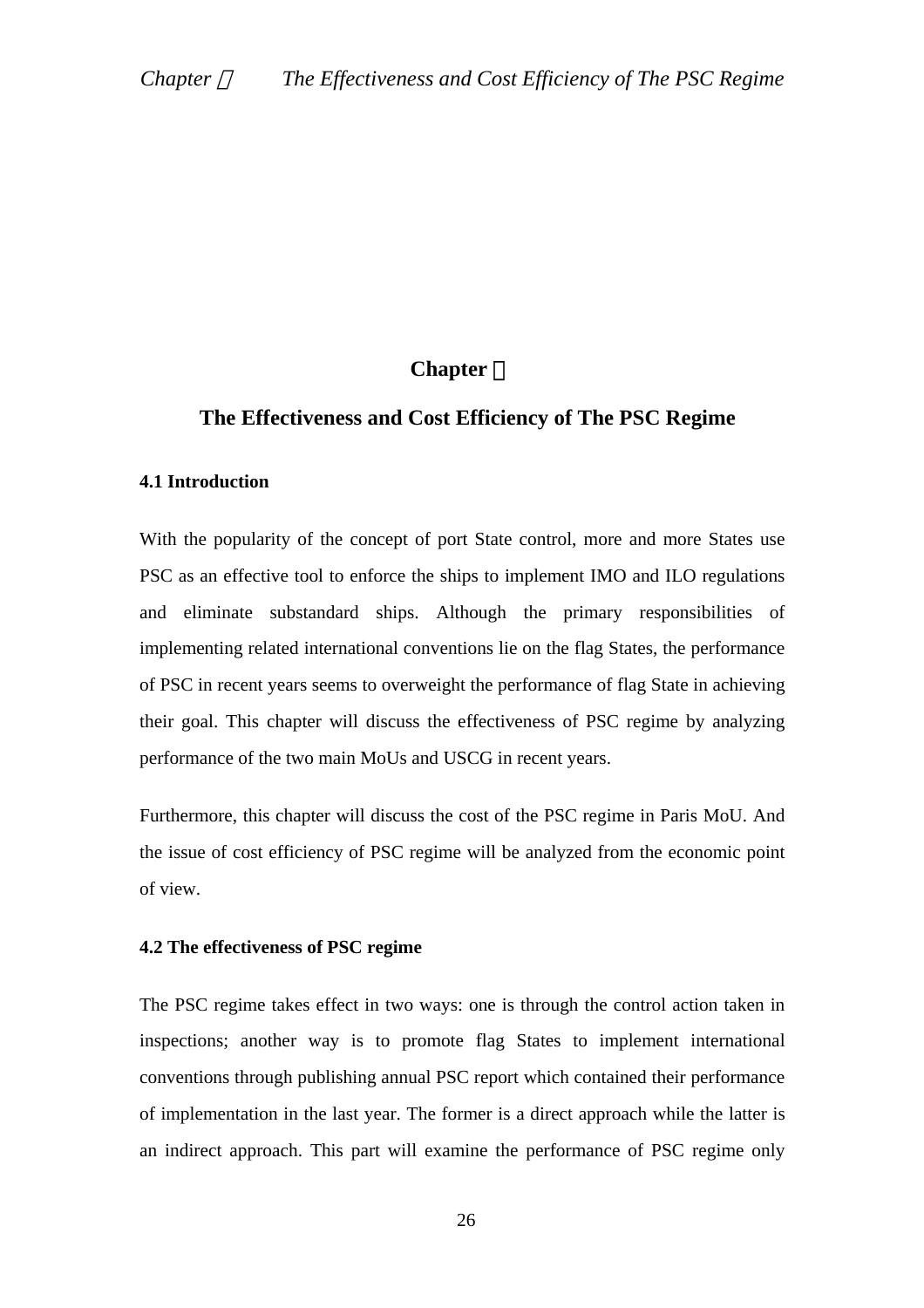# **Chapter** Ⅳ

## **The Effectiveness and Cost Efficiency of The PSC Regime**

#### **4.1 Introduction**

With the popularity of the concept of port State control, more and more States use PSC as an effective tool to enforce the ships to implement IMO and ILO regulations and eliminate substandard ships. Although the primary responsibilities of implementing related international conventions lie on the flag States, the performance of PSC in recent years seems to overweight the performance of flag State in achieving their goal. This chapter will discuss the effectiveness of PSC regime by analyzing performance of the two main MoUs and USCG in recent years.

Furthermore, this chapter will discuss the cost of the PSC regime in Paris MoU. And the issue of cost efficiency of PSC regime will be analyzed from the economic point of view.

#### **4.2 The effectiveness of PSC regime**

The PSC regime takes effect in two ways: one is through the control action taken in inspections; another way is to promote flag States to implement international conventions through publishing annual PSC report which contained their performance of implementation in the last year. The former is a direct approach while the latter is an indirect approach. This part will examine the performance of PSC regime only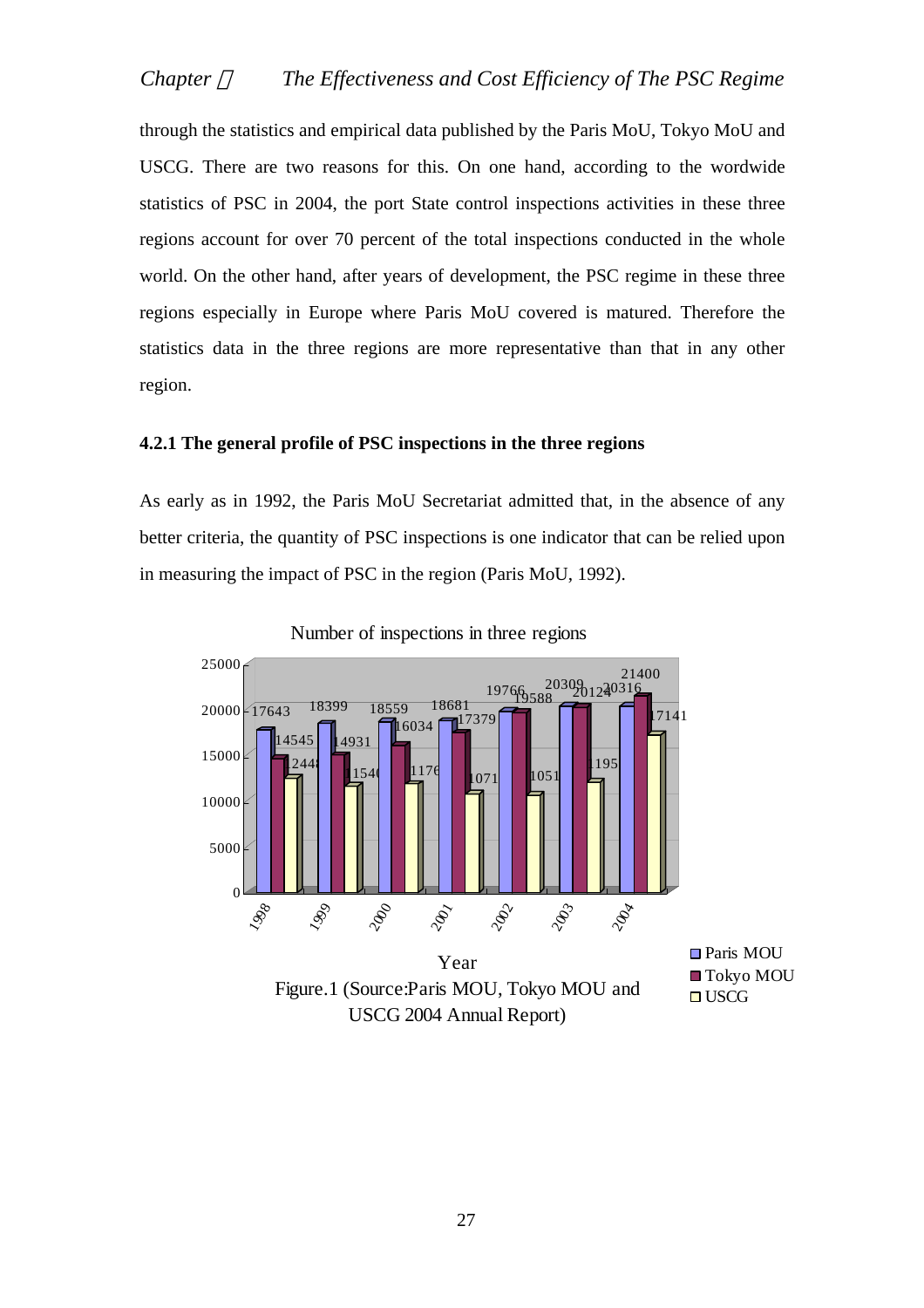through the statistics and empirical data published by the Paris MoU, Tokyo MoU and USCG. There are two reasons for this. On one hand, according to the wordwide statistics of PSC in 2004, the port State control inspections activities in these three regions account for over 70 percent of the total inspections conducted in the whole world. On the other hand, after years of development, the PSC regime in these three regions especially in Europe where Paris MoU covered is matured. Therefore the statistics data in the three regions are more representative than that in any other region.

## **4.2.1 The general profile of PSC inspections in the three regions**

As early as in 1992, the Paris MoU Secretariat admitted that, in the absence of any better criteria, the quantity of PSC inspections is one indicator that can be relied upon in measuring the impact of PSC in the region (Paris MoU, 1992).



Number of inspections in three regions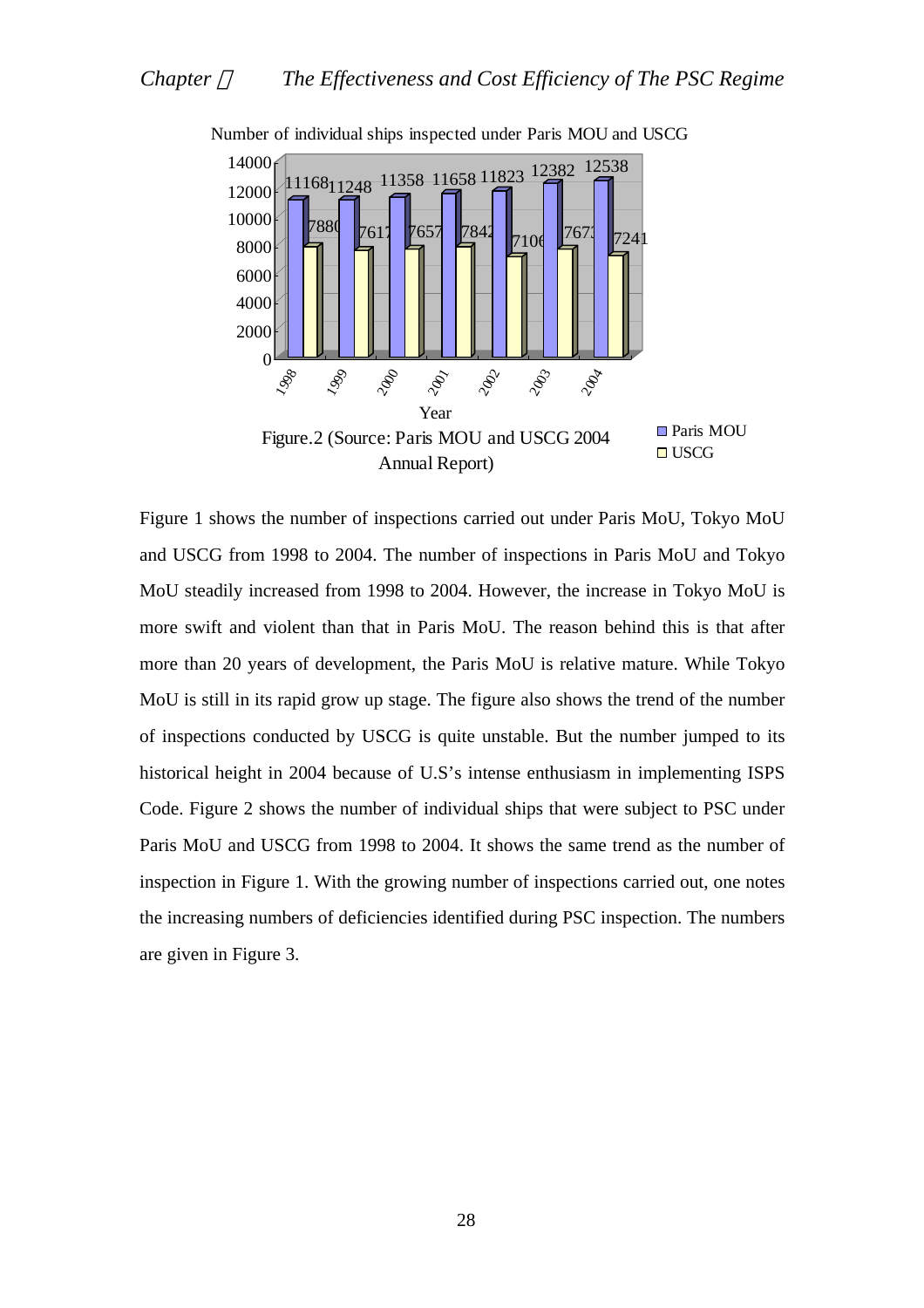

Number of individual ships inspected under Paris MOU and USCG

Figure 1 shows the number of inspections carried out under Paris MoU, Tokyo MoU and USCG from 1998 to 2004. The number of inspections in Paris MoU and Tokyo MoU steadily increased from 1998 to 2004. However, the increase in Tokyo MoU is more swift and violent than that in Paris MoU. The reason behind this is that after more than 20 years of development, the Paris MoU is relative mature. While Tokyo MoU is still in its rapid grow up stage. The figure also shows the trend of the number of inspections conducted by USCG is quite unstable. But the number jumped to its historical height in 2004 because of U.S's intense enthusiasm in implementing ISPS Code. Figure 2 shows the number of individual ships that were subject to PSC under Paris MoU and USCG from 1998 to 2004. It shows the same trend as the number of inspection in Figure 1. With the growing number of inspections carried out, one notes the increasing numbers of deficiencies identified during PSC inspection. The numbers are given in Figure 3.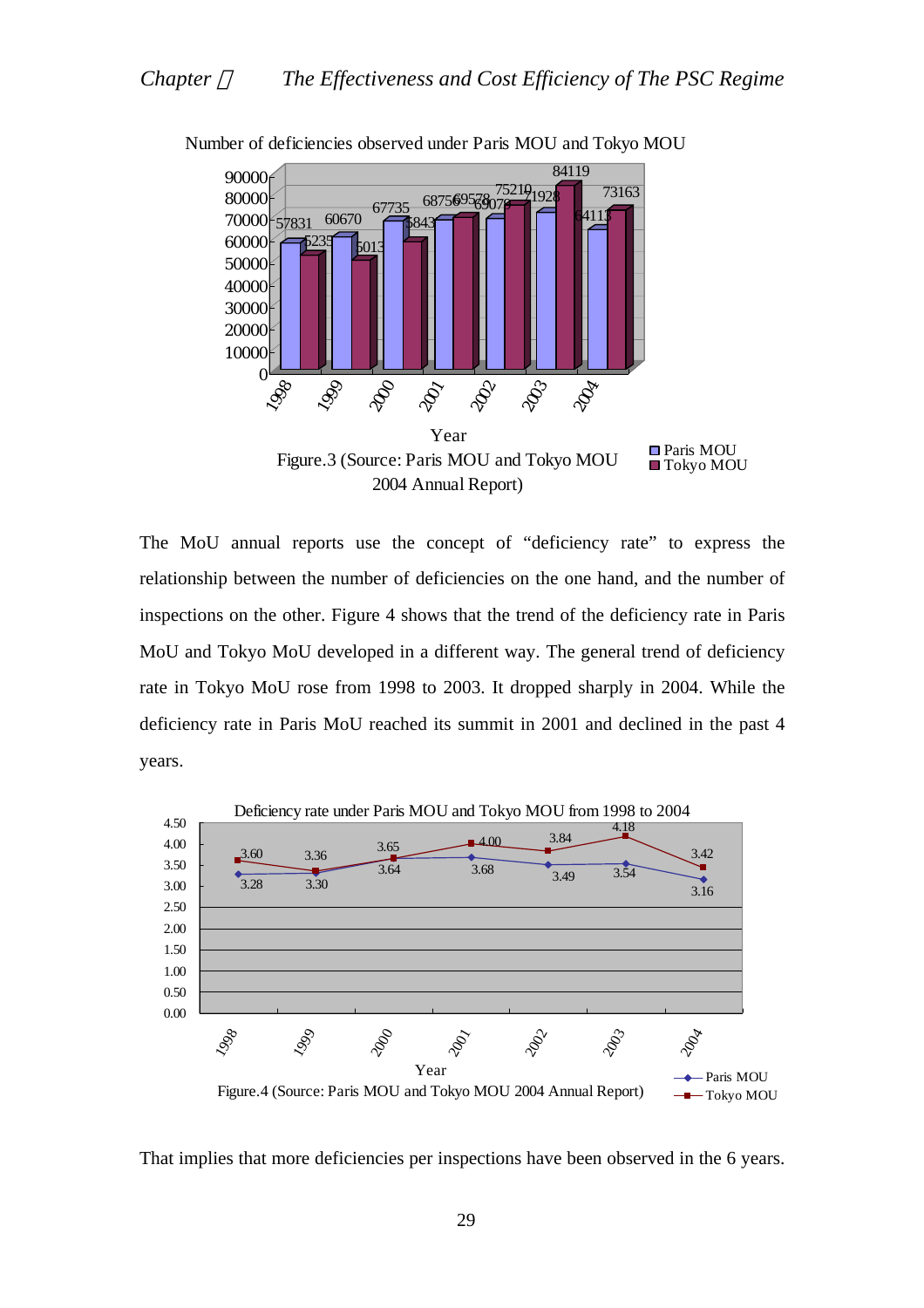

Number of deficiencies observed under Paris MOU and Tokyo MOU

The MoU annual reports use the concept of "deficiency rate" to express the relationship between the number of deficiencies on the one hand, and the number of inspections on the other. Figure 4 shows that the trend of the deficiency rate in Paris MoU and Tokyo MoU developed in a different way. The general trend of deficiency rate in Tokyo MoU rose from 1998 to 2003. It dropped sharply in 2004. While the deficiency rate in Paris MoU reached its summit in 2001 and declined in the past 4 years.



That implies that more deficiencies per inspections have been observed in the 6 years.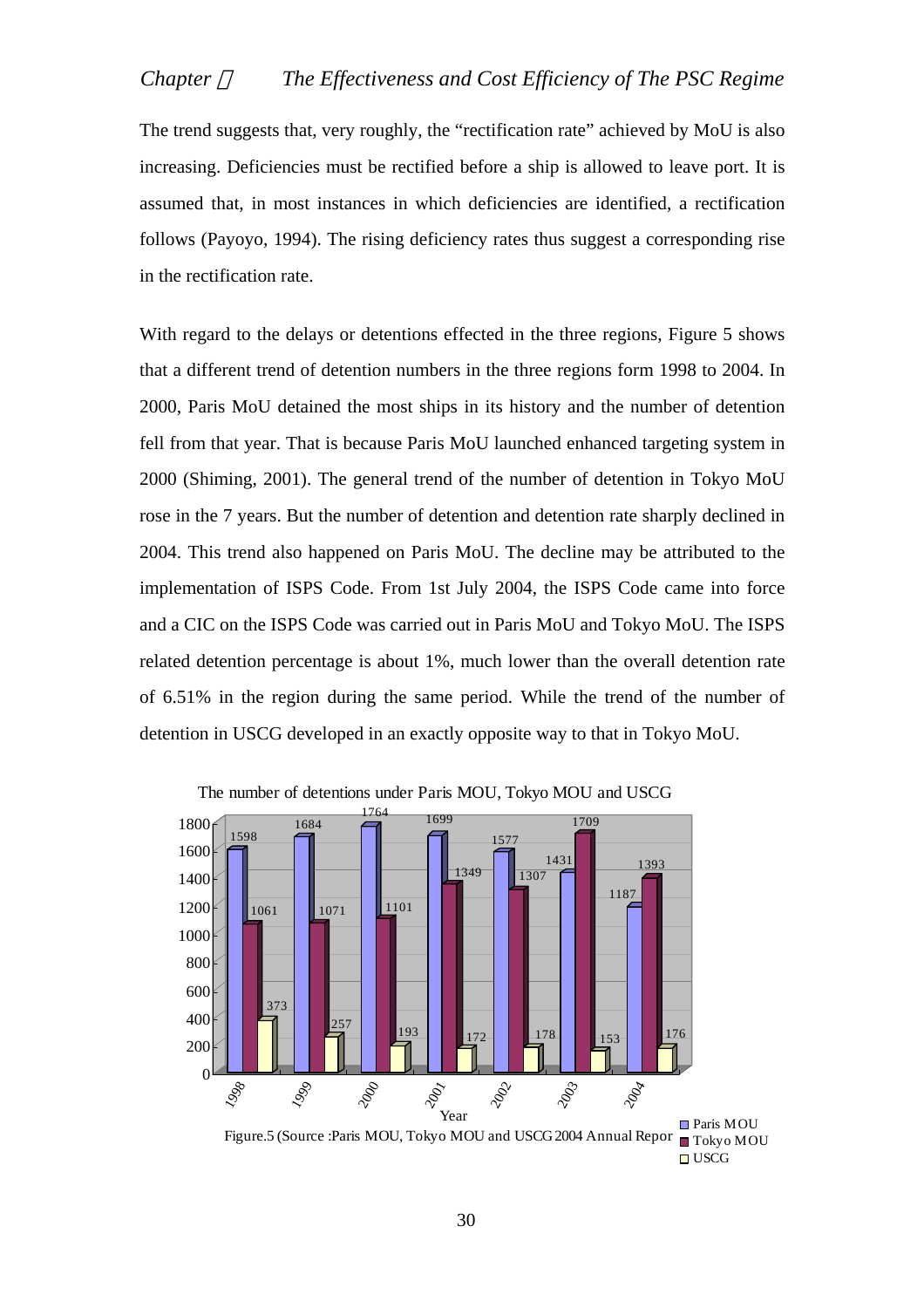The trend suggests that, very roughly, the "rectification rate" achieved by MoU is also increasing. Deficiencies must be rectified before a ship is allowed to leave port. It is assumed that, in most instances in which deficiencies are identified, a rectification follows (Payoyo, 1994). The rising deficiency rates thus suggest a corresponding rise in the rectification rate.

With regard to the delays or detentions effected in the three regions, Figure 5 shows that a different trend of detention numbers in the three regions form 1998 to 2004. In 2000, Paris MoU detained the most ships in its history and the number of detention fell from that year. That is because Paris MoU launched enhanced targeting system in 2000 (Shiming, 2001). The general trend of the number of detention in Tokyo MoU rose in the 7 years. But the number of detention and detention rate sharply declined in 2004. This trend also happened on Paris MoU. The decline may be attributed to the implementation of ISPS Code. From 1st July 2004, the ISPS Code came into force and a CIC on the ISPS Code was carried out in Paris MoU and Tokyo MoU. The ISPS related detention percentage is about 1%, much lower than the overall detention rate of 6.51% in the region during the same period. While the trend of the number of detention in USCG developed in an exactly opposite way to that in Tokyo MoU.



**□** USCG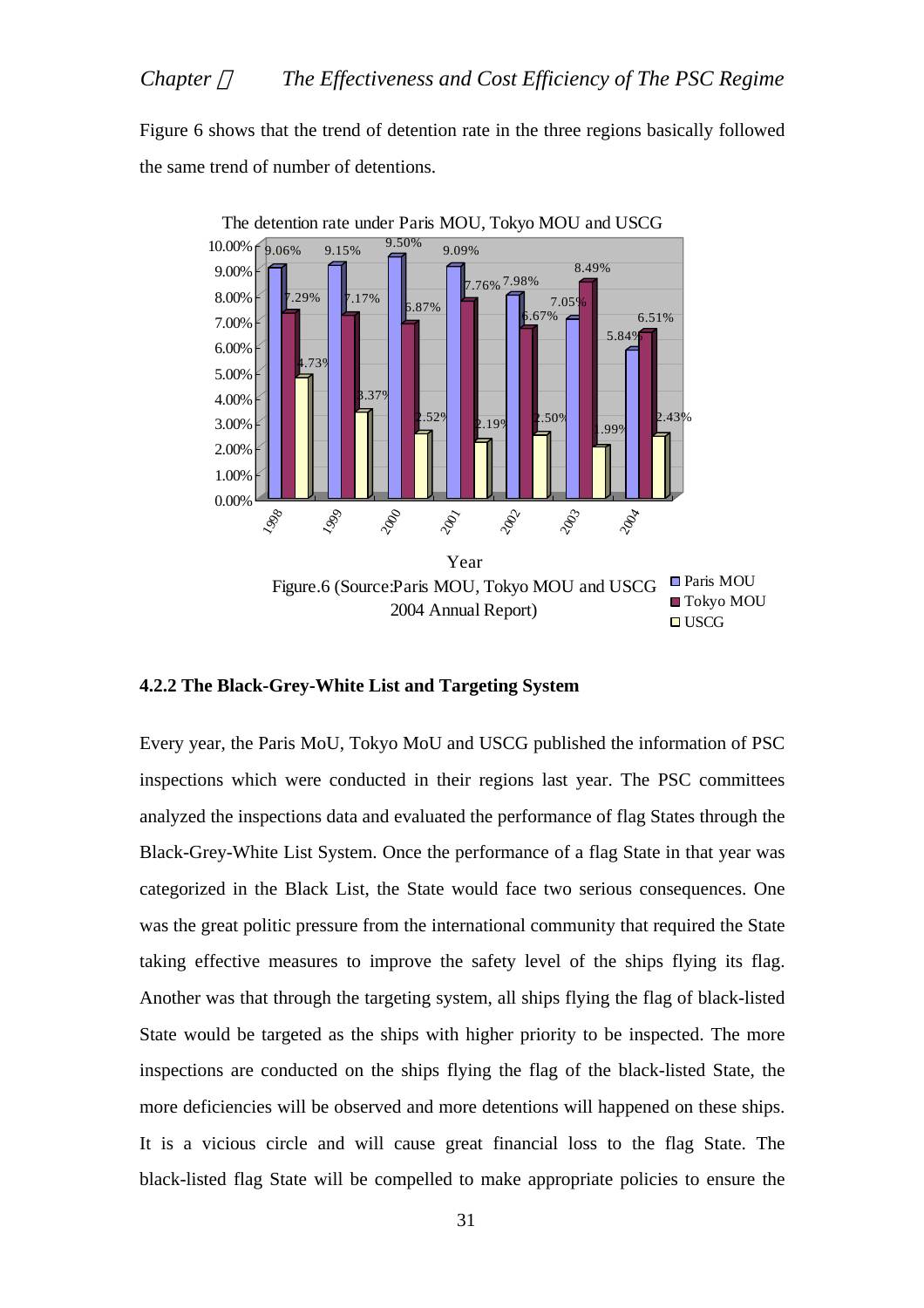# *Chapter The Effectiveness and Cost Efficiency of The PSC Regime*

Figure 6 shows that the trend of detention rate in the three regions basically followed the same trend of number of detentions.



## **4.2.2 The Black-Grey-White List and Targeting System**

Every year, the Paris MoU, Tokyo MoU and USCG published the information of PSC inspections which were conducted in their regions last year. The PSC committees analyzed the inspections data and evaluated the performance of flag States through the Black-Grey-White List System. Once the performance of a flag State in that year was categorized in the Black List, the State would face two serious consequences. One was the great politic pressure from the international community that required the State taking effective measures to improve the safety level of the ships flying its flag. Another was that through the targeting system, all ships flying the flag of black-listed State would be targeted as the ships with higher priority to be inspected. The more inspections are conducted on the ships flying the flag of the black-listed State, the more deficiencies will be observed and more detentions will happened on these ships. It is a vicious circle and will cause great financial loss to the flag State. The black-listed flag State will be compelled to make appropriate policies to ensure the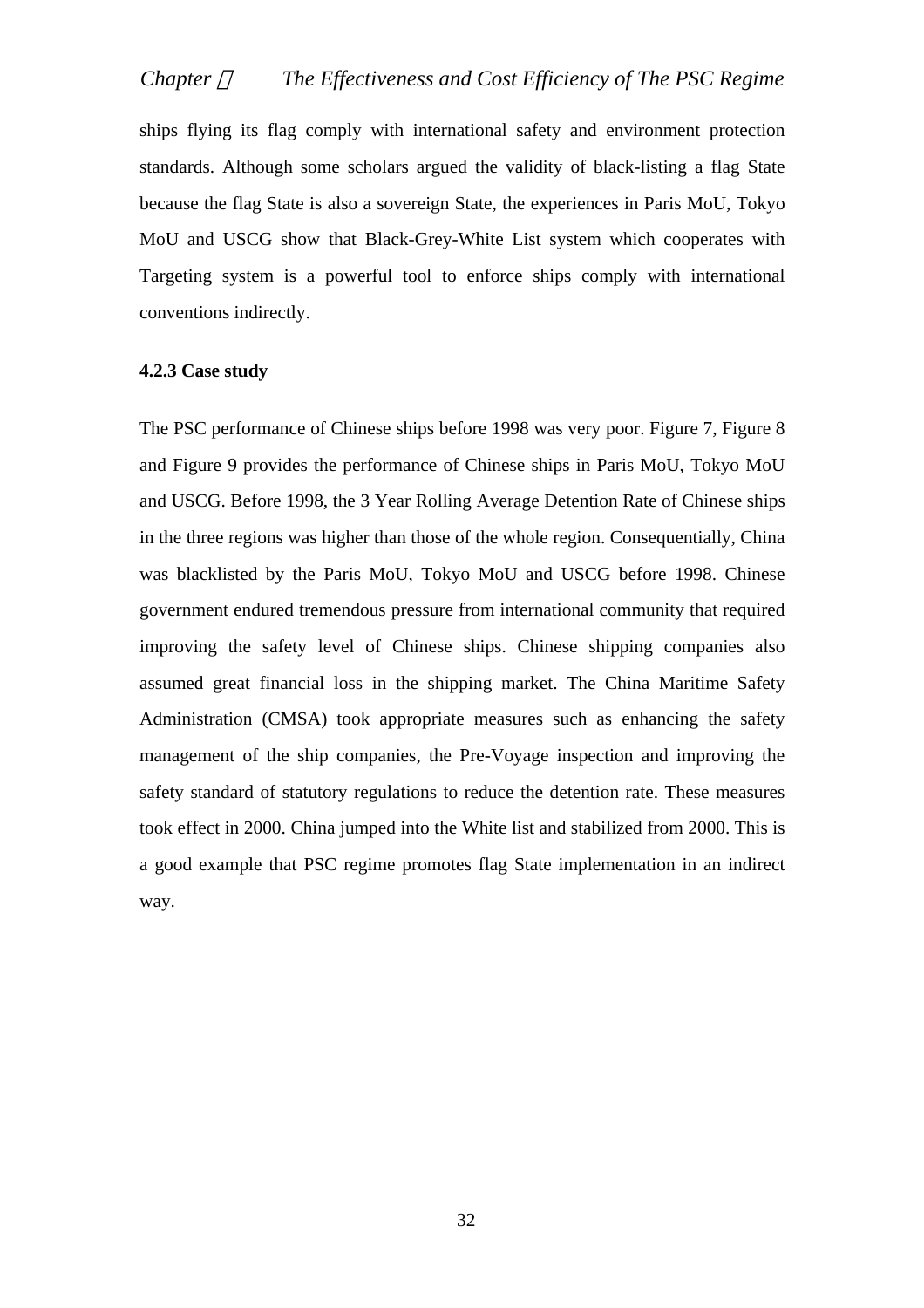ships flying its flag comply with international safety and environment protection standards. Although some scholars argued the validity of black-listing a flag State because the flag State is also a sovereign State, the experiences in Paris MoU, Tokyo MoU and USCG show that Black-Grey-White List system which cooperates with Targeting system is a powerful tool to enforce ships comply with international conventions indirectly.

#### **4.2.3 Case study**

The PSC performance of Chinese ships before 1998 was very poor. Figure 7, Figure 8 and Figure 9 provides the performance of Chinese ships in Paris MoU, Tokyo MoU and USCG. Before 1998, the 3 Year Rolling Average Detention Rate of Chinese ships in the three regions was higher than those of the whole region. Consequentially, China was blacklisted by the Paris MoU, Tokyo MoU and USCG before 1998. Chinese government endured tremendous pressure from international community that required improving the safety level of Chinese ships. Chinese shipping companies also assumed great financial loss in the shipping market. The China Maritime Safety Administration (CMSA) took appropriate measures such as enhancing the safety management of the ship companies, the Pre-Voyage inspection and improving the safety standard of statutory regulations to reduce the detention rate. These measures took effect in 2000. China jumped into the White list and stabilized from 2000. This is a good example that PSC regime promotes flag State implementation in an indirect way.

32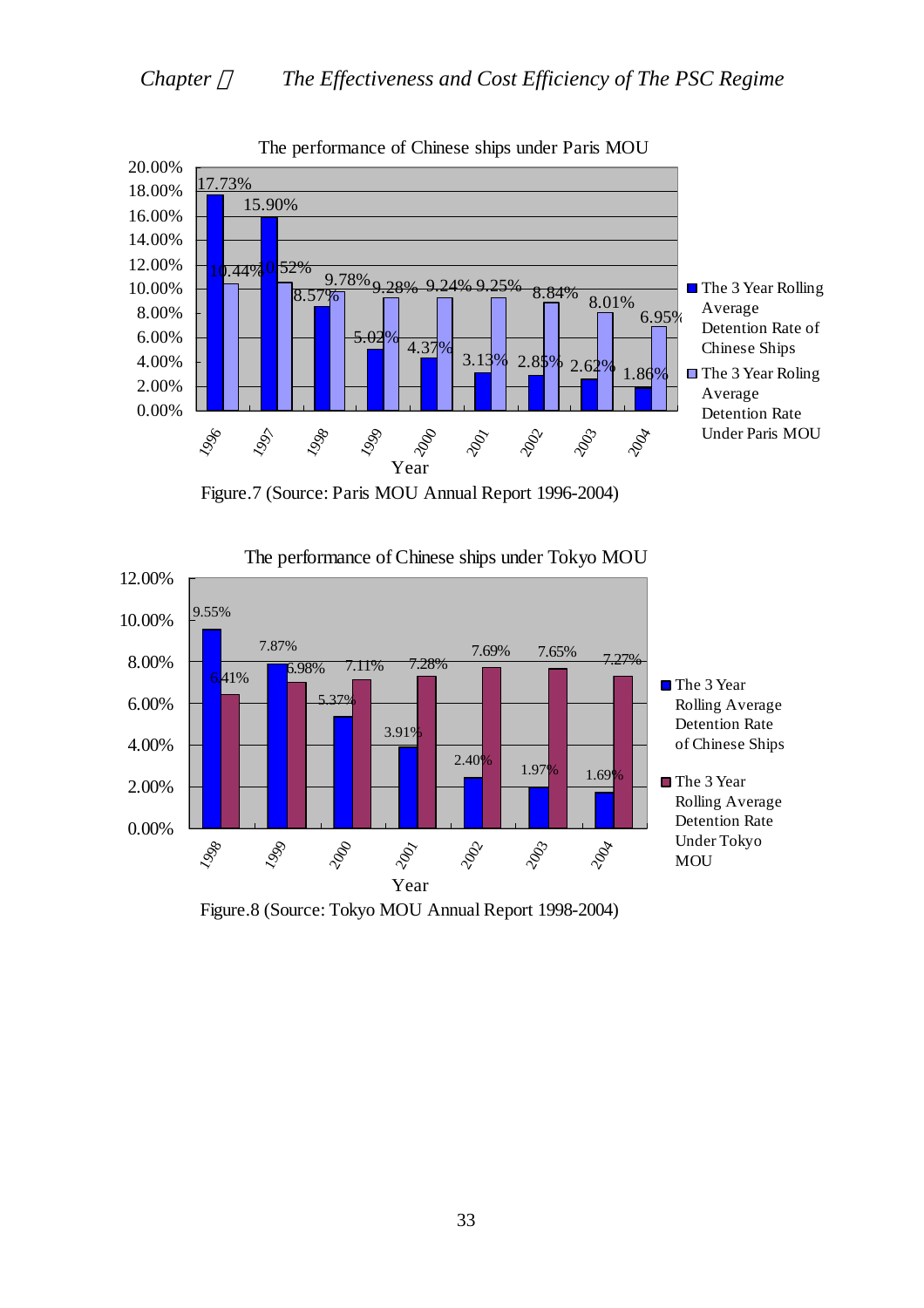

The performance of Chinese ships under Paris MOU





The performance of Chinese ships under Tokyo MOU

Figure.8 (Source: Tokyo MOU Annual Report 1998-2004)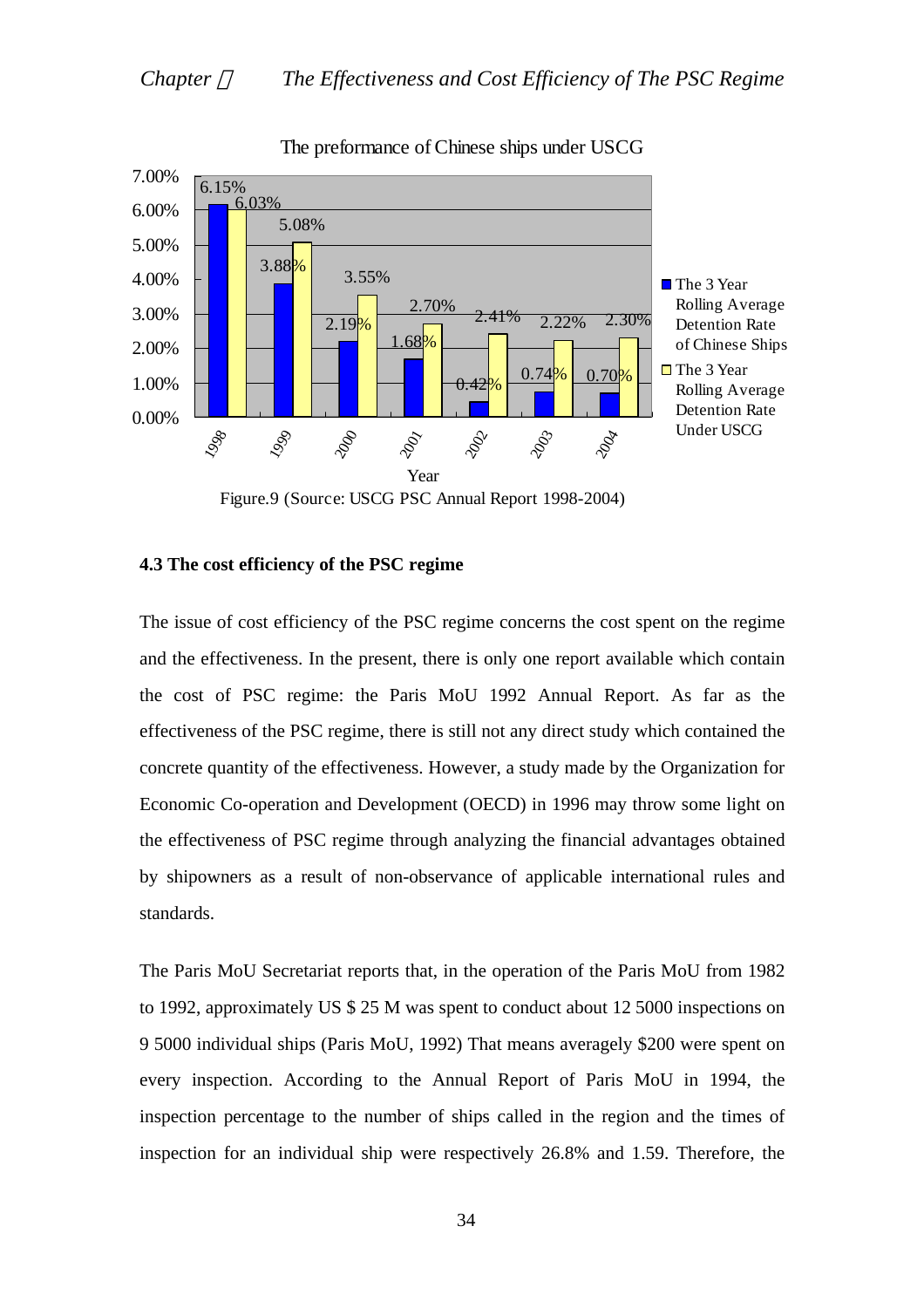

### The preformance of Chinese ships under USCG

The issue of cost efficiency of the PSC regime concerns the cost spent on the regime and the effectiveness. In the present, there is only one report available which contain the cost of PSC regime: the Paris MoU 1992 Annual Report. As far as the effectiveness of the PSC regime, there is still not any direct study which contained the concrete quantity of the effectiveness. However, a study made by the Organization for Economic Co-operation and Development (OECD) in 1996 may throw some light on the effectiveness of PSC regime through analyzing the financial advantages obtained by shipowners as a result of non-observance of applicable international rules and standards.

# **4.3 The cost efficiency of the PSC regime**

The Paris MoU Secretariat reports that, in the operation of the Paris MoU from 1982 to 1992, approximately US \$ 25 M was spent to conduct about 12 5000 inspections on 9 5000 individual ships (Paris MoU, 1992) That means averagely \$200 were spent on every inspection. According to the Annual Report of Paris MoU in 1994, the inspection percentage to the number of ships called in the region and the times of inspection for an individual ship were respectively 26.8% and 1.59. Therefore, the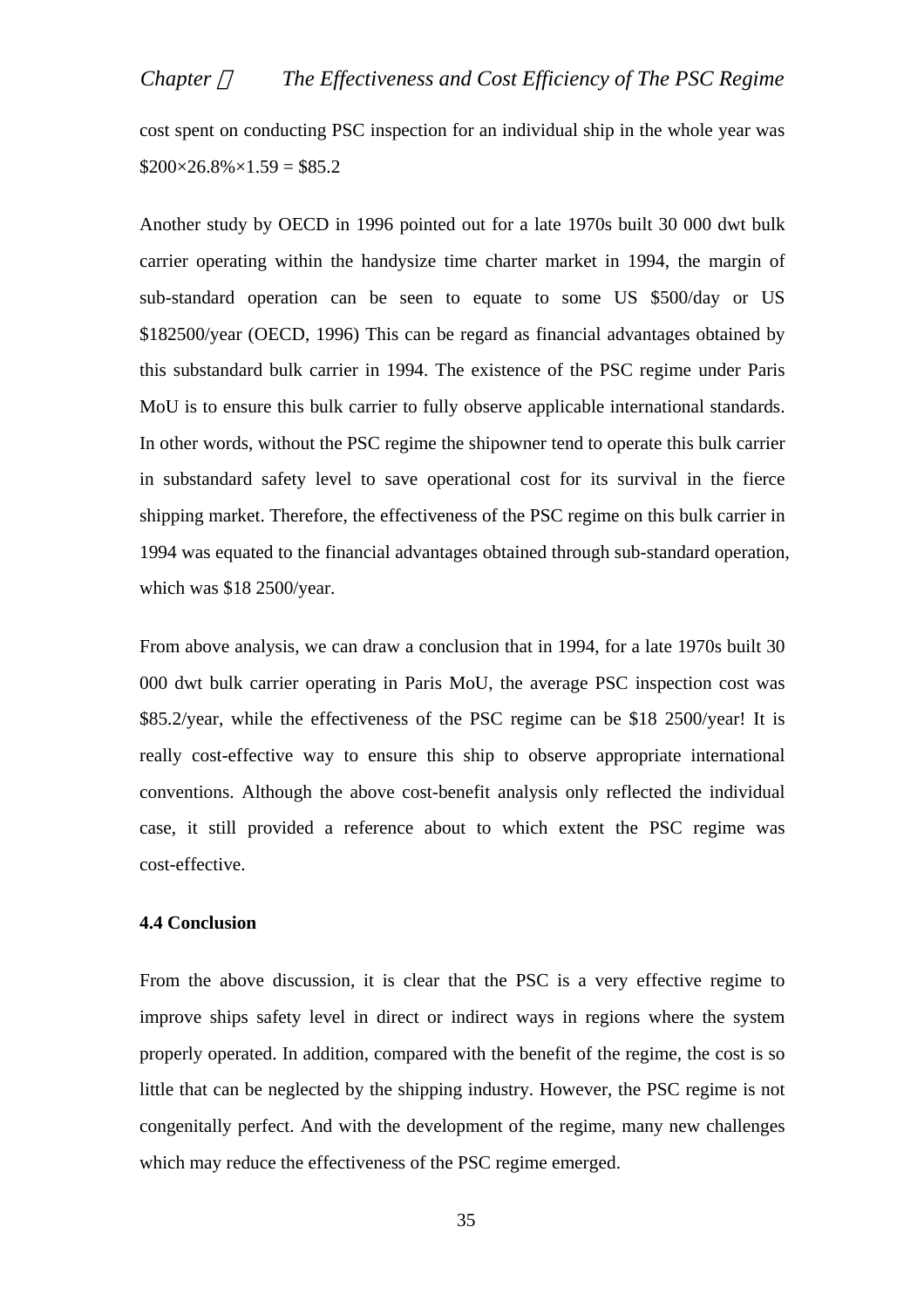cost spent on conducting PSC inspection for an individual ship in the whole year was  $$200\times26.8\% \times 1.59 = $85.2$ 

Another study by OECD in 1996 pointed out for a late 1970s built 30 000 dwt bulk carrier operating within the handysize time charter market in 1994, the margin of sub-standard operation can be seen to equate to some US \$500/day or US \$182500/year (OECD, 1996) This can be regard as financial advantages obtained by this substandard bulk carrier in 1994. The existence of the PSC regime under Paris MoU is to ensure this bulk carrier to fully observe applicable international standards. In other words, without the PSC regime the shipowner tend to operate this bulk carrier in substandard safety level to save operational cost for its survival in the fierce shipping market. Therefore, the effectiveness of the PSC regime on this bulk carrier in 1994 was equated to the financial advantages obtained through sub-standard operation, which was \$18 2500/year.

From above analysis, we can draw a conclusion that in 1994, for a late 1970s built 30 000 dwt bulk carrier operating in Paris MoU, the average PSC inspection cost was \$85.2/year, while the effectiveness of the PSC regime can be \$18 2500/year! It is really cost-effective way to ensure this ship to observe appropriate international conventions. Although the above cost-benefit analysis only reflected the individual case, it still provided a reference about to which extent the PSC regime was cost-effective.

## **4.4 Conclusion**

From the above discussion, it is clear that the PSC is a very effective regime to improve ships safety level in direct or indirect ways in regions where the system properly operated. In addition, compared with the benefit of the regime, the cost is so little that can be neglected by the shipping industry. However, the PSC regime is not congenitally perfect. And with the development of the regime, many new challenges which may reduce the effectiveness of the PSC regime emerged.

35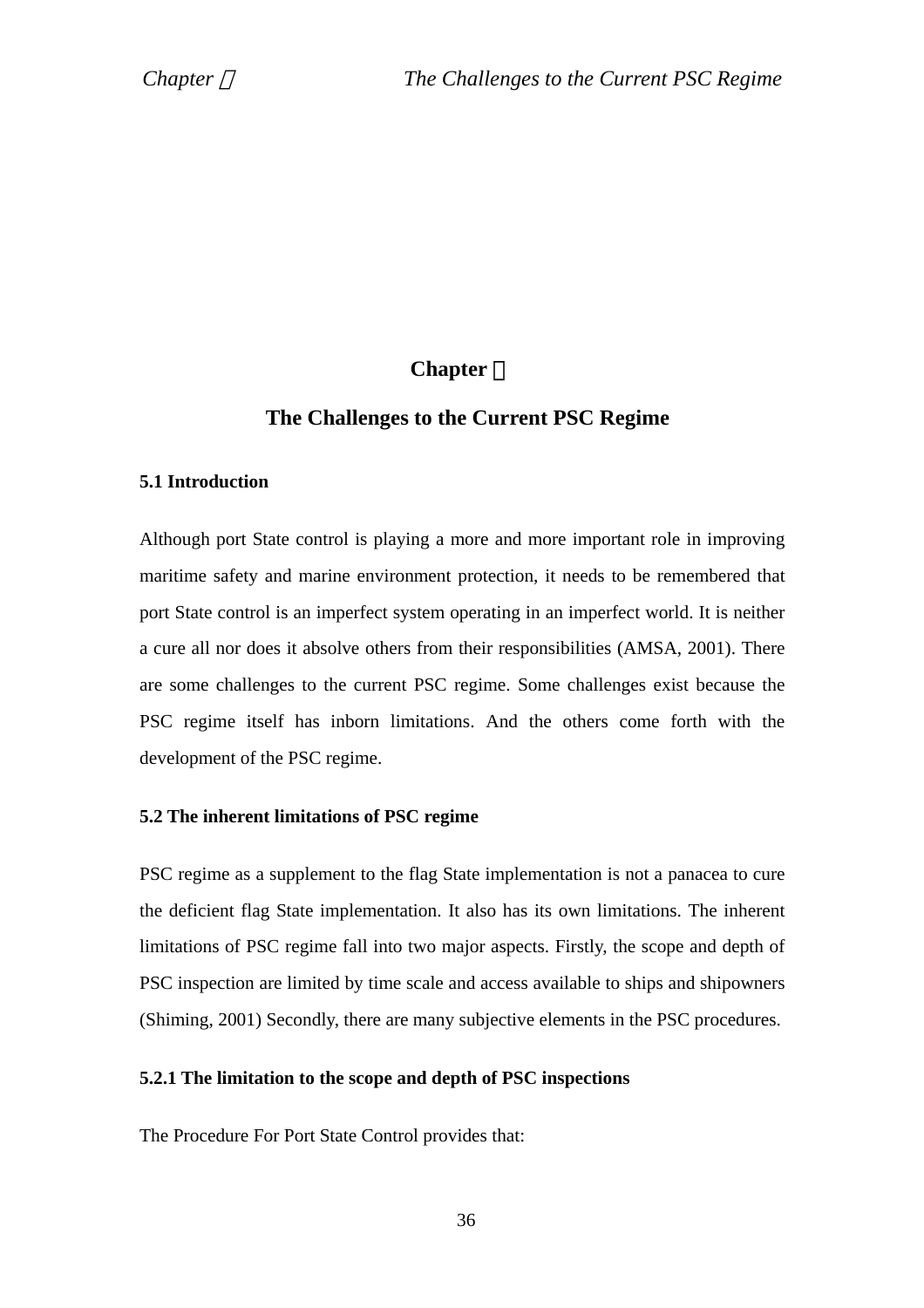# **Chapter** Ⅴ

# **The Challenges to the Current PSC Regime**

## **5.1 Introduction**

Although port State control is playing a more and more important role in improving maritime safety and marine environment protection, it needs to be remembered that port State control is an imperfect system operating in an imperfect world. It is neither a cure all nor does it absolve others from their responsibilities (AMSA, 2001). There are some challenges to the current PSC regime. Some challenges exist because the PSC regime itself has inborn limitations. And the others come forth with the development of the PSC regime.

## **5.2 The inherent limitations of PSC regime**

PSC regime as a supplement to the flag State implementation is not a panacea to cure the deficient flag State implementation. It also has its own limitations. The inherent limitations of PSC regime fall into two major aspects. Firstly, the scope and depth of PSC inspection are limited by time scale and access available to ships and shipowners (Shiming, 2001) Secondly, there are many subjective elements in the PSC procedures.

## **5.2.1 The limitation to the scope and depth of PSC inspections**

The Procedure For Port State Control provides that: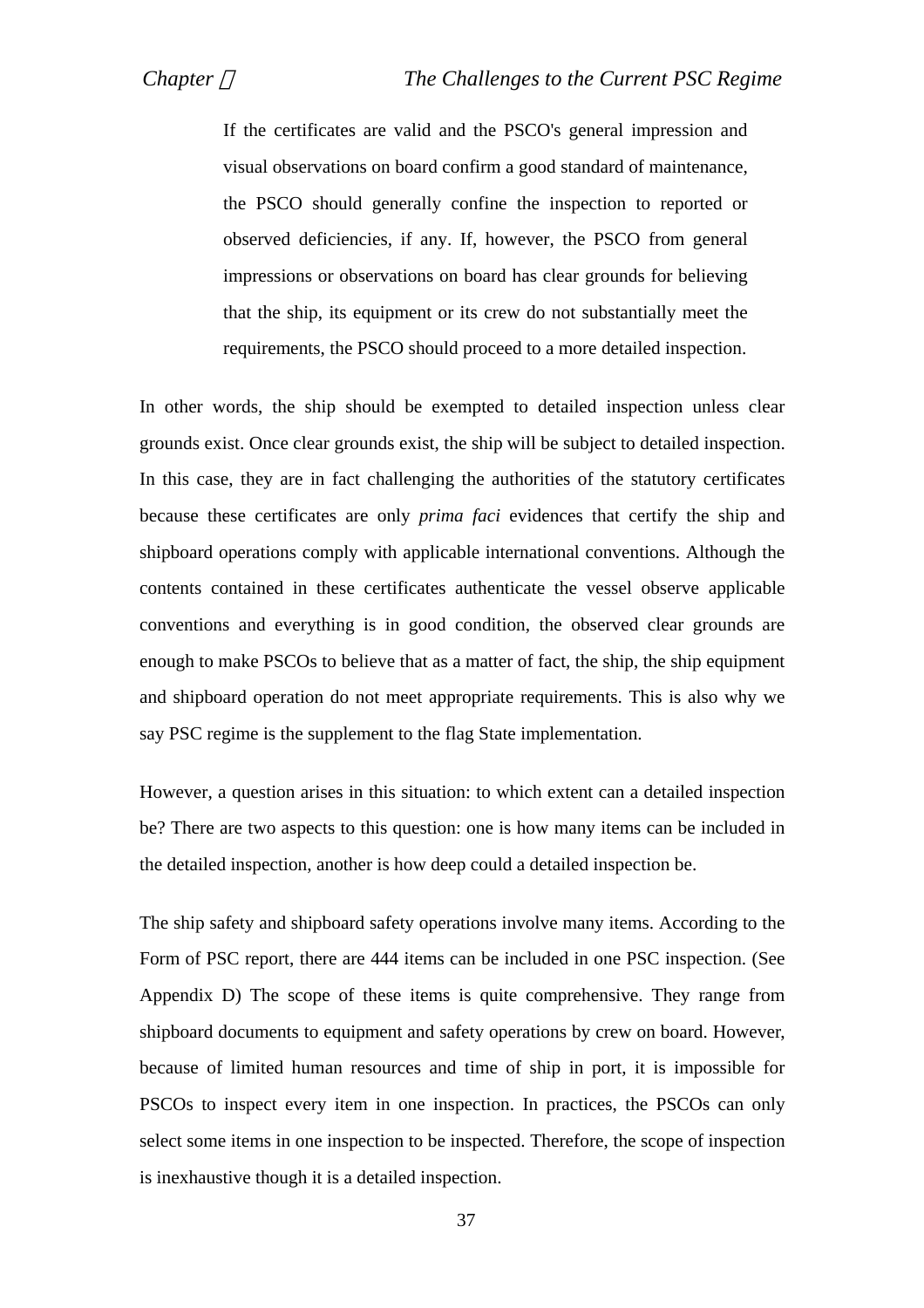If the certificates are valid and the PSCO's general impression and visual observations on board confirm a good standard of maintenance, the PSCO should generally confine the inspection to reported or observed deficiencies, if any. If, however, the PSCO from general impressions or observations on board has clear grounds for believing that the ship, its equipment or its crew do not substantially meet the requirements, the PSCO should proceed to a more detailed inspection.

In other words, the ship should be exempted to detailed inspection unless clear grounds exist. Once clear grounds exist, the ship will be subject to detailed inspection. In this case, they are in fact challenging the authorities of the statutory certificates because these certificates are only *prima faci* evidences that certify the ship and shipboard operations comply with applicable international conventions. Although the contents contained in these certificates authenticate the vessel observe applicable conventions and everything is in good condition, the observed clear grounds are enough to make PSCOs to believe that as a matter of fact, the ship, the ship equipment and shipboard operation do not meet appropriate requirements. This is also why we say PSC regime is the supplement to the flag State implementation.

However, a question arises in this situation: to which extent can a detailed inspection be? There are two aspects to this question: one is how many items can be included in the detailed inspection, another is how deep could a detailed inspection be.

The ship safety and shipboard safety operations involve many items. According to the Form of PSC report, there are 444 items can be included in one PSC inspection. (See Appendix D) The scope of these items is quite comprehensive. They range from shipboard documents to equipment and safety operations by crew on board. However, because of limited human resources and time of ship in port, it is impossible for PSCOs to inspect every item in one inspection. In practices, the PSCOs can only select some items in one inspection to be inspected. Therefore, the scope of inspection is inexhaustive though it is a detailed inspection.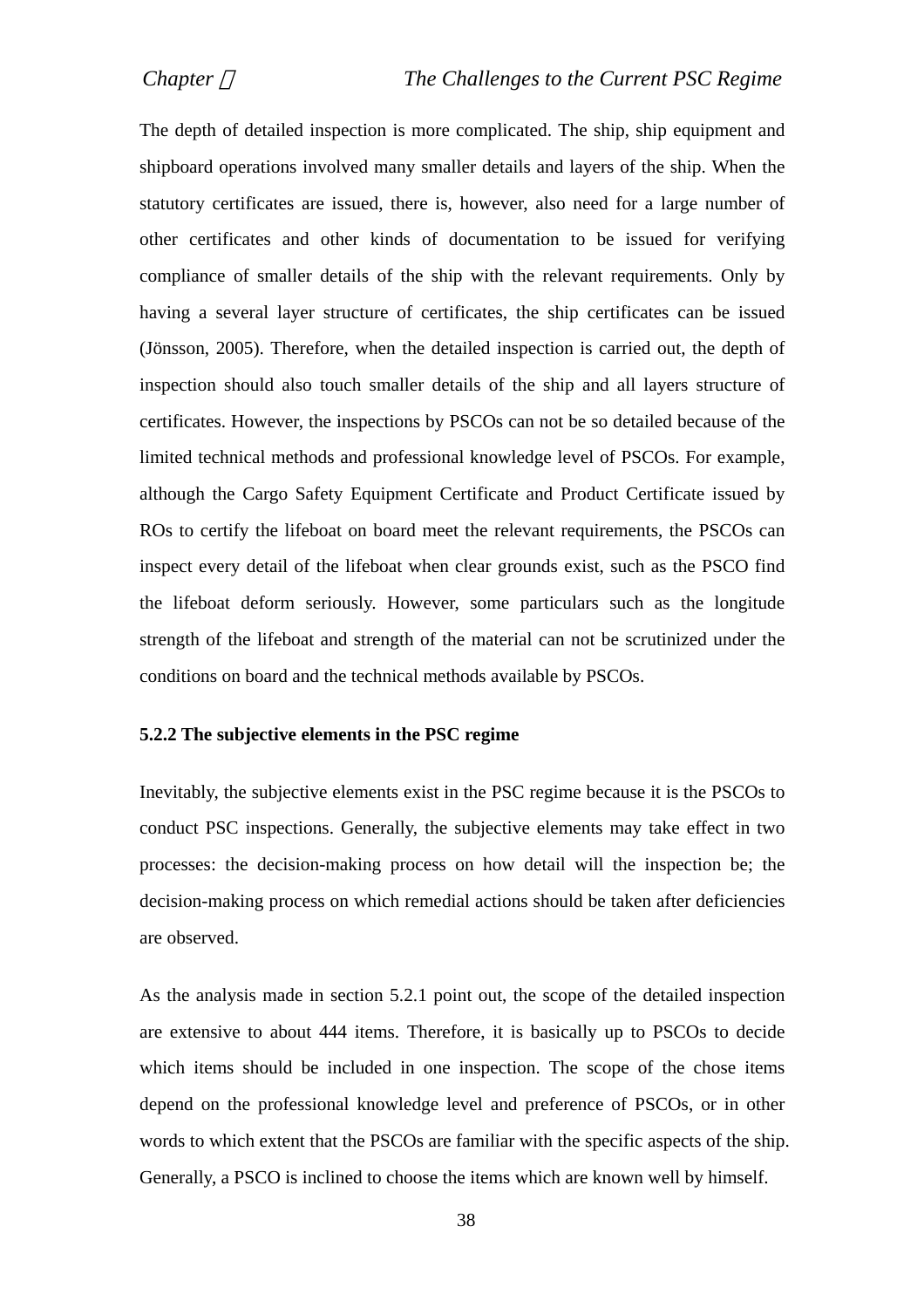The depth of detailed inspection is more complicated. The ship, ship equipment and shipboard operations involved many smaller details and layers of the ship. When the statutory certificates are issued, there is, however, also need for a large number of other certificates and other kinds of documentation to be issued for verifying compliance of smaller details of the ship with the relevant requirements. Only by having a several layer structure of certificates, the ship certificates can be issued (Jönsson, 2005). Therefore, when the detailed inspection is carried out, the depth of inspection should also touch smaller details of the ship and all layers structure of certificates. However, the inspections by PSCOs can not be so detailed because of the limited technical methods and professional knowledge level of PSCOs. For example, although the Cargo Safety Equipment Certificate and Product Certificate issued by ROs to certify the lifeboat on board meet the relevant requirements, the PSCOs can inspect every detail of the lifeboat when clear grounds exist, such as the PSCO find the lifeboat deform seriously. However, some particulars such as the longitude strength of the lifeboat and strength of the material can not be scrutinized under the conditions on board and the technical methods available by PSCOs.

#### **5.2.2 The subjective elements in the PSC regime**

Inevitably, the subjective elements exist in the PSC regime because it is the PSCOs to conduct PSC inspections. Generally, the subjective elements may take effect in two processes: the decision-making process on how detail will the inspection be; the decision-making process on which remedial actions should be taken after deficiencies are observed.

As the analysis made in section 5.2.1 point out, the scope of the detailed inspection are extensive to about 444 items. Therefore, it is basically up to PSCOs to decide which items should be included in one inspection. The scope of the chose items depend on the professional knowledge level and preference of PSCOs, or in other words to which extent that the PSCOs are familiar with the specific aspects of the ship. Generally, a PSCO is inclined to choose the items which are known well by himself.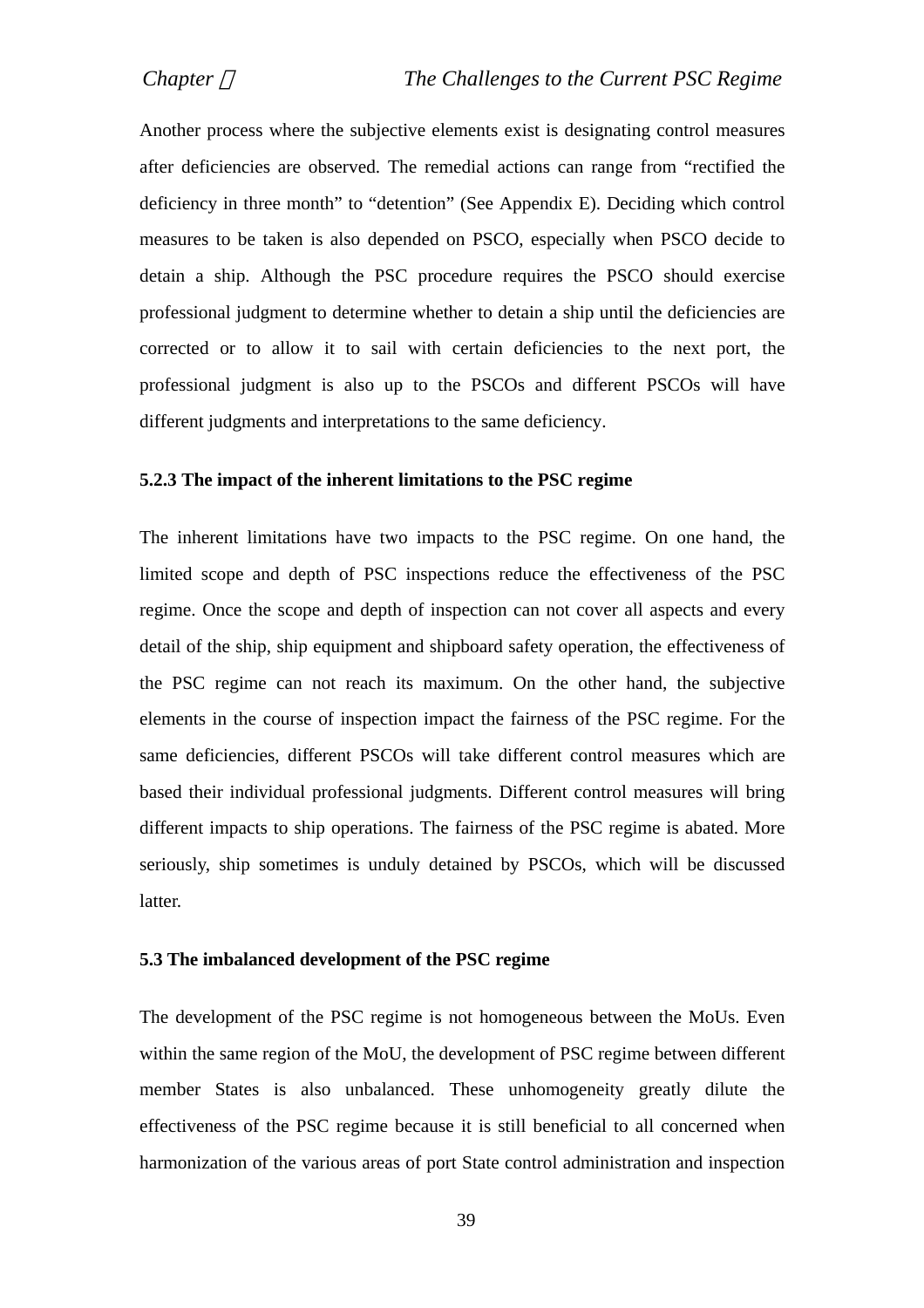Another process where the subjective elements exist is designating control measures after deficiencies are observed. The remedial actions can range from "rectified the deficiency in three month" to "detention" (See Appendix E). Deciding which control measures to be taken is also depended on PSCO, especially when PSCO decide to detain a ship. Although the PSC procedure requires the PSCO should exercise professional judgment to determine whether to detain a ship until the deficiencies are corrected or to allow it to sail with certain deficiencies to the next port, the professional judgment is also up to the PSCOs and different PSCOs will have different judgments and interpretations to the same deficiency.

#### **5.2.3 The impact of the inherent limitations to the PSC regime**

The inherent limitations have two impacts to the PSC regime. On one hand, the limited scope and depth of PSC inspections reduce the effectiveness of the PSC regime. Once the scope and depth of inspection can not cover all aspects and every detail of the ship, ship equipment and shipboard safety operation, the effectiveness of the PSC regime can not reach its maximum. On the other hand, the subjective elements in the course of inspection impact the fairness of the PSC regime. For the same deficiencies, different PSCOs will take different control measures which are based their individual professional judgments. Different control measures will bring different impacts to ship operations. The fairness of the PSC regime is abated. More seriously, ship sometimes is unduly detained by PSCOs, which will be discussed latter.

## **5.3 The imbalanced development of the PSC regime**

The development of the PSC regime is not homogeneous between the MoUs. Even within the same region of the MoU, the development of PSC regime between different member States is also unbalanced. These unhomogeneity greatly dilute the effectiveness of the PSC regime because it is still beneficial to all concerned when harmonization of the various areas of port State control administration and inspection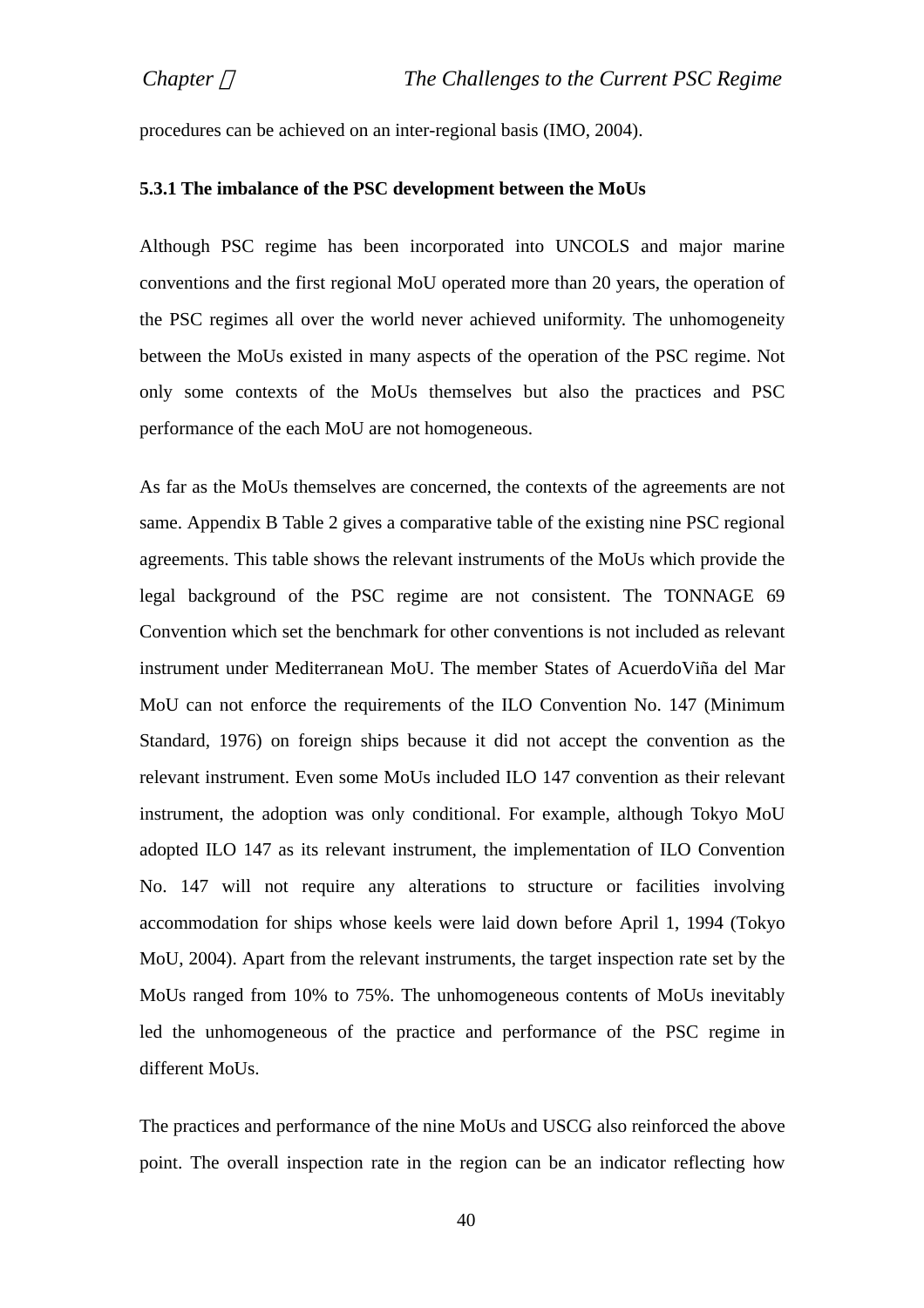procedures can be achieved on an inter-regional basis (IMO, 2004).

#### **5.3.1 The imbalance of the PSC development between the MoUs**

Although PSC regime has been incorporated into UNCOLS and major marine conventions and the first regional MoU operated more than 20 years, the operation of the PSC regimes all over the world never achieved uniformity. The unhomogeneity between the MoUs existed in many aspects of the operation of the PSC regime. Not only some contexts of the MoUs themselves but also the practices and PSC performance of the each MoU are not homogeneous.

As far as the MoUs themselves are concerned, the contexts of the agreements are not same. Appendix B Table 2 gives a comparative table of the existing nine PSC regional agreements. This table shows the relevant instruments of the MoUs which provide the legal background of the PSC regime are not consistent. The TONNAGE 69 Convention which set the benchmark for other conventions is not included as relevant instrument under Mediterranean MoU. The member States of AcuerdoViña del Mar MoU can not enforce the requirements of the ILO Convention No. 147 (Minimum Standard, 1976) on foreign ships because it did not accept the convention as the relevant instrument. Even some MoUs included ILO 147 convention as their relevant instrument, the adoption was only conditional. For example, although Tokyo MoU adopted ILO 147 as its relevant instrument, the implementation of ILO Convention No. 147 will not require any alterations to structure or facilities involving accommodation for ships whose keels were laid down before April 1, 1994 (Tokyo MoU, 2004). Apart from the relevant instruments, the target inspection rate set by the MoUs ranged from 10% to 75%. The unhomogeneous contents of MoUs inevitably led the unhomogeneous of the practice and performance of the PSC regime in different MoUs.

The practices and performance of the nine MoUs and USCG also reinforced the above point. The overall inspection rate in the region can be an indicator reflecting how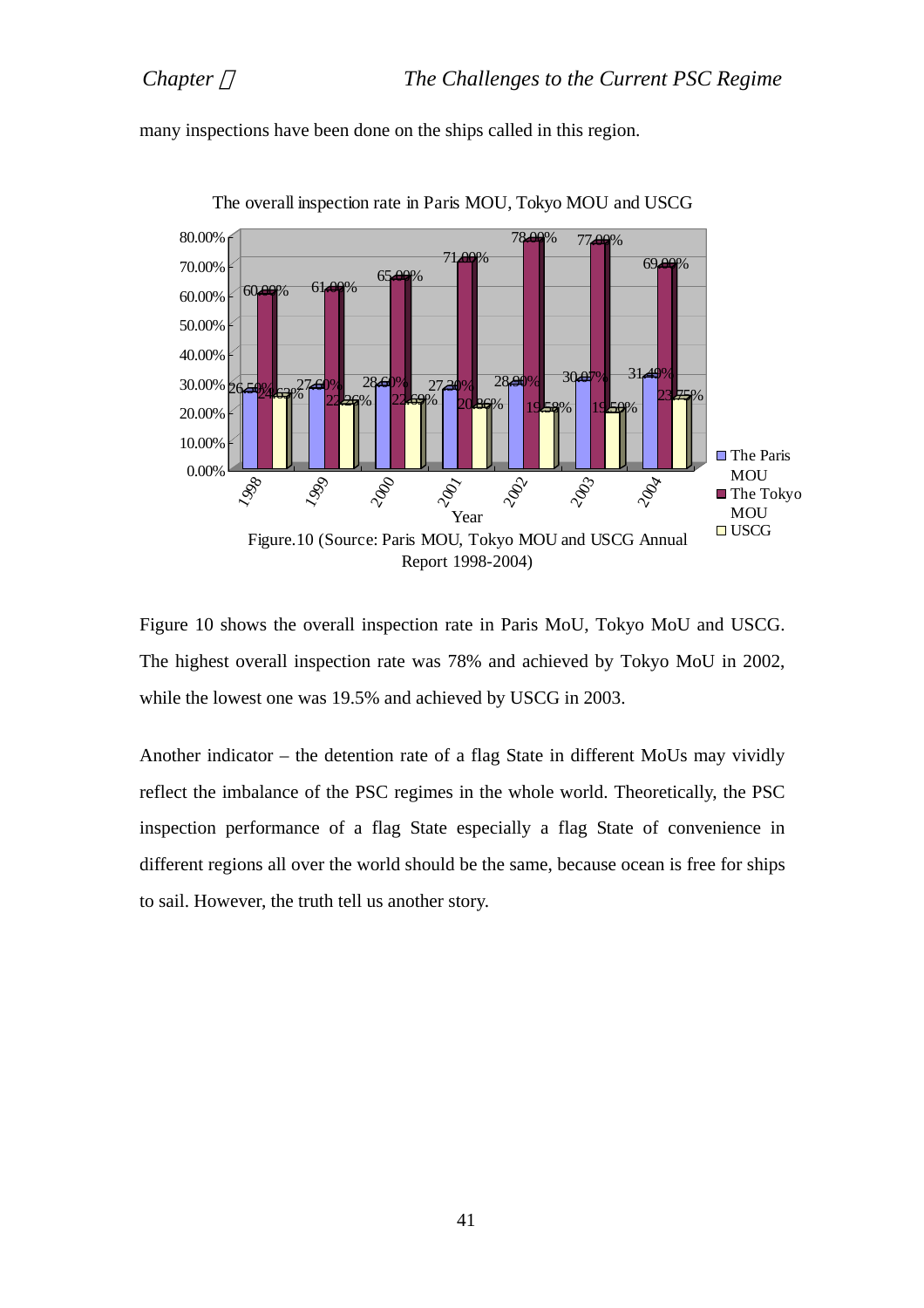



Figure 10 shows the overall inspection rate in Paris MoU, Tokyo MoU and USCG. The highest overall inspection rate was 78% and achieved by Tokyo MoU in 2002, while the lowest one was 19.5% and achieved by USCG in 2003.

Another indicator – the detention rate of a flag State in different MoUs may vividly reflect the imbalance of the PSC regimes in the whole world. Theoretically, the PSC inspection performance of a flag State especially a flag State of convenience in different regions all over the world should be the same, because ocean is free for ships to sail. However, the truth tell us another story.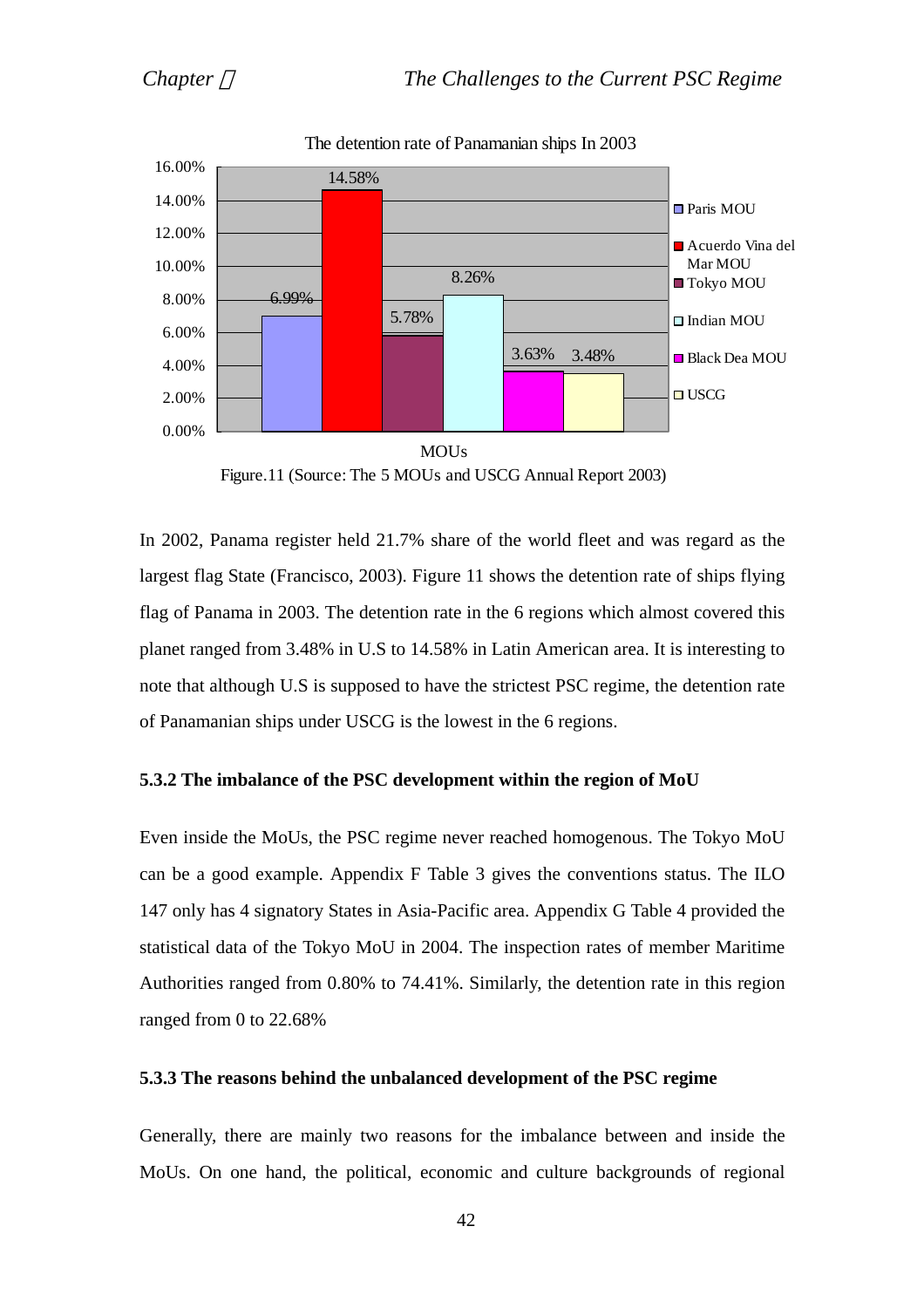

The detention rate of Panamanian ships In 2003

Figure.11 (Source: The 5 MOUs and USCG Annual Report 2003)

In 2002, Panama register held 21.7% share of the world fleet and was regard as the largest flag State (Francisco, 2003). Figure 11 shows the detention rate of ships flying flag of Panama in 2003. The detention rate in the 6 regions which almost covered this planet ranged from 3.48% in U.S to 14.58% in Latin American area. It is interesting to note that although U.S is supposed to have the strictest PSC regime, the detention rate of Panamanian ships under USCG is the lowest in the 6 regions.

## **5.3.2 The imbalance of the PSC development within the region of MoU**

Even inside the MoUs, the PSC regime never reached homogenous. The Tokyo MoU can be a good example. Appendix F Table 3 gives the conventions status. The ILO 147 only has 4 signatory States in Asia-Pacific area. Appendix G Table 4 provided the statistical data of the Tokyo MoU in 2004. The inspection rates of member Maritime Authorities ranged from 0.80% to 74.41%. Similarly, the detention rate in this region ranged from 0 to 22.68%

## **5.3.3 The reasons behind the unbalanced development of the PSC regime**

Generally, there are mainly two reasons for the imbalance between and inside the MoUs. On one hand, the political, economic and culture backgrounds of regional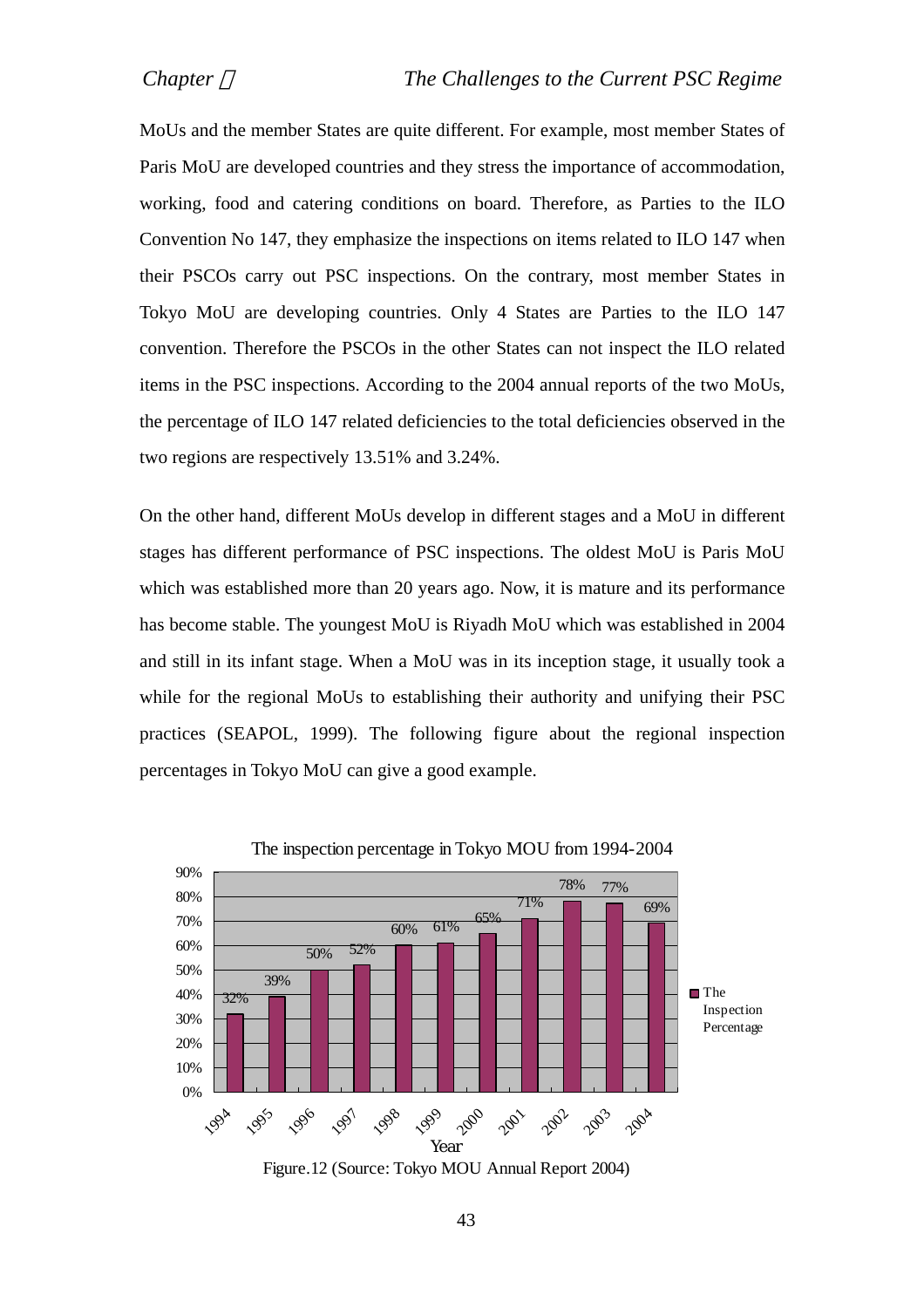MoUs and the member States are quite different. For example, most member States of Paris MoU are developed countries and they stress the importance of accommodation, working, food and catering conditions on board. Therefore, as Parties to the ILO Convention No 147, they emphasize the inspections on items related to ILO 147 when their PSCOs carry out PSC inspections. On the contrary, most member States in Tokyo MoU are developing countries. Only 4 States are Parties to the ILO 147 convention. Therefore the PSCOs in the other States can not inspect the ILO related items in the PSC inspections. According to the 2004 annual reports of the two MoUs, the percentage of ILO 147 related deficiencies to the total deficiencies observed in the two regions are respectively 13.51% and 3.24%.

On the other hand, different MoUs develop in different stages and a MoU in different stages has different performance of PSC inspections. The oldest MoU is Paris MoU which was established more than 20 years ago. Now, it is mature and its performance has become stable. The youngest MoU is Riyadh MoU which was established in 2004 and still in its infant stage. When a MoU was in its inception stage, it usually took a while for the regional MoUs to establishing their authority and unifying their PSC practices (SEAPOL, 1999). The following figure about the regional inspection percentages in Tokyo MoU can give a good example.



Figure.12 (Source: Tokyo MOU Annual Report 2004)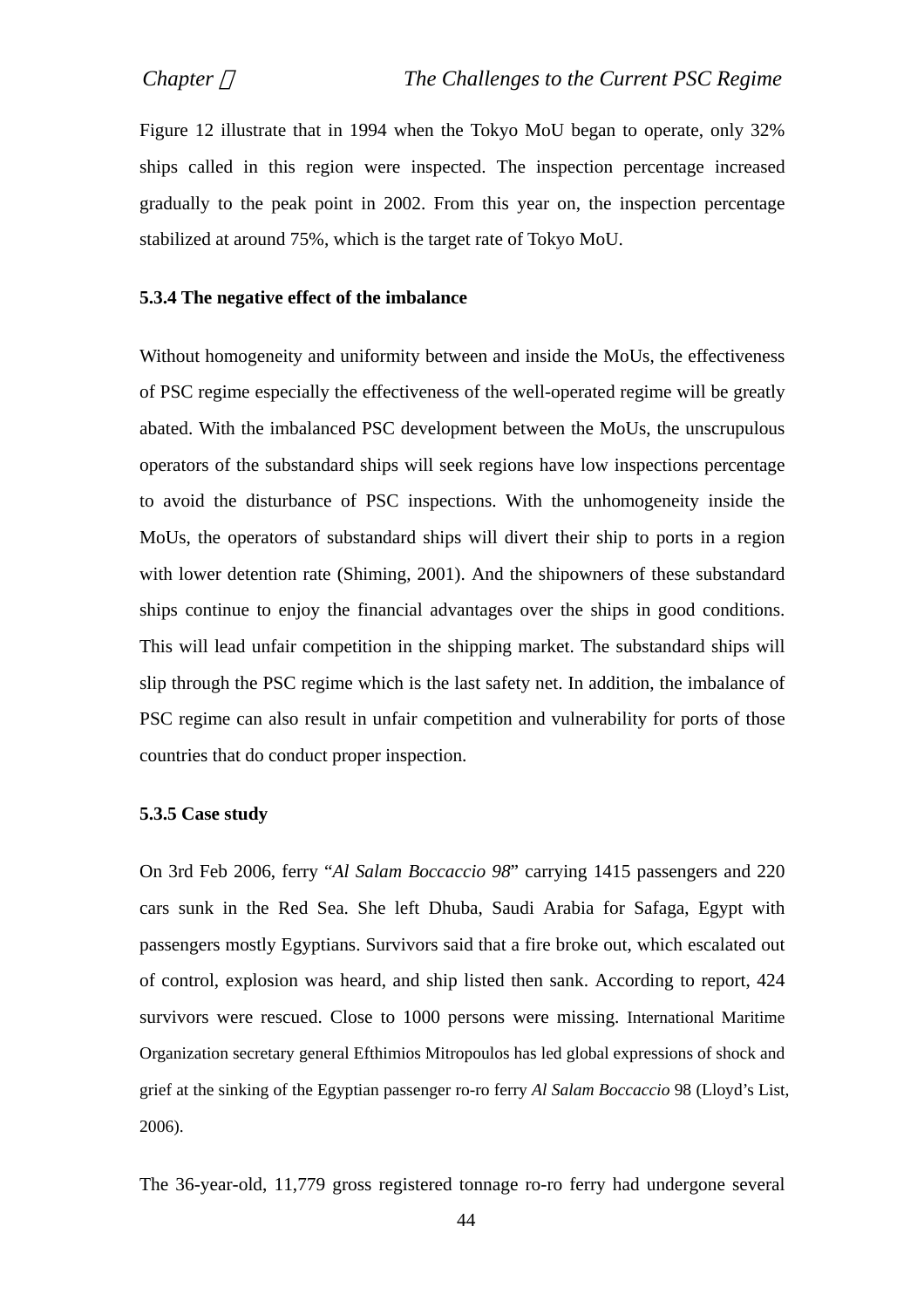Figure 12 illustrate that in 1994 when the Tokyo MoU began to operate, only 32% ships called in this region were inspected. The inspection percentage increased gradually to the peak point in 2002. From this year on, the inspection percentage stabilized at around 75%, which is the target rate of Tokyo MoU.

## **5.3.4 The negative effect of the imbalance**

Without homogeneity and uniformity between and inside the MoUs, the effectiveness of PSC regime especially the effectiveness of the well-operated regime will be greatly abated. With the imbalanced PSC development between the MoUs, the unscrupulous operators of the substandard ships will seek regions have low inspections percentage to avoid the disturbance of PSC inspections. With the unhomogeneity inside the MoUs, the operators of substandard ships will divert their ship to ports in a region with lower detention rate (Shiming, 2001). And the shipowners of these substandard ships continue to enjoy the financial advantages over the ships in good conditions. This will lead unfair competition in the shipping market. The substandard ships will slip through the PSC regime which is the last safety net. In addition, the imbalance of PSC regime can also result in unfair competition and vulnerability for ports of those countries that do conduct proper inspection.

#### **5.3.5 Case study**

On 3rd Feb 2006, ferry "*Al Salam Boccaccio 98*" carrying 1415 passengers and 220 cars sunk in the Red Sea. She left Dhuba, Saudi Arabia for Safaga, Egypt with passengers mostly Egyptians. Survivors said that a fire broke out, which escalated out of control, explosion was heard, and ship listed then sank. According to report, 424 survivors were rescued. Close to 1000 persons were missing. International Maritime Organization secretary general Efthimios Mitropoulos has led global expressions of shock and grief at the sinking of the Egyptian passenger ro-ro ferry *Al Salam Boccaccio* 98 (Lloyd's List, 2006).

The 36-year-old, 11,779 gross registered tonnage ro-ro ferry had undergone several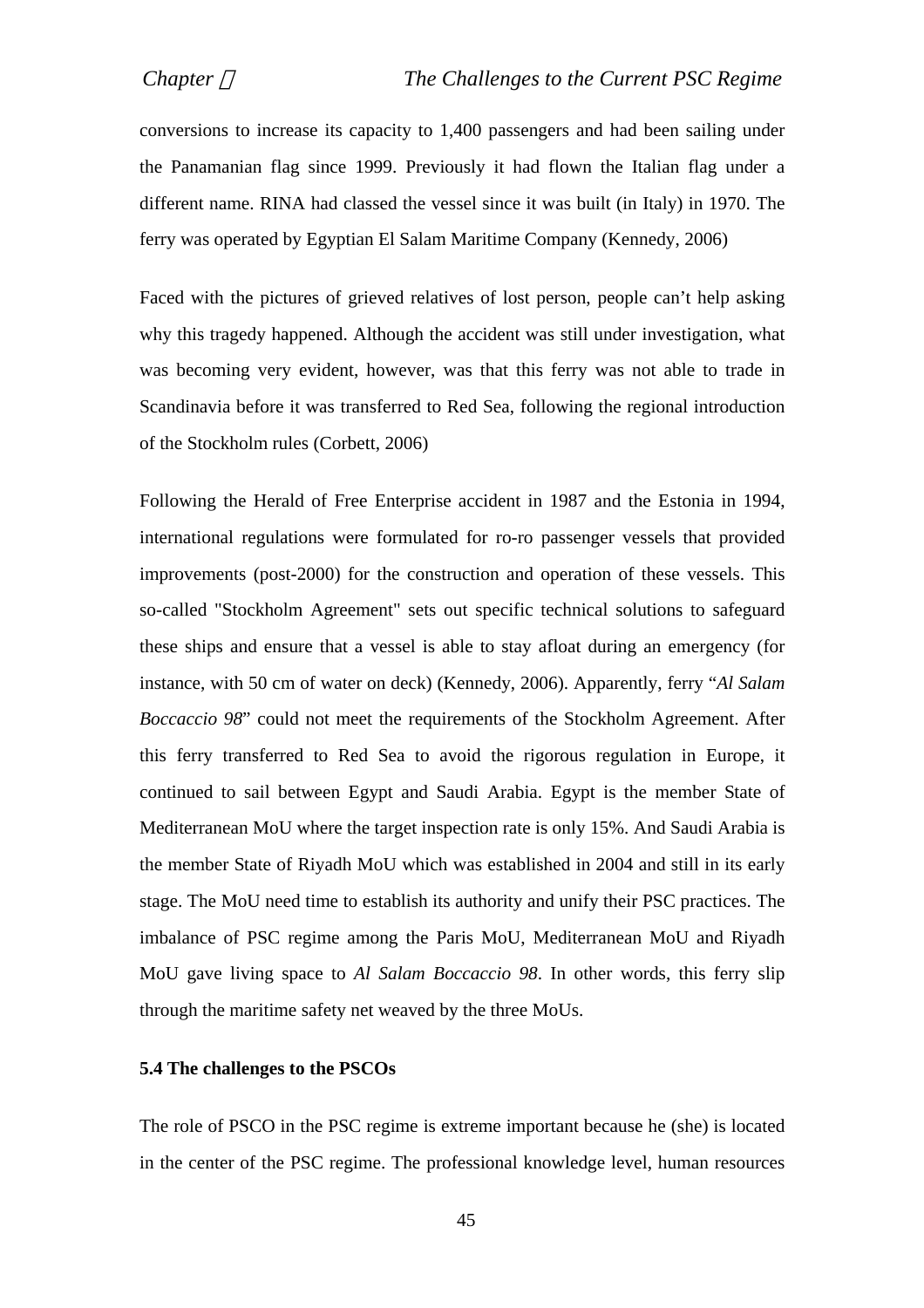conversions to increase its capacity to 1,400 passengers and had been sailing under the Panamanian flag since 1999. Previously it had flown the Italian flag under a different name. RINA had classed the vessel since it was built (in Italy) in 1970. The ferry was operated by Egyptian El Salam Maritime Company (Kennedy, 2006)

Faced with the pictures of grieved relatives of lost person, people can't help asking why this tragedy happened. Although the accident was still under investigation, what was becoming very evident, however, was that this ferry was not able to trade in Scandinavia before it was transferred to Red Sea, following the regional introduction of the Stockholm rules (Corbett, 2006)

Following the Herald of Free Enterprise accident in 1987 and the Estonia in 1994, international regulations were formulated for ro-ro passenger vessels that provided improvements (post-2000) for the construction and operation of these vessels. This so-called "Stockholm Agreement" sets out specific technical solutions to safeguard these ships and ensure that a vessel is able to stay afloat during an emergency (for instance, with 50 cm of water on deck) (Kennedy, 2006). Apparently, ferry "*Al Salam Boccaccio 98*" could not meet the requirements of the Stockholm Agreement. After this ferry transferred to Red Sea to avoid the rigorous regulation in Europe, it continued to sail between Egypt and Saudi Arabia. Egypt is the member State of Mediterranean MoU where the target inspection rate is only 15%. And Saudi Arabia is the member State of Riyadh MoU which was established in 2004 and still in its early stage. The MoU need time to establish its authority and unify their PSC practices. The imbalance of PSC regime among the Paris MoU, Mediterranean MoU and Riyadh MoU gave living space to *Al Salam Boccaccio 98*. In other words, this ferry slip through the maritime safety net weaved by the three MoUs.

#### **5.4 The challenges to the PSCOs**

The role of PSCO in the PSC regime is extreme important because he (she) is located in the center of the PSC regime. The professional knowledge level, human resources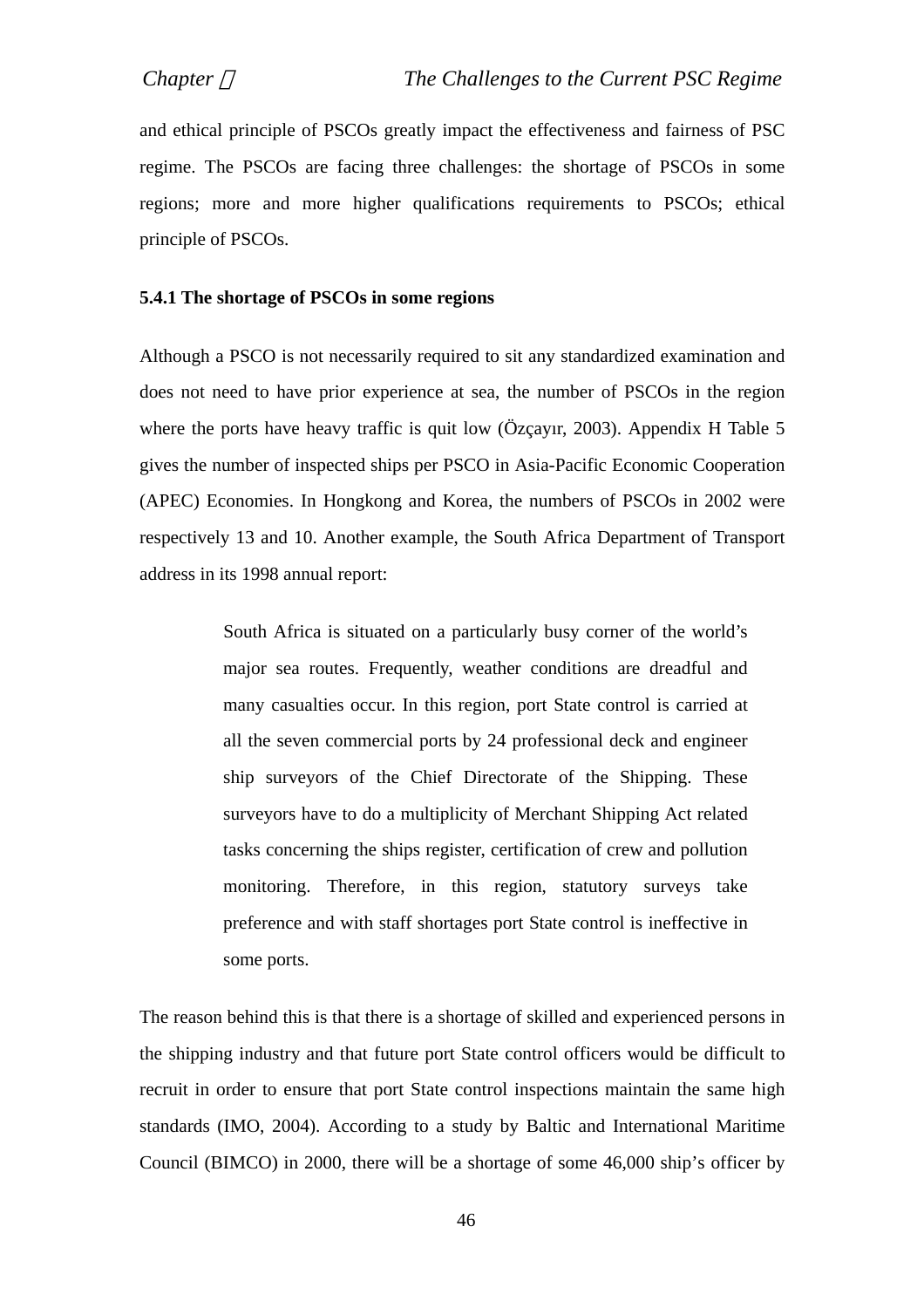and ethical principle of PSCOs greatly impact the effectiveness and fairness of PSC regime. The PSCOs are facing three challenges: the shortage of PSCOs in some regions; more and more higher qualifications requirements to PSCOs; ethical principle of PSCOs.

## **5.4.1 The shortage of PSCOs in some regions**

Although a PSCO is not necessarily required to sit any standardized examination and does not need to have prior experience at sea, the number of PSCOs in the region where the ports have heavy traffic is quit low (Özçayır, 2003). Appendix H Table 5 gives the number of inspected ships per PSCO in Asia-Pacific Economic Cooperation (APEC) Economies. In Hongkong and Korea, the numbers of PSCOs in 2002 were respectively 13 and 10. Another example, the South Africa Department of Transport address in its 1998 annual report:

> South Africa is situated on a particularly busy corner of the world's major sea routes. Frequently, weather conditions are dreadful and many casualties occur. In this region, port State control is carried at all the seven commercial ports by 24 professional deck and engineer ship surveyors of the Chief Directorate of the Shipping. These surveyors have to do a multiplicity of Merchant Shipping Act related tasks concerning the ships register, certification of crew and pollution monitoring. Therefore, in this region, statutory surveys take preference and with staff shortages port State control is ineffective in some ports.

The reason behind this is that there is a shortage of skilled and experienced persons in the shipping industry and that future port State control officers would be difficult to recruit in order to ensure that port State control inspections maintain the same high standards (IMO, 2004). According to a study by Baltic and International Maritime Council (BIMCO) in 2000, there will be a shortage of some 46,000 ship's officer by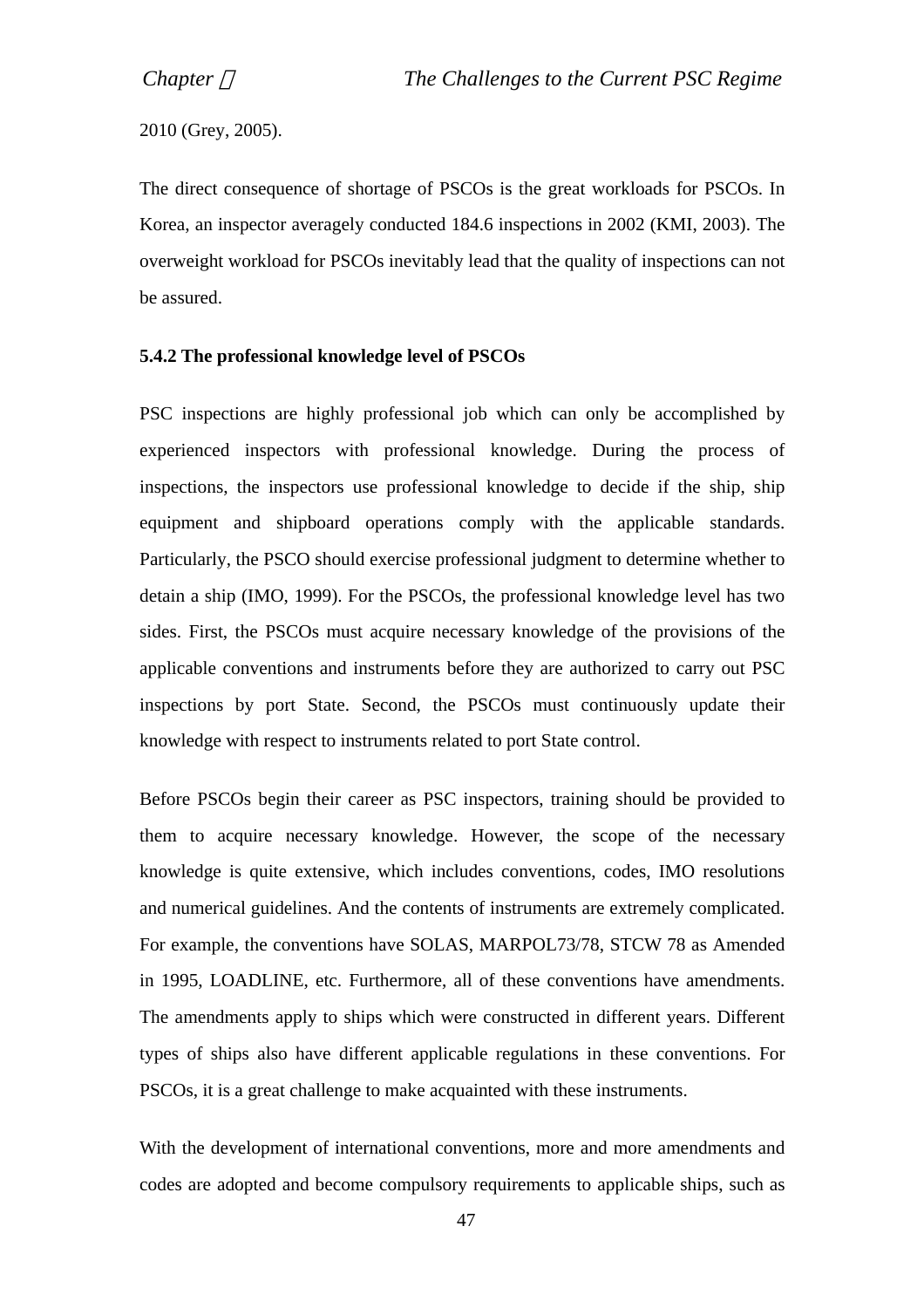2010 (Grey, 2005).

The direct consequence of shortage of PSCOs is the great workloads for PSCOs. In Korea, an inspector averagely conducted 184.6 inspections in 2002 (KMI, 2003). The overweight workload for PSCOs inevitably lead that the quality of inspections can not be assured.

# **5.4.2 The professional knowledge level of PSCOs**

PSC inspections are highly professional job which can only be accomplished by experienced inspectors with professional knowledge. During the process of inspections, the inspectors use professional knowledge to decide if the ship, ship equipment and shipboard operations comply with the applicable standards. Particularly, the PSCO should exercise professional judgment to determine whether to detain a ship (IMO, 1999). For the PSCOs, the professional knowledge level has two sides. First, the PSCOs must acquire necessary knowledge of the provisions of the applicable conventions and instruments before they are authorized to carry out PSC inspections by port State. Second, the PSCOs must continuously update their knowledge with respect to instruments related to port State control.

Before PSCOs begin their career as PSC inspectors, training should be provided to them to acquire necessary knowledge. However, the scope of the necessary knowledge is quite extensive, which includes conventions, codes, IMO resolutions and numerical guidelines. And the contents of instruments are extremely complicated. For example, the conventions have SOLAS, MARPOL73/78, STCW 78 as Amended in 1995, LOADLINE, etc. Furthermore, all of these conventions have amendments. The amendments apply to ships which were constructed in different years. Different types of ships also have different applicable regulations in these conventions. For PSCOs, it is a great challenge to make acquainted with these instruments.

With the development of international conventions, more and more amendments and codes are adopted and become compulsory requirements to applicable ships, such as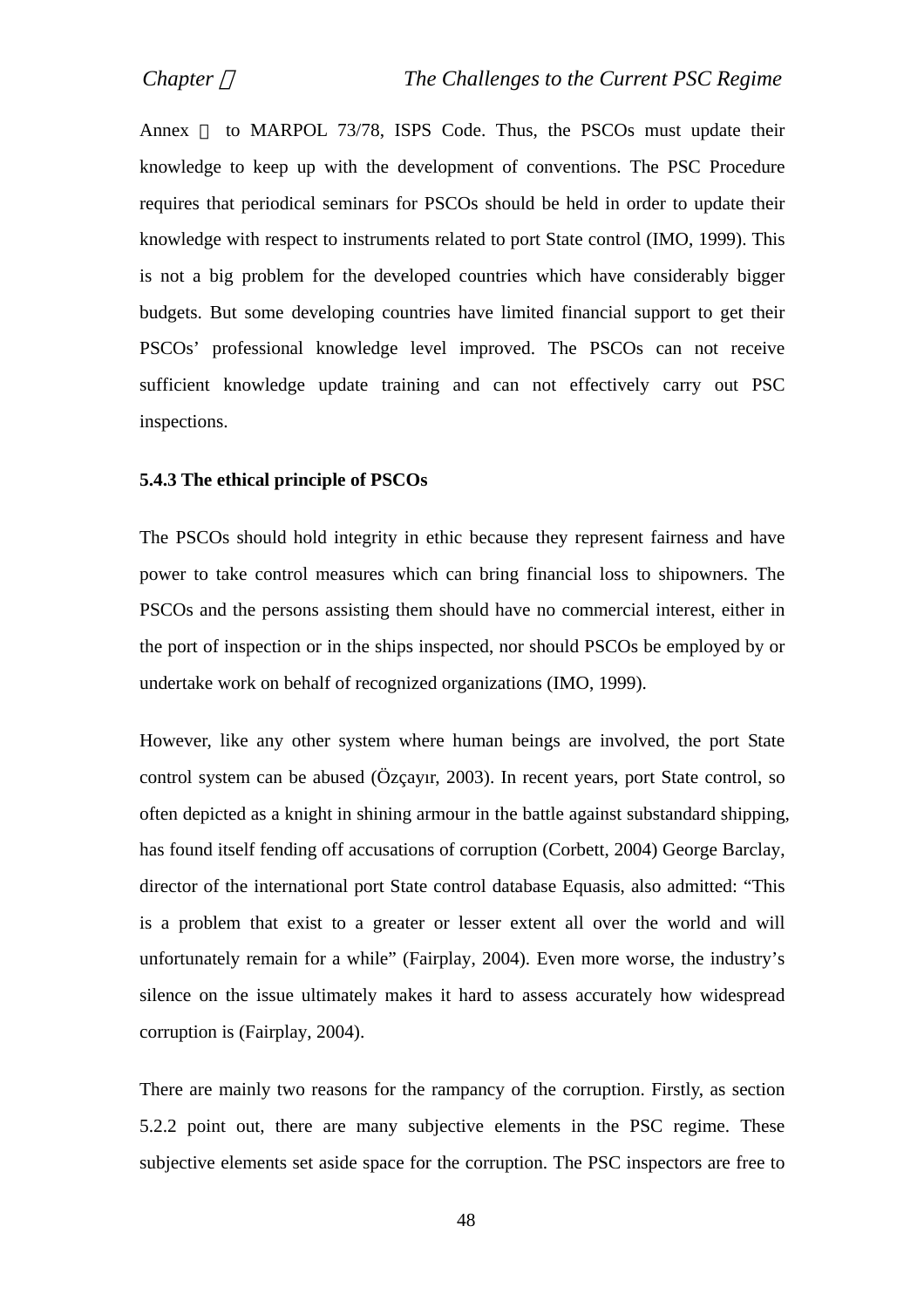Annex to MARPOL 73/78, ISPS Code. Thus, the PSCOs must update their knowledge to keep up with the development of conventions. The PSC Procedure requires that periodical seminars for PSCOs should be held in order to update their knowledge with respect to instruments related to port State control (IMO, 1999). This is not a big problem for the developed countries which have considerably bigger budgets. But some developing countries have limited financial support to get their PSCOs' professional knowledge level improved. The PSCOs can not receive sufficient knowledge update training and can not effectively carry out PSC inspections.

#### **5.4.3 The ethical principle of PSCOs**

The PSCOs should hold integrity in ethic because they represent fairness and have power to take control measures which can bring financial loss to shipowners. The PSCOs and the persons assisting them should have no commercial interest, either in the port of inspection or in the ships inspected, nor should PSCOs be employed by or undertake work on behalf of recognized organizations (IMO, 1999).

However, like any other system where human beings are involved, the port State control system can be abused (Özçayır, 2003). In recent years, port State control, so often depicted as a knight in shining armour in the battle against substandard shipping, has found itself fending off accusations of corruption (Corbett, 2004) George Barclay, director of the international port State control database Equasis, also admitted: "This is a problem that exist to a greater or lesser extent all over the world and will unfortunately remain for a while" (Fairplay, 2004). Even more worse, the industry's silence on the issue ultimately makes it hard to assess accurately how widespread corruption is (Fairplay, 2004).

There are mainly two reasons for the rampancy of the corruption. Firstly, as section 5.2.2 point out, there are many subjective elements in the PSC regime. These subjective elements set aside space for the corruption. The PSC inspectors are free to

48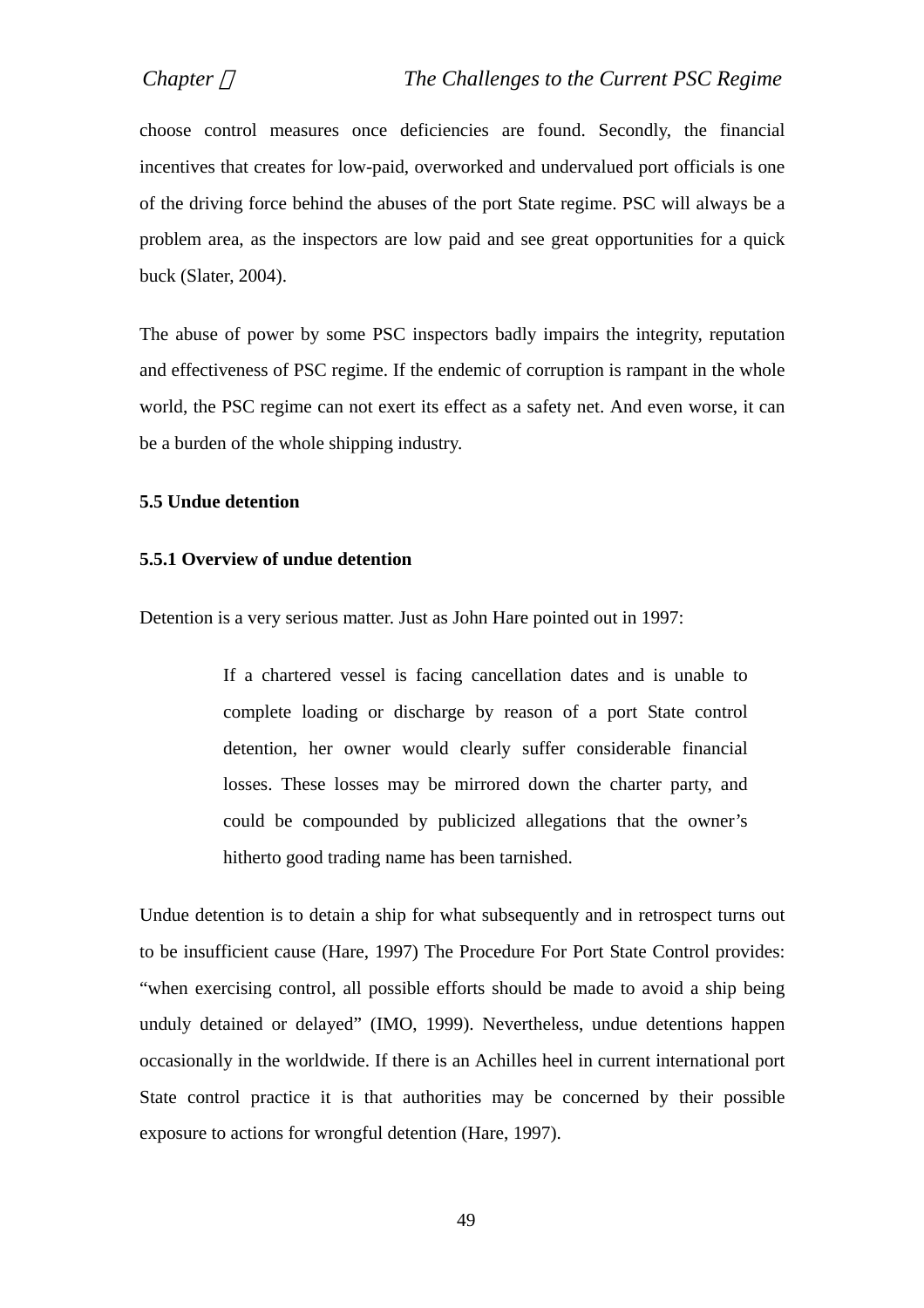choose control measures once deficiencies are found. Secondly, the financial incentives that creates for low-paid, overworked and undervalued port officials is one of the driving force behind the abuses of the port State regime. PSC will always be a problem area, as the inspectors are low paid and see great opportunities for a quick buck (Slater, 2004).

The abuse of power by some PSC inspectors badly impairs the integrity, reputation and effectiveness of PSC regime. If the endemic of corruption is rampant in the whole world, the PSC regime can not exert its effect as a safety net. And even worse, it can be a burden of the whole shipping industry.

#### **5.5 Undue detention**

## **5.5.1 Overview of undue detention**

Detention is a very serious matter. Just as John Hare pointed out in 1997:

If a chartered vessel is facing cancellation dates and is unable to complete loading or discharge by reason of a port State control detention, her owner would clearly suffer considerable financial losses. These losses may be mirrored down the charter party, and could be compounded by publicized allegations that the owner's hitherto good trading name has been tarnished.

Undue detention is to detain a ship for what subsequently and in retrospect turns out to be insufficient cause (Hare, 1997) The Procedure For Port State Control provides: "when exercising control, all possible efforts should be made to avoid a ship being unduly detained or delayed" (IMO, 1999). Nevertheless, undue detentions happen occasionally in the worldwide. If there is an Achilles heel in current international port State control practice it is that authorities may be concerned by their possible exposure to actions for wrongful detention (Hare, 1997).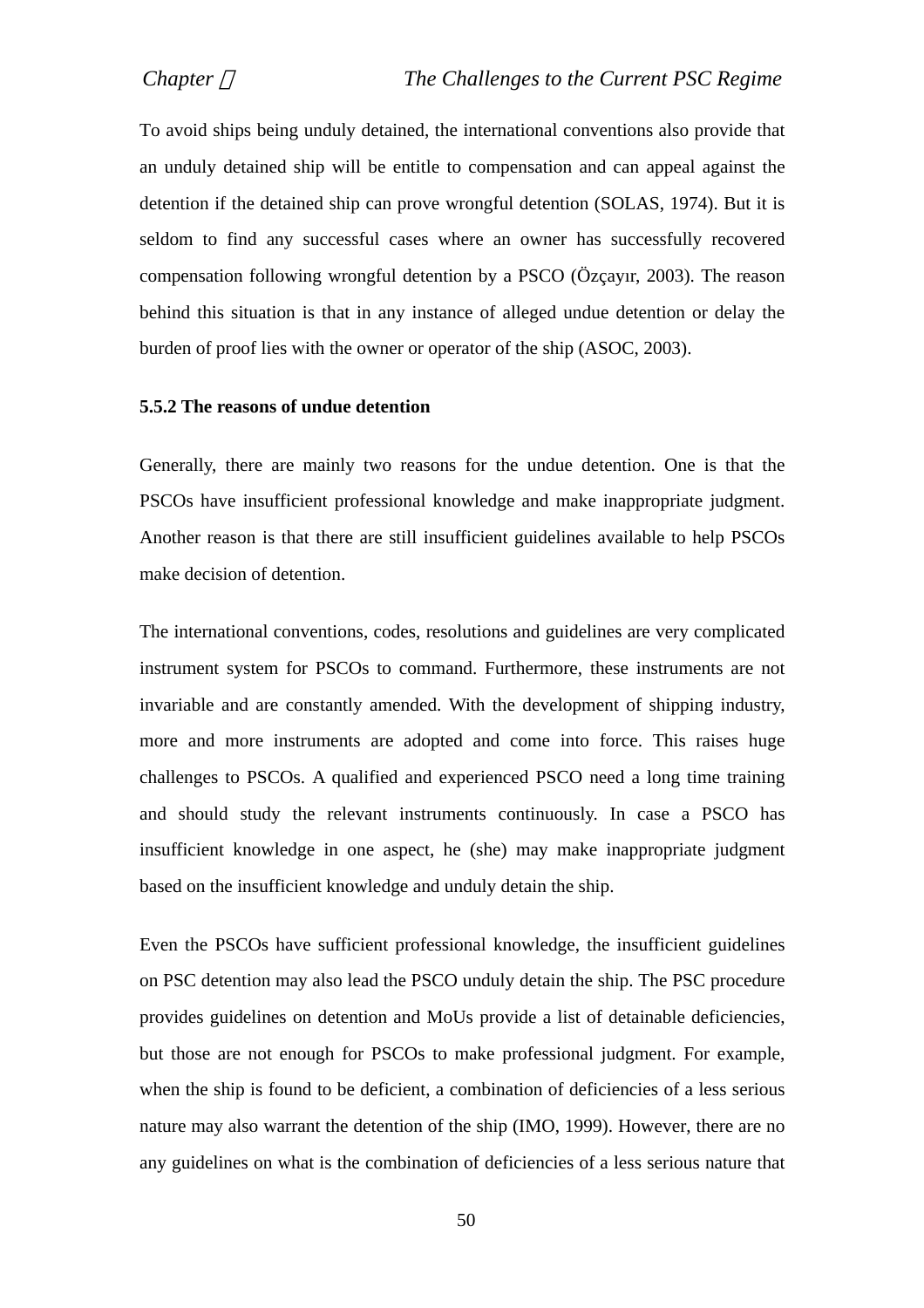To avoid ships being unduly detained, the international conventions also provide that an unduly detained ship will be entitle to compensation and can appeal against the detention if the detained ship can prove wrongful detention (SOLAS, 1974). But it is seldom to find any successful cases where an owner has successfully recovered compensation following wrongful detention by a PSCO (Özçayır, 2003). The reason behind this situation is that in any instance of alleged undue detention or delay the burden of proof lies with the owner or operator of the ship (ASOC, 2003).

#### **5.5.2 The reasons of undue detention**

Generally, there are mainly two reasons for the undue detention. One is that the PSCOs have insufficient professional knowledge and make inappropriate judgment. Another reason is that there are still insufficient guidelines available to help PSCOs make decision of detention.

The international conventions, codes, resolutions and guidelines are very complicated instrument system for PSCOs to command. Furthermore, these instruments are not invariable and are constantly amended. With the development of shipping industry, more and more instruments are adopted and come into force. This raises huge challenges to PSCOs. A qualified and experienced PSCO need a long time training and should study the relevant instruments continuously. In case a PSCO has insufficient knowledge in one aspect, he (she) may make inappropriate judgment based on the insufficient knowledge and unduly detain the ship.

Even the PSCOs have sufficient professional knowledge, the insufficient guidelines on PSC detention may also lead the PSCO unduly detain the ship. The PSC procedure provides guidelines on detention and MoUs provide a list of detainable deficiencies, but those are not enough for PSCOs to make professional judgment. For example, when the ship is found to be deficient, a combination of deficiencies of a less serious nature may also warrant the detention of the ship (IMO, 1999). However, there are no any guidelines on what is the combination of deficiencies of a less serious nature that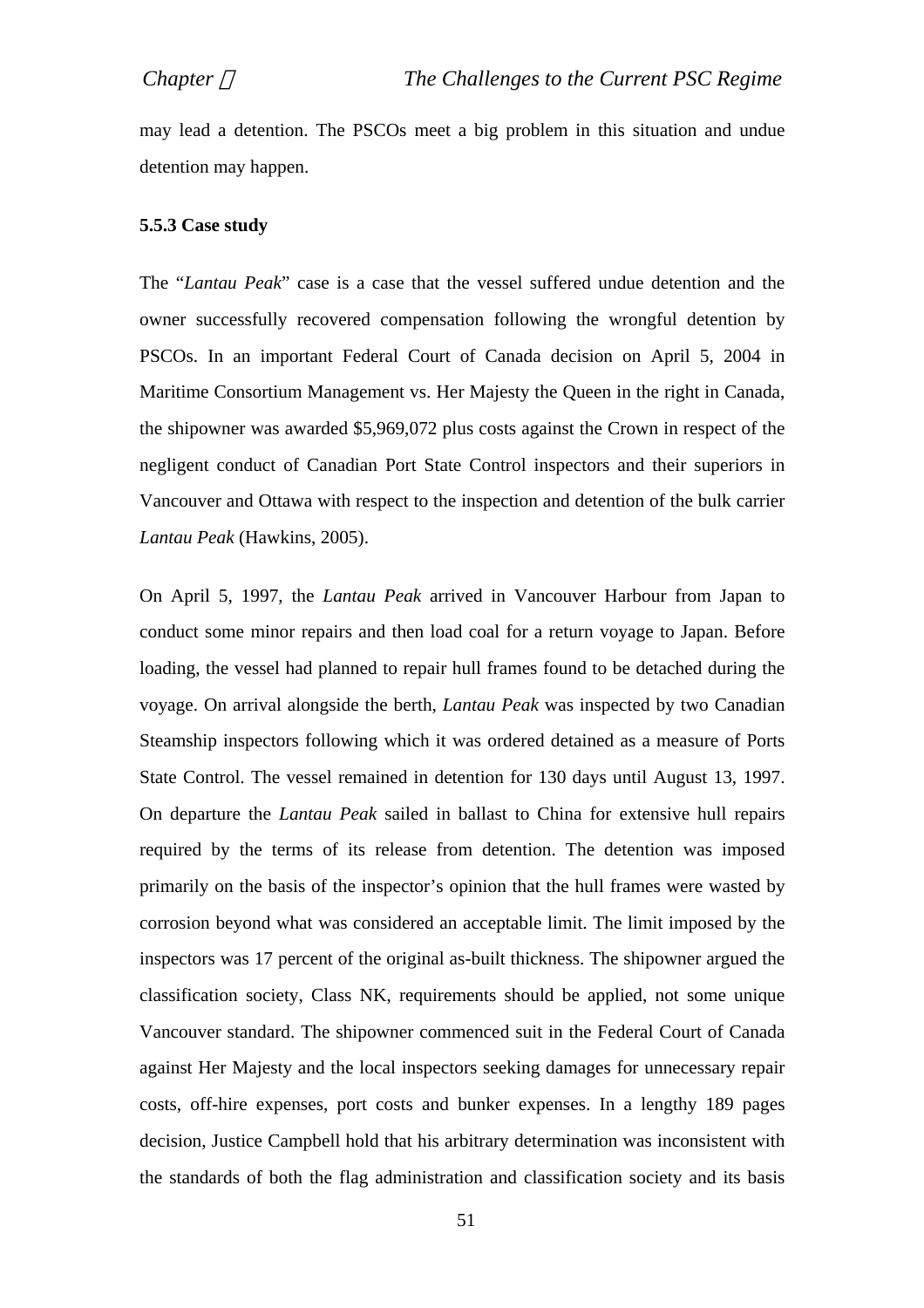may lead a detention. The PSCOs meet a big problem in this situation and undue detention may happen.

#### **5.5.3 Case study**

The "*Lantau Peak*" case is a case that the vessel suffered undue detention and the owner successfully recovered compensation following the wrongful detention by PSCOs. In an important Federal Court of Canada decision on April 5, 2004 in Maritime Consortium Management vs. Her Majesty the Queen in the right in Canada, the shipowner was awarded \$5,969,072 plus costs against the Crown in respect of the negligent conduct of Canadian Port State Control inspectors and their superiors in Vancouver and Ottawa with respect to the inspection and detention of the bulk carrier *Lantau Peak* (Hawkins, 2005).

On April 5, 1997, the *Lantau Peak* arrived in Vancouver Harbour from Japan to conduct some minor repairs and then load coal for a return voyage to Japan. Before loading, the vessel had planned to repair hull frames found to be detached during the voyage. On arrival alongside the berth, *Lantau Peak* was inspected by two Canadian Steamship inspectors following which it was ordered detained as a measure of Ports State Control. The vessel remained in detention for 130 days until August 13, 1997. On departure the *Lantau Peak* sailed in ballast to China for extensive hull repairs required by the terms of its release from detention. The detention was imposed primarily on the basis of the inspector's opinion that the hull frames were wasted by corrosion beyond what was considered an acceptable limit. The limit imposed by the inspectors was 17 percent of the original as-built thickness. The shipowner argued the classification society, Class NK, requirements should be applied, not some unique Vancouver standard. The shipowner commenced suit in the Federal Court of Canada against Her Majesty and the local inspectors seeking damages for unnecessary repair costs, off-hire expenses, port costs and bunker expenses. In a lengthy 189 pages decision, Justice Campbell hold that his arbitrary determination was inconsistent with the standards of both the flag administration and classification society and its basis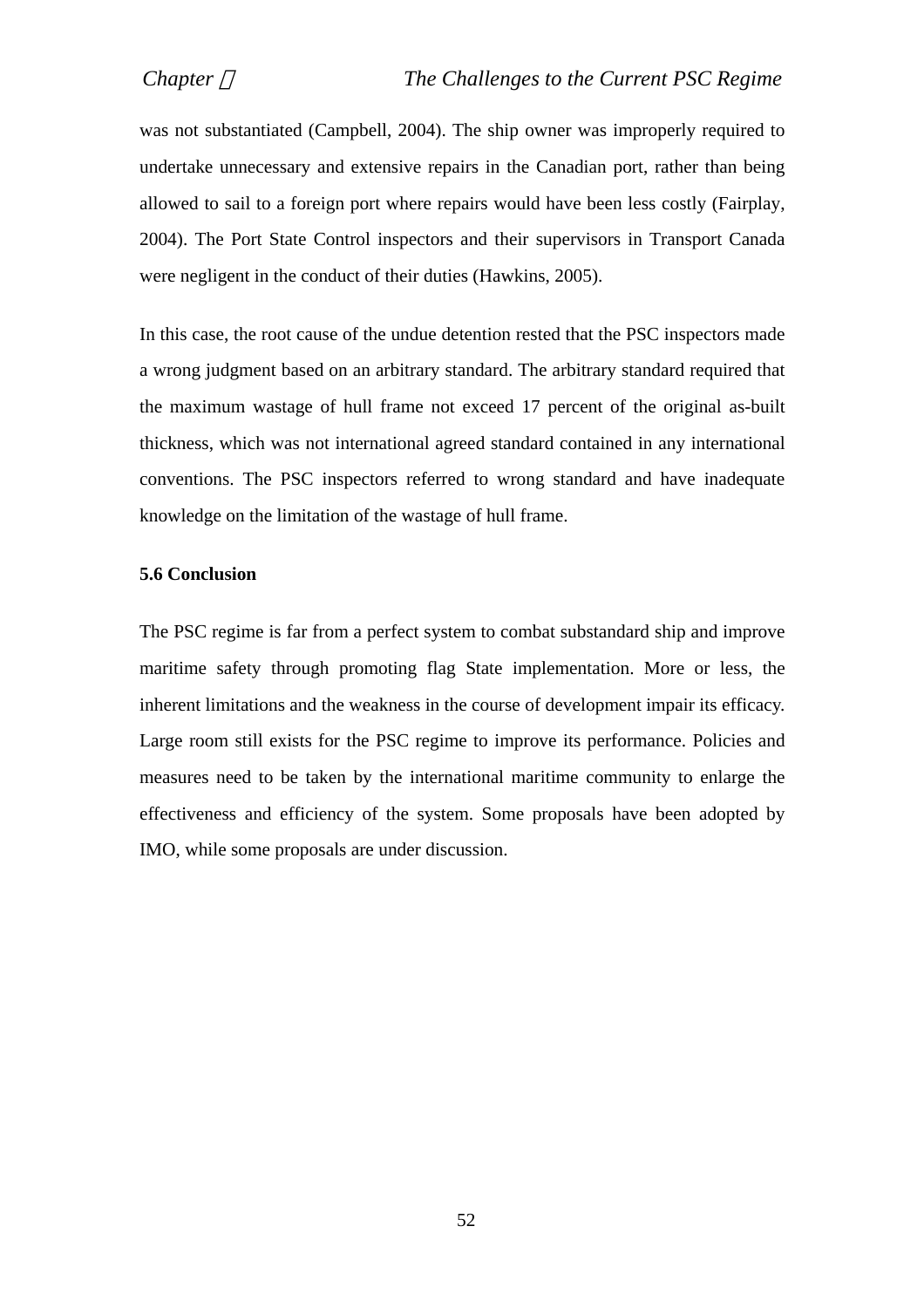was not substantiated (Campbell, 2004). The ship owner was improperly required to undertake unnecessary and extensive repairs in the Canadian port, rather than being allowed to sail to a foreign port where repairs would have been less costly (Fairplay, 2004). The Port State Control inspectors and their supervisors in Transport Canada were negligent in the conduct of their duties (Hawkins, 2005).

In this case, the root cause of the undue detention rested that the PSC inspectors made a wrong judgment based on an arbitrary standard. The arbitrary standard required that the maximum wastage of hull frame not exceed 17 percent of the original as-built thickness, which was not international agreed standard contained in any international conventions. The PSC inspectors referred to wrong standard and have inadequate knowledge on the limitation of the wastage of hull frame.

## **5.6 Conclusion**

The PSC regime is far from a perfect system to combat substandard ship and improve maritime safety through promoting flag State implementation. More or less, the inherent limitations and the weakness in the course of development impair its efficacy. Large room still exists for the PSC regime to improve its performance. Policies and measures need to be taken by the international maritime community to enlarge the effectiveness and efficiency of the system. Some proposals have been adopted by IMO, while some proposals are under discussion.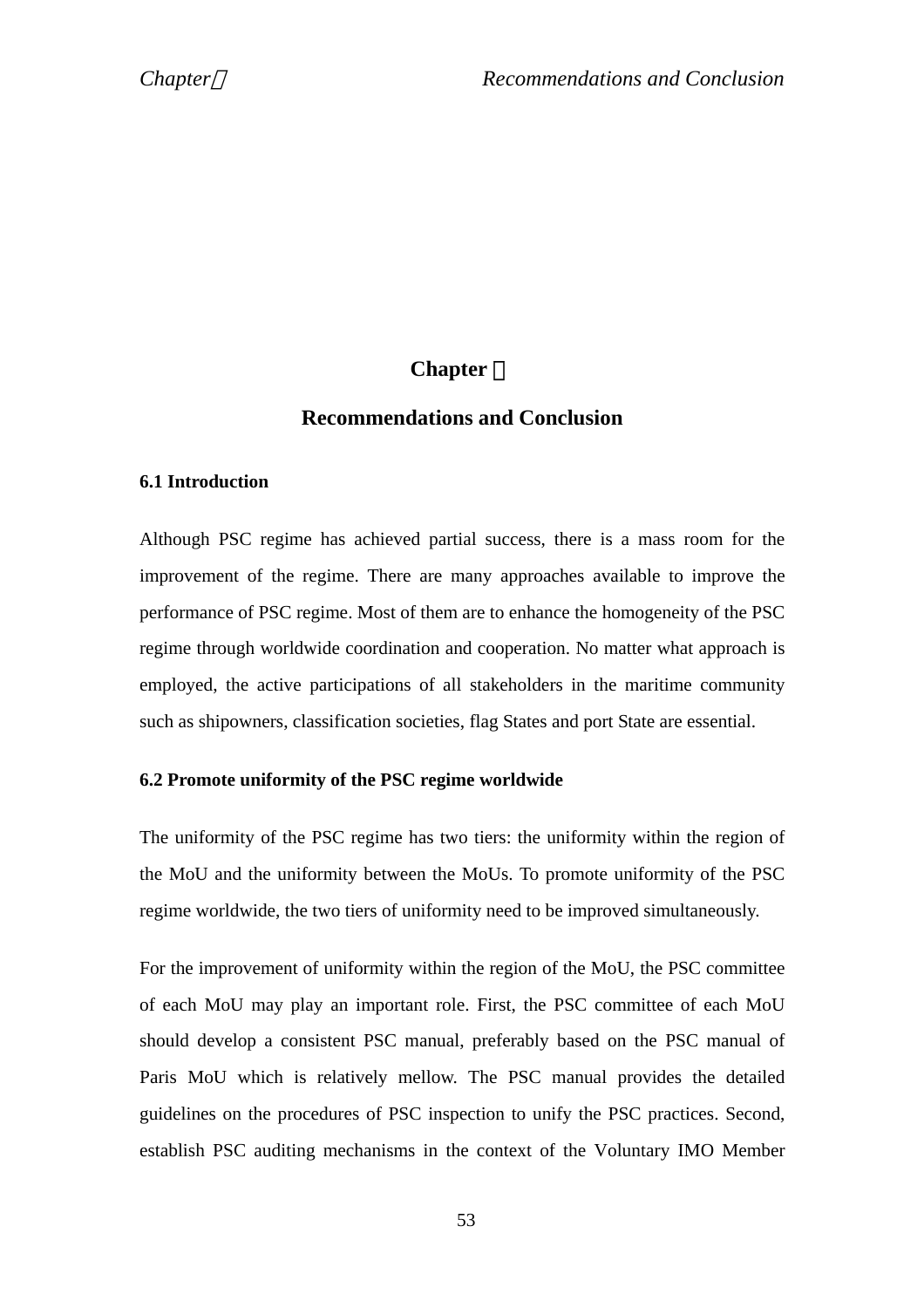# $$

# **Recommendations and Conclusion**

## **6.1 Introduction**

Although PSC regime has achieved partial success, there is a mass room for the improvement of the regime. There are many approaches available to improve the performance of PSC regime. Most of them are to enhance the homogeneity of the PSC regime through worldwide coordination and cooperation. No matter what approach is employed, the active participations of all stakeholders in the maritime community such as shipowners, classification societies, flag States and port State are essential.

## **6.2 Promote uniformity of the PSC regime worldwide**

The uniformity of the PSC regime has two tiers: the uniformity within the region of the MoU and the uniformity between the MoUs. To promote uniformity of the PSC regime worldwide, the two tiers of uniformity need to be improved simultaneously.

For the improvement of uniformity within the region of the MoU, the PSC committee of each MoU may play an important role. First, the PSC committee of each MoU should develop a consistent PSC manual, preferably based on the PSC manual of Paris MoU which is relatively mellow. The PSC manual provides the detailed guidelines on the procedures of PSC inspection to unify the PSC practices. Second, establish PSC auditing mechanisms in the context of the Voluntary IMO Member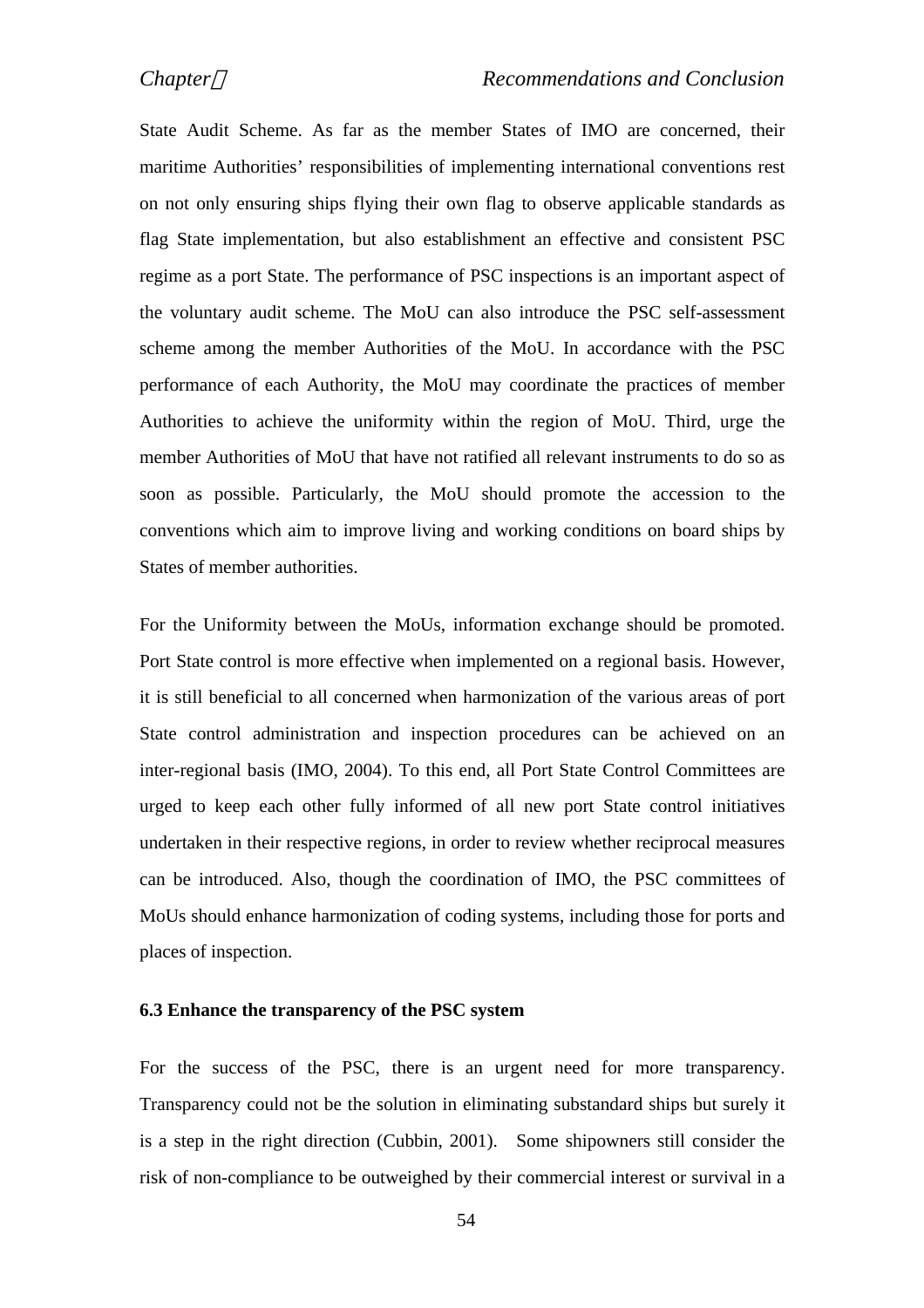State Audit Scheme. As far as the member States of IMO are concerned, their maritime Authorities' responsibilities of implementing international conventions rest on not only ensuring ships flying their own flag to observe applicable standards as flag State implementation, but also establishment an effective and consistent PSC regime as a port State. The performance of PSC inspections is an important aspect of the voluntary audit scheme. The MoU can also introduce the PSC self-assessment scheme among the member Authorities of the MoU. In accordance with the PSC performance of each Authority, the MoU may coordinate the practices of member Authorities to achieve the uniformity within the region of MoU. Third, urge the member Authorities of MoU that have not ratified all relevant instruments to do so as soon as possible. Particularly, the MoU should promote the accession to the conventions which aim to improve living and working conditions on board ships by States of member authorities.

For the Uniformity between the MoUs, information exchange should be promoted. Port State control is more effective when implemented on a regional basis. However, it is still beneficial to all concerned when harmonization of the various areas of port State control administration and inspection procedures can be achieved on an inter-regional basis (IMO, 2004). To this end, all Port State Control Committees are urged to keep each other fully informed of all new port State control initiatives undertaken in their respective regions, in order to review whether reciprocal measures can be introduced. Also, though the coordination of IMO, the PSC committees of MoUs should enhance harmonization of coding systems, including those for ports and places of inspection.

#### **6.3 Enhance the transparency of the PSC system**

For the success of the PSC, there is an urgent need for more transparency. Transparency could not be the solution in eliminating substandard ships but surely it is a step in the right direction (Cubbin, 2001). Some shipowners still consider the risk of non-compliance to be outweighed by their commercial interest or survival in a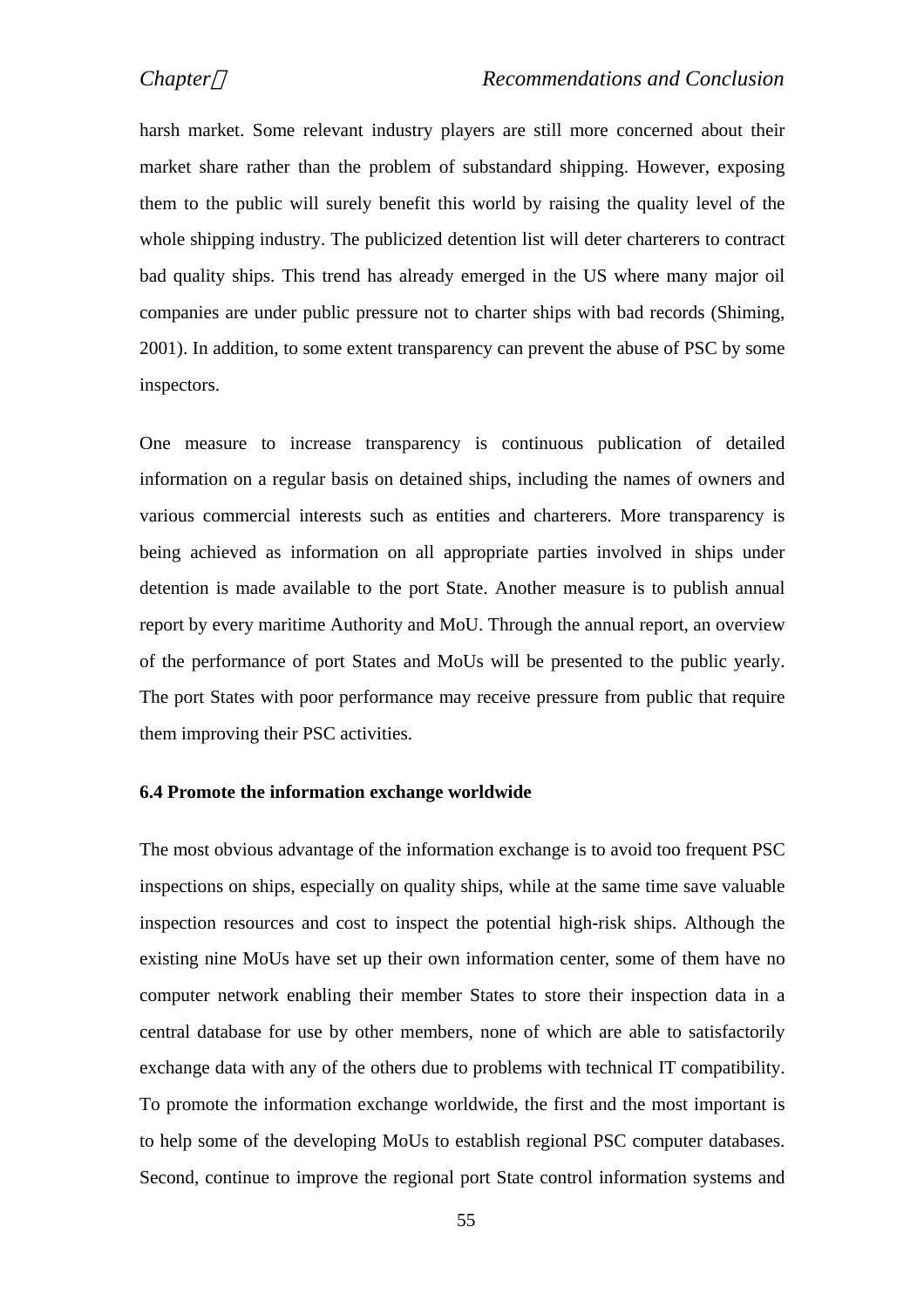harsh market. Some relevant industry players are still more concerned about their market share rather than the problem of substandard shipping. However, exposing them to the public will surely benefit this world by raising the quality level of the whole shipping industry. The publicized detention list will deter charterers to contract bad quality ships. This trend has already emerged in the US where many major oil companies are under public pressure not to charter ships with bad records (Shiming, 2001). In addition, to some extent transparency can prevent the abuse of PSC by some inspectors.

One measure to increase transparency is continuous publication of detailed information on a regular basis on detained ships, including the names of owners and various commercial interests such as entities and charterers. More transparency is being achieved as information on all appropriate parties involved in ships under detention is made available to the port State. Another measure is to publish annual report by every maritime Authority and MoU. Through the annual report, an overview of the performance of port States and MoUs will be presented to the public yearly. The port States with poor performance may receive pressure from public that require them improving their PSC activities.

## **6.4 Promote the information exchange worldwide**

The most obvious advantage of the information exchange is to avoid too frequent PSC inspections on ships, especially on quality ships, while at the same time save valuable inspection resources and cost to inspect the potential high-risk ships. Although the existing nine MoUs have set up their own information center, some of them have no computer network enabling their member States to store their inspection data in a central database for use by other members, none of which are able to satisfactorily exchange data with any of the others due to problems with technical IT compatibility. To promote the information exchange worldwide, the first and the most important is to help some of the developing MoUs to establish regional PSC computer databases. Second, continue to improve the regional port State control information systems and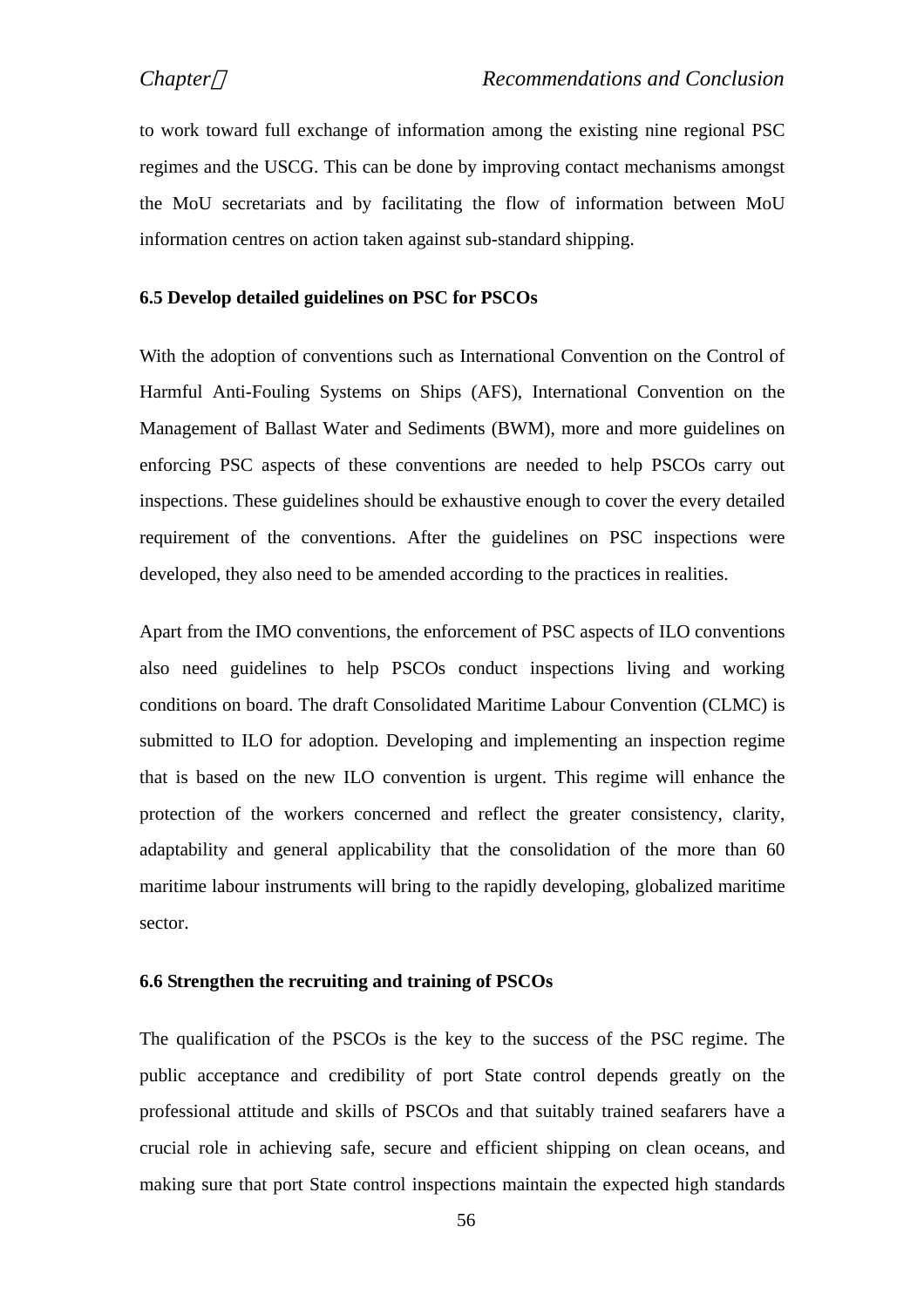to work toward full exchange of information among the existing nine regional PSC regimes and the USCG. This can be done by improving contact mechanisms amongst the MoU secretariats and by facilitating the flow of information between MoU information centres on action taken against sub-standard shipping.

## **6.5 Develop detailed guidelines on PSC for PSCOs**

With the adoption of conventions such as International Convention on the Control of Harmful Anti-Fouling Systems on Ships (AFS), International Convention on the Management of Ballast Water and Sediments (BWM), more and more guidelines on enforcing PSC aspects of these conventions are needed to help PSCOs carry out inspections. These guidelines should be exhaustive enough to cover the every detailed requirement of the conventions. After the guidelines on PSC inspections were developed, they also need to be amended according to the practices in realities.

Apart from the IMO conventions, the enforcement of PSC aspects of ILO conventions also need guidelines to help PSCOs conduct inspections living and working conditions on board. The draft Consolidated Maritime Labour Convention (CLMC) is submitted to ILO for adoption. Developing and implementing an inspection regime that is based on the new ILO convention is urgent. This regime will enhance the protection of the workers concerned and reflect the greater consistency, clarity, adaptability and general applicability that the consolidation of the more than 60 maritime labour instruments will bring to the rapidly developing, globalized maritime sector.

### **6.6 Strengthen the recruiting and training of PSCOs**

The qualification of the PSCOs is the key to the success of the PSC regime. The public acceptance and credibility of port State control depends greatly on the professional attitude and skills of PSCOs and that suitably trained seafarers have a crucial role in achieving safe, secure and efficient shipping on clean oceans, and making sure that port State control inspections maintain the expected high standards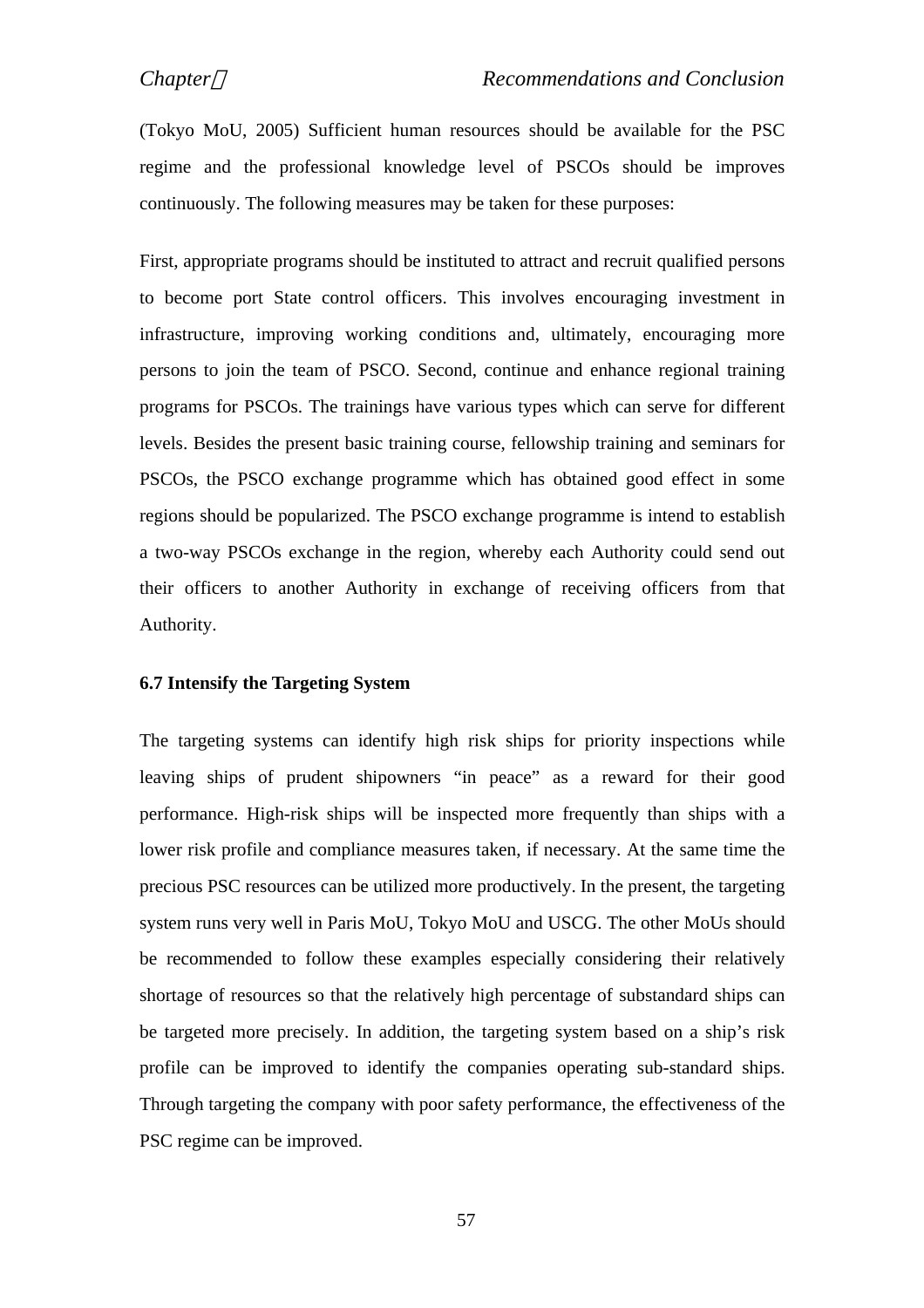(Tokyo MoU, 2005) Sufficient human resources should be available for the PSC regime and the professional knowledge level of PSCOs should be improves continuously. The following measures may be taken for these purposes:

First, appropriate programs should be instituted to attract and recruit qualified persons to become port State control officers. This involves encouraging investment in infrastructure, improving working conditions and, ultimately, encouraging more persons to join the team of PSCO. Second, continue and enhance regional training programs for PSCOs. The trainings have various types which can serve for different levels. Besides the present basic training course, fellowship training and seminars for PSCOs, the PSCO exchange programme which has obtained good effect in some regions should be popularized. The PSCO exchange programme is intend to establish a two-way PSCOs exchange in the region, whereby each Authority could send out their officers to another Authority in exchange of receiving officers from that Authority.

#### **6.7 Intensify the Targeting System**

The targeting systems can identify high risk ships for priority inspections while leaving ships of prudent shipowners "in peace" as a reward for their good performance. High-risk ships will be inspected more frequently than ships with a lower risk profile and compliance measures taken, if necessary. At the same time the precious PSC resources can be utilized more productively. In the present, the targeting system runs very well in Paris MoU, Tokyo MoU and USCG. The other MoUs should be recommended to follow these examples especially considering their relatively shortage of resources so that the relatively high percentage of substandard ships can be targeted more precisely. In addition, the targeting system based on a ship's risk profile can be improved to identify the companies operating sub-standard ships. Through targeting the company with poor safety performance, the effectiveness of the PSC regime can be improved.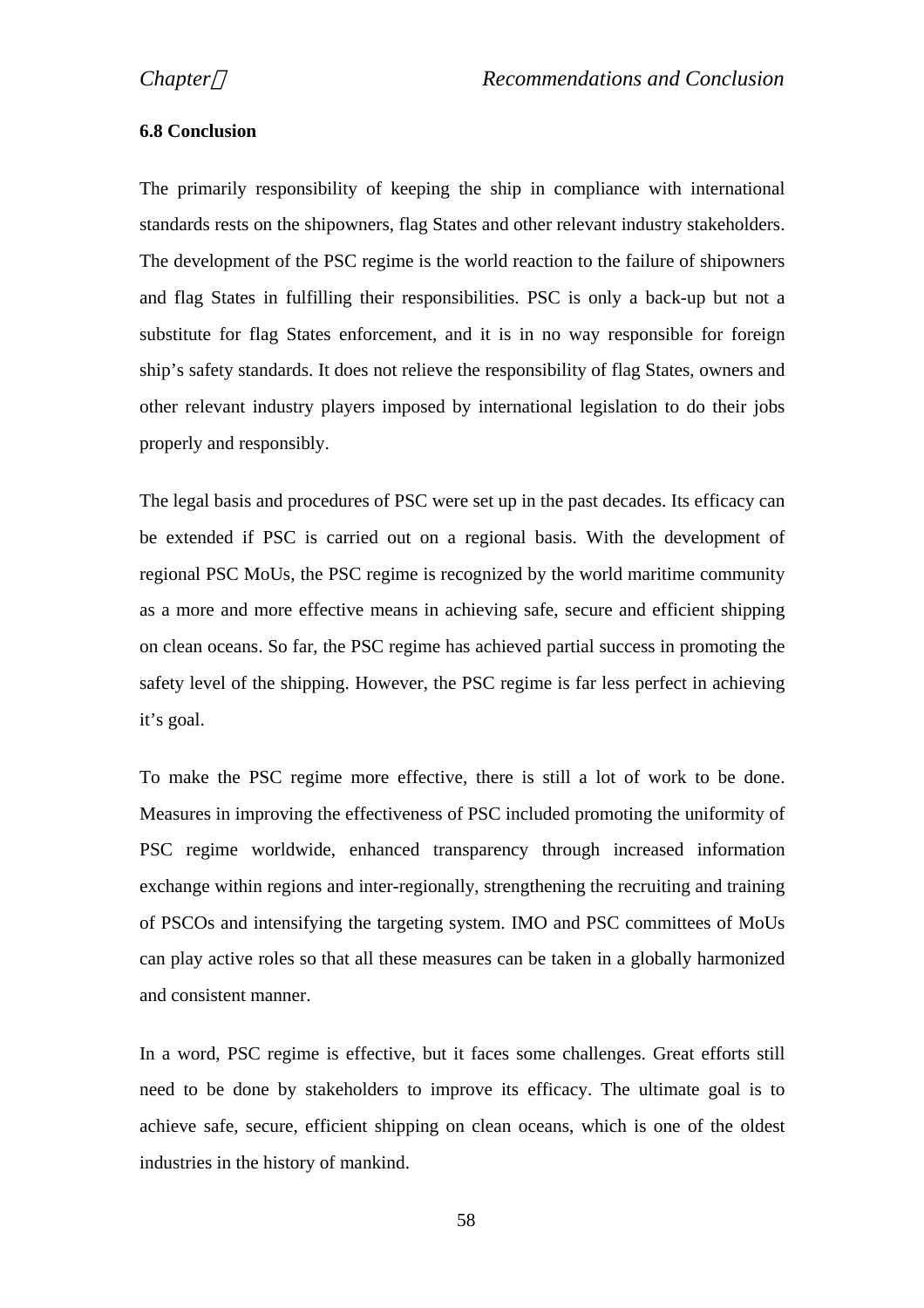### **6.8 Conclusion**

The primarily responsibility of keeping the ship in compliance with international standards rests on the shipowners, flag States and other relevant industry stakeholders. The development of the PSC regime is the world reaction to the failure of shipowners and flag States in fulfilling their responsibilities. PSC is only a back-up but not a substitute for flag States enforcement, and it is in no way responsible for foreign ship's safety standards. It does not relieve the responsibility of flag States, owners and other relevant industry players imposed by international legislation to do their jobs properly and responsibly.

The legal basis and procedures of PSC were set up in the past decades. Its efficacy can be extended if PSC is carried out on a regional basis. With the development of regional PSC MoUs, the PSC regime is recognized by the world maritime community as a more and more effective means in achieving safe, secure and efficient shipping on clean oceans. So far, the PSC regime has achieved partial success in promoting the safety level of the shipping. However, the PSC regime is far less perfect in achieving it's goal.

To make the PSC regime more effective, there is still a lot of work to be done. Measures in improving the effectiveness of PSC included promoting the uniformity of PSC regime worldwide, enhanced transparency through increased information exchange within regions and inter-regionally, strengthening the recruiting and training of PSCOs and intensifying the targeting system. IMO and PSC committees of MoUs can play active roles so that all these measures can be taken in a globally harmonized and consistent manner.

In a word, PSC regime is effective, but it faces some challenges. Great efforts still need to be done by stakeholders to improve its efficacy. The ultimate goal is to achieve safe, secure, efficient shipping on clean oceans, which is one of the oldest industries in the history of mankind.

58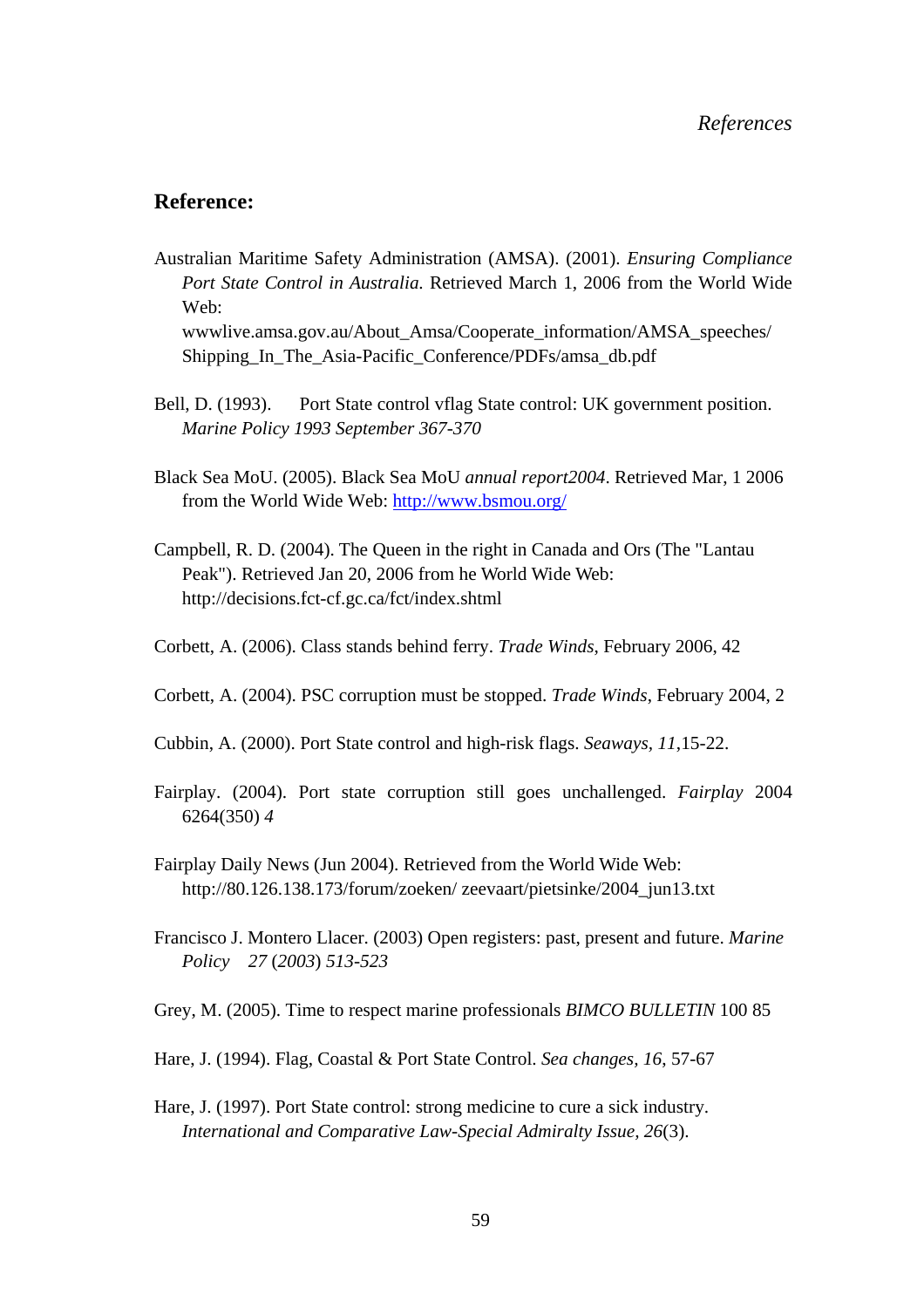### **Reference:**

Australian Maritime Safety Administration (AMSA). (2001). *Ensuring Compliance Port State Control in Australia.* Retrieved March 1, 2006 from the World Wide Web:

wwwlive.amsa.gov.au/About\_Amsa/Cooperate\_information/AMSA\_speeches/ Shipping\_In\_The\_Asia-Pacific\_Conference/PDFs/amsa\_db.pdf

- Bell, D. (1993). Port State control vflag State control: UK government position. *Marine Policy 1993 September 367-370*
- Black Sea MoU. (2005). Black Sea MoU *annual report2004*. Retrieved Mar, 1 2006 from the World Wide Web: http://www.bsmou.org/
- Campbell, R. D. (2004). The Queen in the right in Canada and Ors (The "Lantau Peak"). Retrieved Jan 20, 2006 from he World Wide Web: http://decisions.fct-cf.gc.ca/fct/index.shtml
- Corbett, A. (2006). Class stands behind ferry. *Trade Winds*, February 2006, 42
- Corbett, A. (2004). PSC corruption must be stopped. *Trade Winds*, February 2004, 2
- Cubbin, A. (2000). Port State control and high-risk flags. *Seaways, 11*,15-22.
- Fairplay. (2004). Port state corruption still goes unchallenged. *Fairplay* 2004 6264(350) *4*
- Fairplay Daily News (Jun 2004). Retrieved from the World Wide Web: http://80.126.138.173/forum/zoeken/ zeevaart/pietsinke/2004\_jun13.txt
- Francisco J. Montero Llacer. (2003) Open registers: past, present and future. *Marine Policy 27* (*2003*) *513-523*
- Grey, M. (2005). Time to respect marine professionals *BIMCO BULLETIN* 100 85
- Hare, J. (1994). Flag, Coastal & Port State Control. *Sea changes, 16*, 57-67
- Hare, J. (1997). Port State control: strong medicine to cure a sick industry. *International and Comparative Law-Special Admiralty Issue, 26*(3).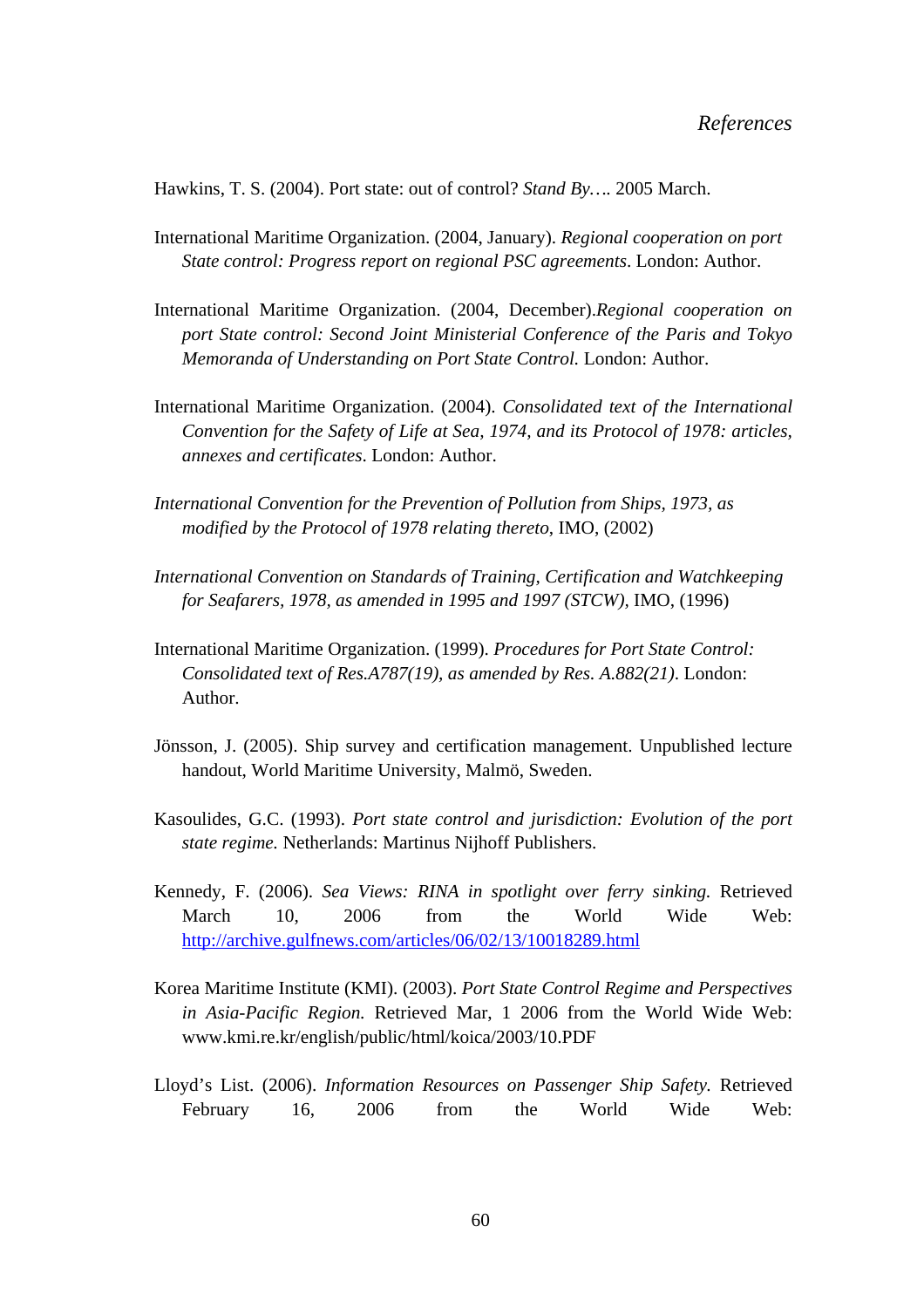Hawkins, T. S. (2004). Port state: out of control? *Stand By….* 2005 March.

- International Maritime Organization. (2004, January). *Regional cooperation on port State control: Progress report on regional PSC agreements*. London: Author.
- International Maritime Organization. (2004, December).*Regional cooperation on port State control: Second Joint Ministerial Conference of the Paris and Tokyo Memoranda of Understanding on Port State Control.* London: Author.
- International Maritime Organization. (2004). *Consolidated text of the International Convention for the Safety of Life at Sea, 1974, and its Protocol of 1978: articles, annexes and certificates*. London: Author.
- *International Convention for the Prevention of Pollution from Ships, 1973, as modified by the Protocol of 1978 relating thereto*, IMO, (2002)
- *International Convention on Standards of Training, Certification and Watchkeeping for Seafarers, 1978, as amended in 1995 and 1997 (STCW),* IMO, (1996)
- International Maritime Organization. (1999). *Procedures for Port State Control: Consolidated text of Res.A787(19), as amended by Res. A.882(21)*. London: Author.
- Jönsson, J. (2005). Ship survey and certification management. Unpublished lecture handout, World Maritime University, Malmö, Sweden.
- Kasoulides, G.C. (1993). *Port state control and jurisdiction: Evolution of the port state regime.* Netherlands: Martinus Nijhoff Publishers.
- Kennedy, F. (2006). *Sea Views: RINA in spotlight over ferry sinking.* Retrieved March 10, 2006 from the World Wide Web: http://archive.gulfnews.com/articles/06/02/13/10018289.html
- Korea Maritime Institute (KMI). (2003). *Port State Control Regime and Perspectives in Asia-Pacific Region.* Retrieved Mar, 1 2006 from the World Wide Web: www.kmi.re.kr/english/public/html/koica/2003/10.PDF
- Lloyd's List. (2006). *Information Resources on Passenger Ship Safety.* Retrieved February 16, 2006 from the World Wide Web: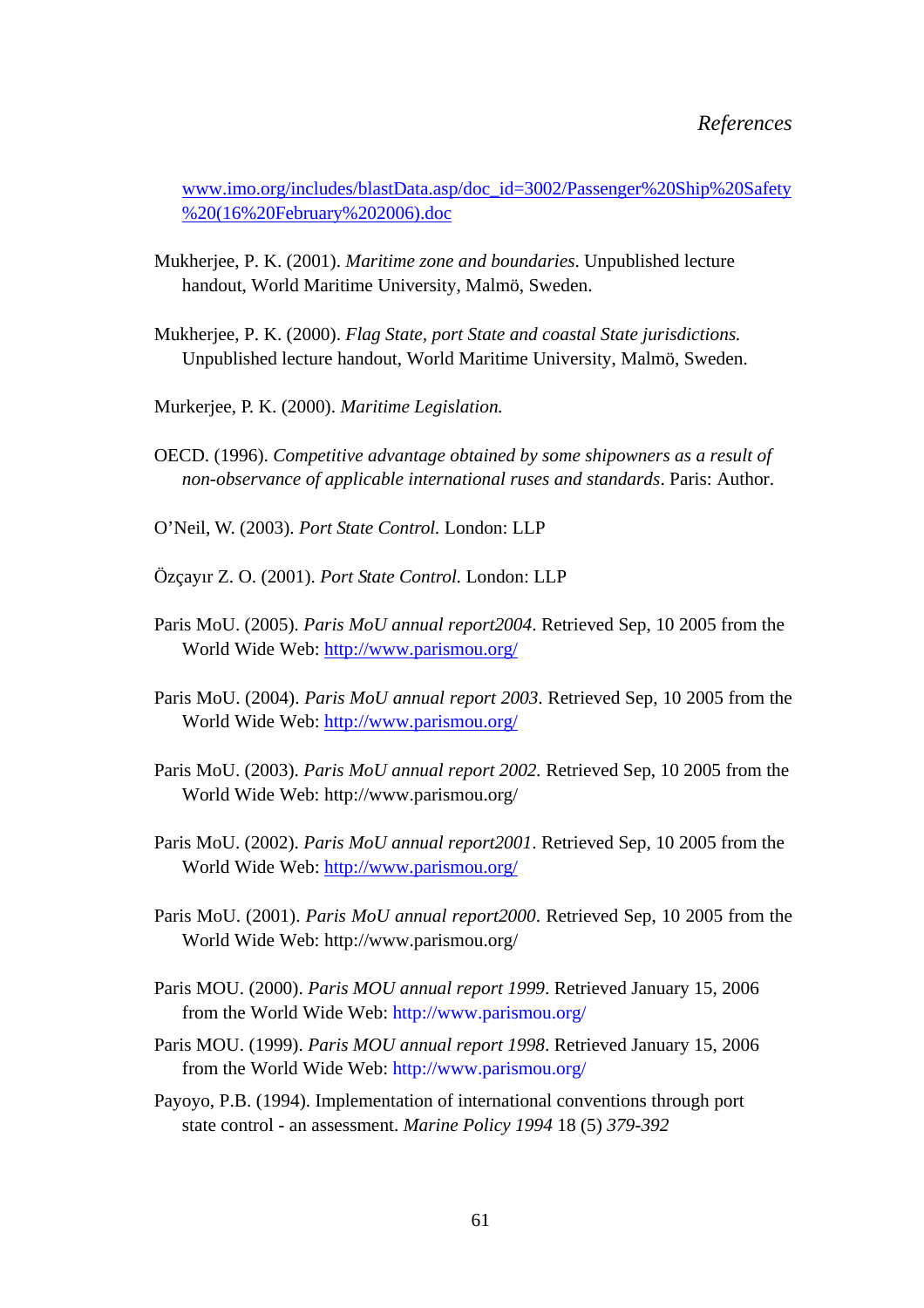www.imo.org/includes/blastData.asp/doc\_id=3002/Passenger%20Ship%20Safety %20(16%20February%202006).doc

- Mukherjee, P. K. (2001). *Maritime zone and boundaries*. Unpublished lecture handout, World Maritime University, Malmö, Sweden.
- Mukherjee, P. K. (2000). *Flag State, port State and coastal State jurisdictions.*  Unpublished lecture handout, World Maritime University, Malmö, Sweden.
- Murkerjee, P. K. (2000). *Maritime Legislation.*
- OECD. (1996). *Competitive advantage obtained by some shipowners as a result of non-observance of applicable international ruses and standards*. Paris: Author.
- O'Neil, W. (2003). *Port State Control.* London: LLP
- Özçayır Z. O. (2001). *Port State Control.* London: LLP
- Paris MoU. (2005). *Paris MoU annual report2004*. Retrieved Sep, 10 2005 from the World Wide Web: http://www.parismou.org/
- Paris MoU. (2004). *Paris MoU annual report 2003*. Retrieved Sep, 10 2005 from the World Wide Web: http://www.parismou.org/
- Paris MoU. (2003). *Paris MoU annual report 2002.* Retrieved Sep, 10 2005 from the World Wide Web: http://www.parismou.org/
- Paris MoU. (2002). *Paris MoU annual report2001*. Retrieved Sep, 10 2005 from the World Wide Web: http://www.parismou.org/
- Paris MoU. (2001). *Paris MoU annual report2000*. Retrieved Sep, 10 2005 from the World Wide Web: http://www.parismou.org/
- Paris MOU. (2000). *Paris MOU annual report 1999*. Retrieved January 15, 2006 from the World Wide Web: http://www.parismou.org/
- Paris MOU. (1999). *Paris MOU annual report 1998*. Retrieved January 15, 2006 from the World Wide Web: http://www.parismou.org/
- Payoyo, P.B. (1994). Implementation of international conventions through port state control - an assessment. *Marine Policy 1994* 18 (5) *379-392*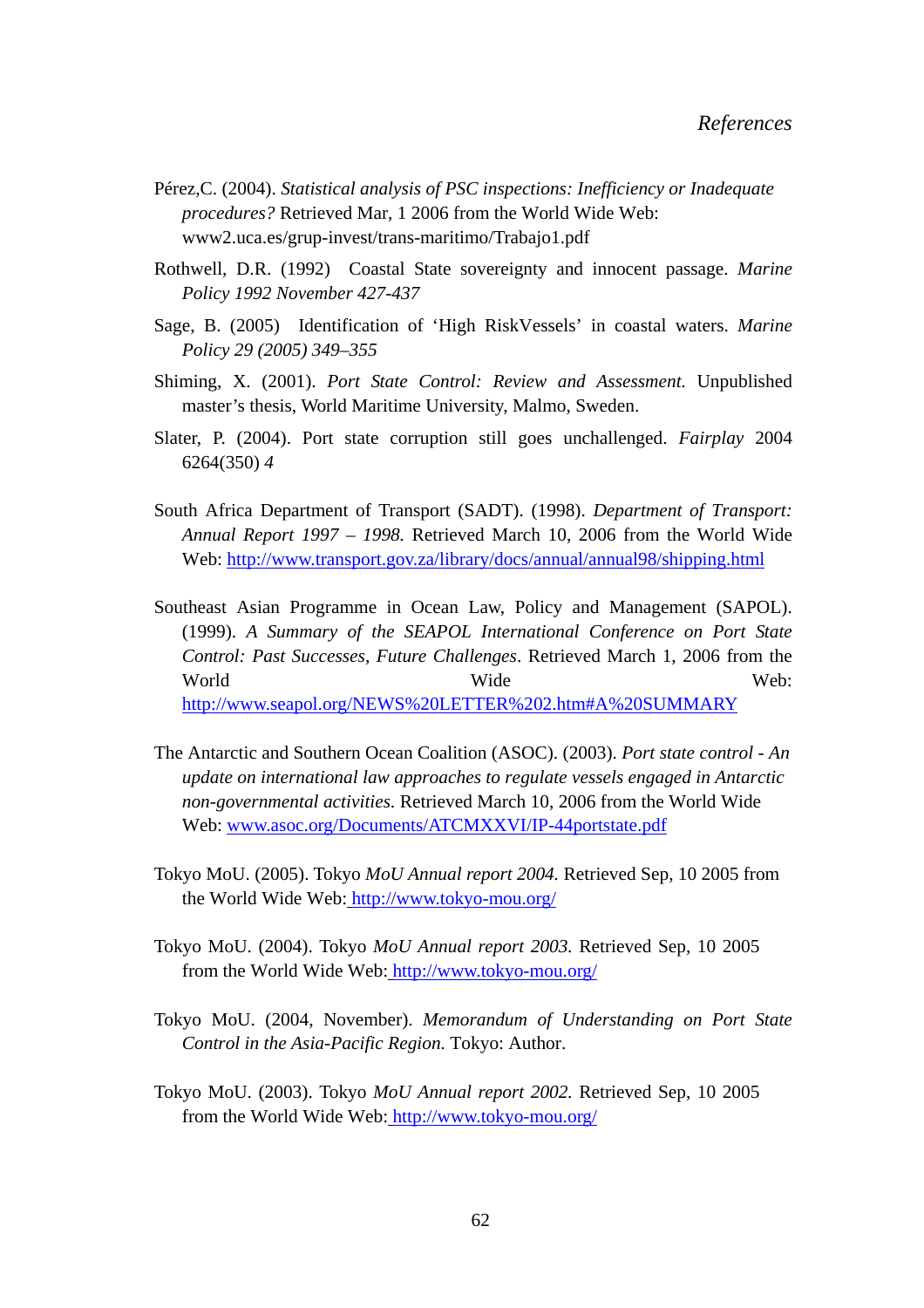- Pérez,C. (2004). *Statistical analysis of PSC inspections: Inefficiency or Inadequate procedures?* Retrieved Mar, 1 2006 from the World Wide Web: www2.uca.es/grup-invest/trans-maritimo/Trabajo1.pdf
- Rothwell, D.R. (1992) Coastal State sovereignty and innocent passage. *Marine Policy 1992 November 427-437*
- Sage, B. (2005) Identification of 'High RiskVessels' in coastal waters. *Marine Policy 29 (2005) 349–355*
- Shiming, X. (2001). *Port State Control: Review and Assessment.* Unpublished master's thesis, World Maritime University, Malmo, Sweden.
- Slater, P. (2004). Port state corruption still goes unchallenged. *Fairplay* 2004 6264(350) *4*
- South Africa Department of Transport (SADT). (1998). *Department of Transport: Annual Report 1997 – 1998.* Retrieved March 10, 2006 from the World Wide Web: http://www.transport.gov.za/library/docs/annual/annual98/shipping.html
- Southeast Asian Programme in Ocean Law, Policy and Management (SAPOL). (1999). *A Summary of the SEAPOL International Conference on Port State Control: Past Successes, Future Challenges*. Retrieved March 1, 2006 from the World Wide Web: http://www.seapol.org/NEWS%20LETTER%202.htm#A%20SUMMARY
- The Antarctic and Southern Ocean Coalition (ASOC). (2003). *Port state control An*
- *update on international law approaches to regulate vessels engaged in Antarctic non-governmental activities.* Retrieved March 10, 2006 from the World Wide Web: www.asoc.org/Documents/ATCMXXVI/IP-44portstate.pdf
- Tokyo MoU. (2005). Tokyo *MoU Annual report 2004.* Retrieved Sep, 10 2005 from the World Wide Web: http://www.tokyo-mou.org/
- Tokyo MoU. (2004). Tokyo *MoU Annual report 2003.* Retrieved Sep, 10 2005 from the World Wide Web: http://www.tokyo-mou.org/
- Tokyo MoU. (2004, November). *Memorandum of Understanding on Port State Control in the Asia-Pacific Region.* Tokyo: Author.
- Tokyo MoU. (2003). Tokyo *MoU Annual report 2002.* Retrieved Sep, 10 2005 from the World Wide Web: http://www.tokyo-mou.org/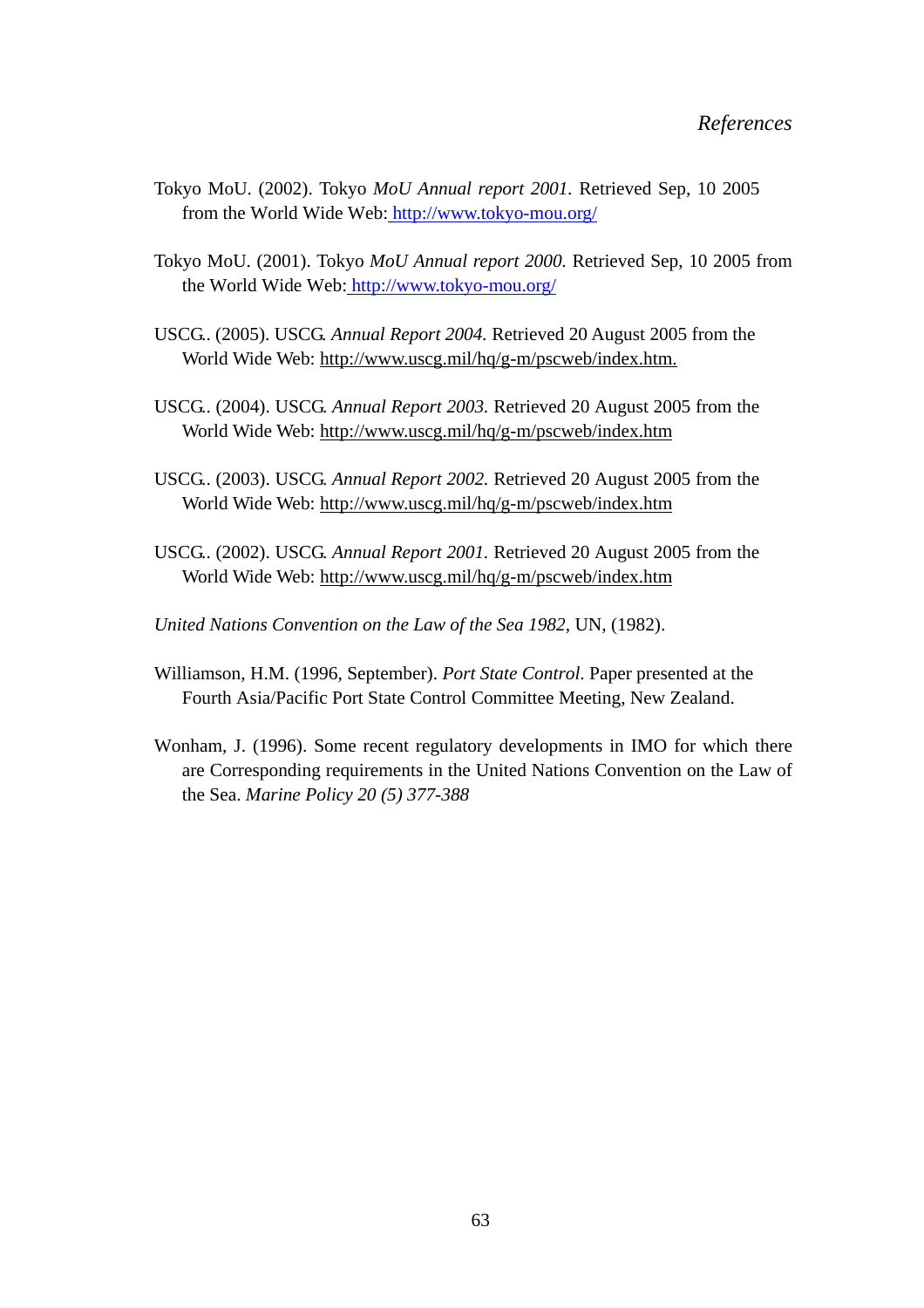- Tokyo MoU. (2002). Tokyo *MoU Annual report 2001.* Retrieved Sep, 10 2005 from the World Wide Web: http://www.tokyo-mou.org/
- Tokyo MoU. (2001). Tokyo *MoU Annual report 2000.* Retrieved Sep, 10 2005 from the World Wide Web: http://www.tokyo-mou.org/
- USCG.. (2005). USCG. *Annual Report 2004.* Retrieved 20 August 2005 from the World Wide Web: http://www.uscg.mil/hq/g-m/pscweb/index.htm.
- USCG.. (2004). USCG. *Annual Report 2003.* Retrieved 20 August 2005 from the World Wide Web: http://www.uscg.mil/hq/g-m/pscweb/index.htm
- USCG.. (2003). USCG. *Annual Report 2002.* Retrieved 20 August 2005 from the World Wide Web: http://www.uscg.mil/hq/g-m/pscweb/index.htm
- USCG.. (2002). USCG. *Annual Report 2001.* Retrieved 20 August 2005 from the World Wide Web: http://www.uscg.mil/hq/g-m/pscweb/index.htm
- *United Nations Convention on the Law of the Sea 1982*, UN, (1982).
- Williamson, H.M. (1996, September). *Port State Control*. Paper presented at the Fourth Asia/Pacific Port State Control Committee Meeting, New Zealand.
- Wonham, J. (1996). Some recent regulatory developments in IMO for which there are Corresponding requirements in the United Nations Convention on the Law of the Sea. *Marine Policy 20 (5) 377-388*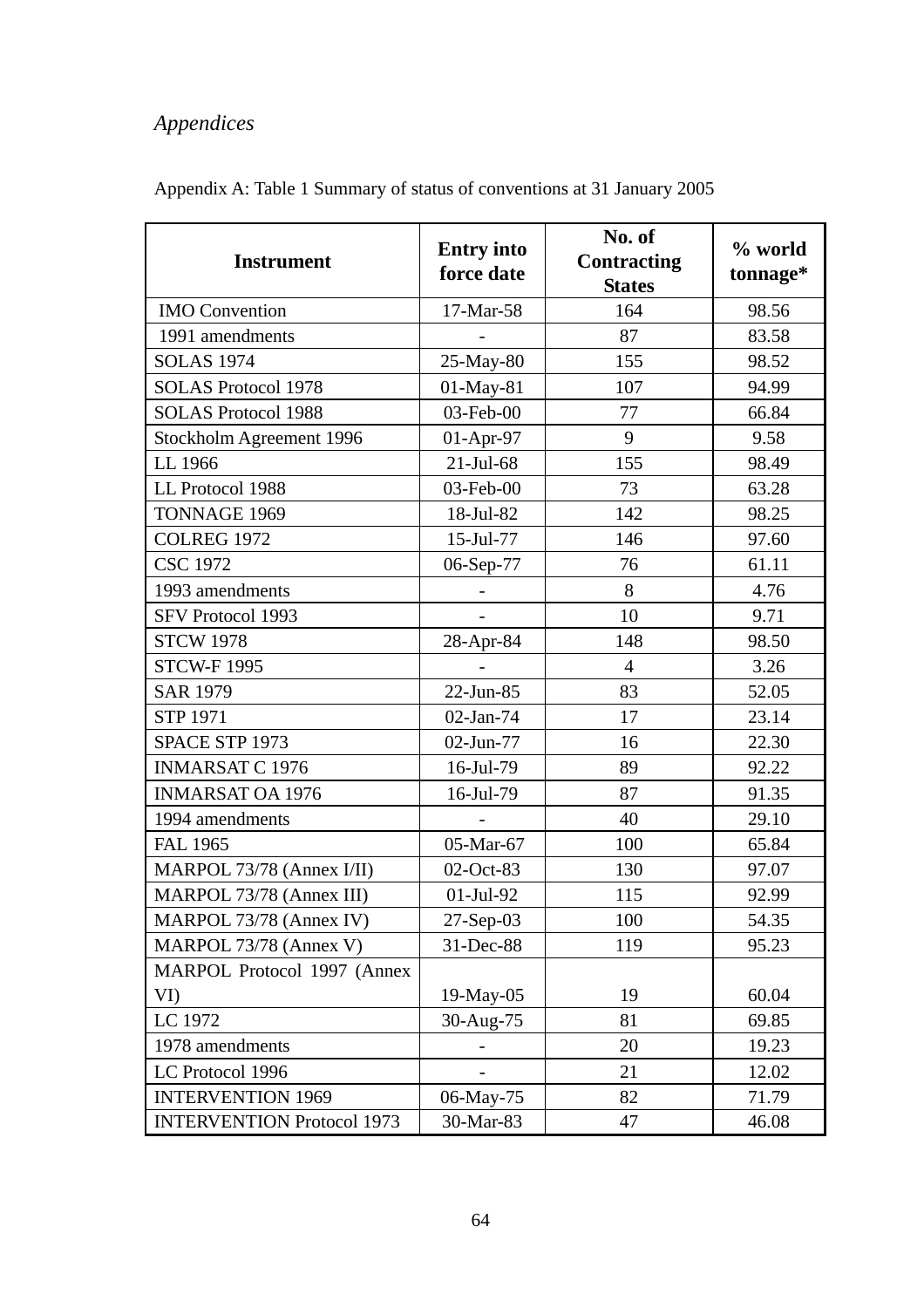| <b>Instrument</b>                 | <b>Entry into</b><br>force date | No. of<br><b>Contracting</b><br><b>States</b> | % world<br>tonnage* |
|-----------------------------------|---------------------------------|-----------------------------------------------|---------------------|
| <b>IMO</b> Convention             | 17-Mar-58                       | 164                                           | 98.56               |
| 1991 amendments                   |                                 | 87                                            | 83.58               |
| <b>SOLAS 1974</b>                 | 25-May-80                       | 155                                           | 98.52               |
| <b>SOLAS Protocol 1978</b>        | 01-May-81                       | 107                                           | 94.99               |
| <b>SOLAS Protocol 1988</b>        | 03-Feb-00                       | 77                                            | 66.84               |
| Stockholm Agreement 1996          | $01-Apr-97$                     | 9                                             | 9.58                |
| LL 1966                           | $21$ -Jul-68                    | 155                                           | 98.49               |
| LL Protocol 1988                  | 03-Feb-00                       | 73                                            | 63.28               |
| TONNAGE 1969                      | 18-Jul-82                       | 142                                           | 98.25               |
| <b>COLREG 1972</b>                | 15-Jul-77                       | 146                                           | 97.60               |
| <b>CSC 1972</b>                   | 06-Sep-77                       | 76                                            | 61.11               |
| 1993 amendments                   |                                 | 8                                             | 4.76                |
| SFV Protocol 1993                 |                                 | 10                                            | 9.71                |
| <b>STCW 1978</b>                  | 28-Apr-84                       | 148                                           | 98.50               |
| <b>STCW-F1995</b>                 |                                 | $\overline{4}$                                | 3.26                |
| <b>SAR 1979</b>                   | 22-Jun-85                       | 83                                            | 52.05               |
| <b>STP 1971</b>                   | 02-Jan-74                       | 17                                            | 23.14               |
| SPACE STP 1973                    | 02-Jun-77                       | 16                                            | 22.30               |
| <b>INMARSAT C 1976</b>            | 16-Jul-79                       | 89                                            | 92.22               |
| <b>INMARSAT OA 1976</b>           | 16-Jul-79                       | 87                                            | 91.35               |
| 1994 amendments                   |                                 | 40                                            | 29.10               |
| <b>FAL 1965</b>                   | 05-Mar-67                       | 100                                           | 65.84               |
| MARPOL 73/78 (Annex I/II)         | 02-Oct-83                       | 130                                           | 97.07               |
| MARPOL 73/78 (Annex III)          | 01-Jul-92                       | 115                                           | 92.99               |
| MARPOL 73/78 (Annex IV)           | 27-Sep-03                       | 100                                           | 54.35               |
| MARPOL 73/78 (Annex V)            | 31-Dec-88                       | 119                                           | 95.23               |
| MARPOL Protocol 1997 (Annex       |                                 |                                               |                     |
| VI)                               | 19-May-05                       | 19                                            | 60.04               |
| LC 1972                           | 30-Aug-75                       | 81                                            | 69.85               |
| 1978 amendments                   |                                 | 20                                            | 19.23               |
| LC Protocol 1996                  |                                 | 21                                            | 12.02               |
| <b>INTERVENTION 1969</b>          | 06-May-75                       | 82                                            | 71.79               |
| <b>INTERVENTION Protocol 1973</b> | 30-Mar-83                       | 47                                            | 46.08               |

Appendix A: Table 1 Summary of status of conventions at 31 January 2005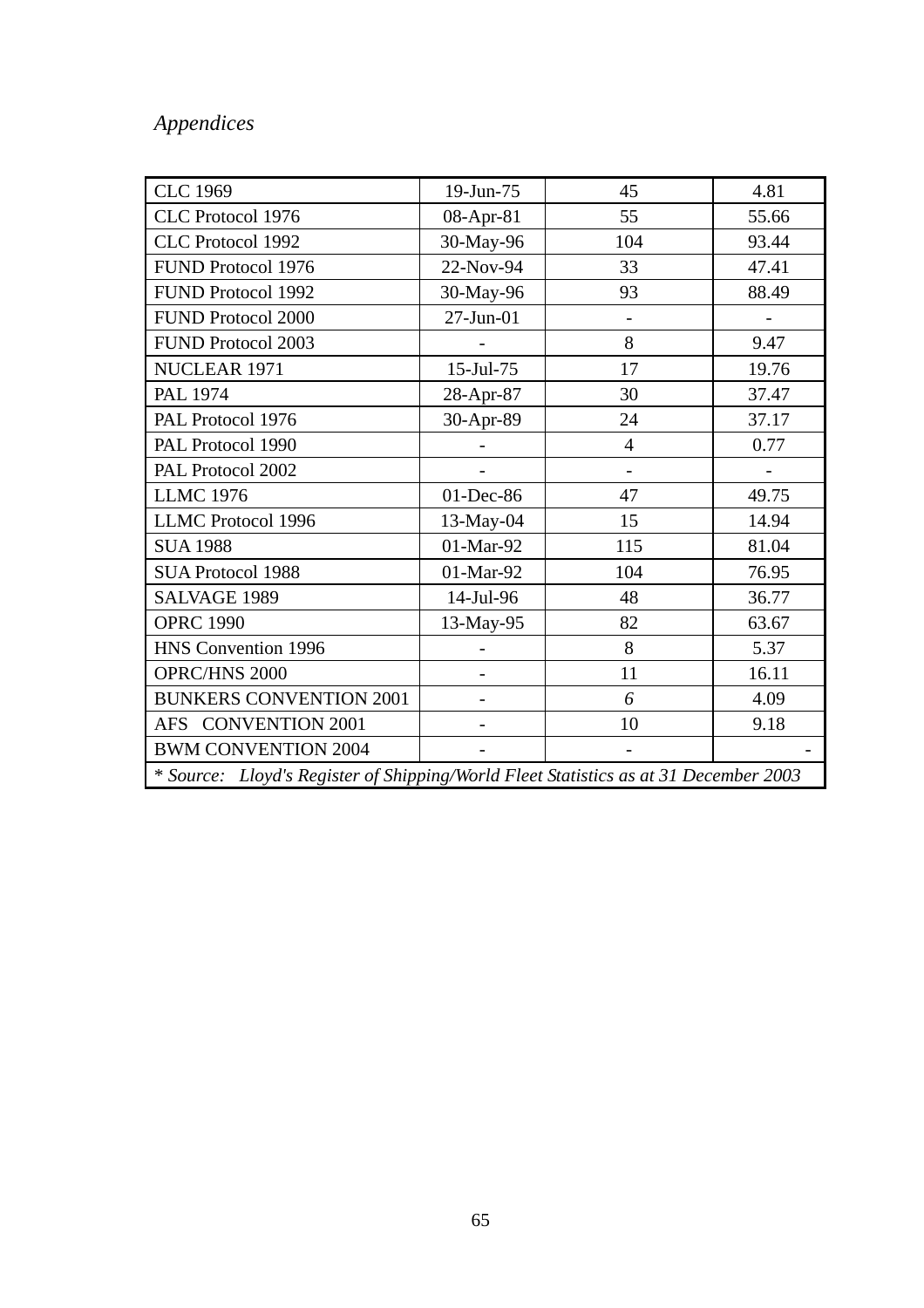| <b>CLC 1969</b>                                                                      | 19-Jun-75 | 45                       | 4.81  |
|--------------------------------------------------------------------------------------|-----------|--------------------------|-------|
| CLC Protocol 1976                                                                    | 08-Apr-81 | 55                       | 55.66 |
| CLC Protocol 1992                                                                    | 30-May-96 | 104                      | 93.44 |
| FUND Protocol 1976                                                                   | 22-Nov-94 | 33                       | 47.41 |
| FUND Protocol 1992                                                                   | 30-May-96 | 93                       | 88.49 |
| <b>FUND Protocol 2000</b>                                                            | 27-Jun-01 |                          |       |
| <b>FUND Protocol 2003</b>                                                            |           | 8                        | 9.47  |
| NUCLEAR 1971                                                                         | 15-Jul-75 | 17                       | 19.76 |
| <b>PAL 1974</b>                                                                      | 28-Apr-87 | 30                       | 37.47 |
| PAL Protocol 1976                                                                    | 30-Apr-89 | 24                       | 37.17 |
| PAL Protocol 1990                                                                    |           | $\overline{4}$           | 0.77  |
| PAL Protocol 2002                                                                    |           | $\overline{\phantom{a}}$ |       |
| <b>LLMC 1976</b>                                                                     | 01-Dec-86 | 47                       | 49.75 |
| LLMC Protocol 1996                                                                   | 13-May-04 | 15                       | 14.94 |
| <b>SUA 1988</b>                                                                      | 01-Mar-92 | 115                      | 81.04 |
| <b>SUA Protocol 1988</b>                                                             | 01-Mar-92 | 104                      | 76.95 |
| SALVAGE 1989                                                                         | 14-Jul-96 | 48                       | 36.77 |
| <b>OPRC 1990</b>                                                                     | 13-May-95 | 82                       | 63.67 |
| HNS Convention 1996                                                                  |           | 8                        | 5.37  |
| <b>OPRC/HNS 2000</b>                                                                 |           | 11                       | 16.11 |
| <b>BUNKERS CONVENTION 2001</b>                                                       |           | 6                        | 4.09  |
| AFS CONVENTION 2001                                                                  |           | 10                       | 9.18  |
| <b>BWM CONVENTION 2004</b>                                                           |           |                          |       |
| * Source: Lloyd's Register of Shipping/World Fleet Statistics as at 31 December 2003 |           |                          |       |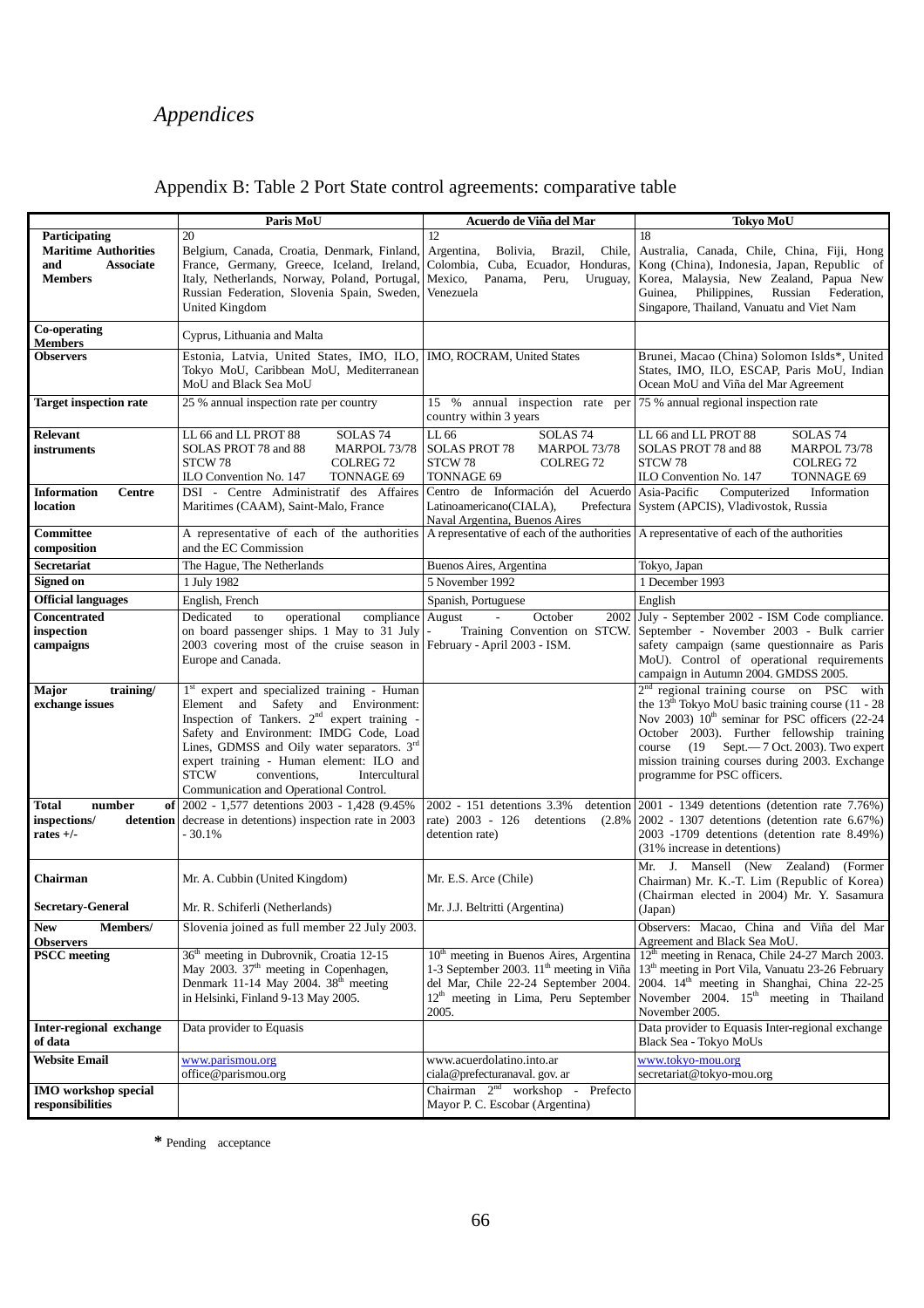|  |  |  | Appendix B: Table 2 Port State control agreements: comparative table |  |  |
|--|--|--|----------------------------------------------------------------------|--|--|
|  |  |  |                                                                      |  |  |

|                                                                                           | Paris MoU                                                                                                                                                                                                                                                                                                                                                                                    | Acuerdo de Viña del Mar                                                                                                                                                                                | <b>Tokyo MoU</b>                                                                                                                                                                                                                                                                                                                                                        |
|-------------------------------------------------------------------------------------------|----------------------------------------------------------------------------------------------------------------------------------------------------------------------------------------------------------------------------------------------------------------------------------------------------------------------------------------------------------------------------------------------|--------------------------------------------------------------------------------------------------------------------------------------------------------------------------------------------------------|-------------------------------------------------------------------------------------------------------------------------------------------------------------------------------------------------------------------------------------------------------------------------------------------------------------------------------------------------------------------------|
| Participating<br><b>Maritime Authorities</b><br><b>Associate</b><br>and<br><b>Members</b> | 20<br>Belgium, Canada, Croatia, Denmark, Finland,<br>France, Germany, Greece, Iceland, Ireland,<br>Italy, Netherlands, Norway, Poland, Portugal,<br>Russian Federation, Slovenia Spain, Sweden,<br>United Kingdom                                                                                                                                                                            | 12<br>Chile,<br>Argentina,<br>Bolivia,<br>Brazil,<br>Colombia, Cuba, Ecuador, Honduras,<br>Mexico,<br>Panama,<br>Peru,<br>Uruguay,<br>Venezuela                                                        | 18<br>Australia, Canada, Chile, China, Fiji, Hong<br>Kong (China), Indonesia, Japan, Republic of<br>Korea, Malaysia, New Zealand, Papua New<br>Guinea,<br>Philippines,<br>Russian<br>Federation,<br>Singapore, Thailand, Vanuatu and Viet Nam                                                                                                                           |
| Co-operating<br><b>Members</b>                                                            | Cyprus, Lithuania and Malta                                                                                                                                                                                                                                                                                                                                                                  |                                                                                                                                                                                                        |                                                                                                                                                                                                                                                                                                                                                                         |
| <b>Observers</b>                                                                          | Estonia, Latvia, United States, IMO, ILO, IMO, ROCRAM, United States<br>Tokyo MoU, Caribbean MoU, Mediterranean<br>MoU and Black Sea MoU                                                                                                                                                                                                                                                     |                                                                                                                                                                                                        | Brunei, Macao (China) Solomon Islds*, United<br>States, IMO, ILO, ESCAP, Paris MoU, Indian<br>Ocean MoU and Viña del Mar Agreement                                                                                                                                                                                                                                      |
| <b>Target inspection rate</b>                                                             | 25 % annual inspection rate per country                                                                                                                                                                                                                                                                                                                                                      | 15 %<br>country within 3 years                                                                                                                                                                         | annual inspection rate per 75 % annual regional inspection rate                                                                                                                                                                                                                                                                                                         |
| <b>Relevant</b><br>instruments                                                            | LL 66 and LL PROT 88<br>SOLAS <sub>74</sub><br>SOLAS PROT 78 and 88<br><b>MARPOL 73/78</b><br>STCW 78<br>COLREG <sub>72</sub><br>ILO Convention No. 147<br>TONNAGE 69                                                                                                                                                                                                                        | LL 66<br>SOLAS <sub>74</sub><br>MARPOL 73/78<br><b>SOLAS PROT 78</b><br>COLREG <sub>72</sub><br>STCW 78<br>TONNAGE 69                                                                                  | SOLAS <sub>74</sub><br>LL 66 and LL PROT 88<br>SOLAS PROT 78 and 88<br><b>MARPOL 73/78</b><br>STCW78<br>COLREG <sub>72</sub><br>ILO Convention No. 147<br>TONNAGE 69                                                                                                                                                                                                    |
| <b>Information</b><br><b>Centre</b><br>location                                           | DSI - Centre Administratif des Affaires<br>Maritimes (CAAM), Saint-Malo, France                                                                                                                                                                                                                                                                                                              | Centro de Información del Acuerdo Asia-Pacific<br>Latinoamericano(CIALA),<br>Naval Argentina, Buenos Aires                                                                                             | Computerized<br>Information<br>Prefectura System (APCIS), Vladivostok, Russia                                                                                                                                                                                                                                                                                           |
| Committee<br>composition                                                                  | A representative of each of the authorities<br>and the EC Commission                                                                                                                                                                                                                                                                                                                         | A representative of each of the authorities A representative of each of the authorities                                                                                                                |                                                                                                                                                                                                                                                                                                                                                                         |
| <b>Secretariat</b>                                                                        | The Hague, The Netherlands                                                                                                                                                                                                                                                                                                                                                                   | Buenos Aires, Argentina                                                                                                                                                                                | Tokyo, Japan                                                                                                                                                                                                                                                                                                                                                            |
| Signed on                                                                                 | 1 July 1982                                                                                                                                                                                                                                                                                                                                                                                  | 5 November 1992                                                                                                                                                                                        | 1 December 1993                                                                                                                                                                                                                                                                                                                                                         |
| <b>Official languages</b>                                                                 | English, French                                                                                                                                                                                                                                                                                                                                                                              | Spanish, Portuguese                                                                                                                                                                                    | English                                                                                                                                                                                                                                                                                                                                                                 |
| Concentrated<br>inspection<br>campaigns                                                   | compliance August<br>Dedicated<br>operational<br>to<br>on board passenger ships. 1 May to 31 July -<br>2003 covering most of the cruise season in February - April 2003 - ISM.<br>Europe and Canada.                                                                                                                                                                                         | October<br>$\overline{\phantom{a}}$<br>2002<br>Training Convention on STCW.                                                                                                                            | July - September 2002 - ISM Code compliance.<br>September - November 2003 - Bulk carrier<br>safety campaign (same questionnaire as Paris<br>MoU). Control of operational requirements<br>campaign in Autumn 2004. GMDSS 2005.                                                                                                                                           |
| training/<br>Major<br>exchange issues                                                     | 1 <sup>st</sup> expert and specialized training - Human<br>Element and Safety and Environment:<br>Inspection of Tankers. 2 <sup>nd</sup> expert training -<br>Safety and Environment: IMDG Code, Load<br>Lines, GDMSS and Oily water separators. $3rd$<br>expert training - Human element: ILO and<br><b>STCW</b><br>conventions,<br>Intercultural<br>Communication and Operational Control. |                                                                                                                                                                                                        | 2 <sup>nd</sup> regional training course on PSC with<br>the 13 <sup>th</sup> Tokyo MoU basic training course (11 - 28<br>Nov 2003) 10 <sup>th</sup> seminar for PSC officers (22-24<br>October 2003). Further fellowship training<br>$(19$ Sept. $-7$ Oct. 2003). Two expert<br>course<br>mission training courses during 2003. Exchange<br>programme for PSC officers. |
| <b>Total</b><br>number<br>inspections/<br>rates $+/-$                                     | of 2002 - 1,577 detentions 2003 - 1,428 (9.45%)<br><b>detention</b> decrease in detentions) inspection rate in 2003<br>- 30.1%                                                                                                                                                                                                                                                               | 2002 - 151 detentions 3.3%<br>detention<br>rate) 2003 - 126<br>detentions<br>(2.8%<br>detention rate)                                                                                                  | 2001 - 1349 detentions (detention rate 7.76%)<br>$2002 - 1307$ detentions (detention rate 6.67%)<br>2003 -1709 detentions (detention rate 8.49%)<br>(31% increase in detentions)                                                                                                                                                                                        |
| Chairman                                                                                  | Mr. A. Cubbin (United Kingdom)                                                                                                                                                                                                                                                                                                                                                               | Mr. E.S. Arce (Chile)                                                                                                                                                                                  | Mr. J. Mansell (New Zealand) (Former<br>Chairman) Mr. K.-T. Lim (Republic of Korea)<br>(Chairman elected in 2004) Mr. Y. Sasamura                                                                                                                                                                                                                                       |
| <b>Secretary-General</b>                                                                  | Mr. R. Schiferli (Netherlands)                                                                                                                                                                                                                                                                                                                                                               | Mr. J.J. Beltritti (Argentina)                                                                                                                                                                         | (Japan)                                                                                                                                                                                                                                                                                                                                                                 |
| Members/<br><b>New</b><br><b>Observers</b>                                                | Slovenia joined as full member 22 July 2003.                                                                                                                                                                                                                                                                                                                                                 |                                                                                                                                                                                                        | Observers: Macao, China and Viña del Mar<br>Agreement and Black Sea MoU.                                                                                                                                                                                                                                                                                                |
| <b>PSCC</b> meeting                                                                       | 36 <sup>th</sup> meeting in Dubrovnik, Croatia 12-15<br>May 2003. 37 <sup>th</sup> meeting in Copenhagen,<br>Denmark 11-14 May 2004. 38 <sup>th</sup> meeting<br>in Helsinki, Finland 9-13 May 2005.                                                                                                                                                                                         | 10 <sup>th</sup> meeting in Buenos Aires, Argentina<br>1-3 September 2003. 11 <sup>th</sup> meeting in Viña<br>del Mar, Chile 22-24 September 2004.<br>$12th$ meeting in Lima, Peru September<br>2005. | 12 <sup>th</sup> meeting in Renaca, Chile 24-27 March 2003.<br>13 <sup>th</sup> meeting in Port Vila, Vanuatu 23-26 February<br>2004. 14 <sup>th</sup> meeting in Shanghai, China 22-25<br>November 2004. 15 <sup>th</sup> meeting in Thailand<br>November 2005.                                                                                                        |
| Inter-regional exchange<br>of data                                                        | Data provider to Equasis                                                                                                                                                                                                                                                                                                                                                                     |                                                                                                                                                                                                        | Data provider to Equasis Inter-regional exchange<br>Black Sea - Tokyo MoUs                                                                                                                                                                                                                                                                                              |
| <b>Website Email</b>                                                                      | www.parismou.org<br>office@parismou.org                                                                                                                                                                                                                                                                                                                                                      | www.acuerdolatino.into.ar<br>ciala@prefecturanaval.gov.ar                                                                                                                                              | www.tokyo-mou.org<br>secretariat@tokyo-mou.org                                                                                                                                                                                                                                                                                                                          |
| <b>IMO</b> workshop special<br>responsibilities                                           |                                                                                                                                                                                                                                                                                                                                                                                              | Chairman $2nd$ workshop -<br>Prefecto<br>Mayor P. C. Escobar (Argentina)                                                                                                                               |                                                                                                                                                                                                                                                                                                                                                                         |

**\*** Pending acceptance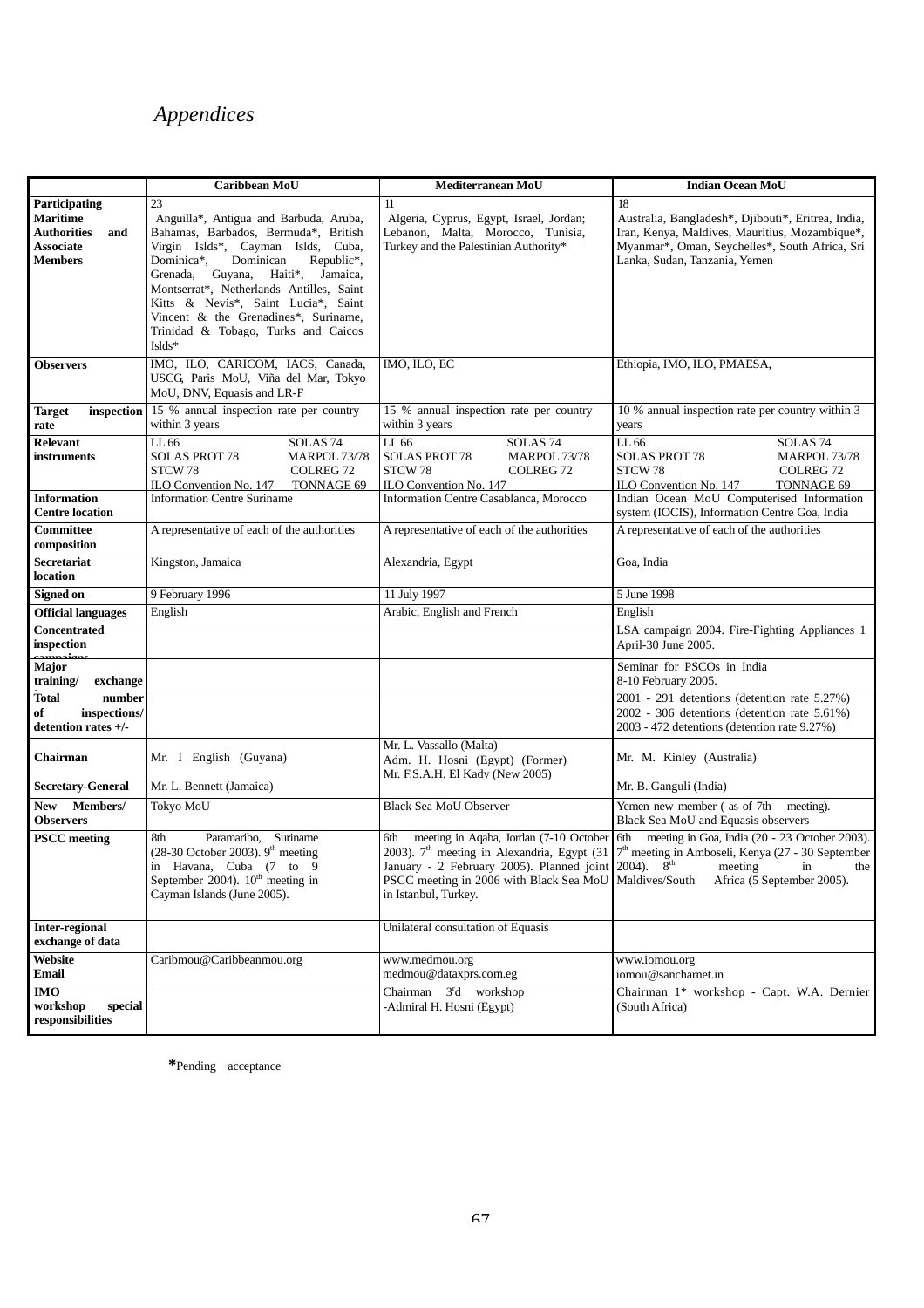|                                                                                    | Caribbean MoU                                                                                                                                                                                                                                                                                                                                                                             | Mediterranean MoU                                                                                                                                                                                                                                                                                                                                                                                               | <b>Indian Ocean MoU</b>                                                                                                                                                                 |
|------------------------------------------------------------------------------------|-------------------------------------------------------------------------------------------------------------------------------------------------------------------------------------------------------------------------------------------------------------------------------------------------------------------------------------------------------------------------------------------|-----------------------------------------------------------------------------------------------------------------------------------------------------------------------------------------------------------------------------------------------------------------------------------------------------------------------------------------------------------------------------------------------------------------|-----------------------------------------------------------------------------------------------------------------------------------------------------------------------------------------|
| <b>Participating</b>                                                               | 23                                                                                                                                                                                                                                                                                                                                                                                        | 11                                                                                                                                                                                                                                                                                                                                                                                                              | 18                                                                                                                                                                                      |
| <b>Maritime</b><br><b>Authorities</b><br>and<br><b>Associate</b><br><b>Members</b> | Anguilla*, Antigua and Barbuda, Aruba,<br>Bahamas, Barbados, Bermuda*, British<br>Virgin Islds*, Cayman Islds, Cuba,<br>Dominican<br>Republic*,<br>Dominica*,<br>Grenada,<br>Guyana,<br>Haiti*,<br>Jamaica,<br>Montserrat*, Netherlands Antilles, Saint<br>Kitts & Nevis*, Saint Lucia*, Saint<br>Vincent & the Grenadines*, Suriname,<br>Trinidad & Tobago, Turks and Caicos<br>$Islds*$ | Algeria, Cyprus, Egypt, Israel, Jordan;<br>Lebanon, Malta, Morocco, Tunisia,<br>Turkey and the Palestinian Authority*                                                                                                                                                                                                                                                                                           | Australia, Bangladesh*, Djibouti*, Eritrea, India,<br>Iran, Kenya, Maldives, Mauritius, Mozambique*,<br>Myanmar*, Oman, Seychelles*, South Africa, Sri<br>Lanka, Sudan, Tanzania, Yemen |
| <b>Observers</b>                                                                   | IMO, ILO, CARICOM, IACS, Canada,<br>USCG, Paris MoU, Viña del Mar, Tokyo<br>MoU, DNV, Equasis and LR-F                                                                                                                                                                                                                                                                                    | IMO, ILO, EC                                                                                                                                                                                                                                                                                                                                                                                                    | Ethiopia, IMO, ILO, PMAESA,                                                                                                                                                             |
| inspection<br><b>Target</b><br>rate                                                | 15 % annual inspection rate per country<br>within 3 years                                                                                                                                                                                                                                                                                                                                 | 15 % annual inspection rate per country<br>within 3 years                                                                                                                                                                                                                                                                                                                                                       | 10 % annual inspection rate per country within 3<br>years                                                                                                                               |
| <b>Relevant</b>                                                                    | LL 66<br>SOLAS <sub>74</sub>                                                                                                                                                                                                                                                                                                                                                              | LL 66<br>SOLAS <sub>74</sub>                                                                                                                                                                                                                                                                                                                                                                                    | LL 66<br>SOLAS <sub>74</sub>                                                                                                                                                            |
| instruments                                                                        | <b>SOLAS PROT 78</b><br>MARPOL 73/78<br>STCW 78<br><b>COLREG 72</b><br>ILO Convention No. 147<br>TONNAGE 69                                                                                                                                                                                                                                                                               | <b>SOLAS PROT 78</b><br><b>MARPOL 73/78</b><br>STCW 78<br>COLREG <sub>72</sub><br>ILO Convention No. 147                                                                                                                                                                                                                                                                                                        | <b>SOLAS PROT 78</b><br>MARPOL 73/78<br>STCW 78<br>COLREG <sub>72</sub><br>ILO Convention No. 147<br>TONNAGE 69                                                                         |
| <b>Information</b><br><b>Centre location</b>                                       | <b>Information Centre Suriname</b>                                                                                                                                                                                                                                                                                                                                                        | Information Centre Casablanca, Morocco                                                                                                                                                                                                                                                                                                                                                                          | Indian Ocean MoU Computerised Information<br>system (IOCIS), Information Centre Goa, India                                                                                              |
| Committee<br>composition                                                           | A representative of each of the authorities                                                                                                                                                                                                                                                                                                                                               | A representative of each of the authorities                                                                                                                                                                                                                                                                                                                                                                     | A representative of each of the authorities                                                                                                                                             |
| <b>Secretariat</b><br>location                                                     | Kingston, Jamaica                                                                                                                                                                                                                                                                                                                                                                         | Alexandria, Egypt                                                                                                                                                                                                                                                                                                                                                                                               | Goa, India                                                                                                                                                                              |
| <b>Signed on</b>                                                                   | 9 February 1996                                                                                                                                                                                                                                                                                                                                                                           | 11 July 1997                                                                                                                                                                                                                                                                                                                                                                                                    | 5 June 1998                                                                                                                                                                             |
| <b>Official languages</b>                                                          | English                                                                                                                                                                                                                                                                                                                                                                                   | Arabic, English and French                                                                                                                                                                                                                                                                                                                                                                                      | English                                                                                                                                                                                 |
| Concentrated<br>inspection                                                         |                                                                                                                                                                                                                                                                                                                                                                                           |                                                                                                                                                                                                                                                                                                                                                                                                                 | LSA campaign 2004. Fire-Fighting Appliances 1<br>April-30 June 2005.                                                                                                                    |
| <b>Major</b><br>training/<br>exchange                                              |                                                                                                                                                                                                                                                                                                                                                                                           |                                                                                                                                                                                                                                                                                                                                                                                                                 | Seminar for PSCOs in India<br>8-10 February 2005.                                                                                                                                       |
| <b>Total</b><br>number<br>of<br>inspections/<br>detention rates +/-                |                                                                                                                                                                                                                                                                                                                                                                                           |                                                                                                                                                                                                                                                                                                                                                                                                                 | 2001 - 291 detentions (detention rate 5.27%)<br>2002 - 306 detentions (detention rate 5.61%)<br>2003 - 472 detentions (detention rate 9.27%)                                            |
| Chairman                                                                           | Mr. I English (Guyana)                                                                                                                                                                                                                                                                                                                                                                    | Mr. L. Vassallo (Malta)<br>Adm. H. Hosni (Egypt) (Former)                                                                                                                                                                                                                                                                                                                                                       | Mr. M. Kinley (Australia)                                                                                                                                                               |
| <b>Secretary-General</b>                                                           | Mr. L. Bennett (Jamaica)                                                                                                                                                                                                                                                                                                                                                                  | Mr. F.S.A.H. El Kady (New 2005)                                                                                                                                                                                                                                                                                                                                                                                 | Mr. B. Ganguli (India)                                                                                                                                                                  |
| New Members/<br><b>Observers</b>                                                   | Tokyo MoU                                                                                                                                                                                                                                                                                                                                                                                 | <b>Black Sea MoU Observer</b>                                                                                                                                                                                                                                                                                                                                                                                   | Yemen new member (as of 7th meeting).<br>Black Sea MoU and Equasis observers                                                                                                            |
| <b>PSCC</b> meeting                                                                | Paramaribo, Suriname<br>8th<br>(28-30 October 2003). $9th$ meeting<br>in Havana. Cuba (7 to 9<br>September 2004). $10^{\text{th}}$ meeting in<br>Cayman Islands (June 2005).                                                                                                                                                                                                              | meeting in Aqaba, Jordan (7-10 October 6th meeting in Goa, India (20 - 23 October 2003).<br>6th<br>2003). 7 <sup>th</sup> meeting in Alexandria, Egypt (31 $7th$ meeting in Amboseli, Kenya (27 - 30 September<br>January - 2 February 2005). Planned joint 2004). $8^{\text{th}}$<br>meeting in<br>PSCC meeting in 2006 with Black Sea MoU   Maldives/South Africa (5 September 2005).<br>in Istanbul, Turkey. |                                                                                                                                                                                         |
| <b>Inter-regional</b><br>exchange of data                                          |                                                                                                                                                                                                                                                                                                                                                                                           | Unilateral consultation of Equasis                                                                                                                                                                                                                                                                                                                                                                              |                                                                                                                                                                                         |
| Website<br><b>Email</b>                                                            | Caribmou@Caribbeanmou.org                                                                                                                                                                                                                                                                                                                                                                 | www.medmou.org<br>medmou@dataxprs.com.eg                                                                                                                                                                                                                                                                                                                                                                        | www.iomou.org<br>iomou@sancharnet.in                                                                                                                                                    |
| <b>IMO</b><br>workshop<br>special<br>responsibilities                              |                                                                                                                                                                                                                                                                                                                                                                                           | Chairman 3 <sup>r</sup> d workshop<br>-Admiral H. Hosni (Egypt)                                                                                                                                                                                                                                                                                                                                                 | Chairman 1* workshop - Capt. W.A. Dernier<br>(South Africa)                                                                                                                             |

**\***Pending acceptance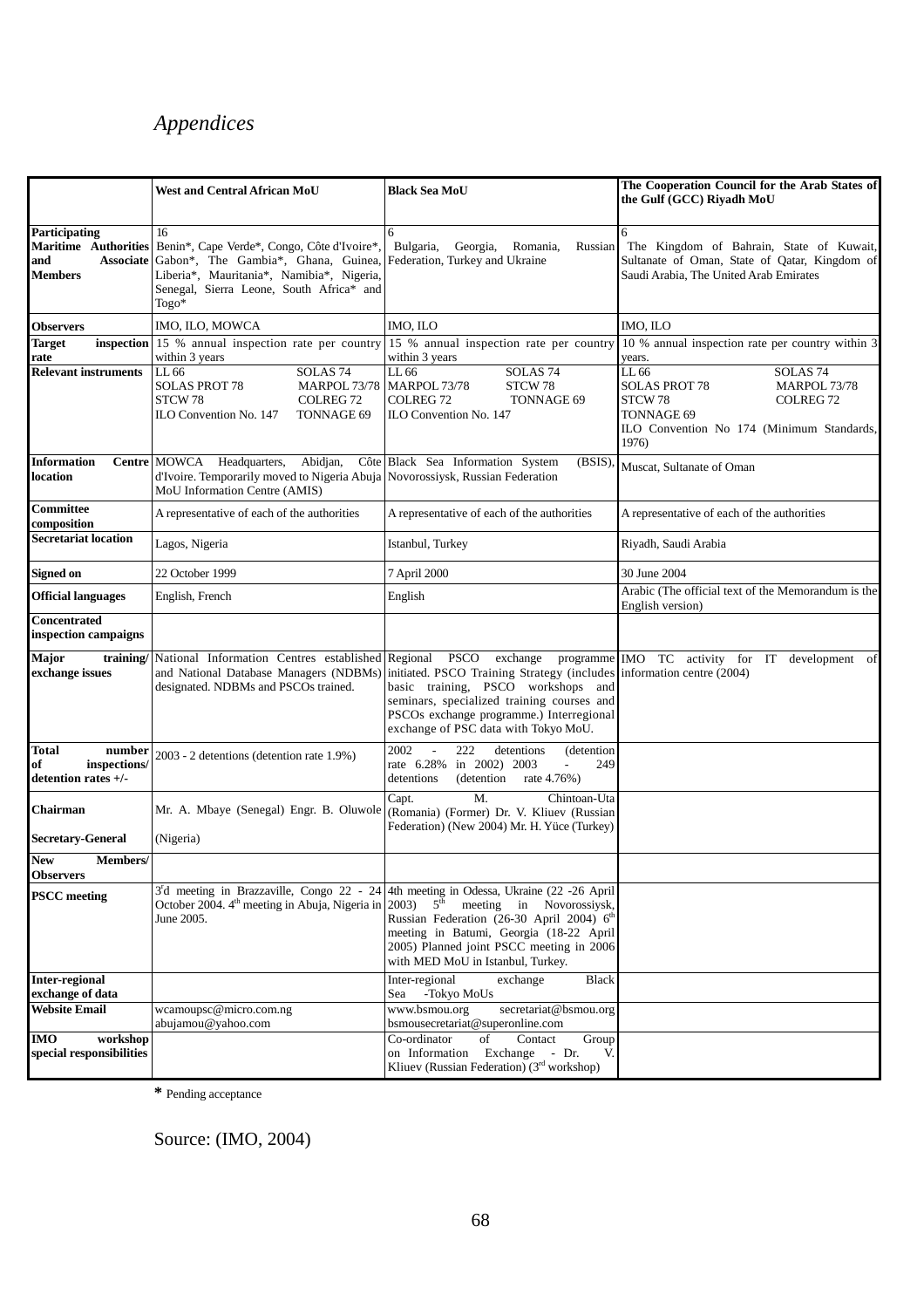|                                                              | West and Central African MoU                                                                                                                                                                                              | <b>Black Sea MoU</b>                                                                                                                                                                                                                                                             | The Cooperation Council for the Arab States of                                                                                                                                     |
|--------------------------------------------------------------|---------------------------------------------------------------------------------------------------------------------------------------------------------------------------------------------------------------------------|----------------------------------------------------------------------------------------------------------------------------------------------------------------------------------------------------------------------------------------------------------------------------------|------------------------------------------------------------------------------------------------------------------------------------------------------------------------------------|
|                                                              |                                                                                                                                                                                                                           |                                                                                                                                                                                                                                                                                  | the Gulf (GCC) Riyadh MoU                                                                                                                                                          |
| <b>Participating</b><br>and<br>Members                       | 16<br>Maritime Authorities Benin*, Cape Verde*, Congo, Côte d'Ivoire*,<br>Associate Gabon*, The Gambia*, Ghana, Guinea,<br>Liberia*, Mauritania*, Namibia*, Nigeria,<br>Senegal, Sierra Leone, South Africa* and<br>Togo* | 6<br>Bulgaria,<br>Georgia,<br>Romania,<br>Russian<br>Federation, Turkey and Ukraine                                                                                                                                                                                              | 6<br>The Kingdom of Bahrain, State of Kuwait,<br>Sultanate of Oman, State of Qatar, Kingdom of<br>Saudi Arabia, The United Arab Emirates                                           |
| Observers                                                    | IMO, ILO, MOWCA                                                                                                                                                                                                           | IMO, ILO                                                                                                                                                                                                                                                                         | IMO, ILO                                                                                                                                                                           |
| <b>Target</b><br>rate                                        | <b>inspection</b> 15 % annual inspection rate per country<br>within 3 years                                                                                                                                               | 15 % annual inspection rate per country<br>within 3 years                                                                                                                                                                                                                        | 10 % annual inspection rate per country within 3<br>years.                                                                                                                         |
| <b>Relevant instruments</b>                                  | LL 66<br>SOLAS <sub>74</sub><br><b>SOLAS PROT 78</b><br>MARPOL 73/78<br>STCW 78<br>COLREG <sub>72</sub><br>ILO Convention No. 147<br>TONNAGE 69                                                                           | LL 66<br>SOLAS <sub>74</sub><br><b>MARPOL 73/78</b><br>STCW 78<br><b>COLREG 72</b><br><b>TONNAGE 69</b><br>ILO Convention No. 147                                                                                                                                                | LL 66<br>SOLAS <sub>74</sub><br><b>SOLAS PROT 78</b><br><b>MARPOL 73/78</b><br>STCW 78<br>COLREG <sub>72</sub><br>TONNAGE 69<br>ILO Convention No 174 (Minimum Standards,<br>1976) |
| <b>Information</b><br>location                               | Centre MOWCA Headquarters,<br>Abidjan,<br>d'Ivoire. Temporarily moved to Nigeria Abuja Novorossiysk, Russian Federation<br>MoU Information Centre (AMIS)                                                                  | Côte Black Sea Information System<br>(BSIS)                                                                                                                                                                                                                                      | Muscat, Sultanate of Oman                                                                                                                                                          |
| Committee<br>composition                                     | A representative of each of the authorities                                                                                                                                                                               | A representative of each of the authorities                                                                                                                                                                                                                                      | A representative of each of the authorities                                                                                                                                        |
| <b>Secretariat location</b>                                  | Lagos, Nigeria                                                                                                                                                                                                            | Istanbul, Turkey                                                                                                                                                                                                                                                                 | Riyadh, Saudi Arabia                                                                                                                                                               |
| <b>Signed on</b>                                             | 22 October 1999                                                                                                                                                                                                           | 7 April 2000                                                                                                                                                                                                                                                                     | 30 June 2004                                                                                                                                                                       |
| <b>Official languages</b>                                    | English, French                                                                                                                                                                                                           | English                                                                                                                                                                                                                                                                          | Arabic (The official text of the Memorandum is the<br>English version)                                                                                                             |
| Concentrated<br>inspection campaigns                         |                                                                                                                                                                                                                           |                                                                                                                                                                                                                                                                                  |                                                                                                                                                                                    |
| Major<br>exchange issues                                     | training/ National Information Centres established<br>and National Database Managers (NDBMs)<br>designated. NDBMs and PSCOs trained.                                                                                      | initiated. PSCO Training Strategy (includes information centre (2004)<br>basic training, PSCO workshops and<br>seminars, specialized training courses and<br>PSCOs exchange programme.) Interregional<br>exchange of PSC data with Tokyo MoU.                                    | Regional PSCO exchange programme IMO TC activity for IT development of                                                                                                             |
| Total<br>number<br>of<br>inspections/<br>detention rates +/- | 2003 - 2 detentions (detention rate 1.9%)                                                                                                                                                                                 | 2002<br>222<br>$\overline{\phantom{a}}$<br>detentions<br>(detention)<br>rate $6.28\%$<br>in $2002$ ) $2003$<br>249<br>$\overline{\phantom{a}}$<br>detentions<br>(detention)<br>rate 4.76%)                                                                                       |                                                                                                                                                                                    |
| Chairman<br>Secretary-General                                | Mr. A. Mbaye (Senegal) Engr. B. Oluwole<br>(Nigeria)                                                                                                                                                                      | M.<br>Chintoan-Uta<br>Capt.<br>(Romania) (Former) Dr. V. Kliuev (Russian<br>Federation) (New 2004) Mr. H. Yüce (Turkey)                                                                                                                                                          |                                                                                                                                                                                    |
| <b>New</b><br><b>Members/</b><br><b>Observers</b>            |                                                                                                                                                                                                                           |                                                                                                                                                                                                                                                                                  |                                                                                                                                                                                    |
| <b>PSCC</b> meeting                                          | 3'd meeting in Brazzaville, Congo 22 - 24<br>October 2004. 4 <sup>th</sup> meeting in Abuja, Nigeria in<br>June 2005.                                                                                                     | 4th meeting in Odessa, Ukraine (22 -26 April<br>$5^{\text{th}}$<br>$2003$ )<br>meeting in Novorossiysk,<br>Russian Federation (26-30 April 2004) 6th<br>meeting in Batumi, Georgia (18-22 April<br>2005) Planned joint PSCC meeting in 2006<br>with MED MoU in Istanbul, Turkey. |                                                                                                                                                                                    |
| <b>Inter-regional</b><br>exchange of data                    |                                                                                                                                                                                                                           | Inter-regional<br>exchange<br>Black<br>Sea<br>-Tokyo MoUs                                                                                                                                                                                                                        |                                                                                                                                                                                    |
| <b>Website Email</b>                                         | wcamoupsc@micro.com.ng<br>abujamou@yahoo.com                                                                                                                                                                              | www.bsmou.org<br>secretariat@bsmou.org<br>bsmousecretariat@superonline.com                                                                                                                                                                                                       |                                                                                                                                                                                    |
| <b>IMO</b><br>workshop<br>special responsibilities           |                                                                                                                                                                                                                           | Co-ordinator<br>of<br>Contact<br>Group<br>Exchange - Dr.<br>on Information<br>V.<br>Kliuev (Russian Federation) $(3rd$ workshop)                                                                                                                                                 |                                                                                                                                                                                    |

**\*** Pending acceptance

Source: (IMO, 2004)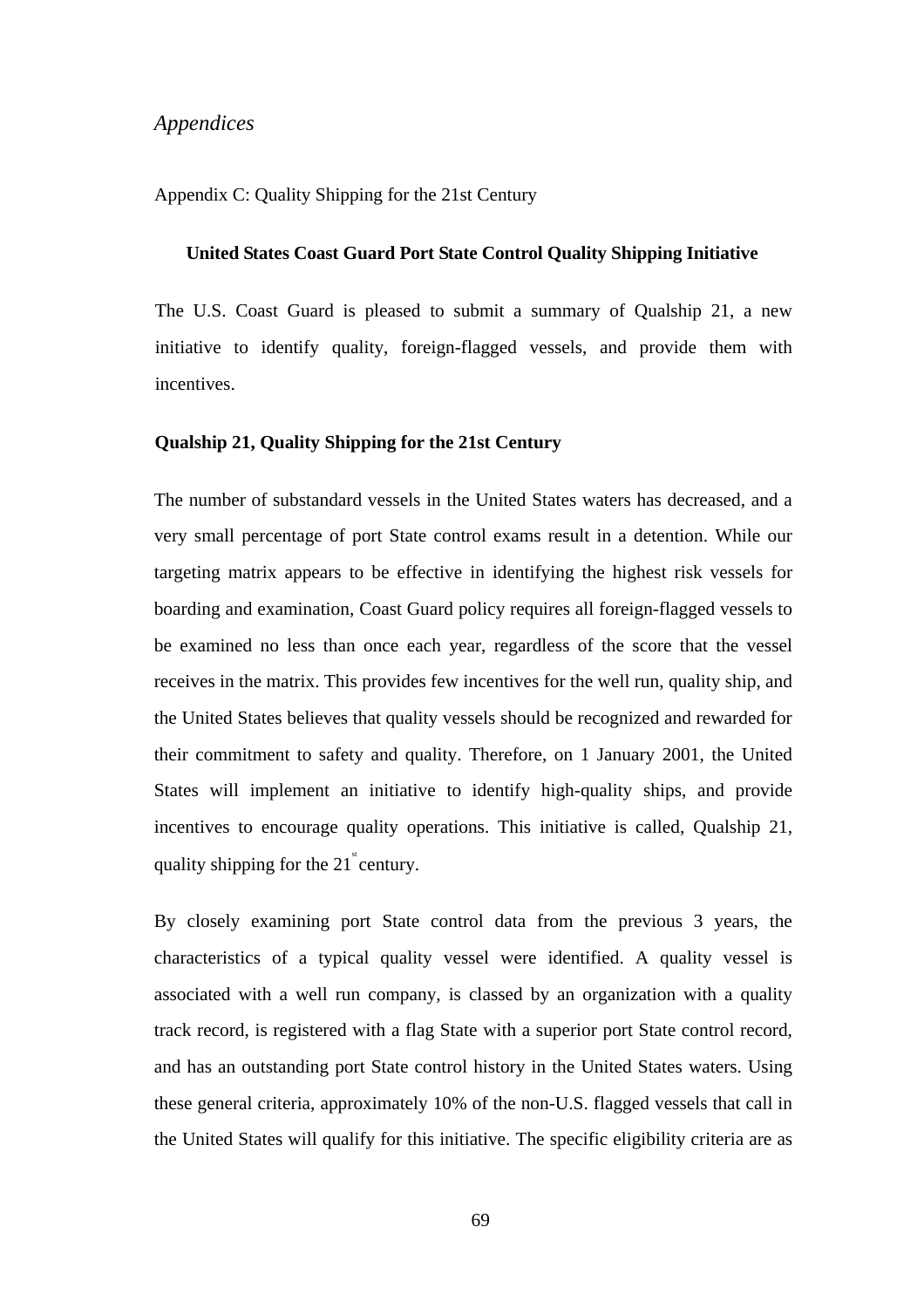#### Appendix C: Quality Shipping for the 21st Century

#### **United States Coast Guard Port State Control Quality Shipping Initiative**

The U.S. Coast Guard is pleased to submit a summary of Qualship 21, a new initiative to identify quality, foreign-flagged vessels, and provide them with incentives.

#### **Qualship 21, Quality Shipping for the 21st Century**

The number of substandard vessels in the United States waters has decreased, and a very small percentage of port State control exams result in a detention. While our targeting matrix appears to be effective in identifying the highest risk vessels for boarding and examination, Coast Guard policy requires all foreign-flagged vessels to be examined no less than once each year, regardless of the score that the vessel receives in the matrix. This provides few incentives for the well run, quality ship, and the United States believes that quality vessels should be recognized and rewarded for their commitment to safety and quality. Therefore, on 1 January 2001, the United States will implement an initiative to identify high-quality ships, and provide incentives to encourage quality operations. This initiative is called, Qualship 21, quality shipping for the  $21^{\degree}$  century.

By closely examining port State control data from the previous 3 years, the characteristics of a typical quality vessel were identified. A quality vessel is associated with a well run company, is classed by an organization with a quality track record, is registered with a flag State with a superior port State control record, and has an outstanding port State control history in the United States waters. Using these general criteria, approximately 10% of the non-U.S. flagged vessels that call in the United States will qualify for this initiative. The specific eligibility criteria are as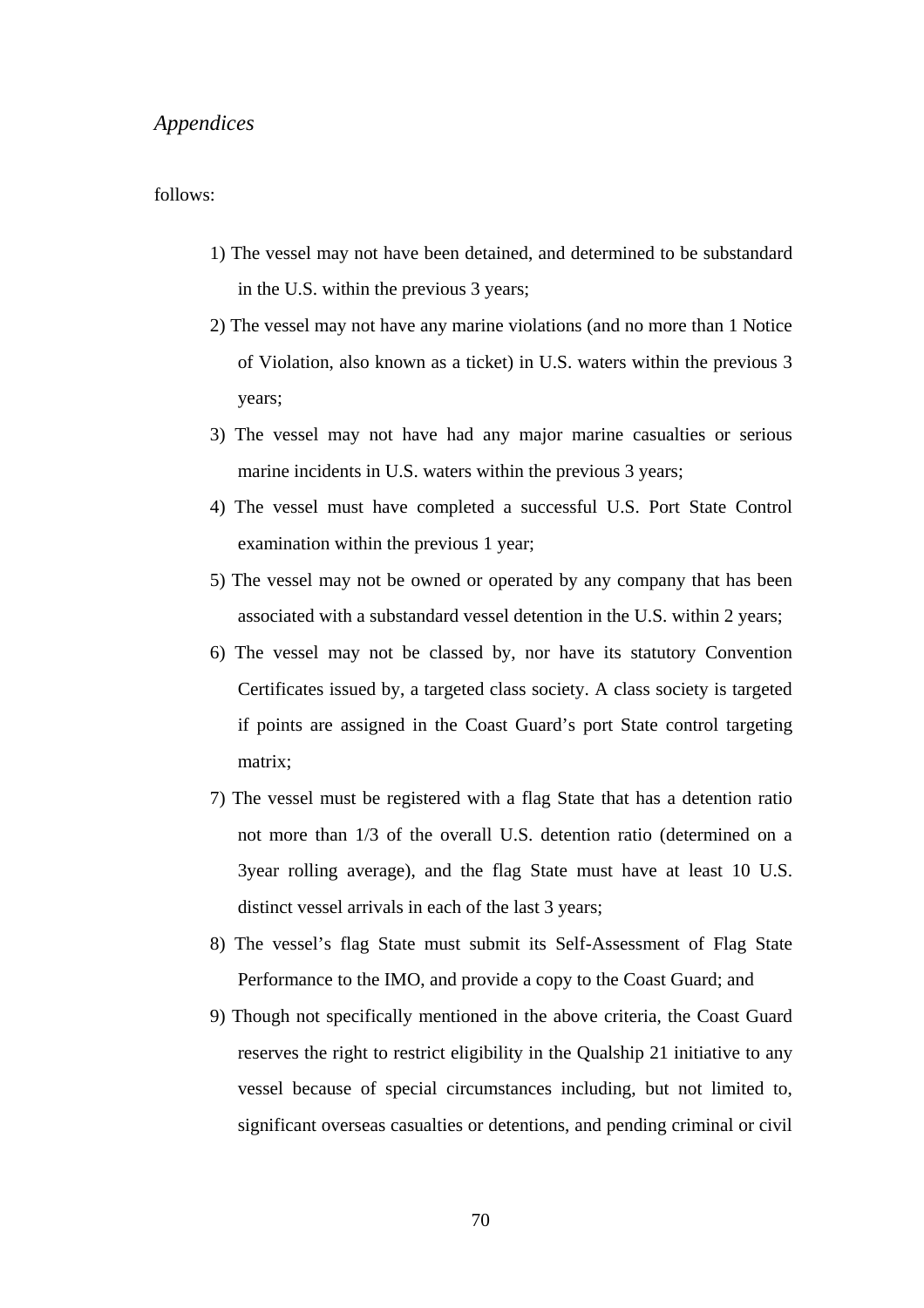#### follows:

- 1) The vessel may not have been detained, and determined to be substandard in the U.S. within the previous 3 years;
- 2) The vessel may not have any marine violations (and no more than 1 Notice of Violation, also known as a ticket) in U.S. waters within the previous 3 years;
- 3) The vessel may not have had any major marine casualties or serious marine incidents in U.S. waters within the previous 3 years;
- 4) The vessel must have completed a successful U.S. Port State Control examination within the previous 1 year;
- 5) The vessel may not be owned or operated by any company that has been associated with a substandard vessel detention in the U.S. within 2 years;
- 6) The vessel may not be classed by, nor have its statutory Convention Certificates issued by, a targeted class society. A class society is targeted if points are assigned in the Coast Guard's port State control targeting matrix;
- 7) The vessel must be registered with a flag State that has a detention ratio not more than 1/3 of the overall U.S. detention ratio (determined on a 3year rolling average), and the flag State must have at least 10 U.S. distinct vessel arrivals in each of the last 3 years;
- 8) The vessel's flag State must submit its Self-Assessment of Flag State Performance to the IMO, and provide a copy to the Coast Guard; and
- 9) Though not specifically mentioned in the above criteria, the Coast Guard reserves the right to restrict eligibility in the Qualship 21 initiative to any vessel because of special circumstances including, but not limited to, significant overseas casualties or detentions, and pending criminal or civil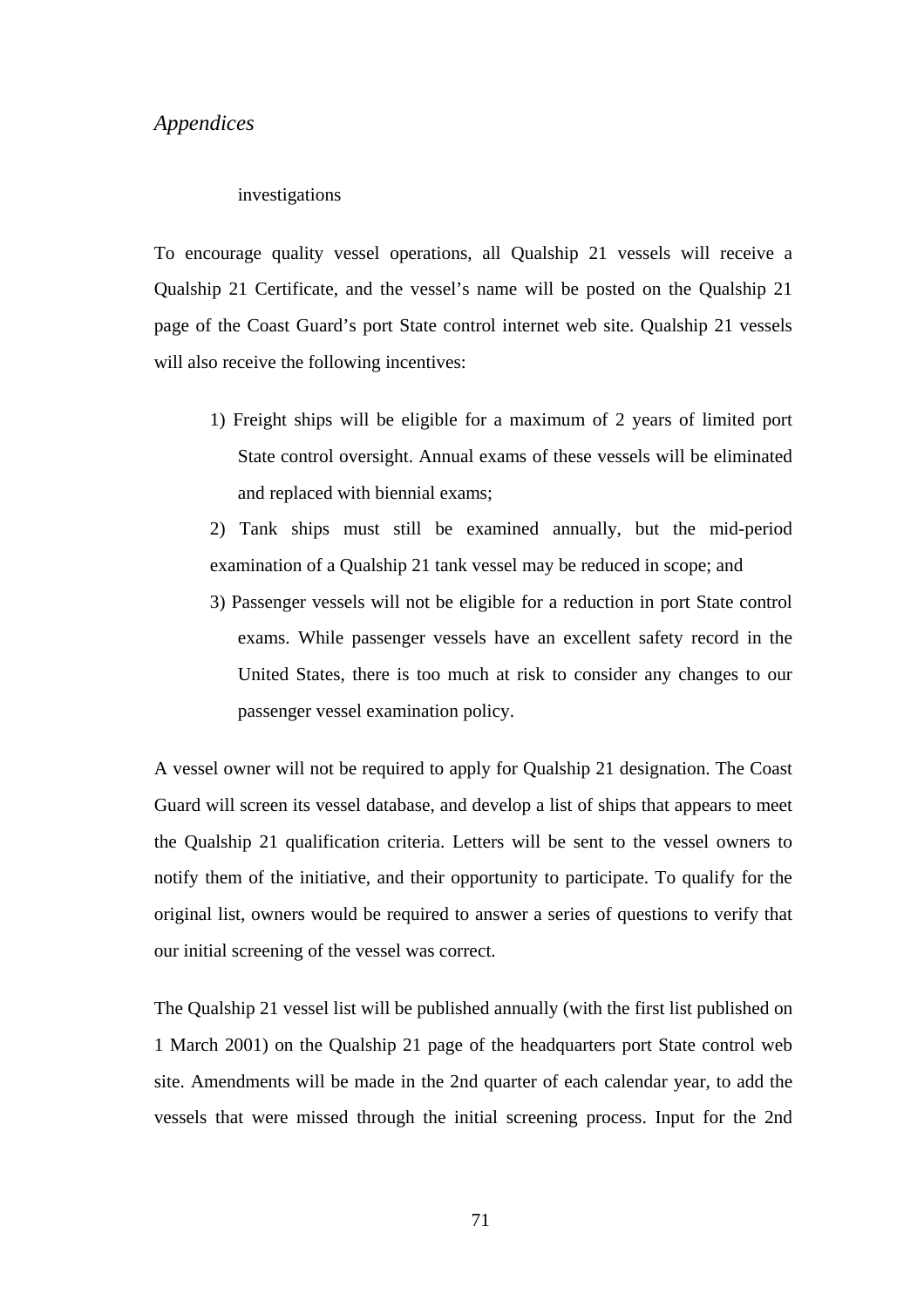#### investigations

To encourage quality vessel operations, all Qualship 21 vessels will receive a Qualship 21 Certificate, and the vessel's name will be posted on the Qualship 21 page of the Coast Guard's port State control internet web site. Qualship 21 vessels will also receive the following incentives:

- 1) Freight ships will be eligible for a maximum of 2 years of limited port State control oversight. Annual exams of these vessels will be eliminated and replaced with biennial exams;
- 2) Tank ships must still be examined annually, but the mid-period examination of a Qualship 21 tank vessel may be reduced in scope; and
- 3) Passenger vessels will not be eligible for a reduction in port State control exams. While passenger vessels have an excellent safety record in the United States, there is too much at risk to consider any changes to our passenger vessel examination policy.

A vessel owner will not be required to apply for Qualship 21 designation. The Coast Guard will screen its vessel database, and develop a list of ships that appears to meet the Qualship 21 qualification criteria. Letters will be sent to the vessel owners to notify them of the initiative, and their opportunity to participate. To qualify for the original list, owners would be required to answer a series of questions to verify that our initial screening of the vessel was correct.

The Qualship 21 vessel list will be published annually (with the first list published on 1 March 2001) on the Qualship 21 page of the headquarters port State control web site. Amendments will be made in the 2nd quarter of each calendar year, to add the vessels that were missed through the initial screening process. Input for the 2nd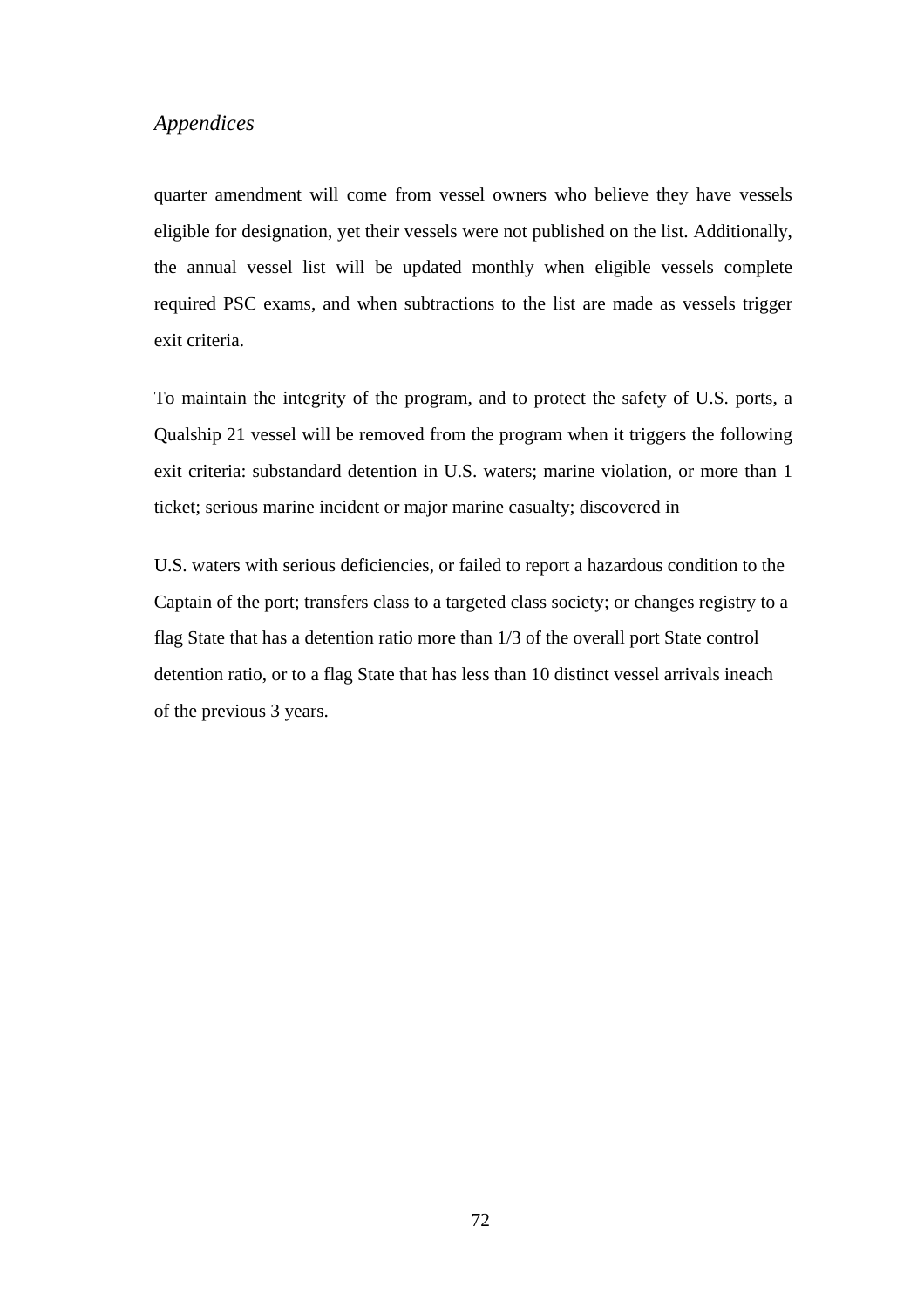quarter amendment will come from vessel owners who believe they have vessels eligible for designation, yet their vessels were not published on the list. Additionally, the annual vessel list will be updated monthly when eligible vessels complete required PSC exams, and when subtractions to the list are made as vessels trigger exit criteria.

To maintain the integrity of the program, and to protect the safety of U.S. ports, a Qualship 21 vessel will be removed from the program when it triggers the following exit criteria: substandard detention in U.S. waters; marine violation, or more than 1 ticket; serious marine incident or major marine casualty; discovered in

U.S. waters with serious deficiencies, or failed to report a hazardous condition to the Captain of the port; transfers class to a targeted class society; or changes registry to a flag State that has a detention ratio more than 1/3 of the overall port State control detention ratio, or to a flag State that has less than 10 distinct vessel arrivals ineach of the previous 3 years.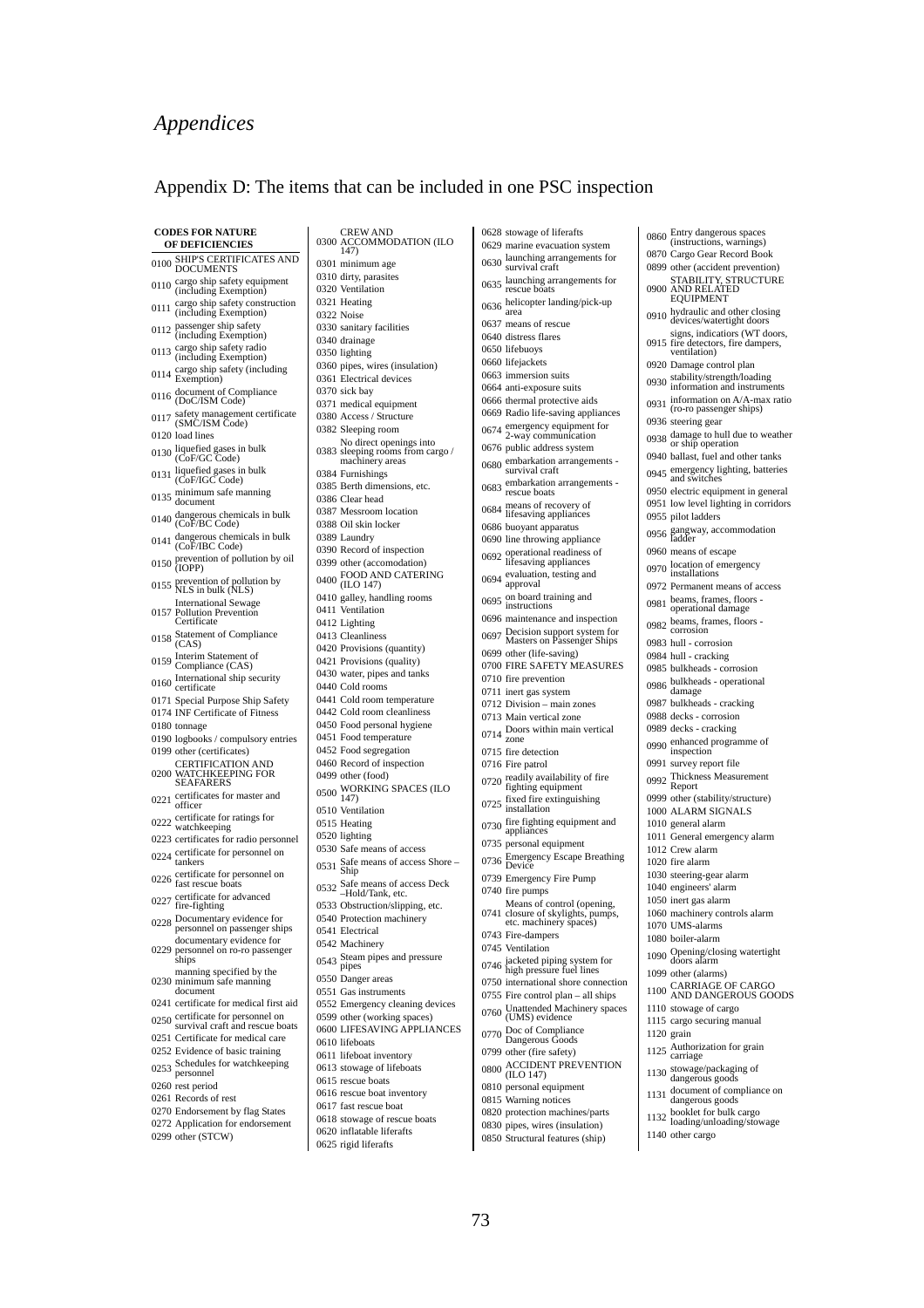#### Appendix D: The items that can be included in one PSC inspection

|      | <b>CODES FOR NATURE</b>                                                 | CREW AND<br>0300 ACCOMMO                                 |
|------|-------------------------------------------------------------------------|----------------------------------------------------------|
|      | <b>OF DEFICIENCIES</b>                                                  | 147)                                                     |
| 0100 | SHIP'S CERTIFICATES AND<br><b>DOCUMENTS</b>                             | 0301 minimum age                                         |
|      | cargo ship safety equipment                                             | 0310 dirty, parasite                                     |
| 0110 | (including Exemption)                                                   | 0320 Ventilation                                         |
| 0111 | cargo ship safety construction<br>(including Exemption)                 | 0321 Heating<br>0322 Noise                               |
|      | 0112 passenger ship safety<br>(including Exemption)                     | 0330 sanitary facili                                     |
| 0113 | cargo ship safety radio<br>(including Exemption)                        | 0340 drainage<br>0350 lighting                           |
| 0114 | cargo ship safety (including<br>Exemption)                              | 0360 pipes, wires (<br>0361 Electrical dev               |
|      | 0116 document of Compliance<br>(DoC/ISM Code)                           | 0370 sick bay                                            |
| 0117 | safety management certificate<br>(SMC/ISM Code)                         | 0371 medical equip<br>0380 Access / Stru                 |
|      | 0120 load lines                                                         | 0382 Sleeping roor                                       |
|      | 0130 liquefied gases in bulk<br>(CoF/GC Code)                           | No direct ope<br>0383 sleeping roon                      |
| 0131 | liquefied gases in bulk<br>(CoF/IGC Code)                               | machinery are<br>0384 Furnishings                        |
| 0135 | minimum safe manning                                                    | 0385 Berth dimens<br>0386 Clear head                     |
| 0140 | document<br>dangerous chemicals in bulk                                 | 0387 Messroom lo                                         |
|      | (CoF/BC Code)                                                           | 0388 Oil skin locke                                      |
| 0141 | dangerous chemicals in bulk<br>(CoF/IBC Code)                           | 0389 Laundry<br>0390 Record of ins                       |
|      | 0150 prevention of pollution by oil<br>(IOPP)                           | 0399 other (accome                                       |
|      | 0155 prevention of pollution by<br>NLS in bulk (NLS)                    | $0400$ FOOD AND<br>(ILO 147)                             |
|      | <b>International Sewage</b><br>0157 Pollution Prevention<br>Certificate | 0410 galley, handli<br>0411 Ventilation<br>0412 Lighting |
|      | 0158 Statement of Compliance<br>(CAS)                                   | 0413 Cleanliness                                         |
|      | 0159 Interim Statement of                                               | 0420 Provisions (q<br>0421 Provisions (q                 |
| 0160 | Compliance (CAS)<br>International ship security                         | 0430 water, pipes a                                      |
|      | certificate                                                             | 0440 Cold rooms                                          |
|      | 0171 Special Purpose Ship Safety                                        | 0441 Cold room te                                        |
|      | 0174 INF Certificate of Fitness                                         | 0442 Cold room cl<br>0450 Food persona                   |
|      | 0180 tonnage<br>0190 logbooks / compulsory entries                      | 0451 Food tempera                                        |
|      | 0199 other (certificates)                                               | 0452 Food segrega                                        |
|      | CERTIFICATION AND                                                       | 0460 Record of ins                                       |
|      | 0200 WATCHKEEPING FOR<br>SEAFARERS                                      | 0499 other (food)                                        |
| 0221 | certificates for master and<br>officer                                  | <b>WORKINGS</b><br>0500<br>147)                          |
|      | 0222 certificate for ratings for<br>watchkeeping                        | 0510 Ventilation<br>0515 Heating                         |
|      | 0223 certificates for radio personnel                                   | 0520 lighting                                            |
|      | 0224 certificate for personnel on<br>tankers                            | 0530 Safe means o<br>Safe means o<br>0531                |
|      | 0226 certificate for personnel on<br>fast rescue boats                  | Ship<br>$0532$ Safe means o                              |
|      | 0227 certificate for advanced<br>fire-fighting                          | -Hold/Tank,<br>0533 Obstruction/s                        |
|      | 0228 Documentary evidence for<br>personnel on passenger ships           | 0540 Protection ma                                       |
|      | documentary evidence for<br>0229 personnel on ro-ro passenger<br>ships  | 0541 Electrical<br>0542 Machinery<br>0543 Steam pipes a  |
|      | manning specified by the<br>0230 minimum safe manning<br>document       | pipes<br>0550 Danger areas<br>0551 Gas instrume          |
|      | 0241 certificate for medical first aid                                  | 0552 Emergency cl                                        |
|      | 0250 certificate for personnel on<br>survival craft and rescue boats    | 0599 other (workin                                       |
|      | 0251 Certificate for medical care                                       | 0600 LIFESAVING<br>0610 lifeboats                        |
|      | 0252 Evidence of basic training                                         | 0611 lifeboat inver                                      |
|      | 0253 Schedules for watchkeeping<br>personnel                            | 0613 stowage of lif                                      |
|      | 0260 rest period                                                        | 0615 rescue boats                                        |
|      | 0261 Records of rest                                                    | 0616 rescue boat in                                      |
|      | 0270 Endorsement by flag States                                         | 0617 fast rescue bo                                      |
|      | 0272 Application for endorsement                                        | 0618 stowage of re                                       |
|      | 0299 other (STCW)                                                       | 0620 inflatable life<br>0625 rigid liferafts             |
|      |                                                                         |                                                          |

0300 CREW AND ACCOMMODATION (ILO im age arasites tion. facilities <sub>-</sub><br>wires (insulation) cal devices .<br>1 equipment / Structure g room No direct openings into 0383 sleeping rooms from cargo / machinery areas hings limensions, etc. ead om location n locker .<br>of inspection accomodation) 0400 FOOD AND CATERING<br>(ILO 147) handling rooms tion 1g -<br>ness ons (quantity) ons (quality) bipes and tanks oms<sup>-</sup> om temperature om cleanliness ersonal hygiene emperature<sup>5</sup> egregation of inspection food) <sup>0500</sup>WORKING SPACES (ILO ition .<br>eans of access eans of access Shore – 0532 Safe means of access Deck<br>-Hold/Tank, etc. ction/slipping, etc. ion machinery cal. nery oipes and pressure areas struments ency cleaning devices working spaces) 0600 LIFESAVING APPLIANCES inventory e of lifeboats boats boat inventory scue boat e of rescue boats ble liferafts

0628 stowage of liferafts 0629 marine evacuation system <sup>0630</sup> launching arrangements for survival craft 0635 launching arrangements for rescue boats <sup>0636</sup> helicopter landing/pick-up area 0637 means of rescue 0640 distress flares 0650 lifebuoys 0660 lifejackets 0663 immersion suits 0664 anti-exposure suits 0666 thermal protective aids 0669 Radio life-saving appliances <sup>0674</sup> emergency equipment for 2-way communication 0676 public address system <sup>0680</sup> embarkation arrangements - survival craft <sup>0683</sup> embarkation arrangements - rescue boats <sup>0684</sup> means of recovery of lifesaving appliances 0686 buoyant apparatus 0690 line throwing appliance <sup>0692</sup> operational readiness of lifesaving appliances <sup>0694</sup> evaluation, testing and approval <sup>0695</sup> on board training and instructions 0696 maintenance and inspection <sup>0697</sup> Decision support system for Masters on Passenger Ships 0699 other (life-saving) 0700 FIRE SAFETY MEASURES 0710 fire prevention 0711 inert gas system 0712 Division – main zones 0713 Main vertical zone <sup>0714</sup> Doors within main vertical zone 0715 fire detection 0716 Fire patrol <sup>0720</sup> readily availability of fire fighting equipment <sup>0725</sup> fixed fire extinguishing installation <sup>0730</sup> fire fighting equipment and appliances 0735 personal equipment <sup>0736</sup> Emergency Escape Breathing Device 0739 Emergency Fire Pump 0740 fire pumps Means of control (opening, 0741 closure of skylights, pumps, etc. machinery spaces) 0743 Fire-dampers 0745 Ventilation <sup>0746</sup> jacketed piping system for high pressure fuel lines 0750 international shore connection 0755 Fire control plan – all ships <sup>0760</sup> Unattended Machinery spaces (UMS) evidence <sup>0770</sup> Doc of Compliance Dangerous Goods 0799 other (fire safety) 0800 ACCIDENT PREVENTION<br>(ILO 147) 0810 personal equipment 0815 Warning notices 0820 protection machines/parts 0830 pipes, wires (insulation) 0850 Structural features (ship)

- 0860 Entry dangerous spaces<br>(instructions, warnings) 0870 Cargo Gear Record Book
- 0899 other (accident prevention)
- 0900 STABILITY, STRUCTURE AND RELATED EQUIPMENT
- 0910 hydraulic and other closing<br>devices/watertight doors signs, indicatiors (WT doors,
- 0915 fire detectors, fire dampers, ventilation)
- 0920 Damage control plan
- 0930 stability/strength/loading<br>information and instruments 0931 information on A/A-max ratio (ro-ro passenger ships) 0936 steering gear 0938 damage to hull due to weather<br>or ship operation 0940 ballast, fuel and other tanks 0945 emergency lighting, batteries and switches 0950 electric equipment in general 0951 low level lighting in corridors 0955 pilot ladders 0956 gangway, accommodation<br>ladder 0960 means of escape 0970 location of emergency<br>installations 0972 Permanent means of access 0981 beams, frames, floors - operational damage 0982 beams, frames, floors - corrosion 0983 hull - corrosion 0984 hull - cracking 0985 bulkheads - corrosion 0986 bulkheads - operational damage 0987 bulkheads - cracking 0988 decks - corrosion 0989 decks - cracking 0990 enhanced programme of<br>inspection 0991 survey report file 0992 Thickness Measurement<br>Report 0999 other (stability/structure) 1000 ALARM SIGNALS
- 1010 general alarm
- 1011 General emergency alarm
- 1012 Crew alarm 1020 fire alarm
- 
- 1030 steering-gear alarm 1040 engineers' alarm
- 1050 inert gas alarm
- 1060 machinery controls alarm
- 1070 UMS-alarms
- 1080 boiler-alarm
- 1090 Opening/closing watertight<br>doors alarm
- 1099 other (alarms)
- 
- 1100 CARRIAGE OF CARGO<br>AND DANGEROUS GOODS
- 1110 stowage of cargo
- 1115 cargo securing manual 1120 grain
- 
- 1125 Authorization for grain<br>carriage
- 1130 stowage/packaging of dangerous goods
- 1131 document of compliance on<br>dangerous goods
- 1132 booklet for bulk cargo<br>loading/unloading/stowage
- 1140 other cargo
	-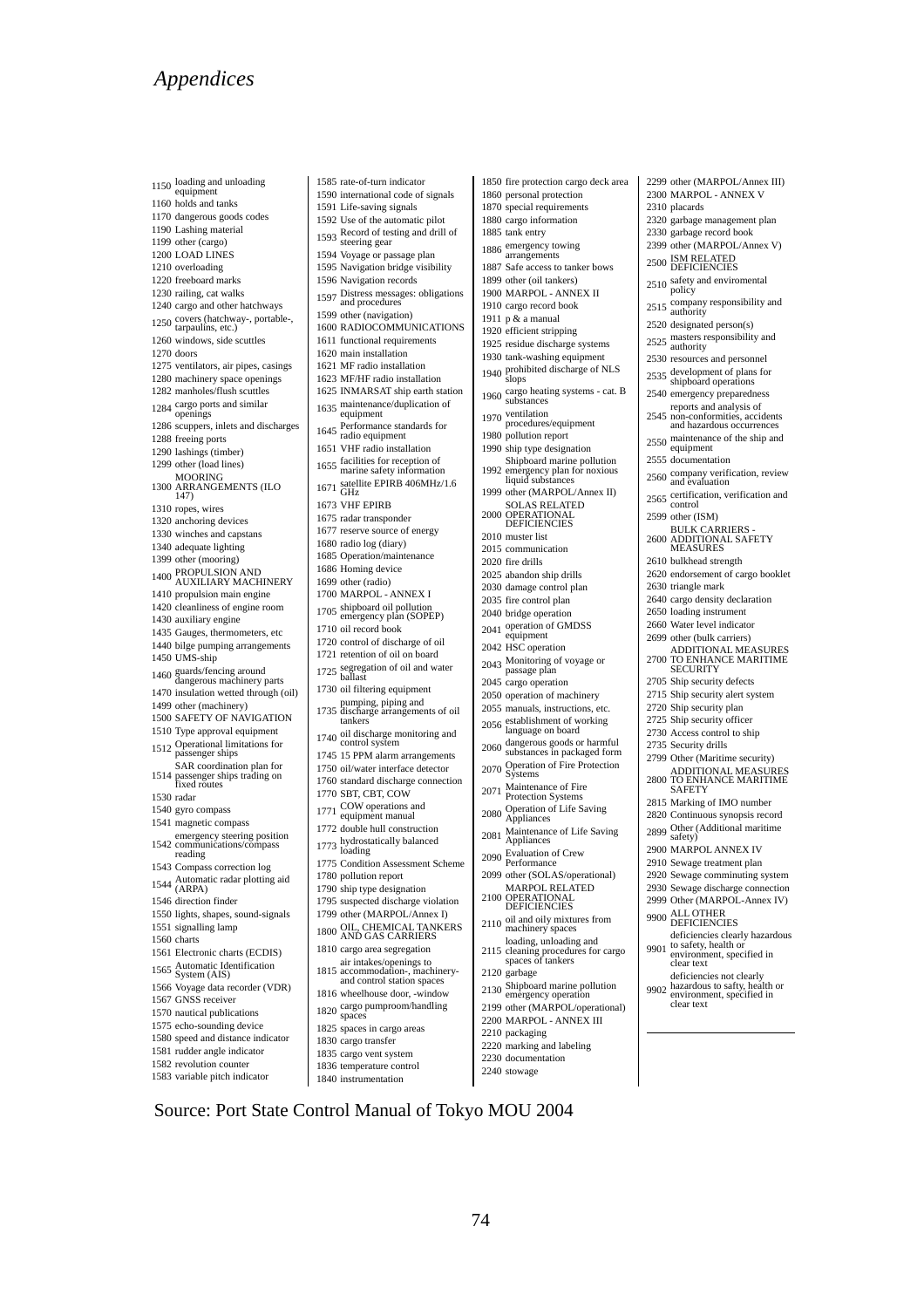1150 loading and unloading<br>equipment 1160 holds and tanks 1170 dangerous goods codes 1190 Lashing material 1199 other (cargo) 1200 LOAD LINES 1210 overloading 1220 freeboard marks 1230 railing, cat walks 1240 cargo and other hatchways 1250 covers (hatchway-, portable-, tarpaulins, etc.) 1260 windows, side scuttles 1270 doors 1275 ventilators, air pipes, casings 1280 machinery space openings 1282 manholes/flush scuttles 1284 cargo ports and similar<br>openings 1286 scuppers, inlets and discharges 1288 freeing ports 1290 lashings (timber) 1299 other (load lines) 1300 MOORING ARRANGEMENTS (ILO  $147)$ 1310 ropes, wires 1320 anchoring devices 1330 winches and capstans 1340 adequate lighting 1399 other (mooring) 1400 PROPULSION AND<br>AUXILIARY MACHINERY 1410 propulsion main engine 1420 cleanliness of engine room 1430 auxiliary engine 1435 Gauges, thermometers, etc 1440 bilge pumping arrangements 1450 UMS-ship 1460 guards/fencing around<br>dangerous machinery parts 1470 insulation wetted through (oil) 1499 other (machinery) 1500 SAFETY OF NAVIGATION 1510 Type approval equipment <sup>1512</sup>Operational limitations for passenger ships 1514 SAR coordination plan for passenger ships trading on fixed routes 1530 radar 1540 gyro compass 1541 magnetic compass emergency steering position<br>1542 communications/compass reading 1543 Compass correction log 1544 Automatic radar plotting aid<br>
(ARPA) 1546 direction finder 1550 lights, shapes, sound-signals 1551 signalling lamp 1560 charts 1561 Electronic charts (ECDIS) 1565 Automatic Identification<br>System (AIS) 1566 Voyage data recorder (VDR) 1567 GNSS receiver 1570 nautical publications 1575 echo-sounding device 1580 speed and distance indicator 1581 rudder angle indicator 1582 revolution counter 1583 variable pitch indicator

1585 rate-of-turn indicator 1590 international code of signals 1591 Life-saving signals 1592 Use of the automatic pilot <sup>1593</sup>Record of testing and drill of steering gear 1594 Voyage or passage plan 1595 Navigation bridge visibility 1596 Navigation records 1597 Distress messages: obligations<br>and procedures 1599 other (navigation) 1600 RADIOCOMMUNICATIONS 1611 functional requirements 1620 main installation 1621 MF radio installation 1623 MF/HF radio installation 1625 INMARSAT ship earth station 1635 maintenance/duplication of<br>equipment 1645 Performance standards for<br>radio equipment 1651 VHF radio installation 1655 facilities for reception of<br>marine safety information 1671 Satellite EPIRB 406MHz/1.6 1673 VHF EPIRB 1675 radar transponder 1677 reserve source of energy 1680 radio log (diary) 1685 Operation/maintenance 1686 Homing device 1699 other (radio) 1700 MARPOL - ANNEX I 1705 shipboard oil pollution<br>emergency plan (SOPEP) 1710 oil record book 1720 control of discharge of oil 1721 retention of oil on board 1725 segregation of oil and water<br>ballast 1730 oil filtering equipment pumping, piping and<br>1735 discharge arrangements of oil tankers 1740 oil discharge monitoring and<br>control system 1745 15 PPM alarm arrangements 1750 oil/water interface detector 1760 standard discharge connection 1770 SBT, CBT, COW 1771 COW operations and<br>equipment manual 1772 double hull construction 1773 hydrostatically balanced<br>loading 1775 Condition Assessment Scheme 1780 pollution report 1790 ship type designation 1795 suspected discharge violation 1799 other (MARPOL/Annex I) 1800 OIL, CHEMICAL TANKERS<br>AND GAS CARRIERS 1810 cargo area segregation 1815 air intakes/openings to accommodation-, machinery-and control station spaces 1816 wheelhouse door, -window 1820 cargo pumproom/handling space 1825 spaces in cargo areas 1830 cargo transfer

74

1835 cargo vent system 1836 temperature control 1840 instrumentation

Source: Port State Control Manual of Tokyo MOU 2004

1899 other (oil tankers) 1910 cargo record book 1911 p  $\&$  a manual 1920 efficient stripping 1980 pollution report 1992 2010 muster list 2015 communication 2020 fire drills 2035 fire control plan 2040 bridge operation 2042 HSC operation 2045 cargo operation 2120 garbage <sup>2130</sup> Shipboard marine pollution emergency operation 2210 packaging

<sup>1886</sup> emergency towing arrangements 1887 Safe access to tanker bows 1900 MARPOL - ANNEX II 1925 residue discharge systems 1930 tank-washing equipment <sup>1940</sup> prohibited discharge of NLS slops <sup>1960</sup> cargo heating systems - cat. B substances <sup>1970</sup> ventilation procedures/equipment 1990 ship type designation Shipboard marine pollution emergency plan for noxious liquid substances 1999 other (MARPOL/Annex II) <sup>2000</sup> SOLAS RELATED OPERATIONAL DEFICIENCIES 2025 abandon ship drills 2030 damage control plan <sup>2041</sup> operation of GMDSS equipment <sup>2043</sup> Monitoring of voyage or passage plan 2050 operation of machinery 2055 manuals, instructions, etc. <sup>2056</sup> establishment of working language on board <sup>2060</sup> dangerous goods or harmful substances in packaged form <sup>2070</sup> Operation of Fire Protection Systems <sup>2071</sup> Maintenance of Fire Protection Systems <sup>2080</sup> Operation of Life Saving Appliances <sup>2081</sup> Maintenance of Life Saving Appliances <sup>2090</sup> Evaluation of Crew Performance 2099 other (SOLAS/operational) <sup>2100</sup> MARPOL RELATED OPERATIONAL **DEFICIENCIES** <sup>2110</sup> oil and oily mixtures from machinery spaces

1850 fire protection cargo deck area 1860 personal protection 1870 special requirements 1880 cargo information 1885 tank entry

- loading, unloading and<br>
2115 cleaning procedures for cargo<br>
spaces of tankers
- 
- 2199 other (MARPOL/operational)
- 2200 MARPOL ANNEX III
- 
- 2220 marking and labeling
- 2230 documentation 2240 stowage

2525 masters responsibility and<br>authority 2530 resources and personnel 2535 development of plans for<br>shipboard operations 2540 emergency preparedness 2545 reports and analysis of non-conformities, accidents and hazardous occurrences 2555 documentation 2560 company verification, review<br>and evaluation 2565 certification, verification and<br>control 2599 other (ISM) 2600 BULK CARRIERS - ADDITIONAL SAFETY MEASURES 2610 bulkhead strength 2620 endorsement of cargo booklet 2630 triangle mark 2640 cargo density declaration 2650 loading instrument 2660 Water level indicator 2699 other (bulk carriers) 2700 ADDITIONAL MEASURES TO ENHANCE MARITIME SECURITY

- 
- 
- 
- 
- 
- 
- 
- 
- 
- 
- 
- 
- 
- 
- 
- 
- 
- 
- 
- 
- 
- 
- 
- 
- 
- 
- 
- 
- 
- 
- 
- 
- 
- 
- 
- 
- 
- 
- 
- 

2299 other (MARPOL/Annex III) 2300 MARPOL - ANNEX V

2320 garbage management plan 2330 garbage record book 2399 other (MARPOL/Annex V) 2500 ISM RELATED<br>DEFICIENCIES 2510 safety and enviromental<br>policy 2515 company responsibility and<br>authority 2520 designated person(s)

2310 placards

- 
- 
- 
- 
- 
- 
- 
- 2550 maintenance of the ship and<br>equipment
- 
- 
- 
- 
- 
- 
- 
- 
- 
- 
- 
- 
- 

2705 Ship security defects 2715 Ship security alert system 2720 Ship security plan 2725 Ship security officer 2730 Access control to ship 2735 Security drills 2799 Other (Maritime security) 2800 ADDITIONAL MEASURES TO ENHANCE MARITIME SAFETY 2815 Marking of IMO number 2820 Continuous synopsis record 2899 Other (Additional maritime safety) 2900 MARPOL ANNEX IV 2910 Sewage treatment plan 2920 Sewage comminuting system 2930 Sewage discharge connection 2999 Other (MARPOL-Annex IV) 9900 ALL OTHER<br>DEFICIENCIES

9901

9902

clear text

deficiencies clearly hazardous to safety, health or environment, specified in clear text

deficiencies not clearly hazardous to safty, health or environment, specified in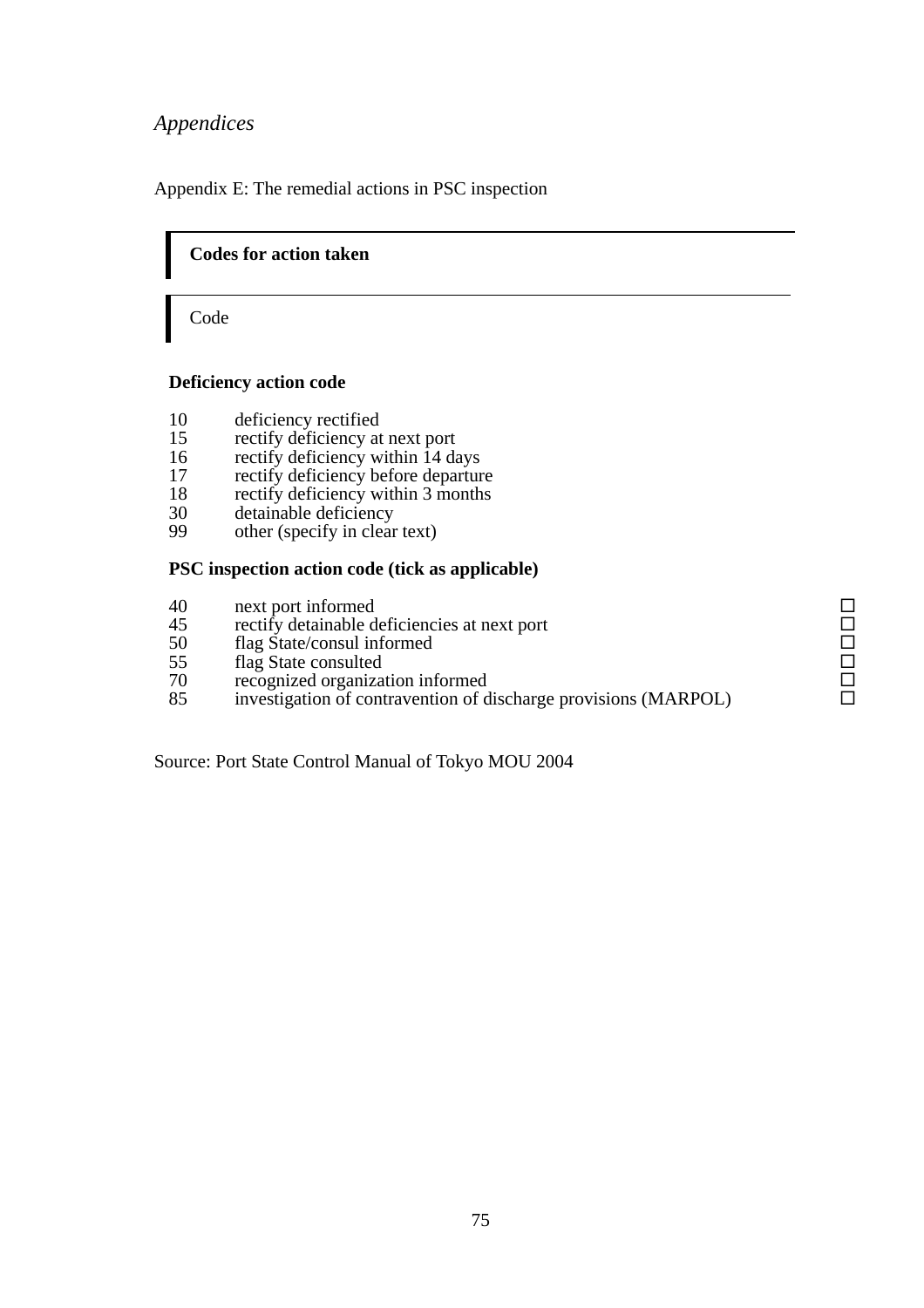Appendix E: The remedial actions in PSC inspection

### **Codes for action taken**

Code

֬֘֜

#### **Deficiency action code**

- 10 deficiency rectified<br>15 rectify deficiency at
- rectify deficiency at next port
- 16 rectify deficiency within 14 days
- 17 rectify deficiency before departure
- 18 rectify deficiency within 3 months
- 30 detainable deficiency
- 99 other (specify in clear text)

#### **PSC inspection action code (tick as applicable)**

- 
- 10 next port informed<br>
45 rectify detainable deficiencies at next port<br>
50 flag State/consul informed<br>
55 flag State consulted<br>
70 recognized organization informed<br>
□ 45 rectify detainable deficiencies at next port<br>50 flag State/consul informed
- 50 flag State/consul informed<br>55 flag State consulted
- flag State consulted
- 
- 70 recognized organization informed<br>85 investigation of contravention of discharge provisions (MARPOL) □ 85 investigation of contravention of discharge provisions (MARPOL)

Source: Port State Control Manual of Tokyo MOU 2004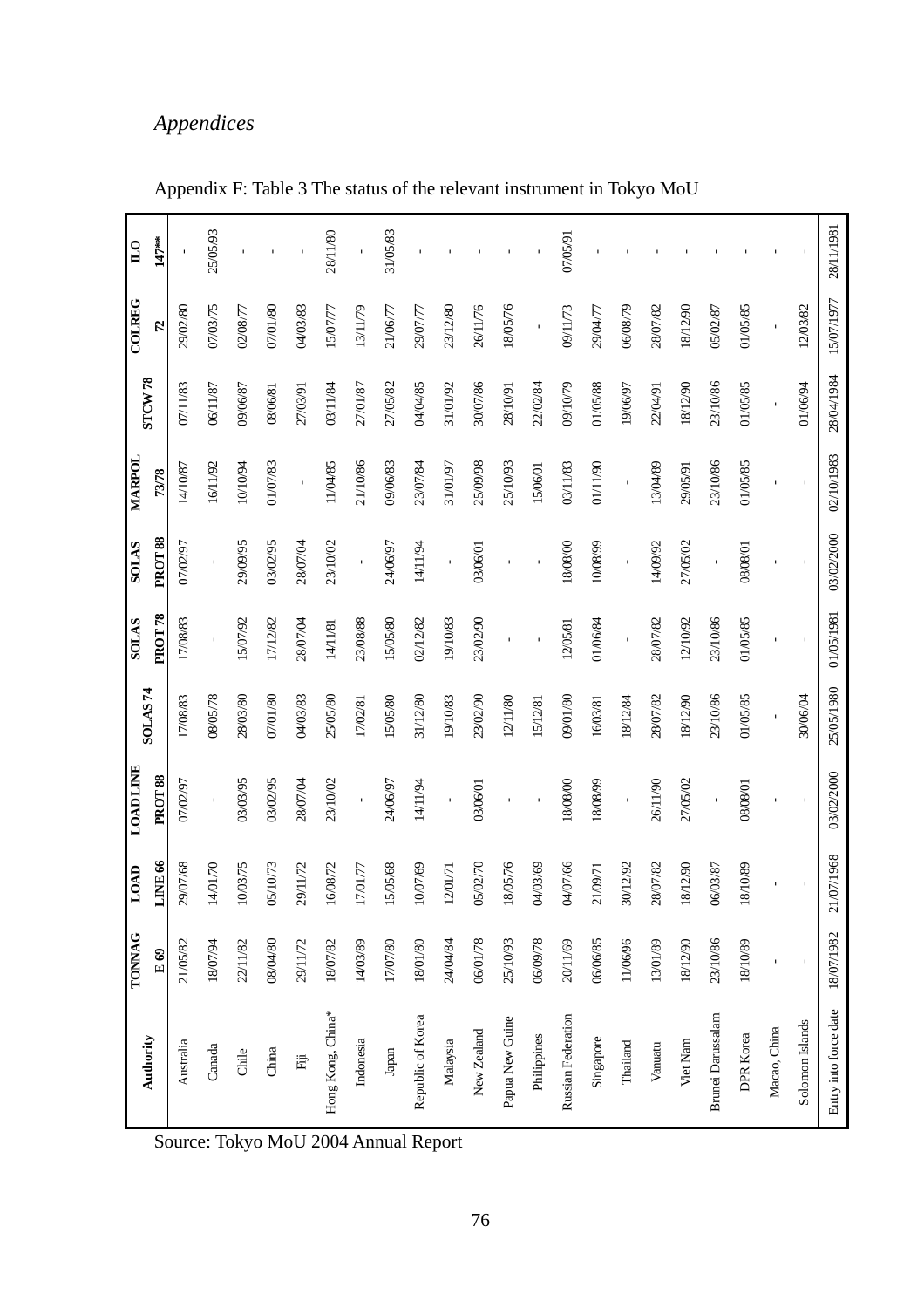|                          | <b>TONNAG</b> | <b>TOTO</b> | <b>LOAD LINE</b>    |                | <b>SOLAS</b>        | <b>SAIOS</b>       | <b>MARPOL</b>       |                    | <b>COLREG</b> | $\mathbb{L}$ |
|--------------------------|---------------|-------------|---------------------|----------------|---------------------|--------------------|---------------------|--------------------|---------------|--------------|
| Authority                | E69           | LINE 66     | PROT <sub>88</sub>  | <b>SOLAS74</b> | PROT <sub>78</sub>  | PROT <sub>88</sub> | 73/78               | STCW <sub>78</sub> | 52            | 147**        |
| Australia                | 21/05/82      | 29/07/68    | 07/02/97            | 17/08/83       | 17/08/83            | 07/02/97           | 14/10/87            | 07/11/83           | 29/02/80      |              |
| Canada                   | 18/07/94      | 14/01/70    |                     | 08/05/78       |                     |                    | 16/11/92            | 06/11/87           | 07/03/75      | 25/05/93     |
| Chile                    | 22/11/82      | 10/03/75    | 03/03/95            | 28/03/80       | 15/07/92            | 29/09/95           | 10/10/94            | 09/06/87           | 02/08/77      |              |
| China                    | 08/04/80      | 05/10/73    | 03/02/95            | 07/01/80       | 17/12/82            | 03/02/95           | 01/07/83            | 08/06/81           | 07/01/80      |              |
| 语                        | 29/11/72      | 29/11/72    | 28/07/04            | 04/03/83       | 28/07/04            | 28/07/04           | $\mathbf{I}$        | 27/03/91           | 04/03/83      |              |
| Hong Kong, China*        | 18/07/82      | 16/08/72    | 23/10/02            | 25/05/80       | 14/11/81            | 23/10/02           | 11/04/85            | 03/11/84           | 15/07/77      | 28/11/80     |
| Indonesia                | 14/03/89      | $1701/77$   | $\bar{\phantom{a}}$ | 17/02/81       | 23/08/88            |                    | 21/10/86            | 27/01/87           | 13/11/79      | ï            |
| ${\it Japan}$            | 17/07/80      | 15/05/68    | 24/06/97            | 15/05/80       | 15/05/80            | 24/06/97           | 09/06/83            | 27/05/82           | 21/06/77      | 31/05/83     |
| Republic of Korea        | 18/01/80      | 10/07/69    | 14/11/94            | 31/12/80       | 02/12/82            | 14/11/94           | 23/07/84            | 04/04/85           | 29/07/77      |              |
| Malaysia                 | 24/04/84      | $1201/71$   |                     | 19/10/83       | 19/10/83            |                    | 31/01/97            | 31/01/92           | 23/12/80      |              |
| New Zealand              | 06/01/78      | 05/02/70    | 03/06/01            | 23/02/90       | 23/02/90            | 03/06/01           | 25/09/98            | 30/07/86           | 26/11/76      |              |
| Papua New Guine          | 25/10/93      | 18/05/76    |                     | 12/11/80       |                     |                    | 25/10/93            | 28/10/91           | 18/05/76      |              |
| Philippines              | 06/09/78      | 04/03/69    |                     | 15/12/81       |                     |                    | 15/06/01            | 22/02/84           |               |              |
| Russian Federation       | 20/11/69      | 04/07/66    | 18/08/00            | 09/01/80       | 12/05/81            | 18/08/00           | 03/11/83            | 09/10/79           | 09/11/73      | 07/05/91     |
| Singapore                | 06/06/85      | 21/09/71    | 18/08/99            | 16/03/81       | 01/06/84            | 10/08/99           | 01/11/90            | 01/05/88           | 29/04/77      |              |
| Thailand                 | 11/06/96      | 30/12/92    | $\bar{1}$           | 18/12/84       | $\bar{\phantom{a}}$ |                    | $\bar{\phantom{a}}$ | 19/06/97           | 06/08/79      |              |
| Vanuatu                  | 13/01/89      | 28/07/82    | 26/11/90            | 28/07/82       | 28/07/82            | 14/09/92           | 13/04/89            | 22/04/91           | 28/07/82      |              |
| Viet Nam                 | 18/12/90      | 18/12/90    | 27/05/02            | 18/12/90       | 12/10/92            | 27/05/02           | 29/05/91            | 18/12/90           | 18/12/90      |              |
| <b>Brunei Darussalam</b> | 23/10/86      | 06/03/87    |                     | 23/10/86       | 23/10/86            |                    | 23/10/86            | 23/10/86           | 05/02/87      |              |
| DPR Korea                | 18/10/89      | 18/10/89    | 08/08/01            | 01/05/85       | 01/05/85            | 080801             | 01/05/85            | 01/05/85           | 01/05/85      |              |
| Macao, China             |               |             |                     |                |                     |                    |                     |                    |               |              |
| Solomon Islands          | $\mathbf{I}$  |             |                     | 30/06/04       |                     |                    |                     | 01/06/94           | 12/03/82      |              |
| Entry into force date    | 18/07/1982    | 21/07/1968  | 03/02/2000          | 25/05/1980     | 01/05/1981          | 03/02/2000         | 02/10/1983          | 28/04/1984         | 15/07/1977    | 28/11/1981   |

Appendix F: Table 3 The status of the relevant instrument in Tokyo MoU

Source: Tokyo MoU 2004 Annual Report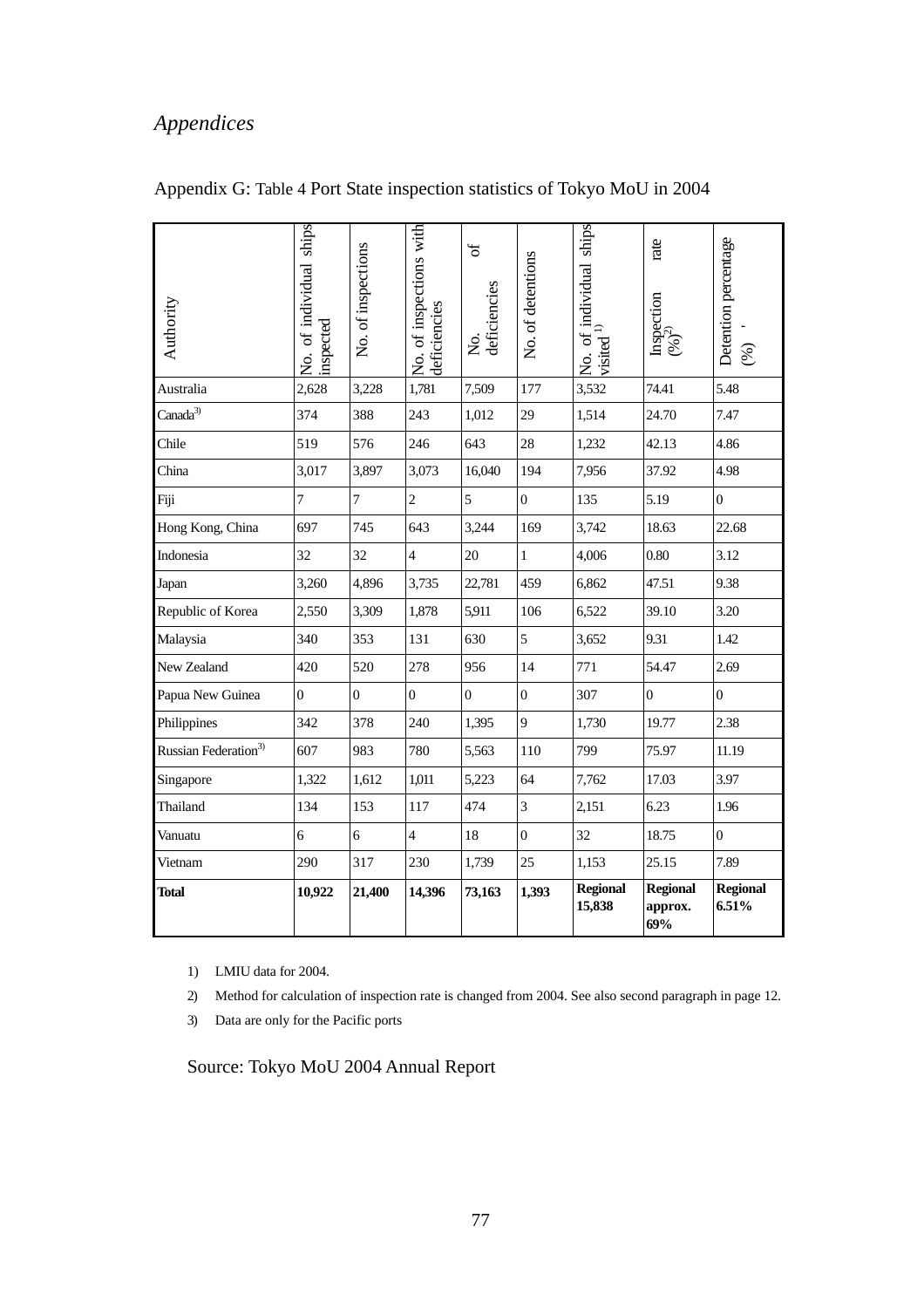| Authority                        | No. of individual ships<br>inspected | No. of inspections | No. of inspections with<br>deficiencies | $\mathfrak{b}$<br>deficiencies<br>Ż. | No. of detentions | No. of individual ships<br>visited $\frac{1}{2}$ | rate<br>Inspection<br>$(96)^{2}$  | Detention percentage<br>$\mathcal{S}$ |
|----------------------------------|--------------------------------------|--------------------|-----------------------------------------|--------------------------------------|-------------------|--------------------------------------------------|-----------------------------------|---------------------------------------|
| Australia                        | 2,628                                | 3,228              | 1,781                                   | 7,509                                | 177               | 3,532                                            | 74.41                             | 5.48                                  |
| Canada <sup>3)</sup>             | 374                                  | 388                | 243                                     | 1,012                                | 29                | 1,514                                            | 24.70                             | 7.47                                  |
| Chile                            | 519                                  | 576                | 246                                     | 643                                  | 28                | 1,232                                            | 42.13                             | 4.86                                  |
| China                            | 3,017                                | 3,897              | 3,073                                   | 16,040                               | 194               | 7,956                                            | 37.92                             | 4.98                                  |
| Fiji                             | $\overline{7}$                       | $\overline{7}$     | $\overline{c}$                          | 5                                    | $\theta$          | 135                                              | 5.19                              | $\boldsymbol{0}$                      |
| Hong Kong, China                 | 697                                  | 745                | 643                                     | 3,244                                | 169               | 3,742                                            | 18.63                             | 22.68                                 |
| Indonesia                        | 32                                   | 32                 | $\overline{4}$                          | 20                                   | $\mathbf{1}$      | 4,006                                            | 0.80                              | 3.12                                  |
| Japan                            | 3,260                                | 4,896              | 3,735                                   | 22,781                               | 459               | 6,862                                            | 47.51                             | 9.38                                  |
| Republic of Korea                | 2,550                                | 3,309              | 1,878                                   | 5,911                                | 106               | 6,522                                            | 39.10                             | 3.20                                  |
| Malaysia                         | 340                                  | 353                | 131                                     | 630                                  | 5                 | 3,652                                            | 9.31                              | 1.42                                  |
| New Zealand                      | 420                                  | 520                | 278                                     | 956                                  | 14                | 771                                              | 54.47                             | 2.69                                  |
| Papua New Guinea                 | $\overline{0}$                       | $\mathbf{0}$       | $\overline{0}$                          | $\boldsymbol{0}$                     | $\mathbf{0}$      | 307                                              | $\overline{0}$                    | $\overline{0}$                        |
| Philippines                      | 342                                  | 378                | 240                                     | 1,395                                | 9                 | 1,730                                            | 19.77                             | 2.38                                  |
| Russian Federation <sup>3)</sup> | 607                                  | 983                | 780                                     | 5,563                                | 110               | 799                                              | 75.97                             | 11.19                                 |
| Singapore                        | 1,322                                | 1,612              | 1,011                                   | 5,223                                | 64                | 7,762                                            | 17.03                             | 3.97                                  |
| Thailand                         | 134                                  | 153                | 117                                     | 474                                  | 3                 | 2,151                                            | 6.23                              | 1.96                                  |
| Vanuatu                          | 6                                    | 6                  | $\overline{4}$                          | 18                                   | $\Omega$          | 32                                               | 18.75                             | $\boldsymbol{0}$                      |
| Vietnam                          | 290                                  | 317                | 230                                     | 1,739                                | 25                | 1,153                                            | 25.15                             | 7.89                                  |
| Total                            | 10,922                               | 21,400             | 14,396                                  | 73,163                               | 1,393             | <b>Regional</b><br>15,838                        | <b>Regional</b><br>approx.<br>69% | <b>Regional</b><br>6.51%              |

## Appendix G: Table 4 Port State inspection statistics of Tokyo MoU in 2004

1) LMIU data for 2004.

- 2) Method for calculation of inspection rate is changed from 2004. See also second paragraph in page 12.
- 3) Data are only for the Pacific ports

Source: Tokyo MoU 2004 Annual Report